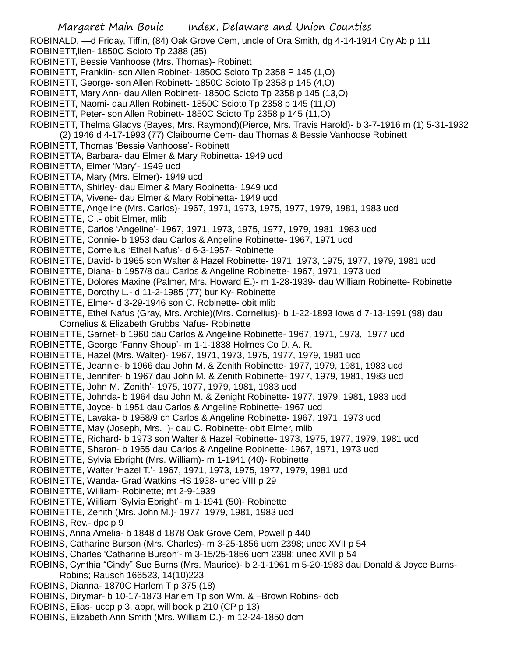- Margaret Main Bouic Index, Delaware and Union Counties ROBINALD, —d Friday, Tiffin, (84) Oak Grove Cem, uncle of Ora Smith, dg 4-14-1914 Cry Ab p 111 ROBINETT,llen- 1850C Scioto Tp 2388 (35) ROBINETT, Bessie Vanhoose (Mrs. Thomas)- Robinett ROBINETT, Franklin- son Allen Robinet- 1850C Scioto Tp 2358 P 145 (1,O) ROBINETT, George- son Allen Robinett- 1850C Scioto Tp 2358 p 145 (4,O) ROBINETT, Mary Ann- dau Allen Robinett- 1850C Scioto Tp 2358 p 145 (13,O) ROBINETT, Naomi- dau Allen Robinett- 1850C Scioto Tp 2358 p 145 (11,O) ROBINETT, Peter- son Allen Robinett- 1850C Scioto Tp 2358 p 145 (11,O) ROBINETT, Thelma Gladys (Bayes, Mrs. Raymond)(Pierce, Mrs. Travis Harold)- b 3-7-1916 m (1) 5-31-1932 (2) 1946 d 4-17-1993 (77) Claibourne Cem- dau Thomas & Bessie Vanhoose Robinett ROBINETT, Thomas 'Bessie Vanhoose'- Robinett ROBINETTA, Barbara- dau Elmer & Mary Robinetta- 1949 ucd ROBINETTA, Elmer 'Mary'- 1949 ucd ROBINETTA, Mary (Mrs. Elmer)- 1949 ucd ROBINETTA, Shirley- dau Elmer & Mary Robinetta- 1949 ucd ROBINETTA, Vivene- dau Elmer & Mary Robinetta- 1949 ucd ROBINETTE, Angeline (Mrs. Carlos)- 1967, 1971, 1973, 1975, 1977, 1979, 1981, 1983 ucd ROBINETTE, C,.- obit Elmer, mlib ROBINETTE, Carlos 'Angeline'- 1967, 1971, 1973, 1975, 1977, 1979, 1981, 1983 ucd ROBINETTE, Connie- b 1953 dau Carlos & Angeline Robinette- 1967, 1971 ucd ROBINETTE, Cornelius 'Ethel Nafus'- d 6-3-1957- Robinette ROBINETTE, David- b 1965 son Walter & Hazel Robinette- 1971, 1973, 1975, 1977, 1979, 1981 ucd ROBINETTE, Diana- b 1957/8 dau Carlos & Angeline Robinette- 1967, 1971, 1973 ucd ROBINETTE, Dolores Maxine (Palmer, Mrs. Howard E.)- m 1-28-1939- dau William Robinette- Robinette ROBINETTE, Dorothy L.- d 11-2-1985 (77) bur Ky- Robinette ROBINETTE, Elmer- d 3-29-1946 son C. Robinette- obit mlib ROBINETTE, Ethel Nafus (Gray, Mrs. Archie)(Mrs. Cornelius)- b 1-22-1893 Iowa d 7-13-1991 (98) dau Cornelius & Elizabeth Grubbs Nafus- Robinette ROBINETTE, Garnet- b 1960 dau Carlos & Angeline Robinette- 1967, 1971, 1973, 1977 ucd ROBINETTE, George 'Fanny Shoup'- m 1-1-1838 Holmes Co D. A. R. ROBINETTE, Hazel (Mrs. Walter)- 1967, 1971, 1973, 1975, 1977, 1979, 1981 ucd ROBINETTE, Jeannie- b 1966 dau John M. & Zenith Robinette- 1977, 1979, 1981, 1983 ucd ROBINETTE, Jennifer- b 1967 dau John M. & Zenith Robinette- 1977, 1979, 1981, 1983 ucd ROBINETTE, John M. 'Zenith'- 1975, 1977, 1979, 1981, 1983 ucd ROBINETTE, Johnda- b 1964 dau John M. & Zenight Robinette- 1977, 1979, 1981, 1983 ucd ROBINETTE, Joyce- b 1951 dau Carlos & Angeline Robinette- 1967 ucd ROBINETTE, Lavaka- b 1958/9 ch Carlos & Angeline Robinette- 1967, 1971, 1973 ucd ROBINETTE, May (Joseph, Mrs. )- dau C. Robinette- obit Elmer, mlib ROBINETTE, Richard- b 1973 son Walter & Hazel Robinette- 1973, 1975, 1977, 1979, 1981 ucd ROBINETTE, Sharon- b 1955 dau Carlos & Angeline Robinette- 1967, 1971, 1973 ucd ROBINETTE, Sylvia Ebright (Mrs. William)- m 1-1941 (40)- Robinette ROBINETTE, Walter 'Hazel T.'- 1967, 1971, 1973, 1975, 1977, 1979, 1981 ucd ROBINETTE, Wanda- Grad Watkins HS 1938- unec VIII p 29 ROBINETTE, William- Robinette; mt 2-9-1939 ROBINETTE, William 'Sylvia Ebright'- m 1-1941 (50)- Robinette ROBINETTE, Zenith (Mrs. John M.)- 1977, 1979, 1981, 1983 ucd ROBINS, Rev.- dpc p 9 ROBINS, Anna Amelia- b 1848 d 1878 Oak Grove Cem, Powell p 440 ROBINS, Catharine Burson (Mrs. Charles)- m 3-25-1856 ucm 2398; unec XVII p 54 ROBINS, Charles 'Catharine Burson'- m 3-15/25-1856 ucm 2398; unec XVII p 54 ROBINS, Cynthia "Cindy" Sue Burns (Mrs. Maurice)- b 2-1-1961 m 5-20-1983 dau Donald & Joyce Burns-Robins; Rausch 166523, 14(10)223 ROBINS, Dianna- 1870C Harlem T p 375 (18) ROBINS, Dirymar- b 10-17-1873 Harlem Tp son Wm. & –Brown Robins- dcb
- ROBINS, Elias- uccp p 3, appr, will book p 210 (CP p 13)
- ROBINS, Elizabeth Ann Smith (Mrs. William D.)- m 12-24-1850 dcm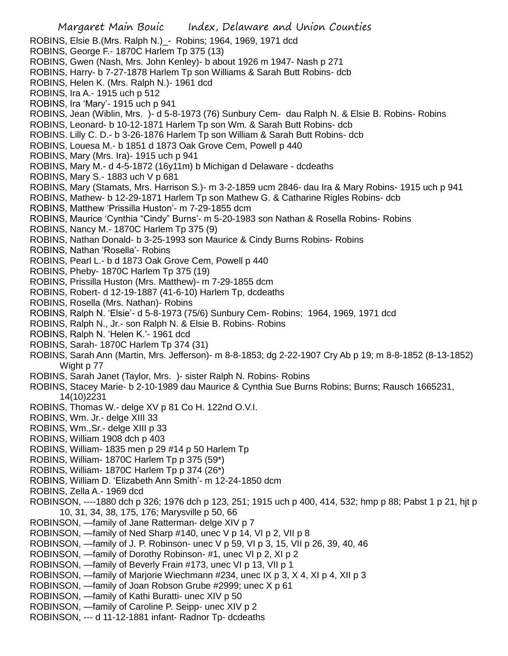ROBINS, Elsie B.(Mrs. Ralph N.)\_- Robins; 1964, 1969, 1971 dcd ROBINS, George F.- 1870C Harlem Tp 375 (13) ROBINS, Gwen (Nash, Mrs. John Kenley)- b about 1926 m 1947- Nash p 271 ROBINS, Harry- b 7-27-1878 Harlem Tp son Williams & Sarah Butt Robins- dcb ROBINS, Helen K. (Mrs. Ralph N.)- 1961 dcd ROBINS, Ira A.- 1915 uch p 512 ROBINS, Ira 'Mary'- 1915 uch p 941 ROBINS, Jean (Wiblin, Mrs. )- d 5-8-1973 (76) Sunbury Cem- dau Ralph N. & Elsie B. Robins- Robins ROBINS, Leonard- b 10-12-1871 Harlem Tp son Wm. & Sarah Butt Robins- dcb ROBINS. Lilly C. D.- b 3-26-1876 Harlem Tp son William & Sarah Butt Robins- dcb ROBINS, Louesa M.- b 1851 d 1873 Oak Grove Cem, Powell p 440 ROBINS, Mary (Mrs. Ira)- 1915 uch p 941 ROBINS, Mary M.- d 4-5-1872 (16y11m) b Michigan d Delaware - dcdeaths ROBINS, Mary S.- 1883 uch V p 681 ROBINS, Mary (Stamats, Mrs. Harrison S.)- m 3-2-1859 ucm 2846- dau Ira & Mary Robins- 1915 uch p 941 ROBINS, Mathew- b 12-29-1871 Harlem Tp son Mathew G. & Catharine Rigles Robins- dcb ROBINS, Matthew 'Prissilla Huston'- m 7-29-1855 dcm ROBINS, Maurice 'Cynthia "Cindy" Burns'- m 5-20-1983 son Nathan & Rosella Robins- Robins ROBINS, Nancy M.- 1870C Harlem Tp 375 (9) ROBINS, Nathan Donald- b 3-25-1993 son Maurice & Cindy Burns Robins- Robins ROBINS, Nathan 'Rosella'- Robins ROBINS, Pearl L.- b d 1873 Oak Grove Cem, Powell p 440 ROBINS, Pheby- 1870C Harlem Tp 375 (19) ROBINS, Prissilla Huston (Mrs. Matthew)- m 7-29-1855 dcm ROBINS, Robert- d 12-19-1887 (41-6-10) Harlem Tp, dcdeaths ROBINS, Rosella (Mrs. Nathan)- Robins ROBINS, Ralph N. 'Elsie'- d 5-8-1973 (75/6) Sunbury Cem- Robins; 1964, 1969, 1971 dcd ROBINS, Ralph N., Jr.- son Ralph N. & Elsie B. Robins- Robins ROBINS, Ralph N. 'Helen K.'- 1961 dcd ROBINS, Sarah- 1870C Harlem Tp 374 (31) ROBINS, Sarah Ann (Martin, Mrs. Jefferson)- m 8-8-1853; dg 2-22-1907 Cry Ab p 19; m 8-8-1852 (8-13-1852) Wight p 77 ROBINS, Sarah Janet (Taylor, Mrs. )- sister Ralph N. Robins- Robins ROBINS, Stacey Marie- b 2-10-1989 dau Maurice & Cynthia Sue Burns Robins; Burns; Rausch 1665231, 14(10)2231 ROBINS, Thomas W.- delge XV p 81 Co H. 122nd O.V.I. ROBINS, Wm. Jr.- delge XIII 33 ROBINS, Wm.,Sr.- delge XIII p 33 ROBINS, William 1908 dch p 403 ROBINS, William- 1835 men p 29 #14 p 50 Harlem Tp ROBINS, William- 1870C Harlem Tp p 375 (59\*) ROBINS, William- 1870C Harlem Tp p 374 (26\*) ROBINS, William D. 'Elizabeth Ann Smith'- m 12-24-1850 dcm ROBINS, Zella A.- 1969 dcd ROBINSON, ----1880 dch p 326; 1976 dch p 123, 251; 1915 uch p 400, 414, 532; hmp p 88; Pabst 1 p 21, hjt p 10, 31, 34, 38, 175, 176; Marysville p 50, 66 ROBINSON, —family of Jane Ratterman- delge XIV p 7 ROBINSON, —family of Ned Sharp #140, unec V p 14, VI p 2, VII p 8 ROBINSON, —family of J. P. Robinson- unec V p 59, VI p 3, 15, VII p 26, 39, 40, 46 ROBINSON, —family of Dorothy Robinson- #1, unec VI p 2, XI p 2 ROBINSON, —family of Beverly Frain #173, unec VI p 13, VII p 1 ROBINSON, —family of Marjorie Wiechmann #234, unec IX p 3, X 4, XI p 4, XII p 3 ROBINSON, —family of Joan Robson Grube #2999; unec X p 61 ROBINSON, —family of Kathi Buratti- unec XIV p 50 ROBINSON, —family of Caroline P. Seipp- unec XIV p 2 ROBINSON, --- d 11-12-1881 infant- Radnor Tp- dcdeaths

Margaret Main Bouic Index, Delaware and Union Counties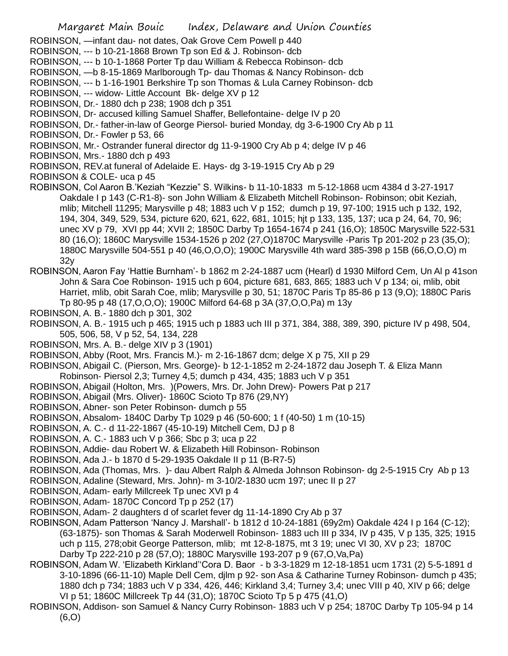ROBINSON, —infant dau- not dates, Oak Grove Cem Powell p 440

- ROBINSON, --- b 10-21-1868 Brown Tp son Ed & J. Robinson- dcb
- ROBINSON, --- b 10-1-1868 Porter Tp dau William & Rebecca Robinson- dcb
- ROBINSON, —b 8-15-1869 Marlborough Tp- dau Thomas & Nancy Robinson- dcb
- ROBINSON, --- b 1-16-1901 Berkshire Tp son Thomas & Lula Carney Robinson- dcb
- ROBINSON, --- widow- Little Account Bk- delge XV p 12
- ROBINSON, Dr.- 1880 dch p 238; 1908 dch p 351
- ROBINSON, Dr- accused killing Samuel Shaffer, Bellefontaine- delge IV p 20
- ROBINSON, Dr.- father-in-law of George Piersol- buried Monday, dg 3-6-1900 Cry Ab p 11
- ROBINSON, Dr.- Fowler p 53, 66

ROBINSON, Mr.- Ostrander funeral director dg 11-9-1900 Cry Ab p 4; delge IV p 46

- ROBINSON, Mrs.- 1880 dch p 493
- ROBINSON, REV.at funeral of Adelaide E. Hays- dg 3-19-1915 Cry Ab p 29
- ROBINSON & COLE- uca p 45
- ROBINSON, Col Aaron B.'Keziah "Kezzie" S. Wilkins- b 11-10-1833 m 5-12-1868 ucm 4384 d 3-27-1917 Oakdale I p 143 (C-R1-8)- son John William & Elizabeth Mitchell Robinson- Robinson; obit Keziah, mlib; Mitchell 11295; Marysville p 48; 1883 uch V p 152; dumch p 19, 97-100; 1915 uch p 132, 192, 194, 304, 349, 529, 534, picture 620, 621, 622, 681, 1015; hjt p 133, 135, 137; uca p 24, 64, 70, 96; unec XV p 79, XVI pp 44; XVII 2; 1850C Darby Tp 1654-1674 p 241 (16,O); 1850C Marysville 522-531 80 (16,O); 1860C Marysville 1534-1526 p 202 (27,O)1870C Marysville -Paris Tp 201-202 p 23 (35,O); 1880C Marysville 504-551 p 40 (46,O,O,O); 1900C Marysville 4th ward 385-398 p 15B (66,O,O,O) m 32y
- ROBINSON, Aaron Fay 'Hattie Burnham'- b 1862 m 2-24-1887 ucm (Hearl) d 1930 Milford Cem, Un Al p 41son John & Sara Coe Robinson- 1915 uch p 604, picture 681, 683, 865; 1883 uch V p 134; oi, mlib, obit Harriet, mlib, obit Sarah Coe, mlib; Marysville p 30, 51; 1870C Paris Tp 85-86 p 13 (9,O); 1880C Paris Tp 80-95 p 48 (17,O,O,O); 1900C Milford 64-68 p 3A (37,O,O,Pa) m 13y
- ROBINSON, A. B.- 1880 dch p 301, 302
- ROBINSON, A. B.- 1915 uch p 465; 1915 uch p 1883 uch III p 371, 384, 388, 389, 390, picture IV p 498, 504, 505, 506, 58, V p 52, 54, 134, 228
- ROBINSON, Mrs. A. B.- delge XIV p 3 (1901)
- ROBINSON, Abby (Root, Mrs. Francis M.)- m 2-16-1867 dcm; delge X p 75, XII p 29
- ROBINSON, Abigail C. (Pierson, Mrs. George)- b 12-1-1852 m 2-24-1872 dau Joseph T. & Eliza Mann Robinson- Piersol 2,3; Turney 4,5; dumch p 434, 435; 1883 uch V p 351
- ROBINSON, Abigail (Holton, Mrs. )(Powers, Mrs. Dr. John Drew)- Powers Pat p 217
- ROBINSON, Abigail (Mrs. Oliver)- 1860C Scioto Tp 876 (29,NY)
- ROBINSON, Abner- son Peter Robinson- dumch p 55
- ROBINSON, Absalom- 1840C Darby Tp 1029 p 46 (50-600; 1 f (40-50) 1 m (10-15)
- ROBINSON, A. C.- d 11-22-1867 (45-10-19) Mitchell Cem, DJ p 8
- ROBINSON, A. C.- 1883 uch V p 366; Sbc p 3; uca p 22
- ROBINSON, Addie- dau Robert W. & Elizabeth Hill Robinson- Robinson
- ROBINSON, Ada J.- b 1870 d 5-29-1935 Oakdale II p 11 (B-R7-5)
- ROBINSON, Ada (Thomas, Mrs. )- dau Albert Ralph & Almeda Johnson Robinson- dg 2-5-1915 Cry Ab p 13
- ROBINSON, Adaline (Steward, Mrs. John)- m 3-10/2-1830 ucm 197; unec II p 27
- ROBINSON, Adam- early Millcreek Tp unec XVI p 4
- ROBINSON, Adam- 1870C Concord Tp p 252 (17)
- ROBINSON, Adam- 2 daughters d of scarlet fever dg 11-14-1890 Cry Ab p 37
- ROBINSON, Adam Patterson 'Nancy J. Marshall'- b 1812 d 10-24-1881 (69y2m) Oakdale 424 I p 164 (C-12); (63-1875)- son Thomas & Sarah Moderwell Robinson- 1883 uch III p 334, IV p 435, V p 135, 325; 1915 uch p 115, 278;obit George Patterson, mlib; mt 12-8-1875, mt 3 19; unec VI 30, XV p 23; 1870C Darby Tp 222-210 p 28 (57,O); 1880C Marysville 193-207 p 9 (67,O,Va,Pa)
- ROBINSON, Adam W. 'Elizabeth Kirkland''Cora D. Baor b 3-3-1829 m 12-18-1851 ucm 1731 (2) 5-5-1891 d 3-10-1896 (66-11-10) Maple Dell Cem, djlm p 92- son Asa & Catharine Turney Robinson- dumch p 435; 1880 dch p 734; 1883 uch V p 334, 426, 446; Kirkland 3,4; Turney 3,4; unec VIII p 40, XIV p 66; delge VI p 51; 1860C Millcreek Tp 44 (31,O); 1870C Scioto Tp 5 p 475 (41,O)
- ROBINSON, Addison- son Samuel & Nancy Curry Robinson- 1883 uch V p 254; 1870C Darby Tp 105-94 p 14 (6,O)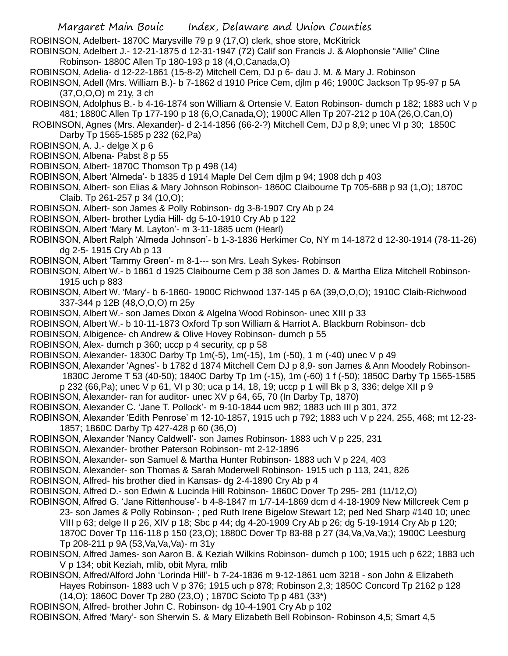ROBINSON, Adelbert- 1870C Marysville 79 p 9 (17,O) clerk, shoe store, McKitrick

ROBINSON, Adelbert J.- 12-21-1875 d 12-31-1947 (72) Calif son Francis J. & Alophonsie "Allie" Cline Robinson- 1880C Allen Tp 180-193 p 18 (4,O,Canada,O)

ROBINSON, Adelia- d 12-22-1861 (15-8-2) Mitchell Cem, DJ p 6- dau J. M. & Mary J. Robinson

- ROBINSON, Adell (Mrs. William B.)- b 7-1862 d 1910 Price Cem, djlm p 46; 1900C Jackson Tp 95-97 p 5A (37,O,O,O) m 21y, 3 ch
- ROBINSON, Adolphus B.- b 4-16-1874 son William & Ortensie V. Eaton Robinson- dumch p 182; 1883 uch V p 481; 1880C Allen Tp 177-190 p 18 (6,O,Canada,O); 1900C Allen Tp 207-212 p 10A (26,O,Can,O)
- ROBINSON, Agnes (Mrs. Alexander)- d 2-14-1856 (66-2-?) Mitchell Cem, DJ p 8,9; unec VI p 30; 1850C Darby Tp 1565-1585 p 232 (62,Pa)
- ROBINSON, A. J.- delge X p 6
- ROBINSON, Albena- Pabst 8 p 55
- ROBINSON, Albert- 1870C Thomson Tp p 498 (14)
- ROBINSON, Albert 'Almeda'- b 1835 d 1914 Maple Del Cem djlm p 94; 1908 dch p 403
- ROBINSON, Albert- son Elias & Mary Johnson Robinson- 1860C Claibourne Tp 705-688 p 93 (1,O); 1870C Claib. Tp 261-257 p 34 (10,O);
- ROBINSON, Albert- son James & Polly Robinson- dg 3-8-1907 Cry Ab p 24
- ROBINSON, Albert- brother Lydia Hill- dg 5-10-1910 Cry Ab p 122
- ROBINSON, Albert 'Mary M. Layton'- m 3-11-1885 ucm (Hearl)
- ROBINSON, Albert Ralph 'Almeda Johnson'- b 1-3-1836 Herkimer Co, NY m 14-1872 d 12-30-1914 (78-11-26) dg 2-5- 1915 Cry Ab p 13
- ROBINSON, Albert 'Tammy Green'- m 8-1--- son Mrs. Leah Sykes- Robinson
- ROBINSON, Albert W.- b 1861 d 1925 Claibourne Cem p 38 son James D. & Martha Eliza Mitchell Robinson-1915 uch p 883
- ROBINSON, Albert W. 'Mary'- b 6-1860- 1900C Richwood 137-145 p 6A (39,O,O,O); 1910C Claib-Richwood 337-344 p 12B (48,O,O,O) m 25y
- ROBINSON, Albert W.- son James Dixon & Algelna Wood Robinson- unec XIII p 33
- ROBINSON, Albert W.- b 10-11-1873 Oxford Tp son William & Harriot A. Blackburn Robinson- dcb
- ROBINSON, Albigence- ch Andrew & Olive Hovey Robinson- dumch p 55
- ROBINSON, Alex- dumch p 360; uccp p 4 security, cp p 58
- ROBINSON, Alexander- 1830C Darby Tp 1m(-5), 1m(-15), 1m (-50), 1 m (-40) unec V p 49
- ROBINSON, Alexander 'Agnes'- b 1782 d 1874 Mitchell Cem DJ p 8,9- son James & Ann Moodely Robinson-
	- 1830C Jerome T 53 (40-50); 1840C Darby Tp 1m (-15), 1m (-60) 1 f (-50); 1850C Darby Tp 1565-1585
- p 232 (66,Pa); unec V p 61, VI p 30; uca p 14, 18, 19; uccp p 1 will Bk p 3, 336; delge XII p 9
- ROBINSON, Alexander- ran for auditor- unec XV p 64, 65, 70 (In Darby Tp, 1870)
- ROBINSON, Alexander C. 'Jane T. Pollock'- m 9-10-1844 ucm 982; 1883 uch III p 301, 372
- ROBINSON, Alexander 'Edith Penrose' m 12-10-1857, 1915 uch p 792; 1883 uch V p 224, 255, 468; mt 12-23- 1857; 1860C Darby Tp 427-428 p 60 (36,O)
- ROBINSON, Alexander 'Nancy Caldwell'- son James Robinson- 1883 uch V p 225, 231
- ROBINSON, Alexander- brother Paterson Robinson- mt 2-12-1896
- ROBINSON, Alexander- son Samuel & Martha Hunter Robinson- 1883 uch V p 224, 403
- ROBINSON, Alexander- son Thomas & Sarah Moderwell Robinson- 1915 uch p 113, 241, 826
- ROBINSON, Alfred- his brother died in Kansas- dg 2-4-1890 Cry Ab p 4
- ROBINSON, Alfred D.- son Edwin & Lucinda Hill Robinson- 1860C Dover Tp 295- 281 (11/12,O)
- ROBINSON, Alfred G. 'Jane Rittenhouse'- b 4-8-1847 m 1/7-14-1869 dcm d 4-18-1909 New Millcreek Cem p 23- son James & Polly Robinson- ; ped Ruth Irene Bigelow Stewart 12; ped Ned Sharp #140 10; unec VIII p 63; delge II p 26, XIV p 18; Sbc p 44; dg 4-20-1909 Cry Ab p 26; dg 5-19-1914 Cry Ab p 120; 1870C Dover Tp 116-118 p 150 (23,O); 1880C Dover Tp 83-88 p 27 (34,Va,Va,Va;); 1900C Leesburg Tp 208-211 p 9A (53,Va,Va,Va)- m 31y
- ROBINSON, Alfred James- son Aaron B. & Keziah Wilkins Robinson- dumch p 100; 1915 uch p 622; 1883 uch V p 134; obit Keziah, mlib, obit Myra, mlib
- ROBINSON, Alfred/Alford John 'Lorinda Hill'- b 7-24-1836 m 9-12-1861 ucm 3218 son John & Elizabeth Hayes Robinson- 1883 uch V p 376; 1915 uch p 878; Robinson 2,3; 1850C Concord Tp 2162 p 128 (14,O); 1860C Dover Tp 280 (23,O) ; 1870C Scioto Tp p 481 (33\*)
- ROBINSON, Alfred- brother John C. Robinson- dg 10-4-1901 Cry Ab p 102
- ROBINSON, Alfred 'Mary'- son Sherwin S. & Mary Elizabeth Bell Robinson- Robinson 4,5; Smart 4,5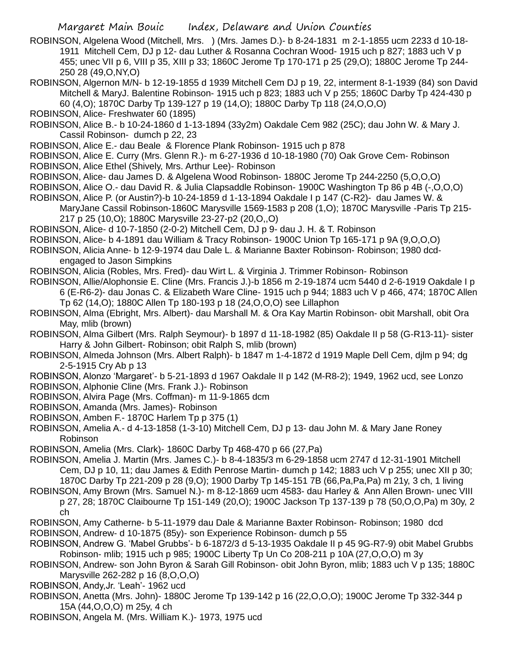- ROBINSON, Algelena Wood (Mitchell, Mrs. ) (Mrs. James D.)- b 8-24-1831 m 2-1-1855 ucm 2233 d 10-18- 1911 Mitchell Cem, DJ p 12- dau Luther & Rosanna Cochran Wood- 1915 uch p 827; 1883 uch V p 455; unec VII p 6, VIII p 35, XIII p 33; 1860C Jerome Tp 170-171 p 25 (29,O); 1880C Jerome Tp 244- 250 28 (49,O,NY,O)
- ROBINSON, Algernon M/N- b 12-19-1855 d 1939 Mitchell Cem DJ p 19, 22, interment 8-1-1939 (84) son David Mitchell & MaryJ. Balentine Robinson- 1915 uch p 823; 1883 uch V p 255; 1860C Darby Tp 424-430 p 60 (4,O); 1870C Darby Tp 139-127 p 19 (14,O); 1880C Darby Tp 118 (24,O,O,O)
- ROBINSON, Alice- Freshwater 60 (1895)
- ROBINSON, Alice B.- b 10-24-1860 d 1-13-1894 (33y2m) Oakdale Cem 982 (25C); dau John W. & Mary J. Cassil Robinson- dumch p 22, 23
- ROBINSON, Alice E.- dau Beale & Florence Plank Robinson- 1915 uch p 878
- ROBINSON, Alice E. Curry (Mrs. Glenn R.)- m 6-27-1936 d 10-18-1980 (70) Oak Grove Cem- Robinson
- ROBINSON, Alice Ethel (Shively, Mrs. Arthur Lee)- Robinson
- ROBINSON, Alice- dau James D. & Algelena Wood Robinson- 1880C Jerome Tp 244-2250 (5,O,O,O)
- ROBINSON, Alice O.- dau David R. & Julia Clapsaddle Robinson- 1900C Washington Tp 86 p 4B (-,O,O,O)
- ROBINSON, Alice P. (or Austin?)-b 10-24-1859 d 1-13-1894 Oakdale I p 147 (C-R2)- dau James W. & MaryJane Cassil Robinson-1860C Marysville 1569-1583 p 208 (1,O); 1870C Marysville -Paris Tp 215- 217 p 25 (10,O); 1880C Marysville 23-27-p2 (20,O,,O)
- ROBINSON, Alice- d 10-7-1850 (2-0-2) Mitchell Cem, DJ p 9- dau J. H. & T. Robinson
- ROBINSON, Alice- b 4-1891 dau William & Tracy Robinson- 1900C Union Tp 165-171 p 9A (9,O,O,O)
- ROBINSON, Alicia Anne- b 12-9-1974 dau Dale L. & Marianne Baxter Robinson- Robinson; 1980 dcdengaged to Jason Simpkins
- ROBINSON, Alicia (Robles, Mrs. Fred)- dau Wirt L. & Virginia J. Trimmer Robinson- Robinson
- ROBINSON, Allie/Alophonsie E. Cline (Mrs. Francis J.)-b 1856 m 2-19-1874 ucm 5440 d 2-6-1919 Oakdale I p 6 (E-R6-2)- dau Jonas C. & Elizabeth Ware Cline- 1915 uch p 944; 1883 uch V p 466, 474; 1870C Allen Tp 62 (14,O); 1880C Allen Tp 180-193 p 18 (24,O,O,O) see Lillaphon
- ROBINSON, Alma (Ebright, Mrs. Albert)- dau Marshall M. & Ora Kay Martin Robinson- obit Marshall, obit Ora May, mlib (brown)
- ROBINSON, Alma Gilbert (Mrs. Ralph Seymour)- b 1897 d 11-18-1982 (85) Oakdale II p 58 (G-R13-11)- sister Harry & John Gilbert- Robinson; obit Ralph S, mlib (brown)
- ROBINSON, Almeda Johnson (Mrs. Albert Ralph)- b 1847 m 1-4-1872 d 1919 Maple Dell Cem, djlm p 94; dg 2-5-1915 Cry Ab p 13
- ROBINSON, Alonzo 'Margaret'- b 5-21-1893 d 1967 Oakdale II p 142 (M-R8-2); 1949, 1962 ucd, see Lonzo ROBINSON, Alphonie Cline (Mrs. Frank J.)- Robinson
- ROBINSON, Alvira Page (Mrs. Coffman)- m 11-9-1865 dcm
- ROBINSON, Amanda (Mrs. James)- Robinson
- ROBINSON, Amben F.- 1870C Harlem Tp p 375 (1)
- ROBINSON, Amelia A.- d 4-13-1858 (1-3-10) Mitchell Cem, DJ p 13- dau John M. & Mary Jane Roney Robinson
- ROBINSON, Amelia (Mrs. Clark)- 1860C Darby Tp 468-470 p 66 (27,Pa)
- ROBINSON, Amelia J. Martin (Mrs. James C.)- b 8-4-1835/3 m 6-29-1858 ucm 2747 d 12-31-1901 Mitchell Cem, DJ p 10, 11; dau James & Edith Penrose Martin- dumch p 142; 1883 uch V p 255; unec XII p 30; 1870C Darby Tp 221-209 p 28 (9,O); 1900 Darby Tp 145-151 7B (66,Pa,Pa,Pa) m 21y, 3 ch, 1 living
- ROBINSON, Amy Brown (Mrs. Samuel N.)- m 8-12-1869 ucm 4583- dau Harley & Ann Allen Brown- unec VIII p 27, 28; 1870C Claibourne Tp 151-149 (20,O); 1900C Jackson Tp 137-139 p 78 (50,O,O,Pa) m 30y, 2 ch
- ROBINSON, Amy Catherne- b 5-11-1979 dau Dale & Marianne Baxter Robinson- Robinson; 1980 dcd
- ROBINSON, Andrew- d 10-1875 (85y)- son Experience Robinson- dumch p 55
- ROBINSON, Andrew G. 'Mabel Grubbs'- b 6-1872/3 d 5-13-1935 Oakdale II p 45 9G-R7-9) obit Mabel Grubbs Robinson- mlib; 1915 uch p 985; 1900C Liberty Tp Un Co 208-211 p 10A (27,O,O,O) m 3y
- ROBINSON, Andrew- son John Byron & Sarah Gill Robinson- obit John Byron, mlib; 1883 uch V p 135; 1880C Marysville 262-282 p 16 (8,O,O,O)
- ROBINSON, Andy,Jr. 'Leah'- 1962 ucd
- ROBINSON, Anetta (Mrs. John)- 1880C Jerome Tp 139-142 p 16 (22,O,O,O); 1900C Jerome Tp 332-344 p 15A (44,O,O,O) m 25y, 4 ch
- ROBINSON, Angela M. (Mrs. William K.)- 1973, 1975 ucd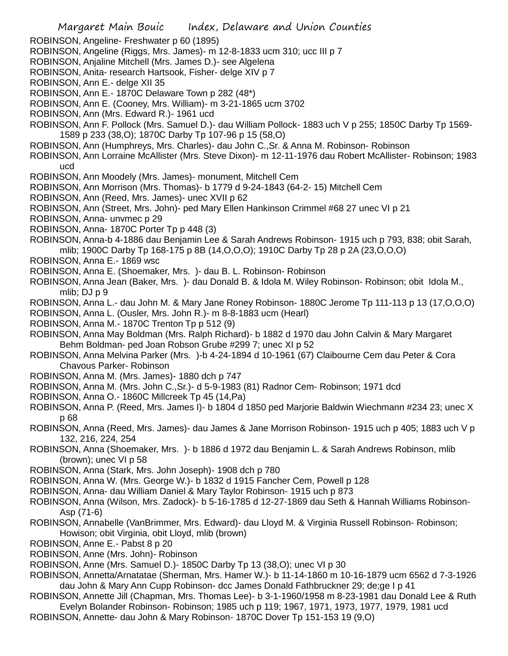- Margaret Main Bouic Index, Delaware and Union Counties ROBINSON, Angeline- Freshwater p 60 (1895) ROBINSON, Angeline (Riggs, Mrs. James)- m 12-8-1833 ucm 310; ucc III p 7 ROBINSON, Anjaline Mitchell (Mrs. James D.)- see Algelena ROBINSON, Anita- research Hartsook, Fisher- delge XIV p 7 ROBINSON, Ann E.- delge XII 35 ROBINSON, Ann E.- 1870C Delaware Town p 282 (48\*) ROBINSON, Ann E. (Cooney, Mrs. William)- m 3-21-1865 ucm 3702 ROBINSON, Ann (Mrs. Edward R.)- 1961 ucd ROBINSON, Ann F. Pollock (Mrs. Samuel D.)- dau William Pollock- 1883 uch V p 255; 1850C Darby Tp 1569- 1589 p 233 (38,O); 1870C Darby Tp 107-96 p 15 (58,O) ROBINSON, Ann (Humphreys, Mrs. Charles)- dau John C.,Sr. & Anna M. Robinson- Robinson ROBINSON, Ann Lorraine McAllister (Mrs. Steve Dixon)- m 12-11-1976 dau Robert McAllister- Robinson; 1983 ucd ROBINSON, Ann Moodely (Mrs. James)- monument, Mitchell Cem ROBINSON, Ann Morrison (Mrs. Thomas)- b 1779 d 9-24-1843 (64-2- 15) Mitchell Cem ROBINSON, Ann (Reed, Mrs. James)- unec XVII p 62 ROBINSON, Ann (Street, Mrs. John)- ped Mary Ellen Hankinson Crimmel #68 27 unec VI p 21 ROBINSON, Anna- unvmec p 29 ROBINSON, Anna- 1870C Porter Tp p 448 (3) ROBINSON, Anna-b 4-1886 dau Benjamin Lee & Sarah Andrews Robinson- 1915 uch p 793, 838; obit Sarah, mlib; 1900C Darby Tp 168-175 p 8B (14,O,O,O); 1910C Darby Tp 28 p 2A (23,O,O,O) ROBINSON, Anna E.- 1869 wsc ROBINSON, Anna E. (Shoemaker, Mrs. )- dau B. L. Robinson- Robinson ROBINSON, Anna Jean (Baker, Mrs. )- dau Donald B. & Idola M. Wiley Robinson- Robinson; obit Idola M., mlib; DJ p 9 ROBINSON, Anna L.- dau John M. & Mary Jane Roney Robinson- 1880C Jerome Tp 111-113 p 13 (17,O,O,O) ROBINSON, Anna L. (Ousler, Mrs. John R.)- m 8-8-1883 ucm (Hearl) ROBINSON, Anna M.- 1870C Trenton Tp p 512 (9) ROBINSON, Anna May Boldman (Mrs. Ralph Richard)- b 1882 d 1970 dau John Calvin & Mary Margaret Behm Boldman- ped Joan Robson Grube #299 7; unec XI p 52 ROBINSON, Anna Melvina Parker (Mrs. )-b 4-24-1894 d 10-1961 (67) Claibourne Cem dau Peter & Cora Chavous Parker- Robinson ROBINSON, Anna M. (Mrs. James)- 1880 dch p 747 ROBINSON, Anna M. (Mrs. John C.,Sr.)- d 5-9-1983 (81) Radnor Cem- Robinson; 1971 dcd ROBINSON, Anna O.- 1860C Millcreek Tp 45 (14,Pa) ROBINSON, Anna P. (Reed, Mrs. James I)- b 1804 d 1850 ped Marjorie Baldwin Wiechmann #234 23; unec X p 68 ROBINSON, Anna (Reed, Mrs. James)- dau James & Jane Morrison Robinson- 1915 uch p 405; 1883 uch V p 132, 216, 224, 254 ROBINSON, Anna (Shoemaker, Mrs. )- b 1886 d 1972 dau Benjamin L. & Sarah Andrews Robinson, mlib (brown); unec VI p 58 ROBINSON, Anna (Stark, Mrs. John Joseph)- 1908 dch p 780 ROBINSON, Anna W. (Mrs. George W.)- b 1832 d 1915 Fancher Cem, Powell p 128 ROBINSON, Anna- dau William Daniel & Mary Taylor Robinson- 1915 uch p 873 ROBINSON, Anna (Wilson, Mrs. Zadock)- b 5-16-1785 d 12-27-1869 dau Seth & Hannah Williams Robinson-Asp (71-6) ROBINSON, Annabelle (VanBrimmer, Mrs. Edward)- dau Lloyd M. & Virginia Russell Robinson- Robinson; Howison; obit Virginia, obit Lloyd, mlib (brown) ROBINSON, Anne E.- Pabst 8 p 20 ROBINSON, Anne (Mrs. John)- Robinson ROBINSON, Anne (Mrs. Samuel D.)- 1850C Darby Tp 13 (38,O); unec VI p 30 ROBINSON, Annetta/Arnatatae (Sherman, Mrs. Hamer W.)- b 11-14-1860 m 10-16-1879 ucm 6562 d 7-3-1926 dau John & Mary Ann Cupp Robinson- dcc James Donald Fathbruckner 29; de;ge I p 41
- ROBINSON, Annette Jill (Chapman, Mrs. Thomas Lee)- b 3-1-1960/1958 m 8-23-1981 dau Donald Lee & Ruth Evelyn Bolander Robinson- Robinson; 1985 uch p 119; 1967, 1971, 1973, 1977, 1979, 1981 ucd
- ROBINSON, Annette- dau John & Mary Robinson- 1870C Dover Tp 151-153 19 (9,O)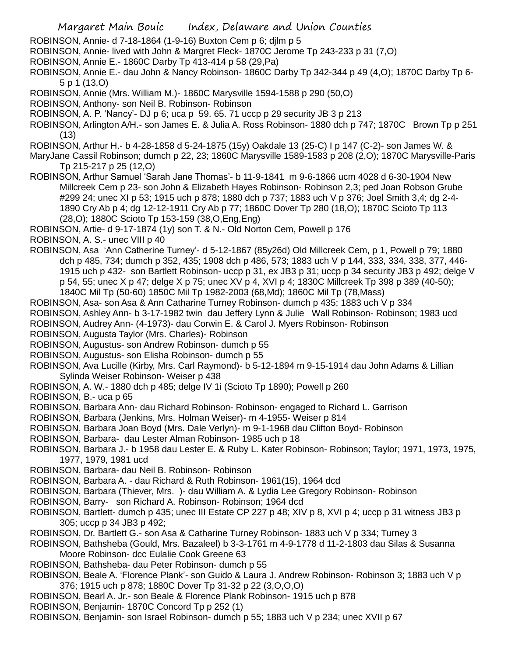- Margaret Main Bouic Index, Delaware and Union Counties
- ROBINSON, Annie- d 7-18-1864 (1-9-16) Buxton Cem p 6; djlm p 5
- ROBINSON, Annie- lived with John & Margret Fleck- 1870C Jerome Tp 243-233 p 31 (7,O)
- ROBINSON, Annie E.- 1860C Darby Tp 413-414 p 58 (29,Pa)
- ROBINSON, Annie E.- dau John & Nancy Robinson- 1860C Darby Tp 342-344 p 49 (4,O); 1870C Darby Tp 6- 5 p 1 (13,O)
- ROBINSON, Annie (Mrs. William M.)- 1860C Marysville 1594-1588 p 290 (50,O)
- ROBINSON, Anthony- son Neil B. Robinson- Robinson
- ROBINSON, A. P. 'Nancy'- DJ p 6; uca p 59. 65. 71 uccp p 29 security JB 3 p 213
- ROBINSON, Arlington A/H.- son James E. & Julia A. Ross Robinson- 1880 dch p 747; 1870C Brown Tp p 251 (13)
- ROBINSON, Arthur H.- b 4-28-1858 d 5-24-1875 (15y) Oakdale 13 (25-C) I p 147 (C-2)- son James W. &
- MaryJane Cassil Robinson; dumch p 22, 23; 1860C Marysville 1589-1583 p 208 (2,O); 1870C Marysville-Paris Tp 215-217 p 25 (12,O)
- ROBINSON, Arthur Samuel 'Sarah Jane Thomas'- b 11-9-1841 m 9-6-1866 ucm 4028 d 6-30-1904 New Millcreek Cem p 23- son John & Elizabeth Hayes Robinson- Robinson 2,3; ped Joan Robson Grube #299 24; unec XI p 53; 1915 uch p 878; 1880 dch p 737; 1883 uch V p 376; Joel Smith 3,4; dg 2-4- 1890 Cry Ab p 4; dg 12-12-1911 Cry Ab p 77; 1860C Dover Tp 280 (18,O); 1870C Scioto Tp 113 (28,O); 1880C Scioto Tp 153-159 (38,O,Eng,Eng)
- ROBINSON, Artie- d 9-17-1874 (1y) son T. & N.- Old Norton Cem, Powell p 176
- ROBINSON, A. S.- unec VIII p 40
- ROBINSON, Asa 'Ann Catherine Turney'- d 5-12-1867 (85y26d) Old Millcreek Cem, p 1, Powell p 79; 1880 dch p 485, 734; dumch p 352, 435; 1908 dch p 486, 573; 1883 uch V p 144, 333, 334, 338, 377, 446- 1915 uch p 432- son Bartlett Robinson- uccp p 31, ex JB3 p 31; uccp p 34 security JB3 p 492; delge V p 54, 55; unec X p 47; delge X p 75; unec XV p 4, XVI p 4; 1830C Millcreek Tp 398 p 389 (40-50); 1840C Mil Tp (50-60) 1850C Mil Tp 1982-2003 (68,Md); 1860C Mil Tp (78,Mass)
- ROBINSON, Asa- son Asa & Ann Catharine Turney Robinson- dumch p 435; 1883 uch V p 334
- ROBINSON, Ashley Ann- b 3-17-1982 twin dau Jeffery Lynn & Julie Wall Robinson- Robinson; 1983 ucd
- ROBINSON, Audrey Ann- (4-1973)- dau Corwin E. & Carol J. Myers Robinson- Robinson
- ROBINSON, Augusta Taylor (Mrs. Charles)- Robinson
- ROBINSON, Augustus- son Andrew Robinson- dumch p 55
- ROBINSON, Augustus- son Elisha Robinson- dumch p 55
- ROBINSON, Ava Lucille (Kirby, Mrs. Carl Raymond)- b 5-12-1894 m 9-15-1914 dau John Adams & Lillian Sylinda Weiser Robinson- Weiser p 438
- ROBINSON, A. W.- 1880 dch p 485; delge IV 1i (Scioto Tp 1890); Powell p 260
- ROBINSON, B.- uca p 65
- ROBINSON, Barbara Ann- dau Richard Robinson- Robinson- engaged to Richard L. Garrison
- ROBINSON, Barbara (Jenkins, Mrs. Holman Weiser)- m 4-1955- Weiser p 814
- ROBINSON, Barbara Joan Boyd (Mrs. Dale Verlyn)- m 9-1-1968 dau Clifton Boyd- Robinson
- ROBINSON, Barbara- dau Lester Alman Robinson- 1985 uch p 18
- ROBINSON, Barbara J.- b 1958 dau Lester E. & Ruby L. Kater Robinson- Robinson; Taylor; 1971, 1973, 1975, 1977, 1979, 1981 ucd
- ROBINSON, Barbara- dau Neil B. Robinson- Robinson
- ROBINSON, Barbara A. dau Richard & Ruth Robinson- 1961(15), 1964 dcd
- ROBINSON, Barbara (Thiever, Mrs. )- dau William A. & Lydia Lee Gregory Robinson- Robinson
- ROBINSON, Barry- son Richard A. Robinson- Robinson; 1964 dcd
- ROBINSON, Bartlett- dumch p 435; unec III Estate CP 227 p 48; XIV p 8, XVI p 4; uccp p 31 witness JB3 p 305; uccp p 34 JB3 p 492;
- ROBINSON, Dr. Bartlett G.- son Asa & Catharine Turney Robinson- 1883 uch V p 334; Turney 3
- ROBINSON, Bathsheba (Gould, Mrs. Bazaleel) b 3-3-1761 m 4-9-1778 d 11-2-1803 dau Silas & Susanna Moore Robinson- dcc Eulalie Cook Greene 63
- ROBINSON, Bathsheba- dau Peter Robinson- dumch p 55
- ROBINSON, Beale A. 'Florence Plank'- son Guido & Laura J. Andrew Robinson- Robinson 3; 1883 uch V p 376; 1915 uch p 878; 1880C Dover Tp 31-32 p 22 (3,O,O,O)
- ROBINSON, Bearl A. Jr.- son Beale & Florence Plank Robinson- 1915 uch p 878
- ROBINSON, Benjamin- 1870C Concord Tp p 252 (1)
- ROBINSON, Benjamin- son Israel Robinson- dumch p 55; 1883 uch V p 234; unec XVII p 67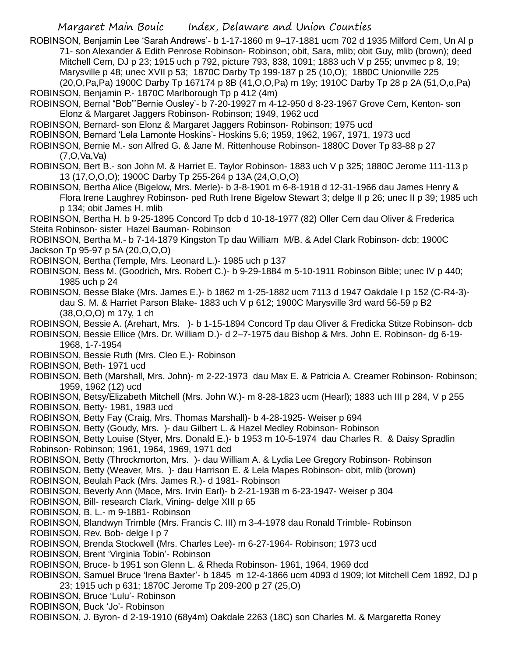ROBINSON, Benjamin Lee 'Sarah Andrews'- b 1-17-1860 m 9–17-1881 ucm 702 d 1935 Milford Cem, Un Al p 71- son Alexander & Edith Penrose Robinson- Robinson; obit, Sara, mlib; obit Guy, mlib (brown); deed Mitchell Cem, DJ p 23; 1915 uch p 792, picture 793, 838, 1091; 1883 uch V p 255; unvmec p 8, 19; Marysville p 48; unec XVII p 53; 1870C Darby Tp 199-187 p 25 (10,O); 1880C Unionville 225 (20,O,Pa,Pa) 1900C Darby Tp 167174 p 8B (41,O,O,Pa) m 19y; 1910C Darby Tp 28 p 2A (51,O,o,Pa)

ROBINSON, Benjamin P.- 1870C Marlborough Tp p 412 (4m) ROBINSON, Bernal "Bob"'Bernie Ousley'- b 7-20-19927 m 4-12-950 d 8-23-1967 Grove Cem, Kenton- son Elonz & Margaret Jaggers Robinson- Robinson; 1949, 1962 ucd

ROBINSON, Bernard- son Elonz & Margaret Jaggers Robinson- Robinson; 1975 ucd

ROBINSON, Bernard 'Lela Lamonte Hoskins'- Hoskins 5,6; 1959, 1962, 1967, 1971, 1973 ucd

ROBINSON, Bernie M.- son Alfred G. & Jane M. Rittenhouse Robinson- 1880C Dover Tp 83-88 p 27 (7,O,Va,Va)

ROBINSON, Bert B.- son John M. & Harriet E. Taylor Robinson- 1883 uch V p 325; 1880C Jerome 111-113 p 13 (17,O,O,O); 1900C Darby Tp 255-264 p 13A (24,O,O,O)

ROBINSON, Bertha Alice (Bigelow, Mrs. Merle)- b 3-8-1901 m 6-8-1918 d 12-31-1966 dau James Henry & Flora Irene Laughrey Robinson- ped Ruth Irene Bigelow Stewart 3; delge II p 26; unec II p 39; 1985 uch p 134; obit James H. mlib

ROBINSON, Bertha H. b 9-25-1895 Concord Tp dcb d 10-18-1977 (82) Oller Cem dau Oliver & Frederica Steita Robinson- sister Hazel Bauman- Robinson

ROBINSON, Bertha M.- b 7-14-1879 Kingston Tp dau William M/B. & Adel Clark Robinson- dcb; 1900C Jackson Tp 95-97 p 5A (20,O,O,O)

ROBINSON, Bertha (Temple, Mrs. Leonard L.)- 1985 uch p 137

ROBINSON, Bess M. (Goodrich, Mrs. Robert C.)- b 9-29-1884 m 5-10-1911 Robinson Bible; unec IV p 440; 1985 uch p 24

ROBINSON, Besse Blake (Mrs. James E.)- b 1862 m 1-25-1882 ucm 7113 d 1947 Oakdale I p 152 (C-R4-3) dau S. M. & Harriet Parson Blake- 1883 uch V p 612; 1900C Marysville 3rd ward 56-59 p B2 (38,O,O,O) m 17y, 1 ch

ROBINSON, Bessie A. (Arehart, Mrs. )- b 1-15-1894 Concord Tp dau Oliver & Fredicka Stitze Robinson- dcb

ROBINSON, Bessie Ellice (Mrs. Dr. William D.)- d 2–7-1975 dau Bishop & Mrs. John E. Robinson- dg 6-19- 1968, 1-7-1954

ROBINSON, Bessie Ruth (Mrs. Cleo E.)- Robinson

ROBINSON, Beth- 1971 ucd

ROBINSON, Beth (Marshall, Mrs. John)- m 2-22-1973 dau Max E. & Patricia A. Creamer Robinson- Robinson; 1959, 1962 (12) ucd

ROBINSON, Betsy/Elizabeth Mitchell (Mrs. John W.)- m 8-28-1823 ucm (Hearl); 1883 uch III p 284, V p 255 ROBINSON, Betty- 1981, 1983 ucd

ROBINSON, Betty Fay (Craig, Mrs. Thomas Marshall)- b 4-28-1925- Weiser p 694

ROBINSON, Betty (Goudy, Mrs. )- dau Gilbert L. & Hazel Medley Robinson- Robinson

ROBINSON, Betty Louise (Styer, Mrs. Donald E.)- b 1953 m 10-5-1974 dau Charles R. & Daisy Spradlin Robinson- Robinson; 1961, 1964, 1969, 1971 dcd

ROBINSON, Betty (Throckmorton, Mrs. )- dau William A. & Lydia Lee Gregory Robinson- Robinson

ROBINSON, Betty (Weaver, Mrs. )- dau Harrison E. & Lela Mapes Robinson- obit, mlib (brown)

ROBINSON, Beulah Pack (Mrs. James R.)- d 1981- Robinson

ROBINSON, Beverly Ann (Mace, Mrs. Irvin Earl)- b 2-21-1938 m 6-23-1947- Weiser p 304

ROBINSON, Bill- research Clark, Vining- delge XIII p 65

ROBINSON, B. L.- m 9-1881- Robinson

ROBINSON, Blandwyn Trimble (Mrs. Francis C. III) m 3-4-1978 dau Ronald Trimble- Robinson

ROBINSON, Rev. Bob- delge I p 7

ROBINSON, Brenda Stockwell (Mrs. Charles Lee)- m 6-27-1964- Robinson; 1973 ucd

ROBINSON, Brent 'Virginia Tobin'- Robinson

ROBINSON, Bruce- b 1951 son Glenn L. & Rheda Robinson- 1961, 1964, 1969 dcd

ROBINSON, Samuel Bruce 'Irena Baxter'- b 1845 m 12-4-1866 ucm 4093 d 1909; lot Mitchell Cem 1892, DJ p 23; 1915 uch p 631; 1870C Jerome Tp 209-200 p 27 (25,O)

ROBINSON, Bruce 'Lulu'- Robinson

ROBINSON, Buck 'Jo'- Robinson

ROBINSON, J. Byron- d 2-19-1910 (68y4m) Oakdale 2263 (18C) son Charles M. & Margaretta Roney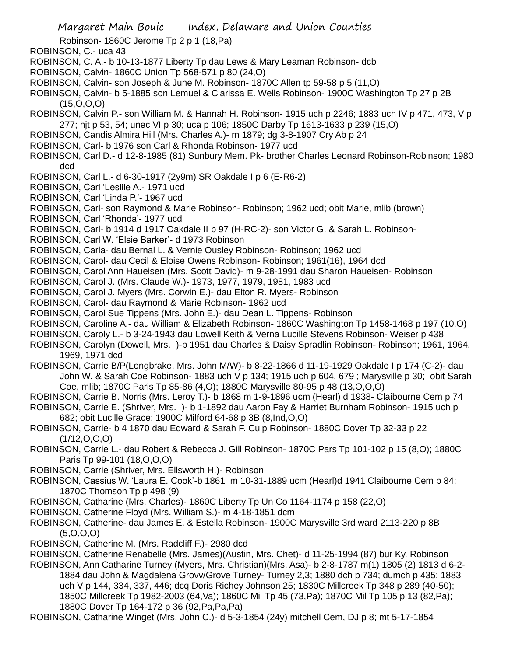Robinson- 1860C Jerome Tp 2 p 1 (18,Pa)

- ROBINSON, C.- uca 43
- ROBINSON, C. A.- b 10-13-1877 Liberty Tp dau Lews & Mary Leaman Robinson- dcb
- ROBINSON, Calvin- 1860C Union Tp 568-571 p 80 (24,O)
- ROBINSON, Calvin- son Joseph & June M. Robinson- 1870C Allen tp 59-58 p 5 (11,O)
- ROBINSON, Calvin- b 5-1885 son Lemuel & Clarissa E. Wells Robinson- 1900C Washington Tp 27 p 2B  $(15,0,0,0)$
- ROBINSON, Calvin P.- son William M. & Hannah H. Robinson- 1915 uch p 2246; 1883 uch IV p 471, 473, V p 277; hjt p 53, 54; unec VI p 30; uca p 106; 1850C Darby Tp 1613-1633 p 239 (15,O)
- ROBINSON, Candis Almira Hill (Mrs. Charles A.)- m 1879; dg 3-8-1907 Cry Ab p 24
- ROBINSON, Carl- b 1976 son Carl & Rhonda Robinson- 1977 ucd
- ROBINSON, Carl D.- d 12-8-1985 (81) Sunbury Mem. Pk- brother Charles Leonard Robinson-Robinson; 1980 dcd
- ROBINSON, Carl L.- d 6-30-1917 (2y9m) SR Oakdale I p 6 (E-R6-2)
- ROBINSON, Carl 'Leslile A.- 1971 ucd
- ROBINSON, Carl 'Linda P.'- 1967 ucd
- ROBINSON, Carl- son Raymond & Marie Robinson- Robinson; 1962 ucd; obit Marie, mlib (brown)
- ROBINSON, Carl 'Rhonda'- 1977 ucd

ROBINSON, Carl- b 1914 d 1917 Oakdale II p 97 (H-RC-2)- son Victor G. & Sarah L. Robinson-

- ROBINSON, Carl W. 'Elsie Barker'- d 1973 Robinson
- ROBINSON, Carla- dau Bernal L. & Vernie Ousley Robinson- Robinson; 1962 ucd
- ROBINSON, Carol- dau Cecil & Eloise Owens Robinson- Robinson; 1961(16), 1964 dcd
- ROBINSON, Carol Ann Haueisen (Mrs. Scott David)- m 9-28-1991 dau Sharon Haueisen- Robinson
- ROBINSON, Carol J. (Mrs. Claude W.)- 1973, 1977, 1979, 1981, 1983 ucd
- ROBINSON, Carol J. Myers (Mrs. Corwin E.)- dau Elton R. Myers- Robinson
- ROBINSON, Carol- dau Raymond & Marie Robinson- 1962 ucd
- ROBINSON, Carol Sue Tippens (Mrs. John E.)- dau Dean L. Tippens- Robinson
- ROBINSON, Caroline A.- dau William & Elizabeth Robinson- 1860C Washington Tp 1458-1468 p 197 (10,O)
- ROBINSON, Caroly L.- b 3-24-1943 dau Lowell Keith & Verna Lucille Stevens Robinson- Weiser p 438
- ROBINSON, Carolyn (Dowell, Mrs. )-b 1951 dau Charles & Daisy Spradlin Robinson- Robinson; 1961, 1964, 1969, 1971 dcd
- ROBINSON, Carrie B/P(Longbrake, Mrs. John M/W)- b 8-22-1866 d 11-19-1929 Oakdale I p 174 (C-2)- dau John W. & Sarah Coe Robinson- 1883 uch V p 134; 1915 uch p 604, 679 ; Marysville p 30; obit Sarah Coe, mlib; 1870C Paris Tp 85-86 (4,O); 1880C Marysville 80-95 p 48 (13,O,O,O)
- ROBINSON, Carrie B. Norris (Mrs. Leroy T.)- b 1868 m 1-9-1896 ucm (Hearl) d 1938- Claibourne Cem p 74
- ROBINSON, Carrie E. (Shriver, Mrs. )- b 1-1892 dau Aaron Fay & Harriet Burnham Robinson- 1915 uch p 682; obit Lucille Grace; 1900C Milford 64-68 p 3B (8,Ind,O,O)
- ROBINSON, Carrie- b 4 1870 dau Edward & Sarah F. Culp Robinson- 1880C Dover Tp 32-33 p 22  $(1/12, 0, 0, 0)$
- ROBINSON, Carrie L.- dau Robert & Rebecca J. Gill Robinson- 1870C Pars Tp 101-102 p 15 (8,O); 1880C Paris Tp 99-101 (18,O,O,O)
- ROBINSON, Carrie (Shriver, Mrs. Ellsworth H.)- Robinson
- ROBINSON, Cassius W. 'Laura E. Cook'-b 1861 m 10-31-1889 ucm (Hearl)d 1941 Claibourne Cem p 84; 1870C Thomson Tp p 498 (9)
- ROBINSON, Catharine (Mrs. Charles)- 1860C Liberty Tp Un Co 1164-1174 p 158 (22,O)
- ROBINSON, Catherine Floyd (Mrs. William S.)- m 4-18-1851 dcm
- ROBINSON, Catherine- dau James E. & Estella Robinson- 1900C Marysville 3rd ward 2113-220 p 8B (5,O,O,O)
- ROBINSON, Catherine M. (Mrs. Radcliff F.)- 2980 dcd

ROBINSON, Catherine Renabelle (Mrs. James)(Austin, Mrs. Chet)- d 11-25-1994 (87) bur Ky. Robinson

ROBINSON, Ann Catharine Turney (Myers, Mrs. Christian)(Mrs. Asa)- b 2-8-1787 m(1) 1805 (2) 1813 d 6-2- 1884 dau John & Magdalena Grovv/Grove Turney- Turney 2,3; 1880 dch p 734; dumch p 435; 1883 uch V p 144, 334, 337, 446; dcq Doris Richey Johnson 25; 1830C Millcreek Tp 348 p 289 (40-50); 1850C Millcreek Tp 1982-2003 (64,Va); 1860C Mil Tp 45 (73,Pa); 1870C Mil Tp 105 p 13 (82,Pa); 1880C Dover Tp 164-172 p 36 (92,Pa,Pa,Pa)

ROBINSON, Catharine Winget (Mrs. John C.)- d 5-3-1854 (24y) mitchell Cem, DJ p 8; mt 5-17-1854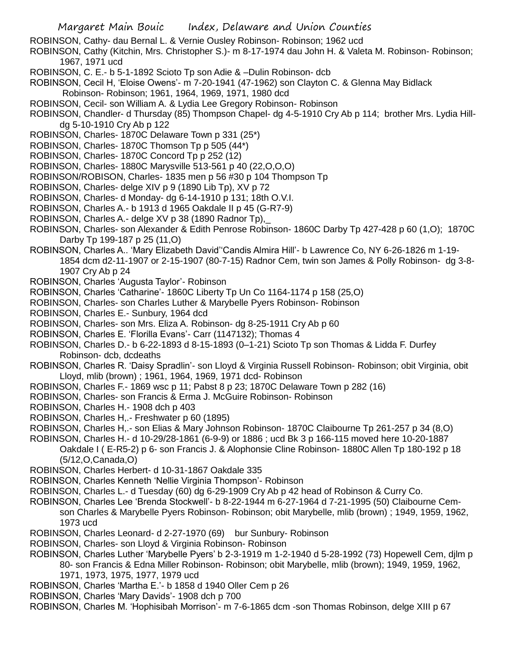ROBINSON, Cathy- dau Bernal L. & Vernie Ousley Robinson- Robinson; 1962 ucd

ROBINSON, Cathy (Kitchin, Mrs. Christopher S.)- m 8-17-1974 dau John H. & Valeta M. Robinson- Robinson; 1967, 1971 ucd

- ROBINSON, C. E.- b 5-1-1892 Scioto Tp son Adie & –Dulin Robinson- dcb
- ROBINSON, Cecil H, 'Eloise Owens'- m 7-20-1941 (47-1962) son Clayton C. & Glenna May Bidlack Robinson- Robinson; 1961, 1964, 1969, 1971, 1980 dcd
- ROBINSON, Cecil- son William A. & Lydia Lee Gregory Robinson- Robinson
- ROBINSON, Chandler- d Thursday (85) Thompson Chapel- dg 4-5-1910 Cry Ab p 114; brother Mrs. Lydia Hilldg 5-10-1910 Cry Ab p 122
- ROBINSON, Charles- 1870C Delaware Town p 331 (25\*)
- ROBINSON, Charles- 1870C Thomson Tp p 505 (44\*)
- ROBINSON, Charles- 1870C Concord Tp p 252 (12)
- ROBINSON, Charles- 1880C Marysville 513-561 p 40 (22,O,O,O)
- ROBINSON/ROBISON, Charles- 1835 men p 56 #30 p 104 Thompson Tp
- ROBINSON, Charles- delge XIV p 9 (1890 Lib Tp), XV p 72
- ROBINSON, Charles- d Monday- dg 6-14-1910 p 131; 18th O.V.I.
- ROBINSON, Charles A.- b 1913 d 1965 Oakdale II p 45 (G-R7-9)
- ROBINSON, Charles A.- delge XV p 38 (1890 Radnor Tp),\_
- ROBINSON, Charles- son Alexander & Edith Penrose Robinson- 1860C Darby Tp 427-428 p 60 (1,O); 1870C Darby Tp 199-187 p 25 (11,O)
- ROBINSON, Charles A.. 'Mary Elizabeth David''Candis Almira Hill'- b Lawrence Co, NY 6-26-1826 m 1-19- 1854 dcm d2-11-1907 or 2-15-1907 (80-7-15) Radnor Cem, twin son James & Polly Robinson- dg 3-8- 1907 Cry Ab p 24
- ROBINSON, Charles 'Augusta Taylor'- Robinson
- ROBINSON, Charles 'Catharine'- 1860C Liberty Tp Un Co 1164-1174 p 158 (25,O)
- ROBINSON, Charles- son Charles Luther & Marybelle Pyers Robinson- Robinson
- ROBINSON, Charles E.- Sunbury, 1964 dcd
- ROBINSON, Charles- son Mrs. Eliza A. Robinson- dg 8-25-1911 Cry Ab p 60
- ROBINSON, Charles E. 'Florilla Evans'- Carr (1147132); Thomas 4
- ROBINSON, Charles D.- b 6-22-1893 d 8-15-1893 (0–1-21) Scioto Tp son Thomas & Lidda F. Durfey Robinson- dcb, dcdeaths
- ROBINSON, Charles R. 'Daisy Spradlin'- son Lloyd & Virginia Russell Robinson- Robinson; obit Virginia, obit Lloyd, mlib (brown) ; 1961, 1964, 1969, 1971 dcd- Robinson
- ROBINSON, Charles F.- 1869 wsc p 11; Pabst 8 p 23; 1870C Delaware Town p 282 (16)
- ROBINSON, Charles- son Francis & Erma J. McGuire Robinson- Robinson
- ROBINSON, Charles H.- 1908 dch p 403
- ROBINSON, Charles H,.- Freshwater p 60 (1895)
- ROBINSON, Charles H,.- son Elias & Mary Johnson Robinson- 1870C Claibourne Tp 261-257 p 34 (8,O)
- ROBINSON, Charles H.- d 10-29/28-1861 (6-9-9) or 1886 ; ucd Bk 3 p 166-115 moved here 10-20-1887 Oakdale I ( E-R5-2) p 6- son Francis J. & Alophonsie Cline Robinson- 1880C Allen Tp 180-192 p 18 (5/12,O,Canada,O)
- ROBINSON, Charles Herbert- d 10-31-1867 Oakdale 335
- ROBINSON, Charles Kenneth 'Nellie Virginia Thompson'- Robinson
- ROBINSON, Charles L.- d Tuesday (60) dg 6-29-1909 Cry Ab p 42 head of Robinson & Curry Co.
- ROBINSON, Charles Lee 'Brenda Stockwell'- b 8-22-1944 m 6-27-1964 d 7-21-1995 (50) Claibourne Cemson Charles & Marybelle Pyers Robinson- Robinson; obit Marybelle, mlib (brown) ; 1949, 1959, 1962, 1973 ucd
- ROBINSON, Charles Leonard- d 2-27-1970 (69) bur Sunbury- Robinson
- ROBINSON, Charles- son Lloyd & Virginia Robinson- Robinson
- ROBINSON, Charles Luther 'Marybelle Pyers' b 2-3-1919 m 1-2-1940 d 5-28-1992 (73) Hopewell Cem, djlm p 80- son Francis & Edna Miller Robinson- Robinson; obit Marybelle, mlib (brown); 1949, 1959, 1962, 1971, 1973, 1975, 1977, 1979 ucd
- ROBINSON, Charles 'Martha E.'- b 1858 d 1940 Oller Cem p 26
- ROBINSON, Charles 'Mary Davids'- 1908 dch p 700
- ROBINSON, Charles M. 'Hophisibah Morrison'- m 7-6-1865 dcm -son Thomas Robinson, delge XIII p 67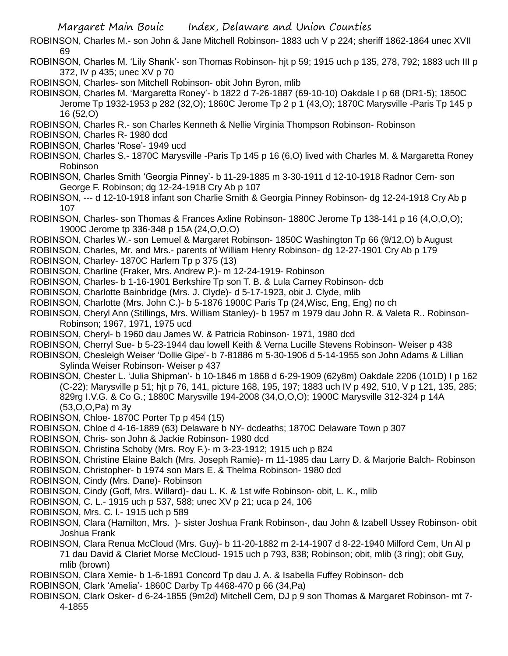ROBINSON, Charles M.- son John & Jane Mitchell Robinson- 1883 uch V p 224; sheriff 1862-1864 unec XVII 69

- ROBINSON, Charles M. 'Lily Shank'- son Thomas Robinson- hjt p 59; 1915 uch p 135, 278, 792; 1883 uch III p 372, IV p 435; unec XV p 70
- ROBINSON, Charles- son Mitchell Robinson- obit John Byron, mlib

ROBINSON, Charles M. 'Margaretta Roney'- b 1822 d 7-26-1887 (69-10-10) Oakdale I p 68 (DR1-5); 1850C Jerome Tp 1932-1953 p 282 (32,O); 1860C Jerome Tp 2 p 1 (43,O); 1870C Marysville -Paris Tp 145 p 16 (52,O)

ROBINSON, Charles R.- son Charles Kenneth & Nellie Virginia Thompson Robinson- Robinson

ROBINSON, Charles R- 1980 dcd

ROBINSON, Charles 'Rose'- 1949 ucd

- ROBINSON, Charles S.- 1870C Marysville -Paris Tp 145 p 16 (6,O) lived with Charles M. & Margaretta Roney Robinson
- ROBINSON, Charles Smith 'Georgia Pinney'- b 11-29-1885 m 3-30-1911 d 12-10-1918 Radnor Cem- son George F. Robinson; dg 12-24-1918 Cry Ab p 107
- ROBINSON, --- d 12-10-1918 infant son Charlie Smith & Georgia Pinney Robinson- dg 12-24-1918 Cry Ab p 107
- ROBINSON, Charles- son Thomas & Frances Axline Robinson- 1880C Jerome Tp 138-141 p 16 (4,O,O,O); 1900C Jerome tp 336-348 p 15A (24,O,O,O)
- ROBINSON, Charles W.- son Lemuel & Margaret Robinson- 1850C Washington Tp 66 (9/12,O) b August
- ROBINSON, Charles, Mr. and Mrs.- parents of William Henry Robinson- dg 12-27-1901 Cry Ab p 179
- ROBINSON, Charley- 1870C Harlem Tp p 375 (13)
- ROBINSON, Charline (Fraker, Mrs. Andrew P.)- m 12-24-1919- Robinson
- ROBINSON, Charles- b 1-16-1901 Berkshire Tp son T. B. & Lula Carney Robinson- dcb
- ROBINSON, Charlotte Bainbridge (Mrs. J. Clyde)- d 5-17-1923, obit J. Clyde, mlib
- ROBINSON, Charlotte (Mrs. John C.)- b 5-1876 1900C Paris Tp (24,Wisc, Eng, Eng) no ch
- ROBINSON, Cheryl Ann (Stillings, Mrs. William Stanley)- b 1957 m 1979 dau John R. & Valeta R.. Robinson-Robinson; 1967, 1971, 1975 ucd
- ROBINSON, Cheryl- b 1960 dau James W. & Patricia Robinson- 1971, 1980 dcd
- ROBINSON, Cherryl Sue- b 5-23-1944 dau lowell Keith & Verna Lucille Stevens Robinson- Weiser p 438
- ROBINSON, Chesleigh Weiser 'Dollie Gipe'- b 7-81886 m 5-30-1906 d 5-14-1955 son John Adams & Lillian Sylinda Weiser Robinson- Weiser p 437
- ROBINSON, Chester L. 'Julia Shipman'- b 10-1846 m 1868 d 6-29-1909 (62y8m) Oakdale 2206 (101D) I p 162 (C-22); Marysville p 51; hjt p 76, 141, picture 168, 195, 197; 1883 uch IV p 492, 510, V p 121, 135, 285; 829rg I.V.G. & Co G.; 1880C Marysville 194-2008 (34,O,O,O); 1900C Marysville 312-324 p 14A (53,O,O,Pa) m 3y
- ROBINSON, Chloe- 1870C Porter Tp p 454 (15)
- ROBINSON, Chloe d 4-16-1889 (63) Delaware b NY- dcdeaths; 1870C Delaware Town p 307
- ROBINSON, Chris- son John & Jackie Robinson- 1980 dcd
- ROBINSON, Christina Schoby (Mrs. Roy F.)- m 3-23-1912; 1915 uch p 824
- ROBINSON, Christine Elaine Balch (Mrs. Joseph Ramie)- m 11-1985 dau Larry D. & Marjorie Balch- Robinson
- ROBINSON, Christopher- b 1974 son Mars E. & Thelma Robinson- 1980 dcd
- ROBINSON, Cindy (Mrs. Dane)- Robinson
- ROBINSON, Cindy (Goff, Mrs. Willard)- dau L. K. & 1st wife Robinson- obit, L. K., mlib
- ROBINSON, C. L.- 1915 uch p 537, 588; unec XV p 21; uca p 24, 106
- ROBINSON, Mrs. C. l.- 1915 uch p 589
- ROBINSON, Clara (Hamilton, Mrs. )- sister Joshua Frank Robinson-, dau John & Izabell Ussey Robinson- obit Joshua Frank
- ROBINSON, Clara Renua McCloud (Mrs. Guy)- b 11-20-1882 m 2-14-1907 d 8-22-1940 Milford Cem, Un Al p 71 dau David & Clariet Morse McCloud- 1915 uch p 793, 838; Robinson; obit, mlib (3 ring); obit Guy, mlib (brown)
- ROBINSON, Clara Xemie- b 1-6-1891 Concord Tp dau J. A. & Isabella Fuffey Robinson- dcb
- ROBINSON, Clark 'Amelia'- 1860C Darby Tp 4468-470 p 66 (34,Pa)
- ROBINSON, Clark Osker- d 6-24-1855 (9m2d) Mitchell Cem, DJ p 9 son Thomas & Margaret Robinson- mt 7- 4-1855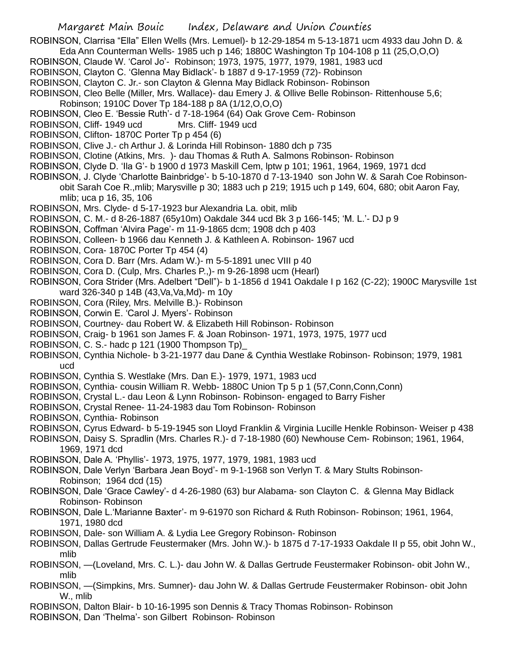ROBINSON, Clarrisa "Ella" Ellen Wells (Mrs. Lemuel)- b 12-29-1854 m 5-13-1871 ucm 4933 dau John D. & Eda Ann Counterman Wells- 1985 uch p 146; 1880C Washington Tp 104-108 p 11 (25,O,O,O)

- ROBINSON, Claude W. 'Carol Jo'- Robinson; 1973, 1975, 1977, 1979, 1981, 1983 ucd
- ROBINSON, Clayton C. 'Glenna May Bidlack'- b 1887 d 9-17-1959 (72)- Robinson
- ROBINSON, Clayton C. Jr.- son Clayton & Glenna May Bidlack Robinson- Robinson
- ROBINSON, Cleo Belle (Miller, Mrs. Wallace)- dau Emery J. & Ollive Belle Robinson- Rittenhouse 5,6;
- Robinson; 1910C Dover Tp 184-188 p 8A (1/12,O,O,O)
- ROBINSON, Cleo E. 'Bessie Ruth'- d 7-18-1964 (64) Oak Grove Cem- Robinson
- ROBINSON, Cliff- 1949 ucd Mrs. Cliff- 1949 ucd
- ROBINSON, Clifton- 1870C Porter Tp p 454 (6)
- ROBINSON, Clive J.- ch Arthur J. & Lorinda Hill Robinson- 1880 dch p 735
- ROBINSON, Clotine (Atkins, Mrs. )- dau Thomas & Ruth A. Salmons Robinson- Robinson
- ROBINSON, Clyde D. 'Ila G'- b 1900 d 1973 Maskill Cem, lptw p 101; 1961, 1964, 1969, 1971 dcd
- ROBINSON, J. Clyde 'Charlotte Bainbridge'- b 5-10-1870 d 7-13-1940 son John W. & Sarah Coe Robinsonobit Sarah Coe R.,mlib; Marysville p 30; 1883 uch p 219; 1915 uch p 149, 604, 680; obit Aaron Fay, mlib; uca p 16, 35, 106
- ROBINSON, Mrs. Clyde- d 5-17-1923 bur Alexandria La. obit, mlib
- ROBINSON, C. M.- d 8-26-1887 (65y10m) Oakdale 344 ucd Bk 3 p 166-145; 'M. L.'- DJ p 9
- ROBINSON, Coffman 'Alvira Page'- m 11-9-1865 dcm; 1908 dch p 403
- ROBINSON, Colleen- b 1966 dau Kenneth J. & Kathleen A. Robinson- 1967 ucd
- ROBINSON, Cora- 1870C Porter Tp 454 (4)
- ROBINSON, Cora D. Barr (Mrs. Adam W.)- m 5-5-1891 unec VIII p 40
- ROBINSON, Cora D. (Culp, Mrs. Charles P.,)- m 9-26-1898 ucm (Hearl)
- ROBINSON, Cora Strider (Mrs. Adelbert "Dell")- b 1-1856 d 1941 Oakdale I p 162 (C-22); 1900C Marysville 1st ward 326-340 p 14B (43,Va,Va,Md)- m 10y
- ROBINSON, Cora (Riley, Mrs. Melville B.)- Robinson
- ROBINSON, Corwin E. 'Carol J. Myers'- Robinson
- ROBINSON, Courtney- dau Robert W. & Elizabeth Hill Robinson- Robinson
- ROBINSON, Craig- b 1961 son James F. & Joan Robinson- 1971, 1973, 1975, 1977 ucd
- ROBINSON, C. S.- hadc p 121 (1900 Thompson Tp)\_
- ROBINSON, Cynthia Nichole- b 3-21-1977 dau Dane & Cynthia Westlake Robinson- Robinson; 1979, 1981 ucd
- ROBINSON, Cynthia S. Westlake (Mrs. Dan E.)- 1979, 1971, 1983 ucd
- ROBINSON, Cynthia- cousin William R. Webb- 1880C Union Tp 5 p 1 (57,Conn,Conn,Conn)
- ROBINSON, Crystal L.- dau Leon & Lynn Robinson- Robinson- engaged to Barry Fisher
- ROBINSON, Crystal Renee- 11-24-1983 dau Tom Robinson- Robinson
- ROBINSON, Cynthia- Robinson
- ROBINSON, Cyrus Edward- b 5-19-1945 son Lloyd Franklin & Virginia Lucille Henkle Robinson- Weiser p 438
- ROBINSON, Daisy S. Spradlin (Mrs. Charles R.)- d 7-18-1980 (60) Newhouse Cem- Robinson; 1961, 1964, 1969, 1971 dcd
- ROBINSON, Dale A. 'Phyllis'- 1973, 1975, 1977, 1979, 1981, 1983 ucd
- ROBINSON, Dale Verlyn 'Barbara Jean Boyd'- m 9-1-1968 son Verlyn T. & Mary Stults Robinson-Robinson; 1964 dcd (15)
- ROBINSON, Dale 'Grace Cawley'- d 4-26-1980 (63) bur Alabama- son Clayton C. & Glenna May Bidlack Robinson- Robinson
- ROBINSON, Dale L.'Marianne Baxter'- m 9-61970 son Richard & Ruth Robinson- Robinson; 1961, 1964, 1971, 1980 dcd
- ROBINSON, Dale- son William A. & Lydia Lee Gregory Robinson- Robinson
- ROBINSON, Dallas Gertrude Feustermaker (Mrs. John W.)- b 1875 d 7-17-1933 Oakdale II p 55, obit John W., mlib
- ROBINSON, —(Loveland, Mrs. C. L.)- dau John W. & Dallas Gertrude Feustermaker Robinson- obit John W., mlib
- ROBINSON, —(Simpkins, Mrs. Sumner)- dau John W. & Dallas Gertrude Feustermaker Robinson- obit John W., mlib
- ROBINSON, Dalton Blair- b 10-16-1995 son Dennis & Tracy Thomas Robinson- Robinson
- ROBINSON, Dan 'Thelma'- son Gilbert Robinson- Robinson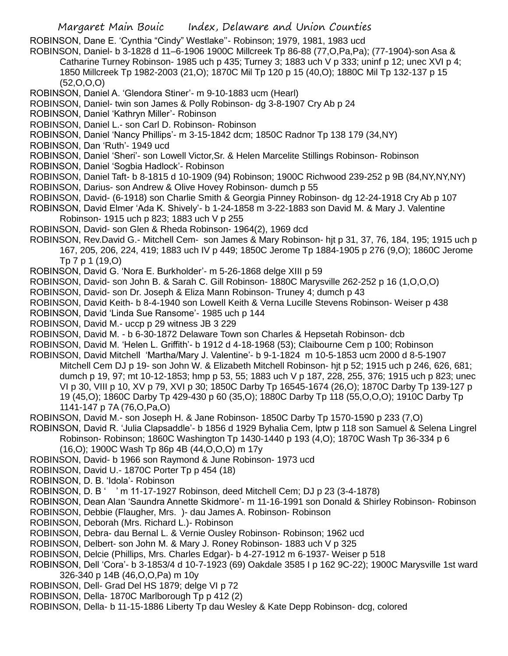ROBINSON, Dane E. 'Cynthia "Cindy" Westlake''- Robinson; 1979, 1981, 1983 ucd

ROBINSON, Daniel- b 3-1828 d 11–6-1906 1900C Millcreek Tp 86-88 (77,O,Pa,Pa); (77-1904)-son Asa & Catharine Turney Robinson- 1985 uch p 435; Turney 3; 1883 uch V p 333; uninf p 12; unec XVI p 4; 1850 Millcreek Tp 1982-2003 (21,O); 1870C Mil Tp 120 p 15 (40,O); 1880C Mil Tp 132-137 p 15 (52,O,O,O)

ROBINSON, Daniel A. 'Glendora Stiner'- m 9-10-1883 ucm (Hearl)

ROBINSON, Daniel- twin son James & Polly Robinson- dg 3-8-1907 Cry Ab p 24

ROBINSON, Daniel 'Kathryn Miller'- Robinson

ROBINSON, Daniel L.- son Carl D. Robinson- Robinson

ROBINSON, Daniel 'Nancy Phillips'- m 3-15-1842 dcm; 1850C Radnor Tp 138 179 (34,NY)

ROBINSON, Dan 'Ruth'- 1949 ucd

- ROBINSON, Daniel 'Sheri'- son Lowell Victor,Sr. & Helen Marcelite Stillings Robinson- Robinson
- ROBINSON, Daniel 'Sogbia Hadlock'- Robinson
- ROBINSON, Daniel Taft- b 8-1815 d 10-1909 (94) Robinson; 1900C Richwood 239-252 p 9B (84,NY,NY,NY)
- ROBINSON, Darius- son Andrew & Olive Hovey Robinson- dumch p 55
- ROBINSON, David- (6-1918) son Charlie Smith & Georgia Pinney Robinson- dg 12-24-1918 Cry Ab p 107
- ROBINSON, David Elmer 'Ada K. Shively'- b 1-24-1858 m 3-22-1883 son David M. & Mary J. Valentine Robinson- 1915 uch p 823; 1883 uch V p 255
- ROBINSON, David- son Glen & Rheda Robinson- 1964(2), 1969 dcd
- ROBINSON, Rev.David G.- Mitchell Cem- son James & Mary Robinson- hjt p 31, 37, 76, 184, 195; 1915 uch p 167, 205, 206, 224, 419; 1883 uch IV p 449; 1850C Jerome Tp 1884-1905 p 276 (9,O); 1860C Jerome Tp 7 p 1 (19,O)
- ROBINSON, David G. 'Nora E. Burkholder'- m 5-26-1868 delge XIII p 59
- ROBINSON, David- son John B. & Sarah C. Gill Robinson- 1880C Marysville 262-252 p 16 (1,O,O,O)
- ROBINSON, David- son Dr. Joseph & Eliza Mann Robinson- Truney 4; dumch p 43
- ROBINSON, David Keith- b 8-4-1940 son Lowell Keith & Verna Lucille Stevens Robinson- Weiser p 438
- ROBINSON, David 'Linda Sue Ransome'- 1985 uch p 144
- ROBINSON, David M.- uccp p 29 witness JB 3 229
- ROBINSON, David M. b 6-30-1872 Delaware Town son Charles & Hepsetah Robinson- dcb
- ROBINSON, David M. 'Helen L. Griffith'- b 1912 d 4-18-1968 (53); Claibourne Cem p 100; Robinson
- ROBINSON, David Mitchell 'Martha/Mary J. Valentine'- b 9-1-1824 m 10-5-1853 ucm 2000 d 8-5-1907 Mitchell Cem DJ p 19- son John W. & Elizabeth Mitchell Robinson- hjt p 52; 1915 uch p 246, 626, 681; dumch p 19, 97; mt 10-12-1853; hmp p 53, 55; 1883 uch V p 187, 228, 255, 376; 1915 uch p 823; unec VI p 30, VIII p 10, XV p 79, XVI p 30; 1850C Darby Tp 16545-1674 (26,O); 1870C Darby Tp 139-127 p 19 (45,O); 1860C Darby Tp 429-430 p 60 (35,O); 1880C Darby Tp 118 (55,O,O,O); 1910C Darby Tp 1141-147 p 7A (76,O,Pa,O)
- ROBINSON, David M.- son Joseph H. & Jane Robinson- 1850C Darby Tp 1570-1590 p 233 (7,O)
- ROBINSON, David R. 'Julia Clapsaddle'- b 1856 d 1929 Byhalia Cem, lptw p 118 son Samuel & Selena Lingrel Robinson- Robinson; 1860C Washington Tp 1430-1440 p 193 (4,O); 1870C Wash Tp 36-334 p 6
	- (16,O); 1900C Wash Tp 86p 4B (44,O,O,O) m 17y
- ROBINSON, David- b 1966 son Raymond & June Robinson- 1973 ucd
- ROBINSON, David U.- 1870C Porter Tp p 454 (18)
- ROBINSON, D. B. 'Idola'- Robinson
- ROBINSON, D. B ' ' m 11-17-1927 Robinson, deed Mitchell Cem; DJ p 23 (3-4-1878)
- ROBINSON, Dean Alan 'Saundra Annette Skidmore'- m 11-16-1991 son Donald & Shirley Robinson- Robinson
- ROBINSON, Debbie (Flaugher, Mrs. )- dau James A. Robinson- Robinson
- ROBINSON, Deborah (Mrs. Richard L.)- Robinson
- ROBINSON, Debra- dau Bernal L. & Vernie Ousley Robinson- Robinson; 1962 ucd
- ROBINSON, Delbert- son John M. & Mary J. Roney Robinson- 1883 uch V p 325
- ROBINSON, Delcie (Phillips, Mrs. Charles Edgar)- b 4-27-1912 m 6-1937- Weiser p 518
- ROBINSON, Dell 'Cora'- b 3-1853/4 d 10-7-1923 (69) Oakdale 3585 I p 162 9C-22); 1900C Marysville 1st ward 326-340 p 14B (46,O,O,Pa) m 10y
- ROBINSON, Dell- Grad Del HS 1879; delge VI p 72
- ROBINSON, Della- 1870C Marlborough Tp p 412 (2)
- ROBINSON, Della- b 11-15-1886 Liberty Tp dau Wesley & Kate Depp Robinson- dcg, colored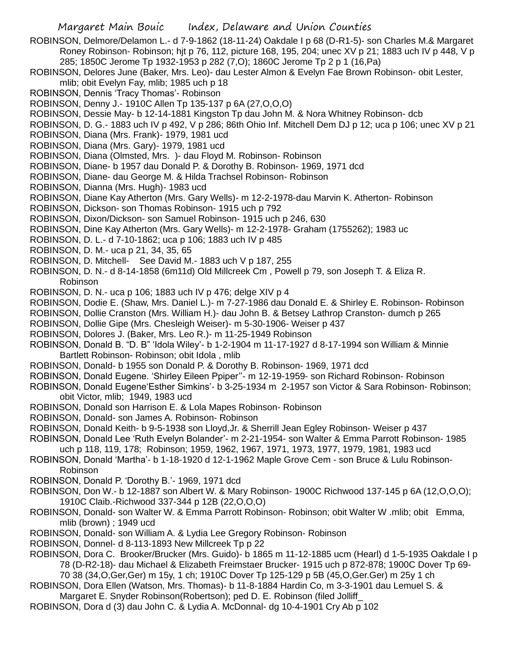- ROBINSON, Delmore/Delamon L.- d 7-9-1862 (18-11-24) Oakdale I p 68 (D-R1-5)- son Charles M.& Margaret Roney Robinson- Robinson; hjt p 76, 112, picture 168, 195, 204; unec XV p 21; 1883 uch IV p 448, V p 285; 1850C Jerome Tp 1932-1953 p 282 (7,O); 1860C Jerome Tp 2 p 1 (16,Pa)
- ROBINSON, Delores June (Baker, Mrs. Leo)- dau Lester Almon & Evelyn Fae Brown Robinson- obit Lester, mlib; obit Evelyn Fay, mlib; 1985 uch p 18
- ROBINSON, Dennis 'Tracy Thomas'- Robinson
- ROBINSON, Denny J.- 1910C Allen Tp 135-137 p 6A (27,O,O,O)
- ROBINSON, Dessie May- b 12-14-1881 Kingston Tp dau John M. & Nora Whitney Robinson- dcb
- ROBINSON, D. G.- 1883 uch IV p 492, V p 286; 86th Ohio Inf. Mitchell Dem DJ p 12; uca p 106; unec XV p 21
- ROBINSON, Diana (Mrs. Frank)- 1979, 1981 ucd
- ROBINSON, Diana (Mrs. Gary)- 1979, 1981 ucd
- ROBINSON, Diana (Olmsted, Mrs. )- dau Floyd M. Robinson- Robinson
- ROBINSON, Diane- b 1957 dau Donald P. & Dorothy B. Robinson- 1969, 1971 dcd
- ROBINSON, Diane- dau George M. & Hilda Trachsel Robinson- Robinson
- ROBINSON, Dianna (Mrs. Hugh)- 1983 ucd
- ROBINSON, Diane Kay Atherton (Mrs. Gary Wells)- m 12-2-1978-dau Marvin K. Atherton- Robinson
- ROBINSON, Dickson- son Thomas Robinson- 1915 uch p 792
- ROBINSON, Dixon/Dickson- son Samuel Robinson- 1915 uch p 246, 630
- ROBINSON, Dine Kay Atherton (Mrs. Gary Wells)- m 12-2-1978- Graham (1755262); 1983 uc
- ROBINSON, D. L.- d 7-10-1862; uca p 106; 1883 uch IV p 485
- ROBINSON, D. M.- uca p 21, 34, 35, 65
- ROBINSON, D. Mitchell- See David M.- 1883 uch V p 187, 255
- ROBINSON, D. N.- d 8-14-1858 (6m11d) Old Millcreek Cm , Powell p 79, son Joseph T. & Eliza R. Robinson
- ROBINSON, D. N.- uca p 106; 1883 uch IV p 476; delge XIV p 4
- ROBINSON, Dodie E. (Shaw, Mrs. Daniel L.)- m 7-27-1986 dau Donald E. & Shirley E. Robinson- Robinson
- ROBINSON, Dollie Cranston (Mrs. William H.)- dau John B. & Betsey Lathrop Cranston- dumch p 265
- ROBINSON, Dollie Gipe (Mrs. Chesleigh Weiser)- m 5-30-1906- Weiser p 437
- ROBINSON, Dolores J. (Baker, Mrs. Leo R.)- m 11-25-1949 Robinson
- ROBINSON, Donald B. "D. B" 'Idola Wiley'- b 1-2-1904 m 11-17-1927 d 8-17-1994 son William & Minnie Bartlett Robinson- Robinson; obit Idola , mlib
- ROBINSON, Donald- b 1955 son Donald P. & Dorothy B. Robinson- 1969, 1971 dcd
- ROBINSON, Donald Eugene. 'Shirley Eileen Ppiper''- m 12-19-1959- son Richard Robinson- Robinson
- ROBINSON, Donald Eugene'Esther Simkins'- b 3-25-1934 m 2-1957 son Victor & Sara Robinson- Robinson; obit Victor, mlib; 1949, 1983 ucd
- ROBINSON, Donald son Harrison E. & Lola Mapes Robinson- Robinson
- ROBINSON, Donald- son James A. Robinson- Robinson
- ROBINSON, Donald Keith- b 9-5-1938 son Lloyd,Jr. & Sherrill Jean Egley Robinson- Weiser p 437
- ROBINSON, Donald Lee 'Ruth Evelyn Bolander'- m 2-21-1954- son Walter & Emma Parrott Robinson- 1985 uch p 118, 119, 178; Robinson; 1959, 1962, 1967, 1971, 1973, 1977, 1979, 1981, 1983 ucd
- ROBINSON, Donald 'Martha'- b 1-18-1920 d 12-1-1962 Maple Grove Cem son Bruce & Lulu Robinson-Robinson
- ROBINSON, Donald P. 'Dorothy B.'- 1969, 1971 dcd
- ROBINSON, Don W.- b 12-1887 son Albert W. & Mary Robinson- 1900C Richwood 137-145 p 6A (12,O,O,O); 1910C Claib.-Richwood 337-344 p 12B (22,O,O,O)
- ROBINSON, Donald- son Walter W. & Emma Parrott Robinson- Robinson; obit Walter W .mlib; obit Emma, mlib (brown) ; 1949 ucd
- ROBINSON, Donald- son William A. & Lydia Lee Gregory Robinson- Robinson
- ROBINSON, Donnel- d 8-113-1893 New Millcreek Tp p 22
- ROBINSON, Dora C. Brooker/Brucker (Mrs. Guido)- b 1865 m 11-12-1885 ucm (Hearl) d 1-5-1935 Oakdale I p 78 (D-R2-18)- dau Michael & Elizabeth Freimstaer Brucker- 1915 uch p 872-878; 1900C Dover Tp 69- 70 38 (34,O,Ger,Ger) m 15y, 1 ch; 1910C Dover Tp 125-129 p 5B (45,O,Ger.Ger) m 25y 1 ch
- ROBINSON, Dora Ellen (Watson, Mrs. Thomas)- b 11-8-1884 Hardin Co, m 3-3-1901 dau Lemuel S. &
- Margaret E. Snyder Robinson(Robertson); ped D. E. Robinson (filed Jolliff\_
- ROBINSON, Dora d (3) dau John C. & Lydia A. McDonnal- dg 10-4-1901 Cry Ab p 102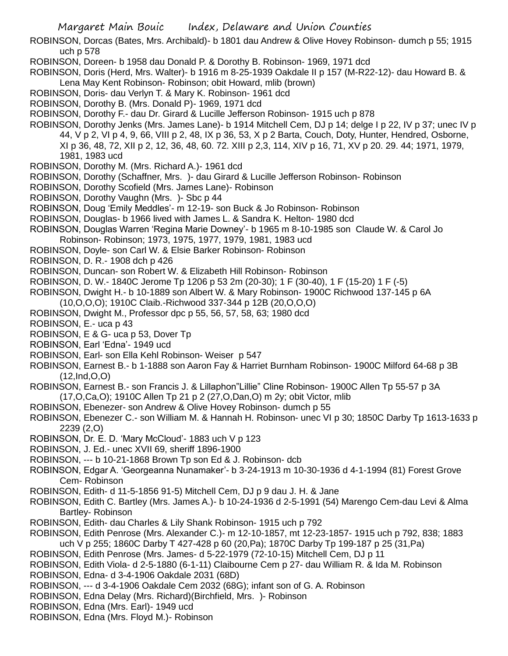- ROBINSON, Dorcas (Bates, Mrs. Archibald)- b 1801 dau Andrew & Olive Hovey Robinson- dumch p 55; 1915 uch p 578
- ROBINSON, Doreen- b 1958 dau Donald P. & Dorothy B. Robinson- 1969, 1971 dcd
- ROBINSON, Doris (Herd, Mrs. Walter)- b 1916 m 8-25-1939 Oakdale II p 157 (M-R22-12)- dau Howard B. & Lena May Kent Robinson- Robinson; obit Howard, mlib (brown)
- ROBINSON, Doris- dau Verlyn T. & Mary K. Robinson- 1961 dcd
- ROBINSON, Dorothy B. (Mrs. Donald P)- 1969, 1971 dcd
- ROBINSON, Dorothy F.- dau Dr. Girard & Lucille Jefferson Robinson- 1915 uch p 878
- ROBINSON, Dorothy Jenks (Mrs. James Lane)- b 1914 Mitchell Cem, DJ p 14; delge I p 22, IV p 37; unec IV p 44, V p 2, VI p 4, 9, 66, VIII p 2, 48, IX p 36, 53, X p 2 Barta, Couch, Doty, Hunter, Hendred, Osborne, XI p 36, 48, 72, XII p 2, 12, 36, 48, 60. 72. XIII p 2,3, 114, XIV p 16, 71, XV p 20. 29. 44; 1971, 1979, 1981, 1983 ucd
- ROBINSON, Dorothy M. (Mrs. Richard A.)- 1961 dcd
- ROBINSON, Dorothy (Schaffner, Mrs. )- dau Girard & Lucille Jefferson Robinson- Robinson
- ROBINSON, Dorothy Scofield (Mrs. James Lane)- Robinson
- ROBINSON, Dorothy Vaughn (Mrs. )- Sbc p 44
- ROBINSON, Doug 'Emily Meddles'- m 12-19- son Buck & Jo Robinson- Robinson
- ROBINSON, Douglas- b 1966 lived with James L. & Sandra K. Helton- 1980 dcd
- ROBINSON, Douglas Warren 'Regina Marie Downey'- b 1965 m 8-10-1985 son Claude W. & Carol Jo Robinson- Robinson; 1973, 1975, 1977, 1979, 1981, 1983 ucd
- ROBINSON, Doyle- son Carl W. & Elsie Barker Robinson- Robinson
- ROBINSON, D. R.- 1908 dch p 426
- ROBINSON, Duncan- son Robert W. & Elizabeth Hill Robinson- Robinson
- ROBINSON, D. W.- 1840C Jerome Tp 1206 p 53 2m (20-30); 1 F (30-40), 1 F (15-20) 1 F (-5)
- ROBINSON, Dwight H.- b 10-1889 son Albert W. & Mary Robinson- 1900C Richwood 137-145 p 6A
- (10,O,O,O); 1910C Claib.-Richwood 337-344 p 12B (20,O,O,O)
- ROBINSON, Dwight M., Professor dpc p 55, 56, 57, 58, 63; 1980 dcd
- ROBINSON, E.- uca p 43
- ROBINSON, E & G- uca p 53, Dover Tp
- ROBINSON, Earl 'Edna'- 1949 ucd
- ROBINSON, Earl- son Ella Kehl Robinson- Weiser p 547
- ROBINSON, Earnest B.- b 1-1888 son Aaron Fay & Harriet Burnham Robinson- 1900C Milford 64-68 p 3B (12,Ind,O,O)
- ROBINSON, Earnest B.- son Francis J. & Lillaphon"Lillie" Cline Robinson- 1900C Allen Tp 55-57 p 3A (17,O,Ca,O); 1910C Allen Tp 21 p 2 (27,O,Dan,O) m 2y; obit Victor, mlib
- ROBINSON, Ebenezer- son Andrew & Olive Hovey Robinson- dumch p 55
- ROBINSON, Ebenezer C.- son William M. & Hannah H. Robinson- unec VI p 30; 1850C Darby Tp 1613-1633 p 2239 (2,O)
- ROBINSON, Dr. E. D. 'Mary McCloud'- 1883 uch V p 123
- ROBINSON, J. Ed.- unec XVII 69, sheriff 1896-1900
- ROBINSON, --- b 10-21-1868 Brown Tp son Ed & J. Robinson- dcb
- ROBINSON, Edgar A. 'Georgeanna Nunamaker'- b 3-24-1913 m 10-30-1936 d 4-1-1994 (81) Forest Grove Cem- Robinson
- ROBINSON, Edith- d 11-5-1856 91-5) Mitchell Cem, DJ p 9 dau J. H. & Jane
- ROBINSON, Edith C. Bartley (Mrs. James A.)- b 10-24-1936 d 2-5-1991 (54) Marengo Cem-dau Levi & Alma Bartley- Robinson
- ROBINSON, Edith- dau Charles & Lily Shank Robinson- 1915 uch p 792
- ROBINSON, Edith Penrose (Mrs. Alexander C.)- m 12-10-1857, mt 12-23-1857- 1915 uch p 792, 838; 1883 uch V p 255; 1860C Darby T 427-428 p 60 (20,Pa); 1870C Darby Tp 199-187 p 25 (31,Pa)
- ROBINSON, Edith Penrose (Mrs. James- d 5-22-1979 (72-10-15) Mitchell Cem, DJ p 11
- ROBINSON, Edith Viola- d 2-5-1880 (6-1-11) Claibourne Cem p 27- dau William R. & Ida M. Robinson
- ROBINSON, Edna- d 3-4-1906 Oakdale 2031 (68D)
- ROBINSON, --- d 3-4-1906 Oakdale Cem 2032 (68G); infant son of G. A. Robinson
- ROBINSON, Edna Delay (Mrs. Richard)(Birchfield, Mrs. )- Robinson
- ROBINSON, Edna (Mrs. Earl)- 1949 ucd
- ROBINSON, Edna (Mrs. Floyd M.)- Robinson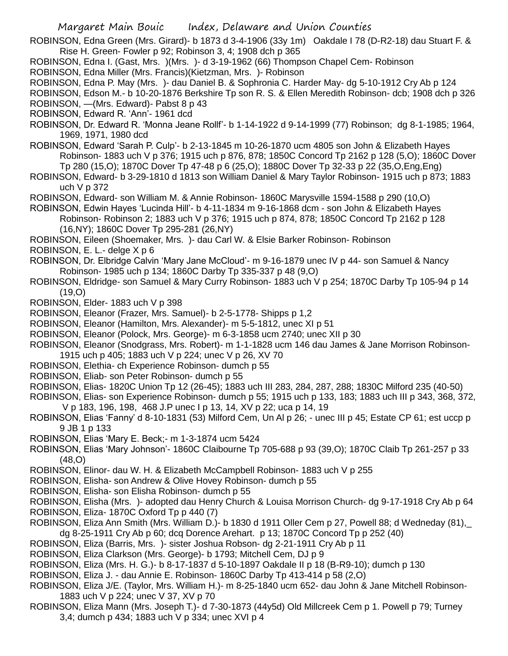ROBINSON, Edna Green (Mrs. Girard)- b 1873 d 3-4-1906 (33y 1m) Oakdale I 78 (D-R2-18) dau Stuart F. & Rise H. Green- Fowler p 92; Robinson 3, 4; 1908 dch p 365

- ROBINSON, Edna I. (Gast, Mrs. )(Mrs. )- d 3-19-1962 (66) Thompson Chapel Cem- Robinson
- ROBINSON, Edna Miller (Mrs. Francis)(Kietzman, Mrs. )- Robinson
- ROBINSON, Edna P. May (Mrs. )- dau Daniel B. & Sophronia C. Harder May- dg 5-10-1912 Cry Ab p 124

ROBINSON, Edson M.- b 10-20-1876 Berkshire Tp son R. S. & Ellen Meredith Robinson- dcb; 1908 dch p 326 ROBINSON, —(Mrs. Edward)- Pabst 8 p 43

- ROBINSON, Edward R. 'Ann'- 1961 dcd
- ROBINSON, Dr. Edward R. 'Monna Jeane Rollf'- b 1-14-1922 d 9-14-1999 (77) Robinson; dg 8-1-1985; 1964, 1969, 1971, 1980 dcd
- ROBINSON, Edward 'Sarah P. Culp'- b 2-13-1845 m 10-26-1870 ucm 4805 son John & Elizabeth Hayes Robinson- 1883 uch V p 376; 1915 uch p 876, 878; 1850C Concord Tp 2162 p 128 (5,O); 1860C Dover Tp 280 (15,O); 1870C Dover Tp 47-48 p 6 (25,O); 1880C Dover Tp 32-33 p 22 (35,O,Eng,Eng)
- ROBINSON, Edward- b 3-29-1810 d 1813 son William Daniel & Mary Taylor Robinson- 1915 uch p 873; 1883 uch V p 372
- ROBINSON, Edward- son William M. & Annie Robinson- 1860C Marysville 1594-1588 p 290 (10,O)
- ROBINSON, Edwin Hayes 'Lucinda Hill'- b 4-11-1834 m 9-16-1868 dcm son John & Elizabeth Hayes Robinson- Robinson 2; 1883 uch V p 376; 1915 uch p 874, 878; 1850C Concord Tp 2162 p 128 (16,NY); 1860C Dover Tp 295-281 (26,NY)

ROBINSON, Eileen (Shoemaker, Mrs. )- dau Carl W. & Elsie Barker Robinson- Robinson

- ROBINSON, E. L.- delge X p 6
- ROBINSON, Dr. Elbridge Calvin 'Mary Jane McCloud'- m 9-16-1879 unec IV p 44- son Samuel & Nancy Robinson- 1985 uch p 134; 1860C Darby Tp 335-337 p 48 (9,O)
- ROBINSON, Eldridge- son Samuel & Mary Curry Robinson- 1883 uch V p 254; 1870C Darby Tp 105-94 p 14 (19,O)
- ROBINSON, Elder- 1883 uch V p 398
- ROBINSON, Eleanor (Frazer, Mrs. Samuel)- b 2-5-1778- Shipps p 1,2
- ROBINSON, Eleanor (Hamilton, Mrs. Alexander)- m 5-5-1812, unec XI p 51
- ROBINSON, Eleanor (Polock, Mrs. George)- m 6-3-1858 ucm 2740; unec XII p 30
- ROBINSON, Eleanor (Snodgrass, Mrs. Robert)- m 1-1-1828 ucm 146 dau James & Jane Morrison Robinson-1915 uch p 405; 1883 uch V p 224; unec V p 26, XV 70
- ROBINSON, Elethia- ch Experience Robinson- dumch p 55
- ROBINSON, Eliab- son Peter Robinson- dumch p 55
- ROBINSON, Elias- 1820C Union Tp 12 (26-45); 1883 uch III 283, 284, 287, 288; 1830C Milford 235 (40-50)
- ROBINSON, Elias- son Experience Robinson- dumch p 55; 1915 uch p 133, 183; 1883 uch III p 343, 368, 372, V p 183, 196, 198, 468 J.P unec I p 13, 14, XV p 22; uca p 14, 19
- ROBINSON, Elias 'Fanny' d 8-10-1831 (53) Milford Cem, Un Al p 26; unec III p 45; Estate CP 61; est uccp p 9 JB 1 p 133
- ROBINSON, Elias 'Mary E. Beck;- m 1-3-1874 ucm 5424
- ROBINSON, Elias 'Mary Johnson'- 1860C Claibourne Tp 705-688 p 93 (39,O); 1870C Claib Tp 261-257 p 33 (48,O)
- ROBINSON, Elinor- dau W. H. & Elizabeth McCampbell Robinson- 1883 uch V p 255
- ROBINSON, Elisha- son Andrew & Olive Hovey Robinson- dumch p 55
- ROBINSON, Elisha- son Elisha Robinson- dumch p 55
- ROBINSON, Elisha (Mrs. )- adopted dau Henry Church & Louisa Morrison Church- dg 9-17-1918 Cry Ab p 64
- ROBINSON, Eliza- 1870C Oxford Tp p 440 (7)
- ROBINSON, Eliza Ann Smith (Mrs. William D.)- b 1830 d 1911 Oller Cem p 27, Powell 88; d Wedneday (81),\_ dg 8-25-1911 Cry Ab p 60; dcq Dorence Arehart. p 13; 1870C Concord Tp p 252 (40)
- ROBINSON, Eliza (Barris, Mrs. )- sister Joshua Robson- dg 2-21-1911 Cry Ab p 11
- ROBINSON, Eliza Clarkson (Mrs. George)- b 1793; Mitchell Cem, DJ p 9
- ROBINSON, Eliza (Mrs. H. G.)- b 8-17-1837 d 5-10-1897 Oakdale II p 18 (B-R9-10); dumch p 130
- ROBINSON, Eliza J. dau Annie E. Robinson- 1860C Darby Tp 413-414 p 58 (2,O)
- ROBINSON, Eliza J/E. (Taylor, Mrs. William H.)- m 8-25-1840 ucm 652- dau John & Jane Mitchell Robinson-1883 uch V p 224; unec V 37, XV p 70
- ROBINSON, Eliza Mann (Mrs. Joseph T.)- d 7-30-1873 (44y5d) Old Millcreek Cem p 1. Powell p 79; Turney 3,4; dumch p 434; 1883 uch V p 334; unec XVI p 4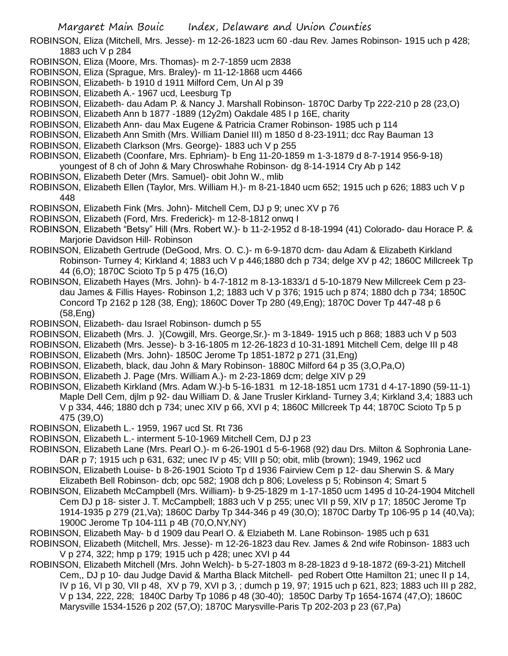- ROBINSON, Eliza (Mitchell, Mrs. Jesse)- m 12-26-1823 ucm 60 -dau Rev. James Robinson- 1915 uch p 428; 1883 uch V p 284
- ROBINSON, Eliza (Moore, Mrs. Thomas)- m 2-7-1859 ucm 2838
- ROBINSON, Eliza (Sprague, Mrs. Braley)- m 11-12-1868 ucm 4466
- ROBINSON, Elizabeth- b 1910 d 1911 Milford Cem, Un Al p 39
- ROBINSON, Elizabeth A.- 1967 ucd, Leesburg Tp
- ROBINSON, Elizabeth- dau Adam P. & Nancy J. Marshall Robinson- 1870C Darby Tp 222-210 p 28 (23,O)
- ROBINSON, Elizabeth Ann b 1877 -1889 (12y2m) Oakdale 485 I p 16E, charity
- ROBINSON, Elizabeth Ann- dau Max Eugene & Patricia Cramer Robinson- 1985 uch p 114
- ROBINSON, Elizabeth Ann Smith (Mrs. William Daniel III) m 1850 d 8-23-1911; dcc Ray Bauman 13
- ROBINSON, Elizabeth Clarkson (Mrs. George)- 1883 uch V p 255
- ROBINSON, Elizabeth (Coonfare, Mrs. Ephriam)- b Eng 11-20-1859 m 1-3-1879 d 8-7-1914 956-9-18) youngest of 8 ch of John & Mary Chroswhahe Robinson- dg 8-14-1914 Cry Ab p 142
- ROBINSON, Elizabeth Deter (Mrs. Samuel)- obit John W., mlib
- ROBINSON, Elizabeth Ellen (Taylor, Mrs. William H.)- m 8-21-1840 ucm 652; 1915 uch p 626; 1883 uch V p 448
- ROBINSON, Elizabeth Fink (Mrs. John)- Mitchell Cem, DJ p 9; unec XV p 76
- ROBINSON, Elizabeth (Ford, Mrs. Frederick)- m 12-8-1812 onwq I
- ROBINSON, Elizabeth "Betsy" Hill (Mrs. Robert W.)- b 11-2-1952 d 8-18-1994 (41) Colorado- dau Horace P. & Marjorie Davidson Hill- Robinson
- ROBINSON, Elizabeth Gertrude (DeGood, Mrs. O. C.)- m 6-9-1870 dcm- dau Adam & Elizabeth Kirkland Robinson- Turney 4; Kirkland 4; 1883 uch V p 446;1880 dch p 734; delge XV p 42; 1860C Millcreek Tp 44 (6,O); 1870C Scioto Tp 5 p 475 (16,O)
- ROBINSON, Elizabeth Hayes (Mrs. John)- b 4-7-1812 m 8-13-1833/1 d 5-10-1879 New Millcreek Cem p 23 dau James & Fillis Hayes- Robinson 1,2; 1883 uch V p 376; 1915 uch p 874; 1880 dch p 734; 1850C Concord Tp 2162 p 128 (38, Eng); 1860C Dover Tp 280 (49,Eng); 1870C Dover Tp 447-48 p 6 (58,Eng)
- ROBINSON, Elizabeth- dau Israel Robinson- dumch p 55
- ROBINSON, Elizabeth (Mrs. J. )(Cowgill, Mrs. George,Sr.)- m 3-1849- 1915 uch p 868; 1883 uch V p 503
- ROBINSON, Elizabeth (Mrs. Jesse)- b 3-16-1805 m 12-26-1823 d 10-31-1891 Mitchell Cem, delge III p 48 ROBINSON, Elizabeth (Mrs. John)- 1850C Jerome Tp 1851-1872 p 271 (31,Eng)
- ROBINSON, Elizabeth, black, dau John & Mary Robinson- 1880C Milford 64 p 35 (3,O,Pa,O)
- ROBINSON, Elizabeth J. Page (Mrs. William A.)- m 2-23-1869 dcm; delge XIV p 29
- ROBINSON, Elizabeth Kirkland (Mrs. Adam W.)-b 5-16-1831 m 12-18-1851 ucm 1731 d 4-17-1890 (59-11-1) Maple Dell Cem, djlm p 92- dau William D. & Jane Trusler Kirkland- Turney 3,4; Kirkland 3,4; 1883 uch V p 334, 446; 1880 dch p 734; unec XIV p 66, XVI p 4; 1860C Millcreek Tp 44; 1870C Scioto Tp 5 p 475 (39,O)
- ROBINSON, Elizabeth L.- 1959, 1967 ucd St. Rt 736
- ROBINSON, Elizabeth L.- interment 5-10-1969 Mitchell Cem, DJ p 23
- ROBINSON, Elizabeth Lane (Mrs. Pearl O.)- m 6-26-1901 d 5-6-1968 (92) dau Drs. Milton & Sophronia Lane-DAR p 7; 1915 uch p 631, 632; unec IV p 45; VIII p 50; obit, mlib (brown); 1949, 1962 ucd
- ROBINSON, Elizabeth Louise- b 8-26-1901 Scioto Tp d 1936 Fairview Cem p 12- dau Sherwin S. & Mary Elizabeth Bell Robinson- dcb; opc 582; 1908 dch p 806; Loveless p 5; Robinson 4; Smart 5
- ROBINSON, Elizabeth McCampbell (Mrs. William)- b 9-25-1829 m 1-17-1850 ucm 1495 d 10-24-1904 Mitchell Cem DJ p 18- sister J. T. McCampbell; 1883 uch V p 255; unec VII p 59, XIV p 17; 1850C Jerome Tp 1914-1935 p 279 (21,Va); 1860C Darby Tp 344-346 p 49 (30,O); 1870C Darby Tp 106-95 p 14 (40,Va); 1900C Jerome Tp 104-111 p 4B (70,O,NY,NY)
- ROBINSON, Elizabeth May- b d 1909 dau Pearl O. & Elziabeth M. Lane Robinson- 1985 uch p 631
- ROBINSON, Elizabeth (Mitchell, Mrs. Jesse)- m 12-26-1823 dau Rev. James & 2nd wife Robinson- 1883 uch V p 274, 322; hmp p 179; 1915 uch p 428; unec XVI p 44
- ROBINSON, Elizabeth Mitchell (Mrs. John Welch)- b 5-27-1803 m 8-28-1823 d 9-18-1872 (69-3-21) Mitchell Cem,, DJ p 10- dau Judge David & Martha Black Mitchell- ped Robert Otte Hamilton 21; unec II p 14, IV p 16, VI p 30, VII p 48, XV p 79, XVI p 3, ; dumch p 19, 97; 1915 uch p 621, 823; 1883 uch III p 282, V p 134, 222, 228; 1840C Darby Tp 1086 p 48 (30-40); 1850C Darby Tp 1654-1674 (47,O); 1860C Marysville 1534-1526 p 202 (57,O); 1870C Marysville-Paris Tp 202-203 p 23 (67,Pa)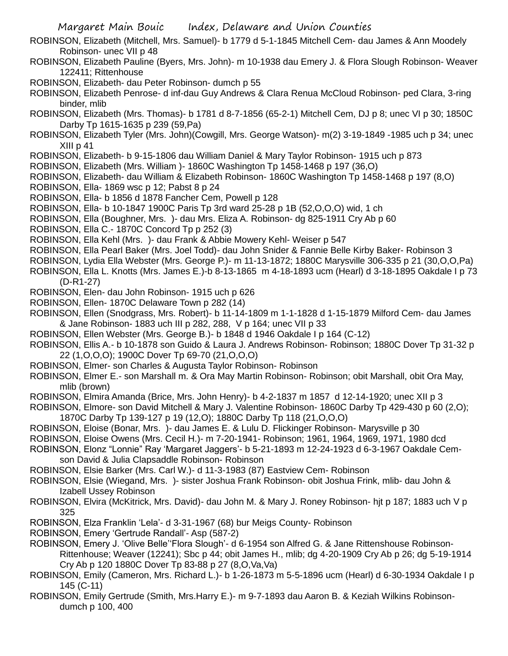ROBINSON, Elizabeth (Mitchell, Mrs. Samuel)- b 1779 d 5-1-1845 Mitchell Cem- dau James & Ann Moodely Robinson- unec VII p 48

- ROBINSON, Elizabeth Pauline (Byers, Mrs. John)- m 10-1938 dau Emery J. & Flora Slough Robinson- Weaver 122411; Rittenhouse
- ROBINSON, Elizabeth- dau Peter Robinson- dumch p 55
- ROBINSON, Elizabeth Penrose- d inf-dau Guy Andrews & Clara Renua McCloud Robinson- ped Clara, 3-ring binder, mlib
- ROBINSON, Elizabeth (Mrs. Thomas)- b 1781 d 8-7-1856 (65-2-1) Mitchell Cem, DJ p 8; unec VI p 30; 1850C Darby Tp 1615-1635 p 239 (59,Pa)
- ROBINSON, Elizabeth Tyler (Mrs. John)(Cowgill, Mrs. George Watson)- m(2) 3-19-1849 -1985 uch p 34; unec XIII p 41
- ROBINSON, Elizabeth- b 9-15-1806 dau William Daniel & Mary Taylor Robinson- 1915 uch p 873
- ROBINSON, Elizabeth (Mrs. William )- 1860C Washington Tp 1458-1468 p 197 (36,O)
- ROBINSON, Elizabeth- dau William & Elizabeth Robinson- 1860C Washington Tp 1458-1468 p 197 (8,O)
- ROBINSON, Ella- 1869 wsc p 12; Pabst 8 p 24
- ROBINSON, Ella- b 1856 d 1878 Fancher Cem, Powell p 128
- ROBINSON, Ella- b 10-1847 1900C Paris Tp 3rd ward 25-28 p 1B (52,O,O,O) wid, 1 ch
- ROBINSON, Ella (Boughner, Mrs. )- dau Mrs. Eliza A. Robinson- dg 825-1911 Cry Ab p 60
- ROBINSON, Ella C.- 1870C Concord Tp p 252 (3)
- ROBINSON, Ella Kehl (Mrs. )- dau Frank & Abbie Mowery Kehl- Weiser p 547
- ROBINSON, Ella Pearl Baker (Mrs. Joel Todd)- dau John Snider & Fannie Belle Kirby Baker- Robinson 3
- ROBINSON, Lydia Ella Webster (Mrs. George P.)- m 11-13-1872; 1880C Marysville 306-335 p 21 (30,O,O,Pa)
- ROBINSON, Ella L. Knotts (Mrs. James E.)-b 8-13-1865 m 4-18-1893 ucm (Hearl) d 3-18-1895 Oakdale I p 73 (D-R1-27)
- ROBINSON, Elen- dau John Robinson- 1915 uch p 626
- ROBINSON, Ellen- 1870C Delaware Town p 282 (14)
- ROBINSON, Ellen (Snodgrass, Mrs. Robert)- b 11-14-1809 m 1-1-1828 d 1-15-1879 Milford Cem- dau James & Jane Robinson- 1883 uch III p 282, 288, V p 164; unec VII p 33
- ROBINSON, Ellen Webster (Mrs. George B.)- b 1848 d 1946 Oakdale I p 164 (C-12)
- ROBINSON, Ellis A.- b 10-1878 son Guido & Laura J. Andrews Robinson- Robinson; 1880C Dover Tp 31-32 p 22 (1,O,O,O); 1900C Dover Tp 69-70 (21,O,O,O)
- ROBINSON, Elmer- son Charles & Augusta Taylor Robinson- Robinson
- ROBINSON, Elmer E.- son Marshall m. & Ora May Martin Robinson- Robinson; obit Marshall, obit Ora May, mlib (brown)
- ROBINSON, Elmira Amanda (Brice, Mrs. John Henry)- b 4-2-1837 m 1857 d 12-14-1920; unec XII p 3
- ROBINSON, Elmore- son David Mitchell & Mary J. Valentine Robinson- 1860C Darby Tp 429-430 p 60 (2,O); 1870C Darby Tp 139-127 p 19 (12,O); 1880C Darby Tp 118 (21,O,O,O)
- ROBINSON, Eloise (Bonar, Mrs. )- dau James E. & Lulu D. Flickinger Robinson- Marysville p 30
- ROBINSON, Eloise Owens (Mrs. Cecil H.)- m 7-20-1941- Robinson; 1961, 1964, 1969, 1971, 1980 dcd
- ROBINSON, Elonz "Lonnie" Ray 'Margaret Jaggers'- b 5-21-1893 m 12-24-1923 d 6-3-1967 Oakdale Cemson David & Julia Clapsaddle Robinson- Robinson
- ROBINSON, Elsie Barker (Mrs. Carl W.)- d 11-3-1983 (87) Eastview Cem- Robinson
- ROBINSON, Elsie (Wiegand, Mrs. )- sister Joshua Frank Robinson- obit Joshua Frink, mlib- dau John & Izabell Ussey Robinson
- ROBINSON, Elvira (McKitrick, Mrs. David)- dau John M. & Mary J. Roney Robinson- hjt p 187; 1883 uch V p 325
- ROBINSON, Elza Franklin 'Lela'- d 3-31-1967 (68) bur Meigs County- Robinson
- ROBINSON, Emery 'Gertrude Randall'- Asp (587-2)
- ROBINSON, Emery J. 'Olive Belle''Flora Slough'- d 6-1954 son Alfred G. & Jane Rittenshouse Robinson-Rittenhouse; Weaver (12241); Sbc p 44; obit James H., mlib; dg 4-20-1909 Cry Ab p 26; dg 5-19-1914 Cry Ab p 120 1880C Dover Tp 83-88 p 27 (8,O,Va,Va)
- ROBINSON, Emily (Cameron, Mrs. Richard L.)- b 1-26-1873 m 5-5-1896 ucm (Hearl) d 6-30-1934 Oakdale I p 145 (C-11)
- ROBINSON, Emily Gertrude (Smith, Mrs.Harry E.)- m 9-7-1893 dau Aaron B. & Keziah Wilkins Robinsondumch p 100, 400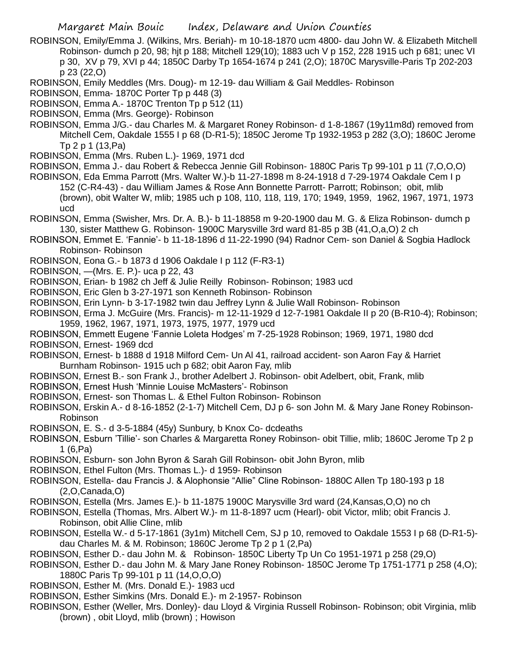- ROBINSON, Emily/Emma J. (Wilkins, Mrs. Beriah)- m 10-18-1870 ucm 4800- dau John W. & Elizabeth Mitchell Robinson- dumch p 20, 98; hjt p 188; Mitchell 129(10); 1883 uch V p 152, 228 1915 uch p 681; unec VI p 30, XV p 79, XVI p 44; 1850C Darby Tp 1654-1674 p 241 (2,O); 1870C Marysville-Paris Tp 202-203 p 23 (22,O)
- ROBINSON, Emily Meddles (Mrs. Doug)- m 12-19- dau William & Gail Meddles- Robinson
- ROBINSON, Emma- 1870C Porter Tp p 448 (3)
- ROBINSON, Emma A.- 1870C Trenton Tp p 512 (11)
- ROBINSON, Emma (Mrs. George)- Robinson
- ROBINSON, Emma J/G.- dau Charles M. & Margaret Roney Robinson- d 1-8-1867 (19y11m8d) removed from Mitchell Cem, Oakdale 1555 I p 68 (D-R1-5); 1850C Jerome Tp 1932-1953 p 282 (3,O); 1860C Jerome Tp 2 p 1 (13,Pa)
- ROBINSON, Emma (Mrs. Ruben L.)- 1969, 1971 dcd
- ROBINSON, Emma J.- dau Robert & Rebecca Jennie Gill Robinson- 1880C Paris Tp 99-101 p 11 (7,O,O,O)
- ROBINSON, Eda Emma Parrott (Mrs. Walter W.)-b 11-27-1898 m 8-24-1918 d 7-29-1974 Oakdale Cem I p 152 (C-R4-43) - dau William James & Rose Ann Bonnette Parrott- Parrott; Robinson; obit, mlib (brown), obit Walter W, mlib; 1985 uch p 108, 110, 118, 119, 170; 1949, 1959, 1962, 1967, 1971, 1973 ucd
- ROBINSON, Emma (Swisher, Mrs. Dr. A. B.)- b 11-18858 m 9-20-1900 dau M. G. & Eliza Robinson- dumch p 130, sister Matthew G. Robinson- 1900C Marysville 3rd ward 81-85 p 3B (41,O,a,O) 2 ch
- ROBINSON, Emmet E. 'Fannie'- b 11-18-1896 d 11-22-1990 (94) Radnor Cem- son Daniel & Sogbia Hadlock Robinson- Robinson
- ROBINSON, Eona G.- b 1873 d 1906 Oakdale I p 112 (F-R3-1)
- ROBINSON, —(Mrs. E. P.)- uca p 22, 43
- ROBINSON, Erian- b 1982 ch Jeff & Julie Reilly Robinson- Robinson; 1983 ucd
- ROBINSON, Eric Glen b 3-27-1971 son Kenneth Robinson- Robinson
- ROBINSON, Erin Lynn- b 3-17-1982 twin dau Jeffrey Lynn & Julie Wall Robinson- Robinson
- ROBINSON, Erma J. McGuire (Mrs. Francis)- m 12-11-1929 d 12-7-1981 Oakdale II p 20 (B-R10-4); Robinson; 1959, 1962, 1967, 1971, 1973, 1975, 1977, 1979 ucd
- ROBINSON, Emmett Eugene 'Fannie Loleta Hodges' m 7-25-1928 Robinson; 1969, 1971, 1980 dcd
- ROBINSON, Ernest- 1969 dcd
- ROBINSON, Ernest- b 1888 d 1918 Milford Cem- Un Al 41, railroad accident- son Aaron Fay & Harriet Burnham Robinson- 1915 uch p 682; obit Aaron Fay, mlib
- ROBINSON, Ernest B.- son Frank J., brother Adelbert J. Robinson- obit Adelbert, obit, Frank, mlib
- ROBINSON, Ernest Hush 'Minnie Louise McMasters'- Robinson
- ROBINSON, Ernest- son Thomas L. & Ethel Fulton Robinson- Robinson
- ROBINSON, Erskin A.- d 8-16-1852 (2-1-7) Mitchell Cem, DJ p 6- son John M. & Mary Jane Roney Robinson-Robinson
- ROBINSON, E. S.- d 3-5-1884 (45y) Sunbury, b Knox Co- dcdeaths
- ROBINSON, Esburn 'Tillie'- son Charles & Margaretta Roney Robinson- obit Tillie, mlib; 1860C Jerome Tp 2 p 1 (6,Pa)
- ROBINSON, Esburn- son John Byron & Sarah Gill Robinson- obit John Byron, mlib
- ROBINSON, Ethel Fulton (Mrs. Thomas L.)- d 1959- Robinson
- ROBINSON, Estella- dau Francis J. & Alophonsie "Allie" Cline Robinson- 1880C Allen Tp 180-193 p 18 (2,O,Canada,O)
- ROBINSON, Estella (Mrs. James E.)- b 11-1875 1900C Marysville 3rd ward (24,Kansas,O,O) no ch
- ROBINSON, Estella (Thomas, Mrs. Albert W.)- m 11-8-1897 ucm (Hearl)- obit Victor, mlib; obit Francis J. Robinson, obit Allie Cline, mlib
- ROBINSON, Estella W.- d 5-17-1861 (3y1m) Mitchell Cem, SJ p 10, removed to Oakdale 1553 I p 68 (D-R1-5) dau Charles M. & M. Robinson; 1860C Jerome Tp 2 p 1 (2,Pa)
- ROBINSON, Esther D.- dau John M. & Robinson- 1850C Liberty Tp Un Co 1951-1971 p 258 (29,O)
- ROBINSON, Esther D.- dau John M. & Mary Jane Roney Robinson- 1850C Jerome Tp 1751-1771 p 258 (4,O); 1880C Paris Tp 99-101 p 11 (14,O,O,O)
- ROBINSON, Esther M. (Mrs. Donald E.)- 1983 ucd
- ROBINSON, Esther Simkins (Mrs. Donald E.)- m 2-1957- Robinson
- ROBINSON, Esther (Weller, Mrs. Donley)- dau Lloyd & Virginia Russell Robinson- Robinson; obit Virginia, mlib (brown) , obit Lloyd, mlib (brown) ; Howison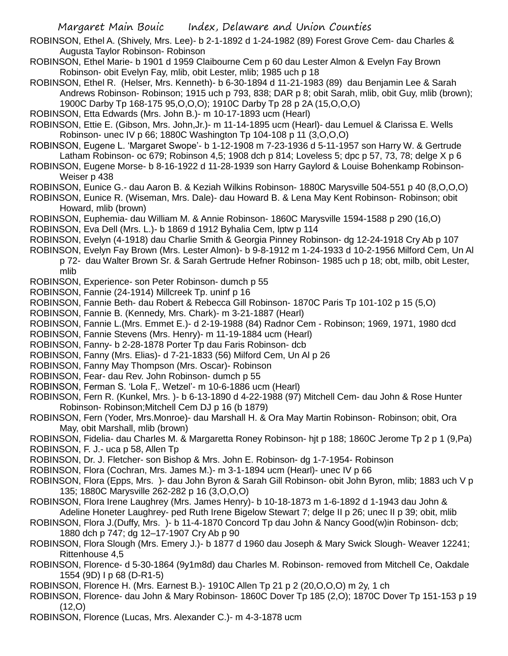- ROBINSON, Ethel A. (Shively, Mrs. Lee)- b 2-1-1892 d 1-24-1982 (89) Forest Grove Cem- dau Charles & Augusta Taylor Robinson- Robinson
- ROBINSON, Ethel Marie- b 1901 d 1959 Claibourne Cem p 60 dau Lester Almon & Evelyn Fay Brown Robinson- obit Evelyn Fay, mlib, obit Lester, mlib; 1985 uch p 18
- ROBINSON, Ethel R. (Helser, Mrs. Kenneth)- b 6-30-1894 d 11-21-1983 (89) dau Benjamin Lee & Sarah Andrews Robinson- Robinson; 1915 uch p 793, 838; DAR p 8; obit Sarah, mlib, obit Guy, mlib (brown); 1900C Darby Tp 168-175 95,O,O,O); 1910C Darby Tp 28 p 2A (15,O,O,O)
- ROBINSON, Etta Edwards (Mrs. John B.)- m 10-17-1893 ucm (Hearl)
- ROBINSON, Ettie E. (Gibson, Mrs. John,Jr.)- m 11-14-1895 ucm (Hearl)- dau Lemuel & Clarissa E. Wells Robinson- unec IV p 66; 1880C Washington Tp 104-108 p 11 (3,O,O,O)
- ROBINSON, Eugene L. 'Margaret Swope'- b 1-12-1908 m 7-23-1936 d 5-11-1957 son Harry W. & Gertrude Latham Robinson- oc 679; Robinson 4,5; 1908 dch p 814; Loveless 5; dpc p 57, 73, 78; delge X p 6
- ROBINSON, Eugene Morse- b 8-16-1922 d 11-28-1939 son Harry Gaylord & Louise Bohenkamp Robinson-Weiser p 438
- ROBINSON, Eunice G.- dau Aaron B. & Keziah Wilkins Robinson- 1880C Marysville 504-551 p 40 (8,O,O,O)
- ROBINSON, Eunice R. (Wiseman, Mrs. Dale)- dau Howard B. & Lena May Kent Robinson- Robinson; obit Howard, mlib (brown)
- ROBINSON, Euphemia- dau William M. & Annie Robinson- 1860C Marysville 1594-1588 p 290 (16,O)
- ROBINSON, Eva Dell (Mrs. L.)- b 1869 d 1912 Byhalia Cem, lptw p 114
- ROBINSON, Evelyn (4-1918) dau Charlie Smith & Georgia Pinney Robinson- dg 12-24-1918 Cry Ab p 107
- ROBINSON, Evelyn Fay Brown (Mrs. Lester Almon)- b 9-8-1912 m 1-24-1933 d 10-2-1956 Milford Cem, Un Al p 72- dau Walter Brown Sr. & Sarah Gertrude Hefner Robinson- 1985 uch p 18; obt, milb, obit Lester, mlib
- ROBINSON, Experience- son Peter Robinson- dumch p 55
- ROBINSON, Fannie (24-1914) Millcreek Tp. uninf p 16
- ROBINSON, Fannie Beth- dau Robert & Rebecca Gill Robinson- 1870C Paris Tp 101-102 p 15 (5,O)
- ROBINSON, Fannie B. (Kennedy, Mrs. Chark)- m 3-21-1887 (Hearl)
- ROBINSON, Fannie L.(Mrs. Emmet E.)- d 2-19-1988 (84) Radnor Cem Robinson; 1969, 1971, 1980 dcd
- ROBINSON, Fannie Stevens (Mrs. Henry)- m 11-19-1884 ucm (Hearl)
- ROBINSON, Fanny- b 2-28-1878 Porter Tp dau Faris Robinson- dcb
- ROBINSON, Fanny (Mrs. Elias)- d 7-21-1833 (56) Milford Cem, Un Al p 26
- ROBINSON, Fanny May Thompson (Mrs. Oscar)- Robinson
- ROBINSON, Fear- dau Rev. John Robinson- dumch p 55
- ROBINSON, Ferman S. 'Lola F,. Wetzel'- m 10-6-1886 ucm (Hearl)
- ROBINSON, Fern R. (Kunkel, Mrs. )- b 6-13-1890 d 4-22-1988 (97) Mitchell Cem- dau John & Rose Hunter Robinson- Robinson;Mitchell Cem DJ p 16 (b 1879)
- ROBINSON, Fern (Yoder, Mrs.Monroe)- dau Marshall H. & Ora May Martin Robinson- Robinson; obit, Ora May, obit Marshall, mlib (brown)
- ROBINSON, Fidelia- dau Charles M. & Margaretta Roney Robinson- hjt p 188; 1860C Jerome Tp 2 p 1 (9,Pa)
- ROBINSON, F. J.- uca p 58, Allen Tp
- ROBINSON, Dr. J. Fletcher- son Bishop & Mrs. John E. Robinson- dg 1-7-1954- Robinson
- ROBINSON, Flora (Cochran, Mrs. James M.)- m 3-1-1894 ucm (Hearl)- unec IV p 66
- ROBINSON, Flora (Epps, Mrs. )- dau John Byron & Sarah Gill Robinson- obit John Byron, mlib; 1883 uch V p 135; 1880C Marysville 262-282 p 16 (3,O,O,O)
- ROBINSON, Flora Irene Laughrey (Mrs. James Henry)- b 10-18-1873 m 1-6-1892 d 1-1943 dau John & Adeline Honeter Laughrey- ped Ruth Irene Bigelow Stewart 7; delge II p 26; unec II p 39; obit, mlib
- ROBINSON, Flora J.(Duffy, Mrs. )- b 11-4-1870 Concord Tp dau John & Nancy Good(w)in Robinson- dcb; 1880 dch p 747; dg 12–17-1907 Cry Ab p 90
- ROBINSON, Flora Slough (Mrs. Emery J.)- b 1877 d 1960 dau Joseph & Mary Swick Slough- Weaver 12241; Rittenhouse 4,5
- ROBINSON, Florence- d 5-30-1864 (9y1m8d) dau Charles M. Robinson- removed from Mitchell Ce, Oakdale 1554 (9D) I p 68 (D-R1-5)
- ROBINSON, Florence H. (Mrs. Earnest B.)- 1910C Allen Tp 21 p 2 (20,O,O,O) m 2y, 1 ch
- ROBINSON, Florence- dau John & Mary Robinson- 1860C Dover Tp 185 (2,O); 1870C Dover Tp 151-153 p 19 (12,O)
- ROBINSON, Florence (Lucas, Mrs. Alexander C.)- m 4-3-1878 ucm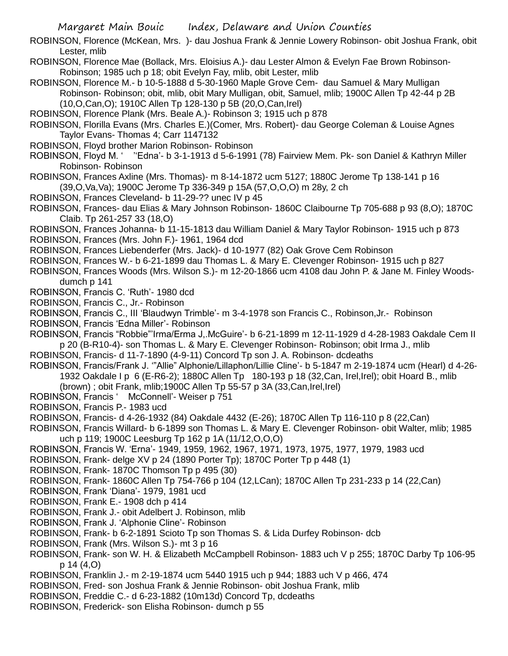ROBINSON, Florence (McKean, Mrs. )- dau Joshua Frank & Jennie Lowery Robinson- obit Joshua Frank, obit Lester, mlib

- ROBINSON, Florence Mae (Bollack, Mrs. Eloisius A.)- dau Lester Almon & Evelyn Fae Brown Robinson-Robinson; 1985 uch p 18; obit Evelyn Fay, mlib, obit Lester, mlib
- ROBINSON, Florence M.- b 10-5-1888 d 5-30-1960 Maple Grove Cem- dau Samuel & Mary Mulligan Robinson- Robinson; obit, mlib, obit Mary Mulligan, obit, Samuel, mlib; 1900C Allen Tp 42-44 p 2B (10,O,Can,O); 1910C Allen Tp 128-130 p 5B (20,O,Can,Irel)
- ROBINSON, Florence Plank (Mrs. Beale A.)- Robinson 3; 1915 uch p 878
- ROBINSON, Florilla Evans (Mrs. Charles E.)(Comer, Mrs. Robert)- dau George Coleman & Louise Agnes Taylor Evans- Thomas 4; Carr 1147132
- ROBINSON, Floyd brother Marion Robinson- Robinson
- ROBINSON, Floyd M. ' ''Edna'- b 3-1-1913 d 5-6-1991 (78) Fairview Mem. Pk- son Daniel & Kathryn Miller Robinson- Robinson
- ROBINSON, Frances Axline (Mrs. Thomas)- m 8-14-1872 ucm 5127; 1880C Jerome Tp 138-141 p 16 (39,O,Va,Va); 1900C Jerome Tp 336-349 p 15A (57,O,O,O) m 28y, 2 ch
- ROBINSON, Frances Cleveland- b 11-29-?? unec IV p 45
- ROBINSON, Frances- dau Elias & Mary Johnson Robinson- 1860C Claibourne Tp 705-688 p 93 (8,O); 1870C Claib. Tp 261-257 33 (18,O)
- ROBINSON, Frances Johanna- b 11-15-1813 dau William Daniel & Mary Taylor Robinson- 1915 uch p 873
- ROBINSON, Frances (Mrs. John F.)- 1961, 1964 dcd
- ROBINSON, Frances Liebenderfer (Mrs. Jack)- d 10-1977 (82) Oak Grove Cem Robinson
- ROBINSON, Frances W.- b 6-21-1899 dau Thomas L. & Mary E. Clevenger Robinson- 1915 uch p 827
- ROBINSON, Frances Woods (Mrs. Wilson S.)- m 12-20-1866 ucm 4108 dau John P. & Jane M. Finley Woodsdumch p 141
- ROBINSON, Francis C. 'Ruth'- 1980 dcd
- ROBINSON, Francis C., Jr.- Robinson
- ROBINSON, Francis C., III 'Blaudwyn Trimble'- m 3-4-1978 son Francis C., Robinson,Jr.- Robinson
- ROBINSON, Francis 'Edna Miller'- Robinson
- ROBINSON, Francis "Robbie"'Irma/Erma J,.McGuire'- b 6-21-1899 m 12-11-1929 d 4-28-1983 Oakdale Cem II p 20 (B-R10-4)- son Thomas L. & Mary E. Clevenger Robinson- Robinson; obit Irma J., mlib
- ROBINSON, Francis- d 11-7-1890 (4-9-11) Concord Tp son J. A. Robinson- dcdeaths
- ROBINSON, Francis/Frank J. '"Allie" Alphonie/Lillaphon/Lillie Cline'- b 5-1847 m 2-19-1874 ucm (Hearl) d 4-26- 1932 Oakdale I p 6 (E-R6-2); 1880C Allen Tp 180-193 p 18 (32,Can, Irel,Irel); obit Hoard B., mlib (brown) ; obit Frank, mlib;1900C Allen Tp 55-57 p 3A (33,Can,Irel,Irel)
- ROBINSON, Francis ' McConnell'- Weiser p 751
- ROBINSON, Francis P.- 1983 ucd
- ROBINSON, Francis- d 4-26-1932 (84) Oakdale 4432 (E-26); 1870C Allen Tp 116-110 p 8 (22,Can)
- ROBINSON, Francis Willard- b 6-1899 son Thomas L. & Mary E. Clevenger Robinson- obit Walter, mlib; 1985 uch p 119; 1900C Leesburg Tp 162 p 1A (11/12,O,O,O)
- ROBINSON, Francis W. 'Erna'- 1949, 1959, 1962, 1967, 1971, 1973, 1975, 1977, 1979, 1983 ucd
- ROBINSON, Frank- delge XV p 24 (1890 Porter Tp); 1870C Porter Tp p 448 (1)
- ROBINSON, Frank- 1870C Thomson Tp p 495 (30)
- ROBINSON, Frank- 1860C Allen Tp 754-766 p 104 (12,LCan); 1870C Allen Tp 231-233 p 14 (22,Can)
- ROBINSON, Frank 'Diana'- 1979, 1981 ucd
- ROBINSON, Frank E.- 1908 dch p 414
- ROBINSON, Frank J.- obit Adelbert J. Robinson, mlib
- ROBINSON, Frank J. 'Alphonie Cline'- Robinson
- ROBINSON, Frank- b 6-2-1891 Scioto Tp son Thomas S. & Lida Durfey Robinson- dcb
- ROBINSON, Frank (Mrs. Wilson S.)- mt 3 p 16
- ROBINSON, Frank- son W. H. & Elizabeth McCampbell Robinson- 1883 uch V p 255; 1870C Darby Tp 106-95 p 14 (4,O)
- ROBINSON, Franklin J.- m 2-19-1874 ucm 5440 1915 uch p 944; 1883 uch V p 466, 474
- ROBINSON, Fred- son Joshua Frank & Jennie Robinson- obit Joshua Frank, mlib
- ROBINSON, Freddie C.- d 6-23-1882 (10m13d) Concord Tp, dcdeaths
- ROBINSON, Frederick- son Elisha Robinson- dumch p 55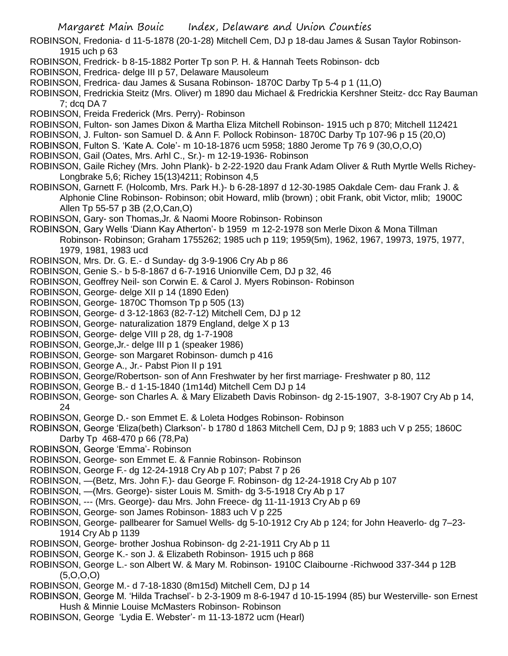- Margaret Main Bouic Index, Delaware and Union Counties
- ROBINSON, Fredonia- d 11-5-1878 (20-1-28) Mitchell Cem, DJ p 18-dau James & Susan Taylor Robinson-1915 uch p 63
- ROBINSON, Fredrick- b 8-15-1882 Porter Tp son P. H. & Hannah Teets Robinson- dcb
- ROBINSON, Fredrica- delge III p 57, Delaware Mausoleum
- ROBINSON, Fredrica- dau James & Susana Robinson- 1870C Darby Tp 5-4 p 1 (11,O)
- ROBINSON, Fredrickia Steitz (Mrs. Oliver) m 1890 dau Michael & Fredrickia Kershner Steitz- dcc Ray Bauman 7; dcq DA 7
- ROBINSON, Freida Frederick (Mrs. Perry)- Robinson
- ROBINSON, Fulton- son James Dixon & Martha Eliza Mitchell Robinson- 1915 uch p 870; Mitchell 112421
- ROBINSON, J. Fulton- son Samuel D. & Ann F. Pollock Robinson- 1870C Darby Tp 107-96 p 15 (20,O)
- ROBINSON, Fulton S. 'Kate A. Cole'- m 10-18-1876 ucm 5958; 1880 Jerome Tp 76 9 (30,O,O,O)
- ROBINSON, Gail (Oates, Mrs. Arhl C., Sr.)- m 12-19-1936- Robinson
- ROBINSON, Gaile Richey (Mrs. John Plank)- b 2-22-1920 dau Frank Adam Oliver & Ruth Myrtle Wells Richey-Longbrake 5,6; Richey 15(13)4211; Robinson 4,5
- ROBINSON, Garnett F. (Holcomb, Mrs. Park H.)- b 6-28-1897 d 12-30-1985 Oakdale Cem- dau Frank J. & Alphonie Cline Robinson- Robinson; obit Howard, mlib (brown) ; obit Frank, obit Victor, mlib; 1900C Allen Tp 55-57 p 3B (2,O,Can,O)
- ROBINSON, Gary- son Thomas,Jr. & Naomi Moore Robinson- Robinson
- ROBINSON, Gary Wells 'Diann Kay Atherton'- b 1959 m 12-2-1978 son Merle Dixon & Mona Tillman Robinson- Robinson; Graham 1755262; 1985 uch p 119; 1959(5m), 1962, 1967, 19973, 1975, 1977, 1979, 1981, 1983 ucd
- ROBINSON, Mrs. Dr. G. E.- d Sunday- dg 3-9-1906 Cry Ab p 86
- ROBINSON, Genie S.- b 5-8-1867 d 6-7-1916 Unionville Cem, DJ p 32, 46
- ROBINSON, Geoffrey Neil- son Corwin E. & Carol J. Myers Robinson- Robinson
- ROBINSON, George- delge XII p 14 (1890 Eden)
- ROBINSON, George- 1870C Thomson Tp p 505 (13)
- ROBINSON, George- d 3-12-1863 (82-7-12) Mitchell Cem, DJ p 12
- ROBINSON, George- naturalization 1879 England, delge X p 13
- ROBINSON, George- delge VIII p 28, dg 1-7-1908
- ROBINSON, George,Jr.- delge III p 1 (speaker 1986)
- ROBINSON, George- son Margaret Robinson- dumch p 416
- ROBINSON, George A., Jr.- Pabst Pion II p 191
- ROBINSON, George/Robertson- son of Ann Freshwater by her first marriage- Freshwater p 80, 112
- ROBINSON, George B.- d 1-15-1840 (1m14d) Mitchell Cem DJ p 14
- ROBINSON, George- son Charles A. & Mary Elizabeth Davis Robinson- dg 2-15-1907, 3-8-1907 Cry Ab p 14, 24
- ROBINSON, George D.- son Emmet E. & Loleta Hodges Robinson- Robinson
- ROBINSON, George 'Eliza(beth) Clarkson'- b 1780 d 1863 Mitchell Cem, DJ p 9; 1883 uch V p 255; 1860C Darby Tp 468-470 p 66 (78,Pa)
- ROBINSON, George 'Emma'- Robinson
- ROBINSON, George- son Emmet E. & Fannie Robinson- Robinson
- ROBINSON, George F.- dg 12-24-1918 Cry Ab p 107; Pabst 7 p 26
- ROBINSON, —(Betz, Mrs. John F.)- dau George F. Robinson- dg 12-24-1918 Cry Ab p 107
- ROBINSON, —(Mrs. George)- sister Louis M. Smith- dg 3-5-1918 Cry Ab p 17
- ROBINSON, --- (Mrs. George)- dau Mrs. John Freece- dg 11-11-1913 Cry Ab p 69
- ROBINSON, George- son James Robinson- 1883 uch V p 225
- ROBINSON, George- pallbearer for Samuel Wells- dg 5-10-1912 Cry Ab p 124; for John Heaverlo- dg 7–23- 1914 Cry Ab p 1139
- ROBINSON, George- brother Joshua Robinson- dg 2-21-1911 Cry Ab p 11
- ROBINSON, George K.- son J. & Elizabeth Robinson- 1915 uch p 868
- ROBINSON, George L.- son Albert W. & Mary M. Robinson- 1910C Claibourne -Richwood 337-344 p 12B  $(5,0,0,0)$
- ROBINSON, George M.- d 7-18-1830 (8m15d) Mitchell Cem, DJ p 14
- ROBINSON, George M. 'Hilda Trachsel'- b 2-3-1909 m 8-6-1947 d 10-15-1994 (85) bur Westerville- son Ernest Hush & Minnie Louise McMasters Robinson- Robinson
- ROBINSON, George 'Lydia E. Webster'- m 11-13-1872 ucm (Hearl)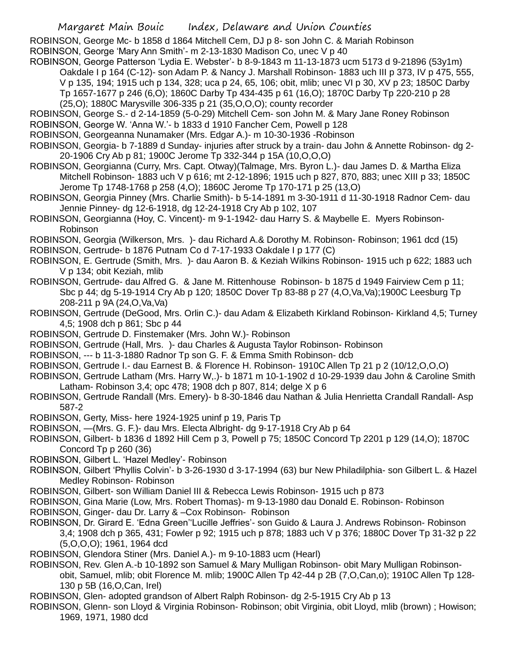ROBINSON, George Mc- b 1858 d 1864 Mitchell Cem, DJ p 8- son John C. & Mariah Robinson ROBINSON, George 'Mary Ann Smith'- m 2-13-1830 Madison Co, unec V p 40

- ROBINSON, George Patterson 'Lydia E. Webster'- b 8-9-1843 m 11-13-1873 ucm 5173 d 9-21896 (53y1m) Oakdale I p 164 (C-12)- son Adam P. & Nancy J. Marshall Robinson- 1883 uch III p 373, IV p 475, 555, V p 135, 194; 1915 uch p 134, 328; uca p 24, 65, 106; obit, mlib; unec VI p 30, XV p 23; 1850C Darby Tp 1657-1677 p 246 (6,O); 1860C Darby Tp 434-435 p 61 (16,O); 1870C Darby Tp 220-210 p 28 (25,O); 1880C Marysville 306-335 p 21 (35,O,O,O); county recorder
- ROBINSON, George S.- d 2-14-1859 (5-0-29) Mitchell Cem- son John M. & Mary Jane Roney Robinson ROBINSON, George W. 'Anna W.'- b 1833 d 1910 Fancher Cem, Powell p 128
- ROBINSON, Georgeanna Nunamaker (Mrs. Edgar A.)- m 10-30-1936 -Robinson
- ROBINSON, Georgia- b 7-1889 d Sunday- injuries after struck by a train- dau John & Annette Robinson- dg 2- 20-1906 Cry Ab p 81; 1900C Jerome Tp 332-344 p 15A (10,O,O,O)
- ROBINSON, Georgianna (Curry, Mrs. Capt. Otway)(Talmage, Mrs. Byron L.)- dau James D. & Martha Eliza Mitchell Robinson- 1883 uch V p 616; mt 2-12-1896; 1915 uch p 827, 870, 883; unec XIII p 33; 1850C Jerome Tp 1748-1768 p 258 (4,O); 1860C Jerome Tp 170-171 p 25 (13,O)
- ROBINSON, Georgia Pinney (Mrs. Charlie Smith)- b 5-14-1891 m 3-30-1911 d 11-30-1918 Radnor Cem- dau Jennie Pinney- dg 12-6-1918, dg 12-24-1918 Cry Ab p 102, 107
- ROBINSON, Georgianna (Hoy, C. Vincent)- m 9-1-1942- dau Harry S. & Maybelle E. Myers Robinson-Robinson
- ROBINSON, Georgia (Wilkerson, Mrs. )- dau Richard A.& Dorothy M. Robinson- Robinson; 1961 dcd (15)
- ROBINSON, Gertrude- b 1876 Putnam Co d 7-17-1933 Oakdale I p 177 (C)
- ROBINSON, E. Gertrude (Smith, Mrs. )- dau Aaron B. & Keziah Wilkins Robinson- 1915 uch p 622; 1883 uch V p 134; obit Keziah, mlib
- ROBINSON, Gertrude- dau Alfred G. & Jane M. Rittenhouse Robinson- b 1875 d 1949 Fairview Cem p 11; Sbc p 44; dg 5-19-1914 Cry Ab p 120; 1850C Dover Tp 83-88 p 27 (4,O,Va,Va);1900C Leesburg Tp 208-211 p 9A (24,O,Va,Va)
- ROBINSON, Gertrude (DeGood, Mrs. Orlin C.)- dau Adam & Elizabeth Kirkland Robinson- Kirkland 4,5; Turney 4,5; 1908 dch p 861; Sbc p 44
- ROBINSON, Gertrude D. Finstemaker (Mrs. John W.)- Robinson
- ROBINSON, Gertrude (Hall, Mrs. )- dau Charles & Augusta Taylor Robinson- Robinson
- ROBINSON, --- b 11-3-1880 Radnor Tp son G. F. & Emma Smith Robinson- dcb
- ROBINSON, Gertrude I.- dau Earnest B. & Florence H. Robinson- 1910C Allen Tp 21 p 2 (10/12,O,O,O)
- ROBINSON, Gertrude Latham (Mrs. Harry W,.)- b 1871 m 10-1-1902 d 10-29-1939 dau John & Caroline Smith Latham- Robinson 3,4; opc 478; 1908 dch p 807, 814; delge X p 6
- ROBINSON, Gertrude Randall (Mrs. Emery)- b 8-30-1846 dau Nathan & Julia Henrietta Crandall Randall- Asp 587-2
- ROBINSON, Gerty, Miss- here 1924-1925 uninf p 19, Paris Tp
- ROBINSON, —(Mrs. G. F.)- dau Mrs. Electa Albright- dg 9-17-1918 Cry Ab p 64
- ROBINSON, Gilbert- b 1836 d 1892 Hill Cem p 3, Powell p 75; 1850C Concord Tp 2201 p 129 (14,O); 1870C Concord Tp p 260 (36)
- ROBINSON, Gilbert L. 'Hazel Medley'- Robinson
- ROBINSON, Gilbert 'Phyllis Colvin'- b 3-26-1930 d 3-17-1994 (63) bur New Philadilphia- son Gilbert L. & Hazel Medley Robinson- Robinson
- ROBINSON, Gilbert- son William Daniel III & Rebecca Lewis Robinson- 1915 uch p 873
- ROBINSON, Gina Marie (Low, Mrs. Robert Thomas)- m 9-13-1980 dau Donald E. Robinson- Robinson
- ROBINSON, Ginger- dau Dr. Larry & –Cox Robinson- Robinson
- ROBINSON, Dr. Girard E. 'Edna Green''Lucille Jeffries'- son Guido & Laura J. Andrews Robinson- Robinson 3,4; 1908 dch p 365, 431; Fowler p 92; 1915 uch p 878; 1883 uch V p 376; 1880C Dover Tp 31-32 p 22 (5,O,O,O); 1961, 1964 dcd
- ROBINSON, Glendora Stiner (Mrs. Daniel A.)- m 9-10-1883 ucm (Hearl)
- ROBINSON, Rev. Glen A.-b 10-1892 son Samuel & Mary Mulligan Robinson- obit Mary Mulligan Robinsonobit, Samuel, mlib; obit Florence M. mlib; 1900C Allen Tp 42-44 p 2B (7,O,Can,o); 1910C Allen Tp 128- 130 p 5B (16,O,Can, Irel)
- ROBINSON, Glen- adopted grandson of Albert Ralph Robinson- dg 2-5-1915 Cry Ab p 13
- ROBINSON, Glenn- son Lloyd & Virginia Robinson- Robinson; obit Virginia, obit Lloyd, mlib (brown) ; Howison; 1969, 1971, 1980 dcd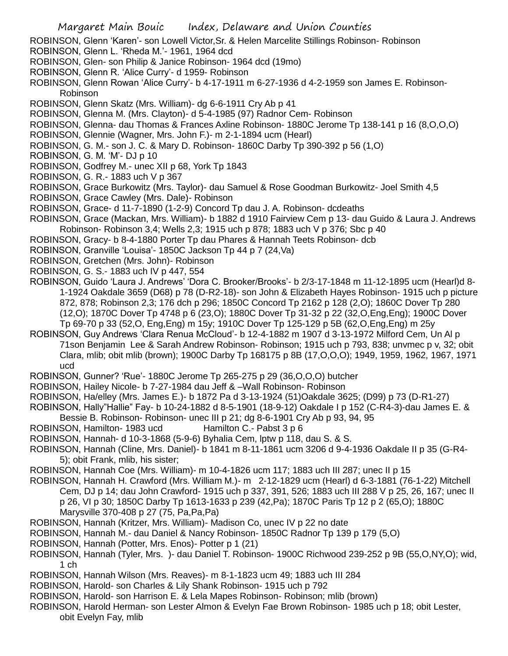- ROBINSON, Glenn 'Karen'- son Lowell Victor,Sr. & Helen Marcelite Stillings Robinson- Robinson
- ROBINSON, Glenn L. 'Rheda M.'- 1961, 1964 dcd
- ROBINSON, Glen- son Philip & Janice Robinson- 1964 dcd (19mo)
- ROBINSON, Glenn R. 'Alice Curry'- d 1959- Robinson
- ROBINSON, Glenn Rowan 'Alice Curry'- b 4-17-1911 m 6-27-1936 d 4-2-1959 son James E. Robinson-Robinson
- ROBINSON, Glenn Skatz (Mrs. William)- dg 6-6-1911 Cry Ab p 41
- ROBINSON, Glenna M. (Mrs. Clayton)- d 5-4-1985 (97) Radnor Cem- Robinson
- ROBINSON, Glenna- dau Thomas & Frances Axline Robinson- 1880C Jerome Tp 138-141 p 16 (8,O,O,O)
- ROBINSON, Glennie (Wagner, Mrs. John F.)- m 2-1-1894 ucm (Hearl)
- ROBINSON, G. M.- son J. C. & Mary D. Robinson- 1860C Darby Tp 390-392 p 56 (1,O)
- ROBINSON, G. M. 'M'- DJ p 10
- ROBINSON, Godfrey M.- unec XII p 68, York Tp 1843
- ROBINSON, G. R.- 1883 uch V p 367
- ROBINSON, Grace Burkowitz (Mrs. Taylor)- dau Samuel & Rose Goodman Burkowitz- Joel Smith 4,5
- ROBINSON, Grace Cawley (Mrs. Dale)- Robinson
- ROBINSON, Grace- d 11-7-1890 (1-2-9) Concord Tp dau J. A. Robinson- dcdeaths
- ROBINSON, Grace (Mackan, Mrs. William)- b 1882 d 1910 Fairview Cem p 13- dau Guido & Laura J. Andrews Robinson- Robinson 3,4; Wells 2,3; 1915 uch p 878; 1883 uch V p 376; Sbc p 40
- ROBINSON, Gracy- b 8-4-1880 Porter Tp dau Phares & Hannah Teets Robinson- dcb
- ROBINSON, Granville 'Louisa'- 1850C Jackson Tp 44 p 7 (24,Va)
- ROBINSON, Gretchen (Mrs. John)- Robinson
- ROBINSON, G. S.- 1883 uch IV p 447, 554
- ROBINSON, Guido 'Laura J. Andrews' 'Dora C. Brooker/Brooks'- b 2/3-17-1848 m 11-12-1895 ucm (Hearl)d 8- 1-1924 Oakdale 3659 (D68) p 78 (D-R2-18)- son John & Elizabeth Hayes Robinson- 1915 uch p picture 872, 878; Robinson 2,3; 176 dch p 296; 1850C Concord Tp 2162 p 128 (2,O); 1860C Dover Tp 280 (12,O); 1870C Dover Tp 4748 p 6 (23,O); 1880C Dover Tp 31-32 p 22 (32,O,Eng,Eng); 1900C Dover Tp 69-70 p 33 (52,O, Eng,Eng) m 15y; 1910C Dover Tp 125-129 p 5B (62,O,Eng,Eng) m 25y
- ROBINSON, Guy Andrews 'Clara Renua McCloud'- b 12-4-1882 m 1907 d 3-13-1972 Milford Cem, Un Al p 71son Benjamin Lee & Sarah Andrew Robinson- Robinson; 1915 uch p 793, 838; unvmec p v, 32; obit Clara, mlib; obit mlib (brown); 1900C Darby Tp 168175 p 8B (17,O,O,O); 1949, 1959, 1962, 1967, 1971 ucd
- ROBINSON, Gunner? 'Rue'- 1880C Jerome Tp 265-275 p 29 (36,O,O,O) butcher
- ROBINSON, Hailey Nicole- b 7-27-1984 dau Jeff & –Wall Robinson- Robinson
- ROBINSON, Ha/elley (Mrs. James E.)- b 1872 Pa d 3-13-1924 (51)Oakdale 3625; (D99) p 73 (D-R1-27)
- ROBINSON, Hally"Hallie" Fay- b 10-24-1882 d 8-5-1901 (18-9-12) Oakdale I p 152 (C-R4-3)-dau James E. &
	- Bessie B. Robinson- Robinson- unec III p 21; dg 8-6-1901 Cry Ab p 93, 94, 95
- ROBINSON, Hamilton-1983 ucd Hamilton C.- Pabst 3 p 6
- ROBINSON, Hannah- d 10-3-1868 (5-9-6) Byhalia Cem, lptw p 118, dau S. & S.
- ROBINSON, Hannah (Cline, Mrs. Daniel)- b 1841 m 8-11-1861 ucm 3206 d 9-4-1936 Oakdale II p 35 (G-R4- 5); obit Frank, mlib, his sister;
- ROBINSON, Hannah Coe (Mrs. William)- m 10-4-1826 ucm 117; 1883 uch III 287; unec II p 15
- ROBINSON, Hannah H. Crawford (Mrs. William M.)- m 2-12-1829 ucm (Hearl) d 6-3-1881 (76-1-22) Mitchell Cem, DJ p 14; dau John Crawford- 1915 uch p 337, 391, 526; 1883 uch III 288 V p 25, 26, 167; unec II p 26, VI p 30; 1850C Darby Tp 1613-1633 p 239 (42,Pa); 1870C Paris Tp 12 p 2 (65,O); 1880C Marysville 370-408 p 27 (75, Pa,Pa,Pa)
- ROBINSON, Hannah (Kritzer, Mrs. William)- Madison Co, unec IV p 22 no date
- ROBINSON, Hannah M.- dau Daniel & Nancy Robinson- 1850C Radnor Tp 139 p 179 (5,O)
- ROBINSON, Hannah (Potter, Mrs. Enos)- Potter p 1 (21)
- ROBINSON, Hannah (Tyler, Mrs. )- dau Daniel T. Robinson- 1900C Richwood 239-252 p 9B (55,O,NY,O); wid, 1 ch
- ROBINSON, Hannah Wilson (Mrs. Reaves)- m 8-1-1823 ucm 49; 1883 uch III 284
- ROBINSON, Harold- son Charles & Lily Shank Robinson- 1915 uch p 792
- ROBINSON, Harold- son Harrison E. & Lela Mapes Robinson- Robinson; mlib (brown)
- ROBINSON, Harold Herman- son Lester Almon & Evelyn Fae Brown Robinson- 1985 uch p 18; obit Lester, obit Evelyn Fay, mlib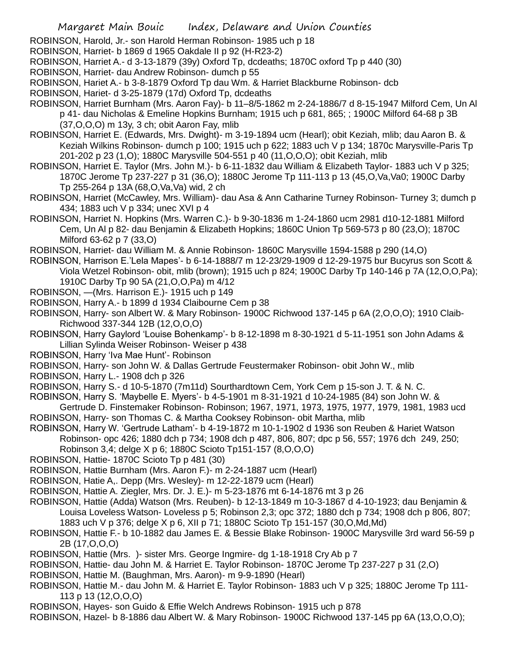ROBINSON, Harold, Jr.- son Harold Herman Robinson- 1985 uch p 18

ROBINSON, Harriet- b 1869 d 1965 Oakdale II p 92 (H-R23-2)

ROBINSON, Harriet A.- d 3-13-1879 (39y) Oxford Tp, dcdeaths; 1870C oxford Tp p 440 (30)

- ROBINSON, Harriet- dau Andrew Robinson- dumch p 55
- ROBINSON, Hariet A.- b 3-8-1879 Oxford Tp dau Wm. & Harriet Blackburne Robinson- dcb
- ROBINSON, Hariet- d 3-25-1879 (17d) Oxford Tp, dcdeaths
- ROBINSON, Harriet Burnham (Mrs. Aaron Fay)- b 11–8/5-1862 m 2-24-1886/7 d 8-15-1947 Milford Cem, Un Al p 41- dau Nicholas & Emeline Hopkins Burnham; 1915 uch p 681, 865; ; 1900C Milford 64-68 p 3B (37,O,O,O) m 13y, 3 ch; obit Aaron Fay, mlib
- ROBINSON, Harriet E. (Edwards, Mrs. Dwight)- m 3-19-1894 ucm (Hearl); obit Keziah, mlib; dau Aaron B. & Keziah Wilkins Robinson- dumch p 100; 1915 uch p 622; 1883 uch V p 134; 1870c Marysville-Paris Tp 201-202 p 23 (1,O); 1880C Marysville 504-551 p 40 (11,O,O,O); obit Keziah, mlib
- ROBINSON, Harriet E. Taylor (Mrs. John M.)- b 6-11-1832 dau William & Elizabeth Taylor- 1883 uch V p 325; 1870C Jerome Tp 237-227 p 31 (36,O); 1880C Jerome Tp 111-113 p 13 (45,O,Va,Va0; 1900C Darby Tp 255-264 p 13A (68,O,Va,Va) wid, 2 ch
- ROBINSON, Harriet (McCawley, Mrs. William)- dau Asa & Ann Catharine Turney Robinson- Turney 3; dumch p 434; 1883 uch V p 334; unec XVI p 4
- ROBINSON, Harriet N. Hopkins (Mrs. Warren C.)- b 9-30-1836 m 1-24-1860 ucm 2981 d10-12-1881 Milford Cem, Un Al p 82- dau Benjamin & Elizabeth Hopkins; 1860C Union Tp 569-573 p 80 (23,O); 1870C Milford 63-62 p 7 (33,O)
- ROBINSON, Harriet- dau William M. & Annie Robinson- 1860C Marysville 1594-1588 p 290 (14,O)
- ROBINSON, Harrison E.'Lela Mapes'- b 6-14-1888/7 m 12-23/29-1909 d 12-29-1975 bur Bucyrus son Scott & Viola Wetzel Robinson- obit, mlib (brown); 1915 uch p 824; 1900C Darby Tp 140-146 p 7A (12,O,O,Pa); 1910C Darby Tp 90 5A (21,O,O,Pa) m 4/12
- ROBINSON, —(Mrs. Harrison E.)- 1915 uch p 149
- ROBINSON, Harry A.- b 1899 d 1934 Claibourne Cem p 38
- ROBINSON, Harry- son Albert W. & Mary Robinson- 1900C Richwood 137-145 p 6A (2,O,O,O); 1910 Claib-Richwood 337-344 12B (12,O,O,O)
- ROBINSON, Harry Gaylord 'Louise Bohenkamp'- b 8-12-1898 m 8-30-1921 d 5-11-1951 son John Adams & Lillian Sylinda Weiser Robinson- Weiser p 438
- ROBINSON, Harry 'Iva Mae Hunt'- Robinson
- ROBINSON, Harry- son John W. & Dallas Gertrude Feustermaker Robinson- obit John W., mlib
- ROBINSON, Harry L.- 1908 dch p 326
- ROBINSON, Harry S.- d 10-5-1870 (7m11d) Sourthardtown Cem, York Cem p 15-son J. T. & N. C.
- ROBINSON, Harry S. 'Maybelle E. Myers'- b 4-5-1901 m 8-31-1921 d 10-24-1985 (84) son John W. &
- Gertrude D. Finstemaker Robinson- Robinson; 1967, 1971, 1973, 1975, 1977, 1979, 1981, 1983 ucd ROBINSON, Harry- son Thomas C. & Martha Cooksey Robinson- obit Martha, mlib
- ROBINSON, Harry W. 'Gertrude Latham'- b 4-19-1872 m 10-1-1902 d 1936 son Reuben & Hariet Watson Robinson- opc 426; 1880 dch p 734; 1908 dch p 487, 806, 807; dpc p 56, 557; 1976 dch 249, 250; Robinson 3,4; delge X p 6; 1880C Scioto Tp151-157 (8,O,O,O)
- ROBINSON, Hattie- 1870C Scioto Tp p 481 (30)
- ROBINSON, Hattie Burnham (Mrs. Aaron F.)- m 2-24-1887 ucm (Hearl)
- ROBINSON, Hatie A,. Depp (Mrs. Wesley)- m 12-22-1879 ucm (Hearl)
- ROBINSON, Hattie A. Ziegler, Mrs. Dr. J. E.)- m 5-23-1876 mt 6-14-1876 mt 3 p 26
- ROBINSON, Hattie (Adda) Watson (Mrs. Reuben)- b 12-13-1849 m 10-3-1867 d 4-10-1923; dau Benjamin & Louisa Loveless Watson- Loveless p 5; Robinson 2,3; opc 372; 1880 dch p 734; 1908 dch p 806, 807; 1883 uch V p 376; delge X p 6, XII p 71; 1880C Scioto Tp 151-157 (30,O,Md,Md)
- ROBINSON, Hattie F.- b 10-1882 dau James E. & Bessie Blake Robinson- 1900C Marysville 3rd ward 56-59 p 2B (17,O,O,O)
- ROBINSON, Hattie (Mrs. )- sister Mrs. George Ingmire- dg 1-18-1918 Cry Ab p 7
- ROBINSON, Hattie- dau John M. & Harriet E. Taylor Robinson- 1870C Jerome Tp 237-227 p 31 (2,O)
- ROBINSON, Hattie M. (Baughman, Mrs. Aaron)- m 9-9-1890 (Hearl)
- ROBINSON, Hattie M.- dau John M. & Harriet E. Taylor Robinson- 1883 uch V p 325; 1880C Jerome Tp 111- 113 p 13 (12,O,O,O)
- ROBINSON, Hayes- son Guido & Effie Welch Andrews Robinson- 1915 uch p 878
- ROBINSON, Hazel- b 8-1886 dau Albert W. & Mary Robinson- 1900C Richwood 137-145 pp 6A (13,O,O,O);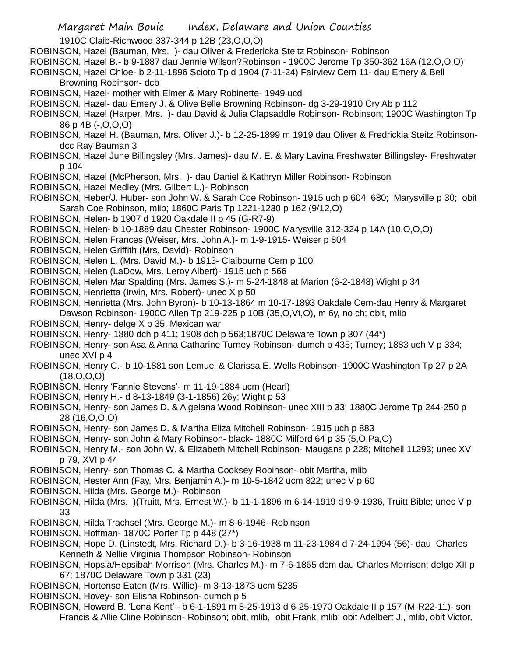1910C Claib-Richwood 337-344 p 12B (23,O,O,O) ROBINSON, Hazel (Bauman, Mrs. )- dau Oliver & Fredericka Steitz Robinson- Robinson ROBINSON, Hazel B.- b 9-1887 dau Jennie Wilson?Robinson - 1900C Jerome Tp 350-362 16A (12,O,O,O) ROBINSON, Hazel Chloe- b 2-11-1896 Scioto Tp d 1904 (7-11-24) Fairview Cem 11- dau Emery & Bell Browning Robinson- dcb ROBINSON, Hazel- mother with Elmer & Mary Robinette- 1949 ucd ROBINSON, Hazel- dau Emery J. & Olive Belle Browning Robinson- dg 3-29-1910 Cry Ab p 112 ROBINSON, Hazel (Harper, Mrs. )- dau David & Julia Clapsaddle Robinson- Robinson; 1900C Washington Tp 86 p 4B (-,O,O,O) ROBINSON, Hazel H. (Bauman, Mrs. Oliver J.)- b 12-25-1899 m 1919 dau Oliver & Fredrickia Steitz Robinsondcc Ray Bauman 3 ROBINSON, Hazel June Billingsley (Mrs. James)- dau M. E. & Mary Lavina Freshwater Billingsley- Freshwater p 104 ROBINSON, Hazel (McPherson, Mrs. )- dau Daniel & Kathryn Miller Robinson- Robinson ROBINSON, Hazel Medley (Mrs. Gilbert L.)- Robinson ROBINSON, Heber/J. Huber- son John W. & Sarah Coe Robinson- 1915 uch p 604, 680; Marysville p 30; obit Sarah Coe Robinson, mlib; 1860C Paris Tp 1221-1230 p 162 (9/12,O) ROBINSON, Helen- b 1907 d 1920 Oakdale II p 45 (G-R7-9) ROBINSON, Helen- b 10-1889 dau Chester Robinson- 1900C Marysville 312-324 p 14A (10,O,O,O) ROBINSON, Helen Frances (Weiser, Mrs. John A.)- m 1-9-1915- Weiser p 804 ROBINSON, Helen Griffith (Mrs. David)- Robinson ROBINSON, Helen L. (Mrs. David M.)- b 1913- Claibourne Cem p 100 ROBINSON, Helen (LaDow, Mrs. Leroy Albert)- 1915 uch p 566 ROBINSON, Helen Mar Spalding (Mrs. James S.)- m 5-24-1848 at Marion (6-2-1848) Wight p 34 ROBINSON, Henrietta (Irwin, Mrs. Robert)- unec X p 50 ROBINSON, Henrietta (Mrs. John Byron)- b 10-13-1864 m 10-17-1893 Oakdale Cem-dau Henry & Margaret Dawson Robinson- 1900C Allen Tp 219-225 p 10B (35,O,Vt,O), m 6y, no ch; obit, mlib ROBINSON, Henry- delge X p 35, Mexican war ROBINSON, Henry- 1880 dch p 411; 1908 dch p 563;1870C Delaware Town p 307 (44\*) ROBINSON, Henry- son Asa & Anna Catharine Turney Robinson- dumch p 435; Turney; 1883 uch V p 334; unec XVI p 4 ROBINSON, Henry C.- b 10-1881 son Lemuel & Clarissa E. Wells Robinson- 1900C Washington Tp 27 p 2A  $(18, 0.0, 0)$ ROBINSON, Henry 'Fannie Stevens'- m 11-19-1884 ucm (Hearl) ROBINSON, Henry H.- d 8-13-1849 (3-1-1856) 26y; Wight p 53 ROBINSON, Henry- son James D. & Algelana Wood Robinson- unec XIII p 33; 1880C Jerome Tp 244-250 p 28 (16,O,O,O) ROBINSON, Henry- son James D. & Martha Eliza Mitchell Robinson- 1915 uch p 883 ROBINSON, Henry- son John & Mary Robinson- black- 1880C Milford 64 p 35 (5,O,Pa,O) ROBINSON, Henry M.- son John W. & Elizabeth Mitchell Robinson- Maugans p 228; Mitchell 11293; unec XV p 79, XVI p 44 ROBINSON, Henry- son Thomas C. & Martha Cooksey Robinson- obit Martha, mlib ROBINSON, Hester Ann (Fay, Mrs. Benjamin A.)- m 10-5-1842 ucm 822; unec V p 60 ROBINSON, Hilda (Mrs. George M.)- Robinson ROBINSON, Hilda (Mrs. )(Truitt, Mrs. Ernest W.)- b 11-1-1896 m 6-14-1919 d 9-9-1936, Truitt Bible; unec V p 33

- ROBINSON, Hilda Trachsel (Mrs. George M.)- m 8-6-1946- Robinson
- ROBINSON, Hoffman- 1870C Porter Tp p 448 (27\*)
- ROBINSON, Hope D. (Linstedt, Mrs. Richard D.)- b 3-16-1938 m 11-23-1984 d 7-24-1994 (56)- dau Charles Kenneth & Nellie Virginia Thompson Robinson- Robinson
- ROBINSON, Hopsia/Hepsibah Morrison (Mrs. Charles M.)- m 7-6-1865 dcm dau Charles Morrison; delge XII p 67; 1870C Delaware Town p 331 (23)
- ROBINSON, Hortense Eaton (Mrs. Willie)- m 3-13-1873 ucm 5235
- ROBINSON, Hovey- son Elisha Robinson- dumch p 5
- ROBINSON, Howard B. 'Lena Kent' b 6-1-1891 m 8-25-1913 d 6-25-1970 Oakdale II p 157 (M-R22-11)- son Francis & Allie Cline Robinson- Robinson; obit, mlib, obit Frank, mlib; obit Adelbert J., mlib, obit Victor,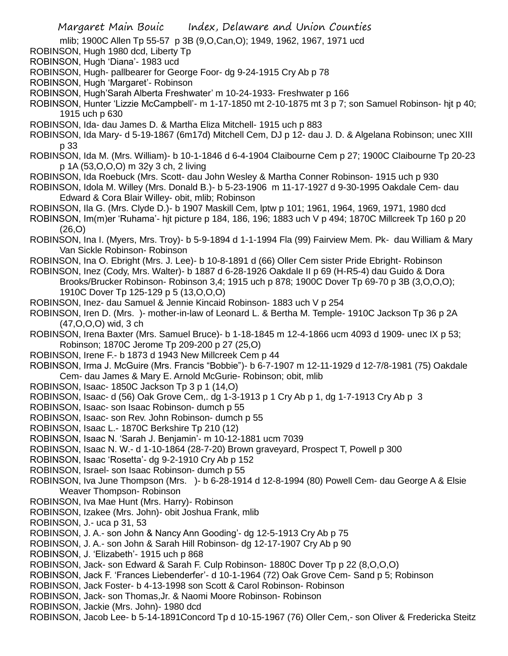mlib; 1900C Allen Tp 55-57 p 3B (9,O,Can,O); 1949, 1962, 1967, 1971 ucd

- ROBINSON, Hugh 1980 dcd, Liberty Tp
- ROBINSON, Hugh 'Diana'- 1983 ucd
- ROBINSON, Hugh- pallbearer for George Foor- dg 9-24-1915 Cry Ab p 78
- ROBINSON, Hugh 'Margaret'- Robinson
- ROBINSON, Hugh'Sarah Alberta Freshwater' m 10-24-1933- Freshwater p 166

ROBINSON, Hunter 'Lizzie McCampbell'- m 1-17-1850 mt 2-10-1875 mt 3 p 7; son Samuel Robinson- hjt p 40; 1915 uch p 630

- ROBINSON, Ida- dau James D. & Martha Eliza Mitchell- 1915 uch p 883
- ROBINSON, Ida Mary- d 5-19-1867 (6m17d) Mitchell Cem, DJ p 12- dau J. D. & Algelana Robinson; unec XIII p 33
- ROBINSON, Ida M. (Mrs. William)- b 10-1-1846 d 6-4-1904 Claibourne Cem p 27; 1900C Claibourne Tp 20-23 p 1A (53,O,O,O) m 32y 3 ch, 2 living
- ROBINSON, Ida Roebuck (Mrs. Scott- dau John Wesley & Martha Conner Robinson- 1915 uch p 930
- ROBINSON, Idola M. Willey (Mrs. Donald B.)- b 5-23-1906 m 11-17-1927 d 9-30-1995 Oakdale Cem- dau Edward & Cora Blair Willey- obit, mlib; Robinson
- ROBINSON, Ila G. (Mrs. Clyde D.)- b 1907 Maskill Cem, lptw p 101; 1961, 1964, 1969, 1971, 1980 dcd
- ROBINSON, Im(m)er 'Ruhama'- hjt picture p 184, 186, 196; 1883 uch V p 494; 1870C Millcreek Tp 160 p 20  $(26.0)$
- ROBINSON, Ina I. (Myers, Mrs. Troy)- b 5-9-1894 d 1-1-1994 Fla (99) Fairview Mem. Pk- dau William & Mary Van Sickle Robinson- Robinson
- ROBINSON, Ina O. Ebright (Mrs. J. Lee)- b 10-8-1891 d (66) Oller Cem sister Pride Ebright- Robinson
- ROBINSON, Inez (Cody, Mrs. Walter)- b 1887 d 6-28-1926 Oakdale II p 69 (H-R5-4) dau Guido & Dora Brooks/Brucker Robinson- Robinson 3,4; 1915 uch p 878; 1900C Dover Tp 69-70 p 3B (3,O,O,O); 1910C Dover Tp 125-129 p 5 (13,O,O,O)
- ROBINSON, Inez- dau Samuel & Jennie Kincaid Robinson- 1883 uch V p 254
- ROBINSON, Iren D. (Mrs. )- mother-in-law of Leonard L. & Bertha M. Temple- 1910C Jackson Tp 36 p 2A (47,O,O,O) wid, 3 ch
- ROBINSON, Irena Baxter (Mrs. Samuel Bruce)- b 1-18-1845 m 12-4-1866 ucm 4093 d 1909- unec IX p 53; Robinson; 1870C Jerome Tp 209-200 p 27 (25,O)
- ROBINSON, Irene F.- b 1873 d 1943 New Millcreek Cem p 44
- ROBINSON, Irma J. McGuire (Mrs. Francis "Bobbie")- b 6-7-1907 m 12-11-1929 d 12-7/8-1981 (75) Oakdale Cem- dau James & Mary E. Arnold McGurie- Robinson; obit, mlib
- ROBINSON, Isaac- 1850C Jackson Tp 3 p 1 (14,O)
- ROBINSON, Isaac- d (56) Oak Grove Cem,. dg 1-3-1913 p 1 Cry Ab p 1, dg 1-7-1913 Cry Ab p 3
- ROBINSON, Isaac- son Isaac Robinson- dumch p 55
- ROBINSON, Isaac- son Rev. John Robinson- dumch p 55
- ROBINSON, Isaac L.- 1870C Berkshire Tp 210 (12)
- ROBINSON, Isaac N. 'Sarah J. Benjamin'- m 10-12-1881 ucm 7039
- ROBINSON, Isaac N. W.- d 1-10-1864 (28-7-20) Brown graveyard, Prospect T, Powell p 300
- ROBINSON, Isaac 'Rosetta'- dg 9-2-1910 Cry Ab p 152
- ROBINSON, Israel- son Isaac Robinson- dumch p 55
- ROBINSON, Iva June Thompson (Mrs. )- b 6-28-1914 d 12-8-1994 (80) Powell Cem- dau George A & Elsie Weaver Thompson- Robinson
- ROBINSON, Iva Mae Hunt (Mrs. Harry)- Robinson
- ROBINSON, Izakee (Mrs. John)- obit Joshua Frank, mlib
- ROBINSON, J.- uca p 31, 53
- ROBINSON, J. A.- son John & Nancy Ann Gooding'- dg 12-5-1913 Cry Ab p 75
- ROBINSON, J. A.- son John & Sarah Hill Robinson- dg 12-17-1907 Cry Ab p 90
- ROBINSON, J. 'Elizabeth'- 1915 uch p 868
- ROBINSON, Jack- son Edward & Sarah F. Culp Robinson- 1880C Dover Tp p 22 (8,O,O,O)
- ROBINSON, Jack F. 'Frances Liebenderfer'- d 10-1-1964 (72) Oak Grove Cem- Sand p 5; Robinson
- ROBINSON, Jack Foster- b 4-13-1998 son Scott & Carol Robinson- Robinson
- ROBINSON, Jack- son Thomas,Jr. & Naomi Moore Robinson- Robinson
- ROBINSON, Jackie (Mrs. John)- 1980 dcd
- ROBINSON, Jacob Lee- b 5-14-1891Concord Tp d 10-15-1967 (76) Oller Cem,- son Oliver & Fredericka Steitz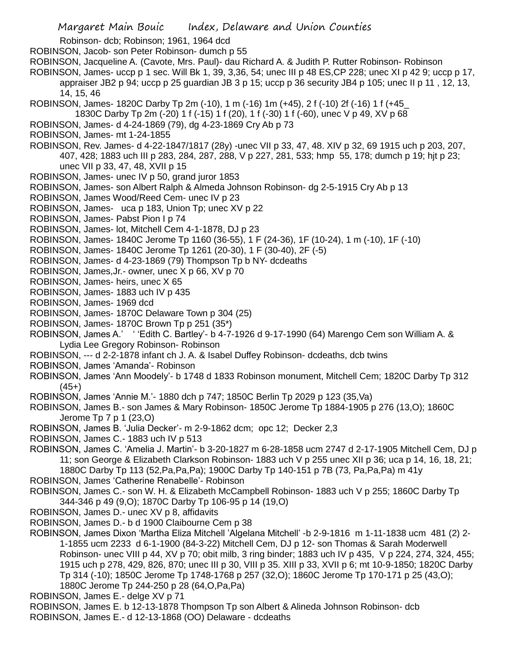Robinson- dcb; Robinson; 1961, 1964 dcd ROBINSON, Jacob- son Peter Robinson- dumch p 55 ROBINSON, Jacqueline A. (Cavote, Mrs. Paul)- dau Richard A. & Judith P. Rutter Robinson- Robinson ROBINSON, James- uccp p 1 sec. Will Bk 1, 39, 3,36, 54; unec III p 48 ES,CP 228; unec XI p 42 9; uccp p 17, appraiser JB2 p 94; uccp p 25 guardian JB 3 p 15; uccp p 36 security JB4 p 105; unec II p 11 , 12, 13, 14, 15, 46 ROBINSON, James- 1820C Darby Tp 2m (-10), 1 m (-16) 1m (+45), 2 f (-10) 2f (-16) 1 f (+45\_ 1830C Darby Tp 2m (-20) 1 f (-15) 1 f (20), 1 f (-30) 1 f (-60), unec V p 49, XV p 68 ROBINSON, James- d 4-24-1869 (79), dg 4-23-1869 Cry Ab p 73 ROBINSON, James- mt 1-24-1855 ROBINSON, Rev. James- d 4-22-1847/1817 (28y) -unec VII p 33, 47, 48. XIV p 32, 69 1915 uch p 203, 207, 407, 428; 1883 uch III p 283, 284, 287, 288, V p 227, 281, 533; hmp 55, 178; dumch p 19; hjt p 23; unec VII p 33, 47, 48, XVII p 15 ROBINSON, James- unec IV p 50, grand juror 1853 ROBINSON, James- son Albert Ralph & Almeda Johnson Robinson- dg 2-5-1915 Cry Ab p 13 ROBINSON, James Wood/Reed Cem- unec IV p 23 ROBINSON, James- uca p 183, Union Tp; unec XV p 22 ROBINSON, James- Pabst Pion I p 74 ROBINSON, James- lot, Mitchell Cem 4-1-1878, DJ p 23 ROBINSON, James- 1840C Jerome Tp 1160 (36-55), 1 F (24-36), 1F (10-24), 1 m (-10), 1F (-10) ROBINSON, James- 1840C Jerome Tp 1261 (20-30), 1 F (30-40), 2F (-5) ROBINSON, James- d 4-23-1869 (79) Thompson Tp b NY- dcdeaths ROBINSON, James,Jr.- owner, unec X p 66, XV p 70 ROBINSON, James- heirs, unec X 65 ROBINSON, James- 1883 uch IV p 435 ROBINSON, James- 1969 dcd ROBINSON, James- 1870C Delaware Town p 304 (25) ROBINSON, James- 1870C Brown Tp p 251 (35\*) ROBINSON, James A.' ' 'Edith C. Bartley'- b 4-7-1926 d 9-17-1990 (64) Marengo Cem son William A. & Lydia Lee Gregory Robinson- Robinson ROBINSON, --- d 2-2-1878 infant ch J. A. & Isabel Duffey Robinson- dcdeaths, dcb twins ROBINSON, James 'Amanda'- Robinson ROBINSON, James 'Ann Moodely'- b 1748 d 1833 Robinson monument, Mitchell Cem; 1820C Darby Tp 312  $(45+)$ ROBINSON, James 'Annie M.'- 1880 dch p 747; 1850C Berlin Tp 2029 p 123 (35,Va) ROBINSON, James B.- son James & Mary Robinson- 1850C Jerome Tp 1884-1905 p 276 (13,O); 1860C Jerome Tp 7 p 1 (23,O) ROBINSON, James B. 'Julia Decker'- m 2-9-1862 dcm; opc 12; Decker 2,3 ROBINSON, James C.- 1883 uch IV p 513 ROBINSON, James C. 'Amelia J. Martin'- b 3-20-1827 m 6-28-1858 ucm 2747 d 2-17-1905 Mitchell Cem, DJ p 11; son George & Elizabeth Clarkson Robinson- 1883 uch V p 255 unec XII p 36; uca p 14, 16, 18, 21; 1880C Darby Tp 113 (52,Pa,Pa,Pa); 1900C Darby Tp 140-151 p 7B (73, Pa,Pa,Pa) m 41y ROBINSON, James 'Catherine Renabelle'- Robinson ROBINSON, James C.- son W. H. & Elizabeth McCampbell Robinson- 1883 uch V p 255; 1860C Darby Tp 344-346 p 49 (9,O); 1870C Darby Tp 106-95 p 14 (19,O) ROBINSON, James D.- unec XV p 8, affidavits ROBINSON, James D.- b d 1900 Claibourne Cem p 38 ROBINSON, James Dixon 'Martha Eliza Mitchell 'Algelana Mitchell' -b 2-9-1816 m 1-11-1838 ucm 481 (2) 2- 1-1855 ucm 2233 d 6-1-1900 (84-3-22) Mitchell Cem, DJ p 12- son Thomas & Sarah Moderwell Robinson- unec VIII p 44, XV p 70; obit milb, 3 ring binder; 1883 uch IV p 435, V p 224, 274, 324, 455; 1915 uch p 278, 429, 826, 870; unec III p 30, VIII p 35. XIII p 33, XVII p 6; mt 10-9-1850; 1820C Darby Tp 314 (-10); 1850C Jerome Tp 1748-1768 p 257 (32,O); 1860C Jerome Tp 170-171 p 25 (43,O);

- 1880C Jerome Tp 244-250 p 28 (64,O,Pa,Pa)
- ROBINSON, James E.- delge XV p 71
- ROBINSON, James E. b 12-13-1878 Thompson Tp son Albert & Alineda Johnson Robinson- dcb ROBINSON, James E.- d 12-13-1868 (OO) Delaware - dcdeaths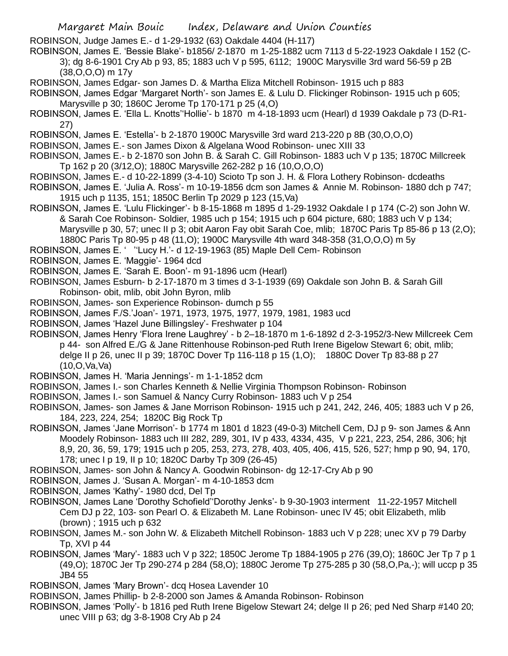- ROBINSON, Judge James E.- d 1-29-1932 (63) Oakdale 4404 (H-117)
- ROBINSON, James E. 'Bessie Blake'- b1856/ 2-1870 m 1-25-1882 ucm 7113 d 5-22-1923 Oakdale I 152 (C-3); dg 8-6-1901 Cry Ab p 93, 85; 1883 uch V p 595, 6112; 1900C Marysville 3rd ward 56-59 p 2B (38,O,O,O) m 17y
- ROBINSON, James Edgar- son James D. & Martha Eliza Mitchell Robinson- 1915 uch p 883
- ROBINSON, James Edgar 'Margaret North'- son James E. & Lulu D. Flickinger Robinson- 1915 uch p 605; Marysville p 30; 1860C Jerome Tp 170-171 p 25 (4,O)
- ROBINSON, James E. 'Ella L. Knotts''Hollie'- b 1870 m 4-18-1893 ucm (Hearl) d 1939 Oakdale p 73 (D-R1- 27)
- ROBINSON, James E. 'Estella'- b 2-1870 1900C Marysville 3rd ward 213-220 p 8B (30,O,O,O)
- ROBINSON, James E.- son James Dixon & Algelana Wood Robinson- unec XIII 33
- ROBINSON, James E.- b 2-1870 son John B. & Sarah C. Gill Robinson- 1883 uch V p 135; 1870C Millcreek Tp 162 p 20 (3/12,O); 1880C Marysville 262-282 p 16 (10,O,O,O)
- ROBINSON, James E.- d 10-22-1899 (3-4-10) Scioto Tp son J. H. & Flora Lothery Robinson- dcdeaths
- ROBINSON, James E. 'Julia A. Ross'- m 10-19-1856 dcm son James & Annie M. Robinson- 1880 dch p 747; 1915 uch p 1135, 151; 1850C Berlin Tp 2029 p 123 (15,Va)
- ROBINSON, James E. 'Lulu Flickinger'- b 8-15-1868 m 1895 d 1-29-1932 Oakdale I p 174 (C-2) son John W. & Sarah Coe Robinson- Soldier, 1985 uch p 154; 1915 uch p 604 picture, 680; 1883 uch V p 134; Marysville p 30, 57; unec II p 3; obit Aaron Fay obit Sarah Coe, mlib; 1870C Paris Tp 85-86 p 13 (2,O); 1880C Paris Tp 80-95 p 48 (11,O); 1900C Marysville 4th ward 348-358 (31,O,O,O) m 5y

ROBINSON, James E. ' ''Lucy H.'- d 12-19-1963 (85) Maple Dell Cem- Robinson

- ROBINSON, James E. 'Maggie'- 1964 dcd
- ROBINSON, James E. 'Sarah E. Boon'- m 91-1896 ucm (Hearl)
- ROBINSON, James Esburn- b 2-17-1870 m 3 times d 3-1-1939 (69) Oakdale son John B. & Sarah Gill Robinson- obit, mlib, obit John Byron, mlib
- ROBINSON, James- son Experience Robinson- dumch p 55
- ROBINSON, James F./S.'Joan'- 1971, 1973, 1975, 1977, 1979, 1981, 1983 ucd
- ROBINSON, James 'Hazel June Billingsley'- Freshwater p 104
- ROBINSON, James Henry 'Flora Irene Laughrey' b 2–18-1870 m 1-6-1892 d 2-3-1952/3-New Millcreek Cem p 44- son Alfred E./G & Jane Rittenhouse Robinson-ped Ruth Irene Bigelow Stewart 6; obit, mlib; delge II p 26, unec II p 39; 1870C Dover Tp 116-118 p 15 (1,O); 1880C Dover Tp 83-88 p 27 (10,O,Va,Va)
- ROBINSON, James H. 'Maria Jennings'- m 1-1-1852 dcm
- ROBINSON, James I.- son Charles Kenneth & Nellie Virginia Thompson Robinson- Robinson
- ROBINSON, James I.- son Samuel & Nancy Curry Robinson- 1883 uch V p 254
- ROBINSON, James- son James & Jane Morrison Robinson- 1915 uch p 241, 242, 246, 405; 1883 uch V p 26, 184, 223, 224, 254; 1820C Big Rock Tp
- ROBINSON, James 'Jane Morrison'- b 1774 m 1801 d 1823 (49-0-3) Mitchell Cem, DJ p 9- son James & Ann Moodely Robinson- 1883 uch III 282, 289, 301, IV p 433, 4334, 435, V p 221, 223, 254, 286, 306; hjt 8,9, 20, 36, 59, 179; 1915 uch p 205, 253, 273, 278, 403, 405, 406, 415, 526, 527; hmp p 90, 94, 170, 178; unec I p 19, II p 10; 1820C Darby Tp 309 (26-45)
- ROBINSON, James- son John & Nancy A. Goodwin Robinson- dg 12-17-Cry Ab p 90
- ROBINSON, James J. 'Susan A. Morgan'- m 4-10-1853 dcm
- ROBINSON, James 'Kathy'- 1980 dcd, Del Tp
- ROBINSON, James Lane 'Dorothy Schofield''Dorothy Jenks'- b 9-30-1903 interment 11-22-1957 Mitchell Cem DJ p 22, 103- son Pearl O. & Elizabeth M. Lane Robinson- unec IV 45; obit Elizabeth, mlib (brown) ; 1915 uch p 632
- ROBINSON, James M.- son John W. & Elizabeth Mitchell Robinson- 1883 uch V p 228; unec XV p 79 Darby Tp, XVI p 44
- ROBINSON, James 'Mary'- 1883 uch V p 322; 1850C Jerome Tp 1884-1905 p 276 (39,O); 1860C Jer Tp 7 p 1 (49,O); 1870C Jer Tp 290-274 p 284 (58,O); 1880C Jerome Tp 275-285 p 30 (58,O,Pa,-); will uccp p 35 JB4 55

ROBINSON, James 'Mary Brown'- dcq Hosea Lavender 10

ROBINSON, James Phillip- b 2-8-2000 son James & Amanda Robinson- Robinson

ROBINSON, James 'Polly'- b 1816 ped Ruth Irene Bigelow Stewart 24; delge II p 26; ped Ned Sharp #140 20; unec VIII p 63; dg 3-8-1908 Cry Ab p 24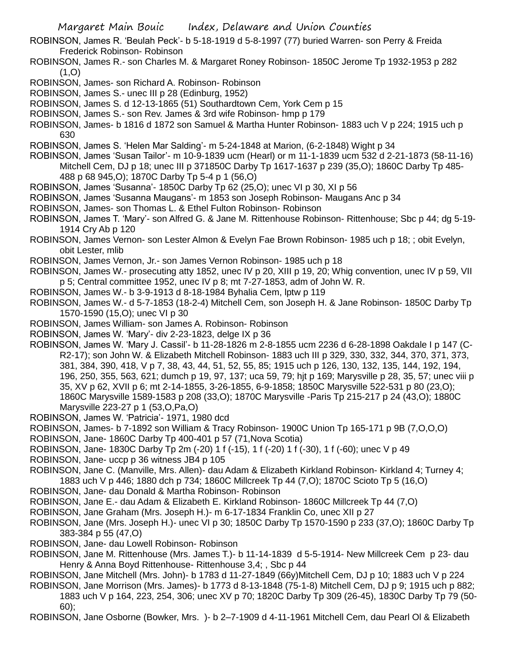ROBINSON, James R. 'Beulah Peck'- b 5-18-1919 d 5-8-1997 (77) buried Warren- son Perry & Freida Frederick Robinson- Robinson

- ROBINSON, James R.- son Charles M. & Margaret Roney Robinson- 1850C Jerome Tp 1932-1953 p 282  $(1,0)$
- ROBINSON, James- son Richard A. Robinson- Robinson
- ROBINSON, James S.- unec III p 28 (Edinburg, 1952)
- ROBINSON, James S. d 12-13-1865 (51) Southardtown Cem, York Cem p 15
- ROBINSON, James S.- son Rev. James & 3rd wife Robinson- hmp p 179
- ROBINSON, James- b 1816 d 1872 son Samuel & Martha Hunter Robinson- 1883 uch V p 224; 1915 uch p 630
- ROBINSON, James S. 'Helen Mar Salding'- m 5-24-1848 at Marion, (6-2-1848) Wight p 34
- ROBINSON, James 'Susan Tailor'- m 10-9-1839 ucm (Hearl) or m 11-1-1839 ucm 532 d 2-21-1873 (58-11-16) Mitchell Cem, DJ p 18; unec III p 371850C Darby Tp 1617-1637 p 239 (35,O); 1860C Darby Tp 485- 488 p 68 945,O); 1870C Darby Tp 5-4 p 1 (56,O)
- ROBINSON, James 'Susanna'- 1850C Darby Tp 62 (25,O); unec VI p 30, XI p 56
- ROBINSON, James 'Susanna Maugans'- m 1853 son Joseph Robinson- Maugans Anc p 34
- ROBINSON, James- son Thomas L. & Ethel Fulton Robinson- Robinson
- ROBINSON, James T. 'Mary'- son Alfred G. & Jane M. Rittenhouse Robinson- Rittenhouse; Sbc p 44; dg 5-19- 1914 Cry Ab p 120
- ROBINSON, James Vernon- son Lester Almon & Evelyn Fae Brown Robinson- 1985 uch p 18; ; obit Evelyn, obit Lester, mlib
- ROBINSON, James Vernon, Jr.- son James Vernon Robinson- 1985 uch p 18
- ROBINSON, James W.- prosecuting atty 1852, unec IV p 20, XIII p 19, 20; Whig convention, unec IV p 59, VII p 5; Central committee 1952, unec IV p 8; mt 7-27-1853, adm of John W. R.
- ROBINSON, James W.- b 3-9-1913 d 8-18-1984 Byhalia Cem, lptw p 119
- ROBINSON, James W.- d 5-7-1853 (18-2-4) Mitchell Cem, son Joseph H. & Jane Robinson- 1850C Darby Tp 1570-1590 (15,O); unec VI p 30
- ROBINSON, James William- son James A. Robinson- Robinson
- ROBINSON, James W. 'Mary'- div 2-23-1823, delge IX p 36
- ROBINSON, James W. 'Mary J. Cassil'- b 11-28-1826 m 2-8-1855 ucm 2236 d 6-28-1898 Oakdale I p 147 (C-R2-17); son John W. & Elizabeth Mitchell Robinson- 1883 uch III p 329, 330, 332, 344, 370, 371, 373, 381, 384, 390, 418, V p 7, 38, 43, 44, 51, 52, 55, 85; 1915 uch p 126, 130, 132, 135, 144, 192, 194, 196, 250, 355, 563, 621; dumch p 19, 97, 137; uca 59, 79; hjt p 169; Marysville p 28, 35, 57; unec viii p 35, XV p 62, XVII p 6; mt 2-14-1855, 3-26-1855, 6-9-1858; 1850C Marysville 522-531 p 80 (23,O); 1860C Marysville 1589-1583 p 208 (33,O); 1870C Marysville -Paris Tp 215-217 p 24 (43,O); 1880C Marysville 223-27 p 1 (53,O,Pa,O)
- ROBINSON, James W. 'Patricia'- 1971, 1980 dcd
- ROBINSON, James- b 7-1892 son William & Tracy Robinson- 1900C Union Tp 165-171 p 9B (7,O,O,O)
- ROBINSON, Jane- 1860C Darby Tp 400-401 p 57 (71,Nova Scotia)
- ROBINSON, Jane- 1830C Darby Tp 2m (-20) 1 f (-15), 1 f (-20) 1 f (-30), 1 f (-60); unec V p 49
- ROBINSON, Jane- uccp p 36 witness JB4 p 105
- ROBINSON, Jane C. (Manville, Mrs. Allen)- dau Adam & Elizabeth Kirkland Robinson- Kirkland 4; Turney 4; 1883 uch V p 446; 1880 dch p 734; 1860C Millcreek Tp 44 (7,O); 1870C Scioto Tp 5 (16,O)
- ROBINSON, Jane- dau Donald & Martha Robinson- Robinson
- ROBINSON, Jane E.- dau Adam & Elizabeth E. Kirkland Robinson- 1860C Millcreek Tp 44 (7,O)
- ROBINSON, Jane Graham (Mrs. Joseph H.)- m 6-17-1834 Franklin Co, unec XII p 27
- ROBINSON, Jane (Mrs. Joseph H.)- unec VI p 30; 1850C Darby Tp 1570-1590 p 233 (37,O); 1860C Darby Tp 383-384 p 55 (47,O)
- ROBINSON, Jane- dau Lowell Robinson- Robinson
- ROBINSON, Jane M. Rittenhouse (Mrs. James T.)- b 11-14-1839 d 5-5-1914- New Millcreek Cem p 23- dau Henry & Anna Boyd Rittenhouse- Rittenhouse 3,4; , Sbc p 44
- ROBINSON, Jane Mitchell (Mrs. John)- b 1783 d 11-27-1849 (66y)Mitchell Cem, DJ p 10; 1883 uch V p 224
- ROBINSON, Jane Morrison (Mrs. James)- b 1773 d 8-13-1848 (75-1-8) Mitchell Cem, DJ p 9; 1915 uch p 882; 1883 uch V p 164, 223, 254, 306; unec XV p 70; 1820C Darby Tp 309 (26-45), 1830C Darby Tp 79 (50- 60);
- ROBINSON, Jane Osborne (Bowker, Mrs. )- b 2–7-1909 d 4-11-1961 Mitchell Cem, dau Pearl Ol & Elizabeth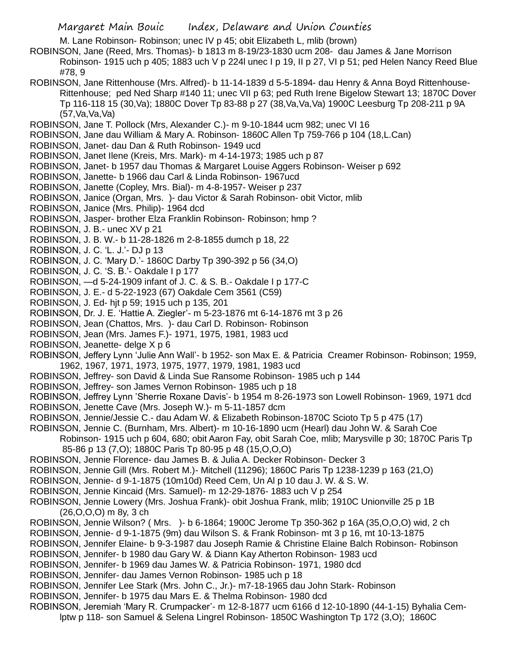M. Lane Robinson- Robinson; unec IV p 45; obit Elizabeth L, mlib (brown)

ROBINSON, Jane (Reed, Mrs. Thomas)- b 1813 m 8-19/23-1830 ucm 208- dau James & Jane Morrison Robinson- 1915 uch p 405; 1883 uch V p 224l unec I p 19, II p 27, VI p 51; ped Helen Nancy Reed Blue #78, 9

- ROBINSON, Jane Rittenhouse (Mrs. Alfred)- b 11-14-1839 d 5-5-1894- dau Henry & Anna Boyd Rittenhouse-Rittenhouse; ped Ned Sharp #140 11; unec VII p 63; ped Ruth Irene Bigelow Stewart 13; 1870C Dover Tp 116-118 15 (30,Va); 1880C Dover Tp 83-88 p 27 (38,Va,Va,Va) 1900C Leesburg Tp 208-211 p 9A (57,Va,Va,Va)
- ROBINSON, Jane T. Pollock (Mrs, Alexander C.)- m 9-10-1844 ucm 982; unec VI 16

ROBINSON, Jane dau William & Mary A. Robinson- 1860C Allen Tp 759-766 p 104 (18,L.Can)

- ROBINSON, Janet- dau Dan & Ruth Robinson- 1949 ucd
- ROBINSON, Janet Ilene (Kreis, Mrs. Mark)- m 4-14-1973; 1985 uch p 87
- ROBINSON, Janet- b 1957 dau Thomas & Margaret Louise Aggers Robinson- Weiser p 692
- ROBINSON, Janette- b 1966 dau Carl & Linda Robinson- 1967ucd
- ROBINSON, Janette (Copley, Mrs. Bial)- m 4-8-1957- Weiser p 237
- ROBINSON, Janice (Organ, Mrs. )- dau Victor & Sarah Robinson- obit Victor, mlib
- ROBINSON, Janice (Mrs. Philip)- 1964 dcd
- ROBINSON, Jasper- brother Elza Franklin Robinson- Robinson; hmp ?
- ROBINSON, J. B.- unec XV p 21
- ROBINSON, J. B. W.- b 11-28-1826 m 2-8-1855 dumch p 18, 22
- ROBINSON, J. C. 'L. J.'- DJ p 13
- ROBINSON, J. C. 'Mary D.'- 1860C Darby Tp 390-392 p 56 (34,O)
- ROBINSON, J. C. 'S. B.'- Oakdale I p 177
- ROBINSON, —d 5-24-1909 infant of J. C. & S. B.- Oakdale I p 177-C
- ROBINSON, J. E.- d 5-22-1923 (67) Oakdale Cem 3561 (C59)
- ROBINSON, J. Ed- hjt p 59; 1915 uch p 135, 201
- ROBINSON, Dr. J. E. 'Hattie A. Ziegler'- m 5-23-1876 mt 6-14-1876 mt 3 p 26
- ROBINSON, Jean (Chattos, Mrs. )- dau Carl D. Robinson- Robinson
- ROBINSON, Jean (Mrs. James F.)- 1971, 1975, 1981, 1983 ucd
- ROBINSON, Jeanette- delge X p 6
- ROBINSON, Jeffery Lynn 'Julie Ann Wall'- b 1952- son Max E. & Patricia Creamer Robinson- Robinson; 1959, 1962, 1967, 1971, 1973, 1975, 1977, 1979, 1981, 1983 ucd
- ROBINSON, Jeffrey- son David & Linda Sue Ransome Robinson- 1985 uch p 144
- ROBINSON, Jeffrey- son James Vernon Robinson- 1985 uch p 18
- ROBINSON, Jeffrey Lynn 'Sherrie Roxane Davis'- b 1954 m 8-26-1973 son Lowell Robinson- 1969, 1971 dcd
- ROBINSON, Jenette Cave (Mrs. Joseph W.)- m 5-11-1857 dcm
- ROBINSON, Jennie/Jessie C.- dau Adam W. & Elizabeth Robinson-1870C Scioto Tp 5 p 475 (17)
- ROBINSON, Jennie C. (Burnham, Mrs. Albert)- m 10-16-1890 ucm (Hearl) dau John W. & Sarah Coe
	- Robinson- 1915 uch p 604, 680; obit Aaron Fay, obit Sarah Coe, mlib; Marysville p 30; 1870C Paris Tp 85-86 p 13 (7,O); 1880C Paris Tp 80-95 p 48 (15,O,O,O)
- ROBINSON, Jennie Florence- dau James B. & Julia A. Decker Robinson- Decker 3
- ROBINSON, Jennie Gill (Mrs. Robert M.)- Mitchell (11296); 1860C Paris Tp 1238-1239 p 163 (21,O)
- ROBINSON, Jennie- d 9-1-1875 (10m10d) Reed Cem, Un Al p 10 dau J. W. & S. W.
- ROBINSON, Jennie Kincaid (Mrs. Samuel)- m 12-29-1876- 1883 uch V p 254
- ROBINSON, Jennie Lowery (Mrs. Joshua Frank)- obit Joshua Frank, mlib; 1910C Unionville 25 p 1B (26,O,O,O) m 8y, 3 ch
- ROBINSON, Jennie Wilson? ( Mrs. )- b 6-1864; 1900C Jerome Tp 350-362 p 16A (35,O,O,O) wid, 2 ch
- ROBINSON, Jennie- d 9-1-1875 (9m) dau Wilson S. & Frank Robinson- mt 3 p 16, mt 10-13-1875
- ROBINSON, Jennifer Elaine- b 9-3-1987 dau Joseph Ramie & Christine Elaine Balch Robinson- Robinson
- ROBINSON, Jennifer- b 1980 dau Gary W. & Diann Kay Atherton Robinson- 1983 ucd
- ROBINSON, Jennifer- b 1969 dau James W. & Patricia Robinson- 1971, 1980 dcd
- ROBINSON, Jennifer- dau James Vernon Robinson- 1985 uch p 18
- ROBINSON, Jennifer Lee Stark (Mrs. John C., Jr.)- m7-18-1965 dau John Stark- Robinson
- ROBINSON, Jennifer- b 1975 dau Mars E. & Thelma Robinson- 1980 dcd
- ROBINSON, Jeremiah 'Mary R. Crumpacker'- m 12-8-1877 ucm 6166 d 12-10-1890 (44-1-15) Byhalia Cemlptw p 118- son Samuel & Selena Lingrel Robinson- 1850C Washington Tp 172 (3,O); 1860C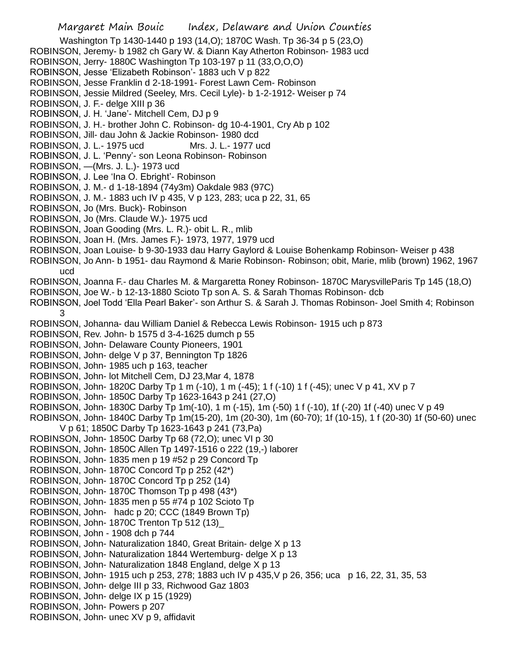Margaret Main Bouic Index, Delaware and Union Counties Washington Tp 1430-1440 p 193 (14,O); 1870C Wash. Tp 36-34 p 5 (23,O) ROBINSON, Jeremy- b 1982 ch Gary W. & Diann Kay Atherton Robinson- 1983 ucd ROBINSON, Jerry- 1880C Washington Tp 103-197 p 11 (33,O,O,O) ROBINSON, Jesse 'Elizabeth Robinson'- 1883 uch V p 822 ROBINSON, Jesse Franklin d 2-18-1991- Forest Lawn Cem- Robinson ROBINSON, Jessie Mildred (Seeley, Mrs. Cecil Lyle)- b 1-2-1912- Weiser p 74 ROBINSON, J. F.- delge XIII p 36 ROBINSON, J. H. 'Jane'- Mitchell Cem, DJ p 9 ROBINSON, J. H.- brother John C. Robinson- dg 10-4-1901, Cry Ab p 102 ROBINSON, Jill- dau John & Jackie Robinson- 1980 dcd ROBINSON, J. L.- 1975 ucd Mrs. J. L.- 1977 ucd ROBINSON, J. L. 'Penny'- son Leona Robinson- Robinson ROBINSON, —(Mrs. J. L.)- 1973 ucd ROBINSON, J. Lee 'Ina O. Ebright'- Robinson ROBINSON, J. M.- d 1-18-1894 (74y3m) Oakdale 983 (97C) ROBINSON, J. M.- 1883 uch IV p 435, V p 123, 283; uca p 22, 31, 65 ROBINSON, Jo (Mrs. Buck)- Robinson ROBINSON, Jo (Mrs. Claude W.)- 1975 ucd ROBINSON, Joan Gooding (Mrs. L. R.)- obit L. R., mlib ROBINSON, Joan H. (Mrs. James F.)- 1973, 1977, 1979 ucd ROBINSON, Joan Louise- b 9-30-1933 dau Harry Gaylord & Louise Bohenkamp Robinson- Weiser p 438 ROBINSON, Jo Ann- b 1951- dau Raymond & Marie Robinson- Robinson; obit, Marie, mlib (brown) 1962, 1967 ucd ROBINSON, Joanna F.- dau Charles M. & Margaretta Roney Robinson- 1870C MarysvilleParis Tp 145 (18,O) ROBINSON, Joe W.- b 12-13-1880 Scioto Tp son A. S. & Sarah Thomas Robinson- dcb ROBINSON, Joel Todd 'Ella Pearl Baker'- son Arthur S. & Sarah J. Thomas Robinson- Joel Smith 4; Robinson 3 ROBINSON, Johanna- dau William Daniel & Rebecca Lewis Robinson- 1915 uch p 873 ROBINSON, Rev. John- b 1575 d 3-4-1625 dumch p 55 ROBINSON, John- Delaware County Pioneers, 1901 ROBINSON, John- delge V p 37, Bennington Tp 1826 ROBINSON, John- 1985 uch p 163, teacher ROBINSON, John- lot Mitchell Cem, DJ 23,Mar 4, 1878 ROBINSON, John- 1820C Darby Tp 1 m (-10), 1 m (-45); 1 f (-10) 1 f (-45); unec V p 41, XV p 7 ROBINSON, John- 1850C Darby Tp 1623-1643 p 241 (27,O) ROBINSON, John- 1830C Darby Tp 1m(-10), 1 m (-15), 1m (-50) 1 f (-10), 1f (-20) 1f (-40) unec V p 49 ROBINSON, John- 1840C Darby Tp 1m(15-20), 1m (20-30), 1m (60-70); 1f (10-15), 1 f (20-30) 1f (50-60) unec V p 61; 1850C Darby Tp 1623-1643 p 241 (73,Pa) ROBINSON, John- 1850C Darby Tp 68 (72,O); unec VI p 30 ROBINSON, John- 1850C Allen Tp 1497-1516 o 222 (19,-) laborer ROBINSON, John- 1835 men p 19 #52 p 29 Concord Tp ROBINSON, John- 1870C Concord Tp p 252 (42\*) ROBINSON, John- 1870C Concord Tp p 252 (14) ROBINSON, John- 1870C Thomson Tp p 498 (43\*) ROBINSON, John- 1835 men p 55 #74 p 102 Scioto Tp ROBINSON, John- hadc p 20; CCC (1849 Brown Tp) ROBINSON, John- 1870C Trenton Tp 512 (13)\_ ROBINSON, John - 1908 dch p 744 ROBINSON, John- Naturalization 1840, Great Britain- delge X p 13 ROBINSON, John- Naturalization 1844 Wertemburg- delge X p 13 ROBINSON, John- Naturalization 1848 England, delge X p 13 ROBINSON, John- 1915 uch p 253, 278; 1883 uch IV p 435,V p 26, 356; uca p 16, 22, 31, 35, 53 ROBINSON, John- delge III p 33, Richwood Gaz 1803 ROBINSON, John- delge IX p 15 (1929) ROBINSON, John- Powers p 207 ROBINSON, John- unec XV p 9, affidavit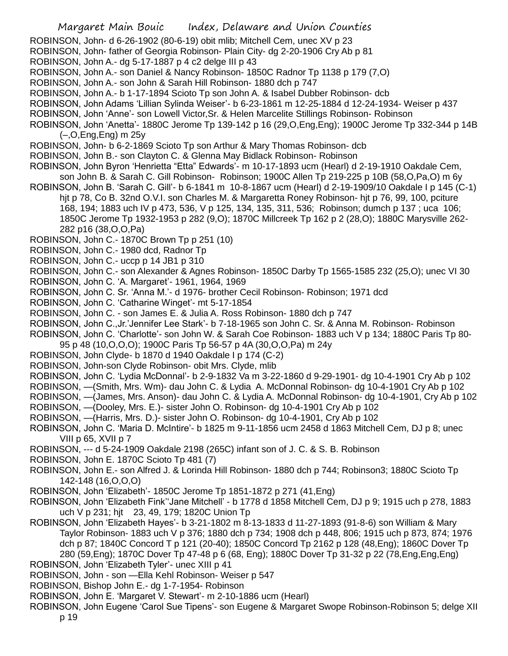- Margaret Main Bouic Index, Delaware and Union Counties
- ROBINSON, John- d 6-26-1902 (80-6-19) obit mlib; Mitchell Cem, unec XV p 23
- ROBINSON, John- father of Georgia Robinson- Plain City- dg 2-20-1906 Cry Ab p 81
- ROBINSON, John A.- dg 5-17-1887 p 4 c2 delge III p 43
- ROBINSON, John A.- son Daniel & Nancy Robinson- 1850C Radnor Tp 1138 p 179 (7,O)
- ROBINSON, John A.- son John & Sarah Hill Robinson- 1880 dch p 747
- ROBINSON, John A.- b 1-17-1894 Scioto Tp son John A. & Isabel Dubber Robinson- dcb
- ROBINSON, John Adams 'Lillian Sylinda Weiser'- b 6-23-1861 m 12-25-1884 d 12-24-1934- Weiser p 437
- ROBINSON, John 'Anne'- son Lowell Victor,Sr. & Helen Marcelite Stillings Robinson- Robinson
- ROBINSON, John 'Anetta'- 1880C Jerome Tp 139-142 p 16 (29,O,Eng,Eng); 1900C Jerome Tp 332-344 p 14B (–,O,Eng,Eng) m 25y
- ROBINSON, John- b 6-2-1869 Scioto Tp son Arthur & Mary Thomas Robinson- dcb
- ROBINSON, John B.- son Clayton C. & Glenna May Bidlack Robinson- Robinson
- ROBINSON, John Byron 'Henrietta "Etta" Edwards'- m 10-17-1893 ucm (Hearl) d 2-19-1910 Oakdale Cem, son John B. & Sarah C. Gill Robinson- Robinson; 1900C Allen Tp 219-225 p 10B (58,O,Pa,O) m 6y
- ROBINSON, John B. 'Sarah C. Gill'- b 6-1841 m 10-8-1867 ucm (Hearl) d 2-19-1909/10 Oakdale I p 145 (C-1) hjt p 78, Co B. 32nd O.V.I. son Charles M. & Margaretta Roney Robinson- hjt p 76, 99, 100, pciture 168, 194; 1883 uch IV p 473, 536, V p 125, 134, 135, 311, 536; Robinson; dumch p 137 ; uca 106; 1850C Jerome Tp 1932-1953 p 282 (9,O); 1870C Millcreek Tp 162 p 2 (28,O); 1880C Marysville 262- 282 p16 (38,O,O,Pa)
- ROBINSON, John C.- 1870C Brown Tp p 251 (10)
- ROBINSON, John C.- 1980 dcd, Radnor Tp
- ROBINSON, John C.- uccp p 14 JB1 p 310
- ROBINSON, John C.- son Alexander & Agnes Robinson- 1850C Darby Tp 1565-1585 232 (25,O); unec VI 30
- ROBINSON, John C. 'A. Margaret'- 1961, 1964, 1969
- ROBINSON, John C. Sr. 'Anna M.'- d 1976- brother Cecil Robinson- Robinson; 1971 dcd
- ROBINSON, John C. 'Catharine Winget'- mt 5-17-1854
- ROBINSON, John C. son James E. & Julia A. Ross Robinson- 1880 dch p 747
- ROBINSON, John C.,Jr.'Jennifer Lee Stark'- b 7-18-1965 son John C. Sr. & Anna M. Robinson- Robinson
- ROBINSON, John C. 'Charlotte'- son John W. & Sarah Coe Robinson- 1883 uch V p 134; 1880C Paris Tp 80- 95 p 48 (10,O,O,O); 1900C Paris Tp 56-57 p 4A (30,O,O,Pa) m 24y
- ROBINSON, John Clyde- b 1870 d 1940 Oakdale I p 174 (C-2)
- ROBINSON, John-son Clyde Robinson- obit Mrs. Clyde, mlib
- ROBINSON, John C. 'Lydia McDonnal'- b 2-9-1832 Va m 3-22-1860 d 9-29-1901- dg 10-4-1901 Cry Ab p 102
- ROBINSON, —(Smith, Mrs. Wm)- dau John C. & Lydia A. McDonnal Robinson- dg 10-4-1901 Cry Ab p 102
- ROBINSON, —(James, Mrs. Anson)- dau John C. & Lydia A. McDonnal Robinson- dg 10-4-1901, Cry Ab p 102
- ROBINSON, —(Dooley, Mrs. E.)- sister John O. Robinson- dg 10-4-1901 Cry Ab p 102
- ROBINSON, —(Harris, Mrs. D.)- sister John O. Robinson- dg 10-4-1901, Cry Ab p 102
- ROBINSON, John C. 'Maria D. McIntire'- b 1825 m 9-11-1856 ucm 2458 d 1863 Mitchell Cem, DJ p 8; unec VIII p 65, XVII p 7
- ROBINSON, --- d 5-24-1909 Oakdale 2198 (265C) infant son of J. C. & S. B. Robinson
- ROBINSON, John E. 1870C Scioto Tp 481 (7)
- ROBINSON, John E.- son Alfred J. & Lorinda Hill Robinson- 1880 dch p 744; Robinson3; 1880C Scioto Tp 142-148 (16,O,O,O)
- ROBINSON, John 'Elizabeth'- 1850C Jerome Tp 1851-1872 p 271 (41,Eng)
- ROBINSON, John 'Elizabeth Fink''Jane Mitchell' b 1778 d 1858 Mitchell Cem, DJ p 9; 1915 uch p 278, 1883 uch V p 231; hjt 23, 49, 179; 1820C Union Tp
- ROBINSON, John 'Elizabeth Hayes'- b 3-21-1802 m 8-13-1833 d 11-27-1893 (91-8-6) son William & Mary Taylor Robinson- 1883 uch V p 376; 1880 dch p 734; 1908 dch p 448, 806; 1915 uch p 873, 874; 1976 dch p 87; 1840C Concord T p 121 (20-40); 1850C Concord Tp 2162 p 128 (48,Eng); 1860C Dover Tp 280 (59,Eng); 1870C Dover Tp 47-48 p 6 (68, Eng); 1880C Dover Tp 31-32 p 22 (78,Eng,Eng,Eng)
- ROBINSON, John 'Elizabeth Tyler'- unec XIII p 41
- ROBINSON, John son —Ella Kehl Robinson- Weiser p 547
- ROBINSON, Bishop John E.- dg 1-7-1954- Robinson
- ROBINSON, John E. 'Margaret V. Stewart'- m 2-10-1886 ucm (Hearl)
- ROBINSON, John Eugene 'Carol Sue Tipens'- son Eugene & Margaret Swope Robinson-Robinson 5; delge XII p 19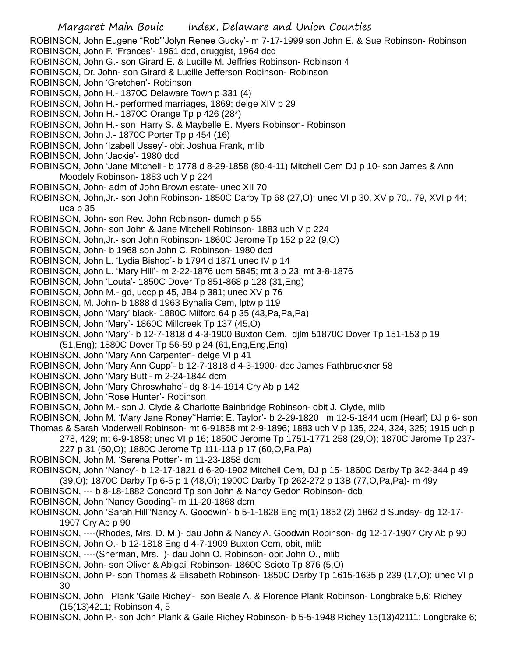ROBINSON, John Eugene "Rob"'Jolyn Renee Gucky'- m 7-17-1999 son John E. & Sue Robinson- Robinson ROBINSON, John F. 'Frances'- 1961 dcd, druggist, 1964 dcd ROBINSON, John G.- son Girard E. & Lucille M. Jeffries Robinson- Robinson 4 ROBINSON, Dr. John- son Girard & Lucille Jefferson Robinson- Robinson ROBINSON, John 'Gretchen'- Robinson ROBINSON, John H.- 1870C Delaware Town p 331 (4) ROBINSON, John H.- performed marriages, 1869; delge XIV p 29 ROBINSON, John H.- 1870C Orange Tp p 426 (28\*) ROBINSON, John H.- son Harry S. & Maybelle E. Myers Robinson- Robinson ROBINSON, John J.- 1870C Porter Tp p 454 (16) ROBINSON, John 'Izabell Ussey'- obit Joshua Frank, mlib ROBINSON, John 'Jackie'- 1980 dcd ROBINSON, John 'Jane Mitchell'- b 1778 d 8-29-1858 (80-4-11) Mitchell Cem DJ p 10- son James & Ann Moodely Robinson- 1883 uch V p 224 ROBINSON, John- adm of John Brown estate- unec XII 70 ROBINSON, John,Jr.- son John Robinson- 1850C Darby Tp 68 (27,O); unec VI p 30, XV p 70,. 79, XVI p 44; uca p 35 ROBINSON, John- son Rev. John Robinson- dumch p 55 ROBINSON, John- son John & Jane Mitchell Robinson- 1883 uch V p 224 ROBINSON, John,Jr.- son John Robinson- 1860C Jerome Tp 152 p 22 (9,O) ROBINSON, John- b 1968 son John C. Robinson- 1980 dcd ROBINSON, John L. 'Lydia Bishop'- b 1794 d 1871 unec IV p 14 ROBINSON, John L. 'Mary Hill'- m 2-22-1876 ucm 5845; mt 3 p 23; mt 3-8-1876 ROBINSON, John 'Louta'- 1850C Dover Tp 851-868 p 128 (31,Eng) ROBINSON, John M.- gd, uccp p 45, JB4 p 381; unec XV p 76 ROBINSON, M. John- b 1888 d 1963 Byhalia Cem, lptw p 119 ROBINSON, John 'Mary' black- 1880C Milford 64 p 35 (43,Pa,Pa,Pa) ROBINSON, John 'Mary'- 1860C Millcreek Tp 137 (45,O) ROBINSON, John 'Mary'- b 12-7-1818 d 4-3-1900 Buxton Cem, djlm 51870C Dover Tp 151-153 p 19 (51,Eng); 1880C Dover Tp 56-59 p 24 (61,Eng,Eng,Eng) ROBINSON, John 'Mary Ann Carpenter'- delge VI p 41 ROBINSON, John 'Mary Ann Cupp'- b 12-7-1818 d 4-3-1900- dcc James Fathbruckner 58 ROBINSON, John 'Mary Butt'- m 2-24-1844 dcm ROBINSON, John 'Mary Chroswhahe'- dg 8-14-1914 Cry Ab p 142 ROBINSON, John 'Rose Hunter'- Robinson ROBINSON, John M.- son J. Clyde & Charlotte Bainbridge Robinson- obit J. Clyde, mlib ROBINSON, John M. 'Mary Jane Roney''Harriet E. Taylor'- b 2-29-1820 m 12-5-1844 ucm (Hearl) DJ p 6- son Thomas & Sarah Moderwell Robinson- mt 6-91858 mt 2-9-1896; 1883 uch V p 135, 224, 324, 325; 1915 uch p 278, 429; mt 6-9-1858; unec VI p 16; 1850C Jerome Tp 1751-1771 258 (29,O); 1870C Jerome Tp 237- 227 p 31 (50,O); 1880C Jerome Tp 111-113 p 17 (60,O,Pa,Pa) ROBINSON, John M. 'Serena Potter'- m 11-23-1858 dcm

- ROBINSON, John 'Nancy'- b 12-17-1821 d 6-20-1902 Mitchell Cem, DJ p 15- 1860C Darby Tp 342-344 p 49 (39,O); 1870C Darby Tp 6-5 p 1 (48,O); 1900C Darby Tp 262-272 p 13B (77,O,Pa,Pa)- m 49y
- ROBINSON, --- b 8-18-1882 Concord Tp son John & Nancy Gedon Robinson- dcb
- ROBINSON, John 'Nancy Gooding'- m 11-20-1868 dcm
- ROBINSON, John 'Sarah Hill''Nancy A. Goodwin'- b 5-1-1828 Eng m(1) 1852 (2) 1862 d Sunday- dg 12-17- 1907 Cry Ab p 90
- ROBINSON, ----(Rhodes, Mrs. D. M.)- dau John & Nancy A. Goodwin Robinson- dg 12-17-1907 Cry Ab p 90 ROBINSON, John O.- b 12-1818 Eng d 4-7-1909 Buxton Cem, obit, mlib
- ROBINSON, ----(Sherman, Mrs. )- dau John O. Robinson- obit John O., mlib
- ROBINSON, John- son Oliver & Abigail Robinson- 1860C Scioto Tp 876 (5,O)
- ROBINSON, John P- son Thomas & Elisabeth Robinson- 1850C Darby Tp 1615-1635 p 239 (17,O); unec VI p 30
- ROBINSON, John Plank 'Gaile Richey'- son Beale A. & Florence Plank Robinson- Longbrake 5,6; Richey (15(13)4211; Robinson 4, 5
- ROBINSON, John P.- son John Plank & Gaile Richey Robinson- b 5-5-1948 Richey 15(13)42111; Longbrake 6;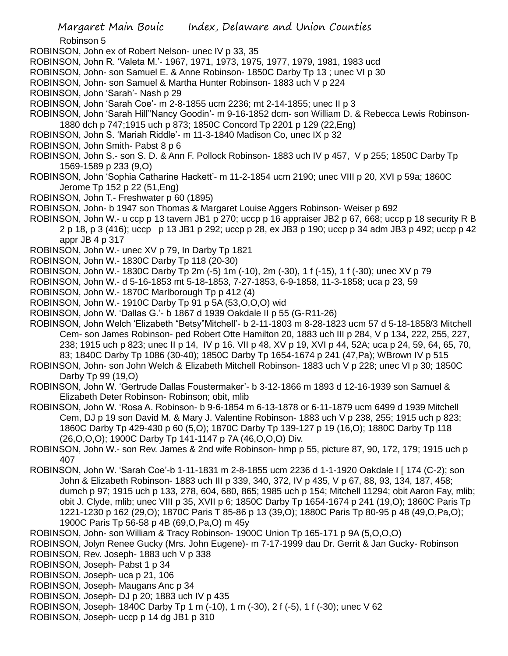Robinson 5

- ROBINSON, John ex of Robert Nelson- unec IV p 33, 35
- ROBINSON, John R. 'Valeta M.'- 1967, 1971, 1973, 1975, 1977, 1979, 1981, 1983 ucd
- ROBINSON, John- son Samuel E. & Anne Robinson- 1850C Darby Tp 13 ; unec VI p 30
- ROBINSON, John- son Samuel & Martha Hunter Robinson- 1883 uch V p 224
- ROBINSON, John 'Sarah'- Nash p 29
- ROBINSON, John 'Sarah Coe'- m 2-8-1855 ucm 2236; mt 2-14-1855; unec II p 3
- ROBINSON, John 'Sarah Hill''Nancy Goodin'- m 9-16-1852 dcm- son William D. & Rebecca Lewis Robinson-1880 dch p 747;1915 uch p 873; 1850C Concord Tp 2201 p 129 (22,Eng)
- ROBINSON, John S. 'Mariah Riddle'- m 11-3-1840 Madison Co, unec IX p 32
- ROBINSON, John Smith- Pabst 8 p 6
- ROBINSON, John S.- son S. D. & Ann F. Pollock Robinson- 1883 uch IV p 457, V p 255; 1850C Darby Tp 1569-1589 p 233 (9,O)
- ROBINSON, John 'Sophia Catharine Hackett'- m 11-2-1854 ucm 2190; unec VIII p 20, XVI p 59a; 1860C Jerome Tp 152 p 22 (51,Eng)
- ROBINSON, John T.- Freshwater p 60 (1895)
- ROBINSON, John- b 1947 son Thomas & Margaret Louise Aggers Robinson- Weiser p 692
- ROBINSON, John W.- u ccp p 13 tavern JB1 p 270; uccp p 16 appraiser JB2 p 67, 668; uccp p 18 security R B 2 p 18, p 3 (416); uccp p 13 JB1 p 292; uccp p 28, ex JB3 p 190; uccp p 34 adm JB3 p 492; uccp p 42 appr JB 4 p 317
- ROBINSON, John W.- unec XV p 79, In Darby Tp 1821
- ROBINSON, John W.- 1830C Darby Tp 118 (20-30)
- ROBINSON, John W.- 1830C Darby Tp 2m (-5) 1m (-10), 2m (-30), 1 f (-15), 1 f (-30); unec XV p 79
- ROBINSON, John W.- d 5-16-1853 mt 5-18-1853, 7-27-1853, 6-9-1858, 11-3-1858; uca p 23, 59
- ROBINSON, John W.- 1870C Marlborough Tp p 412 (4)
- ROBINSON, John W.- 1910C Darby Tp 91 p 5A (53,O,O,O) wid
- ROBINSON, John W. 'Dallas G.'- b 1867 d 1939 Oakdale II p 55 (G-R11-26)
- ROBINSON, John Welch 'Elizabeth "Betsy"Mitchell'- b 2-11-1803 m 8-28-1823 ucm 57 d 5-18-1858/3 Mitchell Cem- son James Robinson- ped Robert Otte Hamilton 20, 1883 uch III p 284, V p 134, 222, 255, 227, 238; 1915 uch p 823; unec II p 14, IV p 16. VII p 48, XV p 19, XVI p 44, 52A; uca p 24, 59, 64, 65, 70, 83; 1840C Darby Tp 1086 (30-40); 1850C Darby Tp 1654-1674 p 241 (47,Pa); WBrown IV p 515
- ROBINSON, John- son John Welch & Elizabeth Mitchell Robinson- 1883 uch V p 228; unec VI p 30; 1850C Darby Tp 99 (19,O)
- ROBINSON, John W. 'Gertrude Dallas Foustermaker'- b 3-12-1866 m 1893 d 12-16-1939 son Samuel & Elizabeth Deter Robinson- Robinson; obit, mlib
- ROBINSON, John W. 'Rosa A. Robinson- b 9-6-1854 m 6-13-1878 or 6-11-1879 ucm 6499 d 1939 Mitchell Cem, DJ p 19 son David M. & Mary J. Valentine Robinson- 1883 uch V p 238, 255; 1915 uch p 823; 1860C Darby Tp 429-430 p 60 (5,O); 1870C Darby Tp 139-127 p 19 (16,O); 1880C Darby Tp 118 (26,O,O,O); 1900C Darby Tp 141-1147 p 7A (46,O,O,O) Div.
- ROBINSON, John W.- son Rev. James & 2nd wife Robinson- hmp p 55, picture 87, 90, 172, 179; 1915 uch p 407
- ROBINSON, John W. 'Sarah Coe'-b 1-11-1831 m 2-8-1855 ucm 2236 d 1-1-1920 Oakdale I [ 174 (C-2); son John & Elizabeth Robinson- 1883 uch III p 339, 340, 372, IV p 435, V p 67, 88, 93, 134, 187, 458; dumch p 97; 1915 uch p 133, 278, 604, 680, 865; 1985 uch p 154; Mitchell 11294; obit Aaron Fay, mlib; obit J. Clyde, mlib; unec VIII p 35, XVII p 6; 1850C Darby Tp 1654-1674 p 241 (19,O); 1860C Paris Tp 1221-1230 p 162 (29,O); 1870C Paris T 85-86 p 13 (39,O); 1880C Paris Tp 80-95 p 48 (49,O,Pa,O); 1900C Paris Tp 56-58 p 4B (69,O,Pa,O) m 45y
- ROBINSON, John- son William & Tracy Robinson- 1900C Union Tp 165-171 p 9A (5,O,O,O)
- ROBINSON, Jolyn Renee Gucky (Mrs. John Eugene)- m 7-17-1999 dau Dr. Gerrit & Jan Gucky- Robinson ROBINSON, Rev. Joseph- 1883 uch V p 338
- ROBINSON, Joseph- Pabst 1 p 34
- ROBINSON, Joseph- uca p 21, 106
- ROBINSON, Joseph- Maugans Anc p 34
- ROBINSON, Joseph- DJ p 20; 1883 uch IV p 435
- ROBINSON, Joseph- 1840C Darby Tp 1 m (-10), 1 m (-30), 2 f (-5), 1 f (-30); unec V 62
- ROBINSON, Joseph- uccp p 14 dg JB1 p 310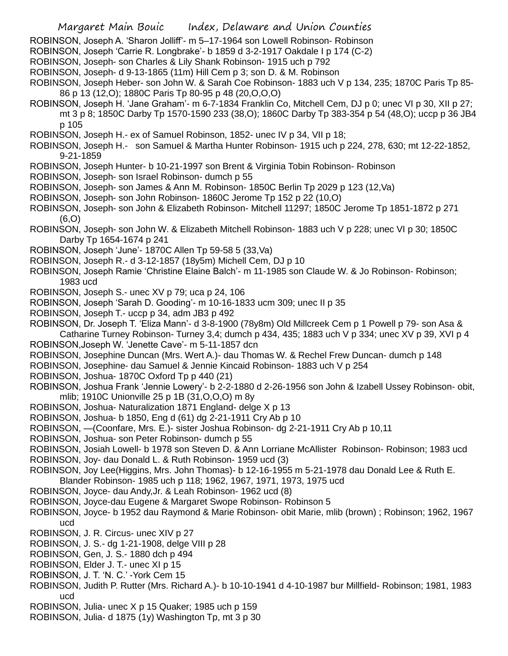- ROBINSON, Joseph A. 'Sharon Jolliff'- m 5–17-1964 son Lowell Robinson- Robinson
- ROBINSON, Joseph 'Carrie R. Longbrake'- b 1859 d 3-2-1917 Oakdale I p 174 (C-2)
- ROBINSON, Joseph- son Charles & Lily Shank Robinson- 1915 uch p 792
- ROBINSON, Joseph- d 9-13-1865 (11m) Hill Cem p 3; son D. & M. Robinson
- ROBINSON, Joseph Heber- son John W. & Sarah Coe Robinson- 1883 uch V p 134, 235; 1870C Paris Tp 85- 86 p 13 (12,O); 1880C Paris Tp 80-95 p 48 (20,O,O,O)
- ROBINSON, Joseph H. 'Jane Graham'- m 6-7-1834 Franklin Co, Mitchell Cem, DJ p 0; unec VI p 30, XII p 27; mt 3 p 8; 1850C Darby Tp 1570-1590 233 (38,O); 1860C Darby Tp 383-354 p 54 (48,O); uccp p 36 JB4 p 105
- ROBINSON, Joseph H.- ex of Samuel Robinson, 1852- unec IV p 34, VII p 18;
- ROBINSON, Joseph H.- son Samuel & Martha Hunter Robinson- 1915 uch p 224, 278, 630; mt 12-22-1852, 9-21-1859
- ROBINSON, Joseph Hunter- b 10-21-1997 son Brent & Virginia Tobin Robinson- Robinson
- ROBINSON, Joseph- son Israel Robinson- dumch p 55
- ROBINSON, Joseph- son James & Ann M. Robinson- 1850C Berlin Tp 2029 p 123 (12,Va)
- ROBINSON, Joseph- son John Robinson- 1860C Jerome Tp 152 p 22 (10,O)
- ROBINSON, Joseph- son John & Elizabeth Robinson- Mitchell 11297; 1850C Jerome Tp 1851-1872 p 271 (6,O)
- ROBINSON, Joseph- son John W. & Elizabeth Mitchell Robinson- 1883 uch V p 228; unec VI p 30; 1850C Darby Tp 1654-1674 p 241
- ROBINSON, Joseph 'June'- 1870C Allen Tp 59-58 5 (33,Va)
- ROBINSON, Joseph R.- d 3-12-1857 (18y5m) Michell Cem, DJ p 10
- ROBINSON, Joseph Ramie 'Christine Elaine Balch'- m 11-1985 son Claude W. & Jo Robinson- Robinson; 1983 ucd
- ROBINSON, Joseph S.- unec XV p 79; uca p 24, 106
- ROBINSON, Joseph 'Sarah D. Gooding'- m 10-16-1833 ucm 309; unec II p 35
- ROBINSON, Joseph T.- uccp p 34, adm JB3 p 492
- ROBINSON, Dr. Joseph T. 'Eliza Mann'- d 3-8-1900 (78y8m) Old Millcreek Cem p 1 Powell p 79- son Asa &
- Catharine Turney Robinson- Turney 3,4; dumch p 434, 435; 1883 uch V p 334; unec XV p 39, XVI p 4 ROBINSON,Joseph W. 'Jenette Cave'- m 5-11-1857 dcn
- ROBINSON, Josephine Duncan (Mrs. Wert A.)- dau Thomas W. & Rechel Frew Duncan- dumch p 148
- ROBINSON, Josephine- dau Samuel & Jennie Kincaid Robinson- 1883 uch V p 254
- ROBINSON, Joshua- 1870C Oxford Tp p 440 (21)
- ROBINSON, Joshua Frank 'Jennie Lowery'- b 2-2-1880 d 2-26-1956 son John & Izabell Ussey Robinson- obit, mlib; 1910C Unionville 25 p 1B (31,O,O,O) m 8y
- ROBINSON, Joshua- Naturalization 1871 England- delge X p 13
- ROBINSON, Joshua- b 1850, Eng d (61) dg 2-21-1911 Cry Ab p 10
- ROBINSON, —(Coonfare, Mrs. E.)- sister Joshua Robinson- dg 2-21-1911 Cry Ab p 10,11
- ROBINSON, Joshua- son Peter Robinson- dumch p 55
- ROBINSON, Josiah Lowell- b 1978 son Steven D. & Ann Lorriane McAllister Robinson- Robinson; 1983 ucd
- ROBINSON, Joy- dau Donald L. & Ruth Robinson- 1959 ucd (3)
- ROBINSON, Joy Lee(Higgins, Mrs. John Thomas)- b 12-16-1955 m 5-21-1978 dau Donald Lee & Ruth E. Blander Robinson- 1985 uch p 118; 1962, 1967, 1971, 1973, 1975 ucd
- ROBINSON, Joyce- dau Andy,Jr. & Leah Robinson- 1962 ucd (8)
- ROBINSON, Joyce-dau Eugene & Margaret Swope Robinson- Robinson 5
- ROBINSON, Joyce- b 1952 dau Raymond & Marie Robinson- obit Marie, mlib (brown) ; Robinson; 1962, 1967 ucd
- ROBINSON, J. R. Circus- unec XIV p 27
- ROBINSON, J. S.- dg 1-21-1908, delge VIII p 28
- ROBINSON, Gen, J. S.- 1880 dch p 494
- ROBINSON, Elder J. T.- unec XI p 15
- ROBINSON, J. T. 'N. C.' -York Cem 15
- ROBINSON, Judith P. Rutter (Mrs. Richard A.)- b 10-10-1941 d 4-10-1987 bur Millfield- Robinson; 1981, 1983 ucd
- ROBINSON, Julia- unec X p 15 Quaker; 1985 uch p 159
- ROBINSON, Julia- d 1875 (1y) Washington Tp, mt 3 p 30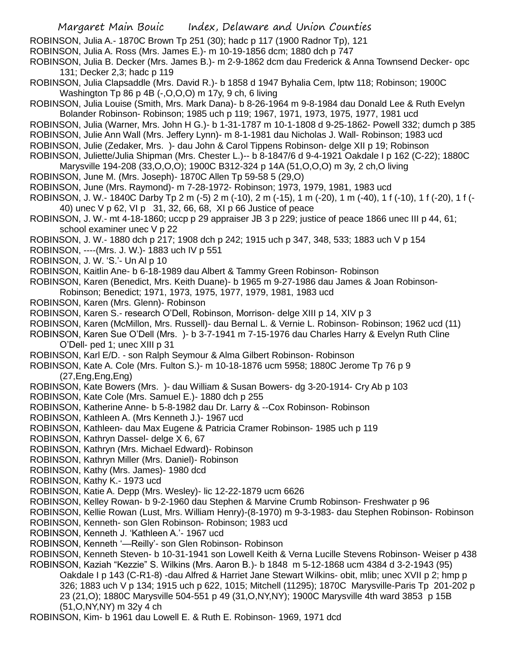ROBINSON, Julia A.- 1870C Brown Tp 251 (30); hadc p 117 (1900 Radnor Tp), 121

ROBINSON, Julia A. Ross (Mrs. James E.)- m 10-19-1856 dcm; 1880 dch p 747

ROBINSON, Julia B. Decker (Mrs. James B.)- m 2-9-1862 dcm dau Frederick & Anna Townsend Decker- opc 131; Decker 2,3; hadc p 119

- ROBINSON, Julia Clapsaddle (Mrs. David R.)- b 1858 d 1947 Byhalia Cem, lptw 118; Robinson; 1900C Washington Tp 86 p 4B (-,O,O,O) m 17y, 9 ch, 6 living
- ROBINSON, Julia Louise (Smith, Mrs. Mark Dana)- b 8-26-1964 m 9-8-1984 dau Donald Lee & Ruth Evelyn Bolander Robinson- Robinson; 1985 uch p 119; 1967, 1971, 1973, 1975, 1977, 1981 ucd
- ROBINSON, Julia (Warner, Mrs. John H G.)- b 1-31-1787 m 10-1-1808 d 9-25-1862- Powell 332; dumch p 385 ROBINSON, Julie Ann Wall (Mrs. Jeffery Lynn)- m 8-1-1981 dau Nicholas J. Wall- Robinson; 1983 ucd
- ROBINSON, Julie (Zedaker, Mrs. )- dau John & Carol Tippens Robinson- delge XII p 19; Robinson
- ROBINSON, Juliette/Julia Shipman (Mrs. Chester L.)-- b 8-1847/6 d 9-4-1921 Oakdale I p 162 (C-22); 1880C
- Marysville 194-208 (33,O,O,O); 1900C B312-324 p 14A (51,O,O,O) m 3y, 2 ch,O living
- ROBINSON, June M. (Mrs. Joseph)- 1870C Allen Tp 59-58 5 (29,O)
- ROBINSON, June (Mrs. Raymond)- m 7-28-1972- Robinson; 1973, 1979, 1981, 1983 ucd
- ROBINSON, J. W.- 1840C Darby Tp 2 m (-5) 2 m (-10), 2 m (-15), 1 m (-20), 1 m (-40), 1 f (-10), 1 f (-20), 1 f (- 40) unec V p 62, VI p 31, 32, 66, 68, XI p 66 Justice of peace
- ROBINSON, J. W.- mt 4-18-1860; uccp p 29 appraiser JB 3 p 229; justice of peace 1866 unec III p 44, 61; school examiner unec V p 22

ROBINSON, J. W.- 1880 dch p 217; 1908 dch p 242; 1915 uch p 347, 348, 533; 1883 uch V p 154

- ROBINSON, ----(Mrs. J. W.)- 1883 uch IV p 551
- ROBINSON, J. W. 'S.'- Un Al p 10
- ROBINSON, Kaitlin Ane- b 6-18-1989 dau Albert & Tammy Green Robinson- Robinson
- ROBINSON, Karen (Benedict, Mrs. Keith Duane)- b 1965 m 9-27-1986 dau James & Joan Robinson-Robinson; Benedict; 1971, 1973, 1975, 1977, 1979, 1981, 1983 ucd
- ROBINSON, Karen (Mrs. Glenn)- Robinson
- ROBINSON, Karen S.- research O'Dell, Robinson, Morrison- delge XIII p 14, XIV p 3
- ROBINSON, Karen (McMillon, Mrs. Russell)- dau Bernal L. & Vernie L. Robinson- Robinson; 1962 ucd (11)
- ROBINSON, Karen Sue O'Dell (Mrs. )- b 3-7-1941 m 7-15-1976 dau Charles Harry & Evelyn Ruth Cline O'Dell- ped 1; unec XIII p 31
- ROBINSON, Karl E/D. son Ralph Seymour & Alma Gilbert Robinson- Robinson
- ROBINSON, Kate A. Cole (Mrs. Fulton S.)- m 10-18-1876 ucm 5958; 1880C Jerome Tp 76 p 9 (27,Eng,Eng,Eng)
- ROBINSON, Kate Bowers (Mrs. )- dau William & Susan Bowers- dg 3-20-1914- Cry Ab p 103
- ROBINSON, Kate Cole (Mrs. Samuel E.)- 1880 dch p 255
- ROBINSON, Katherine Anne- b 5-8-1982 dau Dr. Larry & --Cox Robinson- Robinson
- ROBINSON, Kathleen A. (Mrs Kenneth J.)- 1967 ucd
- ROBINSON, Kathleen- dau Max Eugene & Patricia Cramer Robinson- 1985 uch p 119
- ROBINSON, Kathryn Dassel- delge X 6, 67
- ROBINSON, Kathryn (Mrs. Michael Edward)- Robinson
- ROBINSON, Kathryn Miller (Mrs. Daniel)- Robinson
- ROBINSON, Kathy (Mrs. James)- 1980 dcd
- ROBINSON, Kathy K.- 1973 ucd
- ROBINSON, Katie A. Depp (Mrs. Wesley)- lic 12-22-1879 ucm 6626
- ROBINSON, Kelley Rowan- b 9-2-1960 dau Stephen & Marvine Crumb Robinson- Freshwater p 96
- ROBINSON, Kellie Rowan (Lust, Mrs. William Henry)-(8-1970) m 9-3-1983- dau Stephen Robinson- Robinson ROBINSON, Kenneth- son Glen Robinson- Robinson; 1983 ucd
- ROBINSON, Kenneth J. 'Kathleen A.'- 1967 ucd
- ROBINSON, Kenneth '—Reilly'- son Glen Robinson- Robinson
- ROBINSON, Kenneth Steven- b 10-31-1941 son Lowell Keith & Verna Lucille Stevens Robinson- Weiser p 438 ROBINSON, Kaziah "Kezzie" S. Wilkins (Mrs. Aaron B.)- b 1848 m 5-12-1868 ucm 4384 d 3-2-1943 (95)
- Oakdale I p 143 (C-R1-8) -dau Alfred & Harriet Jane Stewart Wilkins- obit, mlib; unec XVII p 2; hmp p 326; 1883 uch V p 134; 1915 uch p 622, 1015; Mitchell (11295); 1870C Marysville-Paris Tp 201-202 p 23 (21,O); 1880C Marysville 504-551 p 49 (31,O,NY,NY); 1900C Marysville 4th ward 3853 p 15B (51,O,NY,NY) m 32y 4 ch
- ROBINSON, Kim- b 1961 dau Lowell E. & Ruth E. Robinson- 1969, 1971 dcd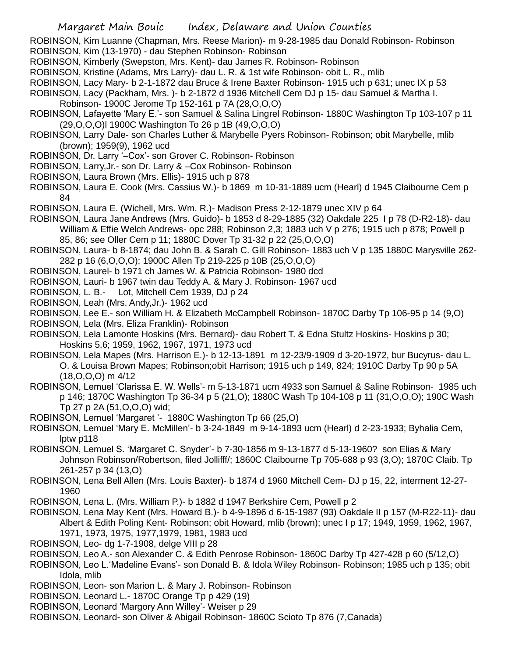ROBINSON, Kim Luanne (Chapman, Mrs. Reese Marion)- m 9-28-1985 dau Donald Robinson- Robinson ROBINSON, Kim (13-1970) - dau Stephen Robinson- Robinson

ROBINSON, Kimberly (Swepston, Mrs. Kent)- dau James R. Robinson- Robinson

ROBINSON, Kristine (Adams, Mrs Larry)- dau L. R. & 1st wife Robinson- obit L. R., mlib

ROBINSON, Lacy Mary- b 2-1-1872 dau Bruce & Irene Baxter Robinson- 1915 uch p 631; unec IX p 53

ROBINSON, Lacy (Packham, Mrs. )- b 2-1872 d 1936 Mitchell Cem DJ p 15- dau Samuel & Martha I.

- Robinson- 1900C Jerome Tp 152-161 p 7A (28,O,O,O)
- ROBINSON, Lafayette 'Mary E.'- son Samuel & Salina Lingrel Robinson- 1880C Washington Tp 103-107 p 11 (29,O,O,O)l 1900C Washington To 26 p 1B (49,O,O,O)
- ROBINSON, Larry Dale- son Charles Luther & Marybelle Pyers Robinson- Robinson; obit Marybelle, mlib (brown); 1959(9), 1962 ucd
- ROBINSON, Dr. Larry '–Cox'- son Grover C. Robinson- Robinson
- ROBINSON, Larry,Jr.- son Dr. Larry & –Cox Robinson- Robinson
- ROBINSON, Laura Brown (Mrs. Ellis)- 1915 uch p 878

ROBINSON, Laura E. Cook (Mrs. Cassius W.)- b 1869 m 10-31-1889 ucm (Hearl) d 1945 Claibourne Cem p 84

ROBINSON, Laura E. (Wichell, Mrs. Wm. R.)- Madison Press 2-12-1879 unec XIV p 64

ROBINSON, Laura Jane Andrews (Mrs. Guido)- b 1853 d 8-29-1885 (32) Oakdale 225 I p 78 (D-R2-18)- dau William & Effie Welch Andrews- opc 288; Robinson 2,3; 1883 uch V p 276; 1915 uch p 878; Powell p 85, 86; see Oller Cem p 11; 1880C Dover Tp 31-32 p 22 (25,O,O,O)

- ROBINSON, Laura- b 8-1874; dau John B. & Sarah C. Gill Robinson- 1883 uch V p 135 1880C Marysville 262- 282 p 16 (6,O,O,O); 1900C Allen Tp 219-225 p 10B (25,O,O,O)
- ROBINSON, Laurel- b 1971 ch James W. & Patricia Robinson- 1980 dcd
- ROBINSON, Lauri- b 1967 twin dau Teddy A. & Mary J. Robinson- 1967 ucd
- ROBINSON, L. B.- Lot, Mitchell Cem 1939, DJ p 24
- ROBINSON, Leah (Mrs. Andy,Jr.)- 1962 ucd

ROBINSON, Lee E.- son William H. & Elizabeth McCampbell Robinson- 1870C Darby Tp 106-95 p 14 (9,O)

- ROBINSON, Lela (Mrs. Eliza Franklin)- Robinson
- ROBINSON, Lela Lamonte Hoskins (Mrs. Bernard)- dau Robert T. & Edna Stultz Hoskins- Hoskins p 30; Hoskins 5,6; 1959, 1962, 1967, 1971, 1973 ucd
- ROBINSON, Lela Mapes (Mrs. Harrison E.)- b 12-13-1891 m 12-23/9-1909 d 3-20-1972, bur Bucyrus- dau L. O. & Louisa Brown Mapes; Robinson;obit Harrison; 1915 uch p 149, 824; 1910C Darby Tp 90 p 5A (18,O,O,O) m 4/12
- ROBINSON, Lemuel 'Clarissa E. W. Wells'- m 5-13-1871 ucm 4933 son Samuel & Saline Robinson- 1985 uch p 146; 1870C Washington Tp 36-34 p 5 (21,O); 1880C Wash Tp 104-108 p 11 (31,O,O,O); 190C Wash Tp 27 p 2A (51,O,O,O) wid;
- ROBINSON, Lemuel 'Margaret '- 1880C Washington Tp 66 (25,O)
- ROBINSON, Lemuel 'Mary E. McMillen'- b 3-24-1849 m 9-14-1893 ucm (Hearl) d 2-23-1933; Byhalia Cem, lptw p118
- ROBINSON, Lemuel S. 'Margaret C. Snyder'- b 7-30-1856 m 9-13-1877 d 5-13-1960? son Elias & Mary Johnson Robinson/Robertson, filed Jollifff/; 1860C Claibourne Tp 705-688 p 93 (3,O); 1870C Claib. Tp 261-257 p 34 (13,O)
- ROBINSON, Lena Bell Allen (Mrs. Louis Baxter)- b 1874 d 1960 Mitchell Cem- DJ p 15, 22, interment 12-27- 1960
- ROBINSON, Lena L. (Mrs. William P.)- b 1882 d 1947 Berkshire Cem, Powell p 2
- ROBINSON, Lena May Kent (Mrs. Howard B.)- b 4-9-1896 d 6-15-1987 (93) Oakdale II p 157 (M-R22-11)- dau Albert & Edith Poling Kent- Robinson; obit Howard, mlib (brown); unec I p 17; 1949, 1959, 1962, 1967, 1971, 1973, 1975, 1977,1979, 1981, 1983 ucd
- ROBINSON, Leo- dg 1-7-1908, delge VIII p 28
- ROBINSON, Leo A.- son Alexander C. & Edith Penrose Robinson- 1860C Darby Tp 427-428 p 60 (5/12,O)

ROBINSON, Leo L.'Madeline Evans'- son Donald B. & Idola Wiley Robinson- Robinson; 1985 uch p 135; obit Idola, mlib

- ROBINSON, Leon- son Marion L. & Mary J. Robinson- Robinson
- ROBINSON, Leonard L.- 1870C Orange Tp p 429 (19)
- ROBINSON, Leonard 'Margory Ann Willey'- Weiser p 29
- ROBINSON, Leonard- son Oliver & Abigail Robinson- 1860C Scioto Tp 876 (7,Canada)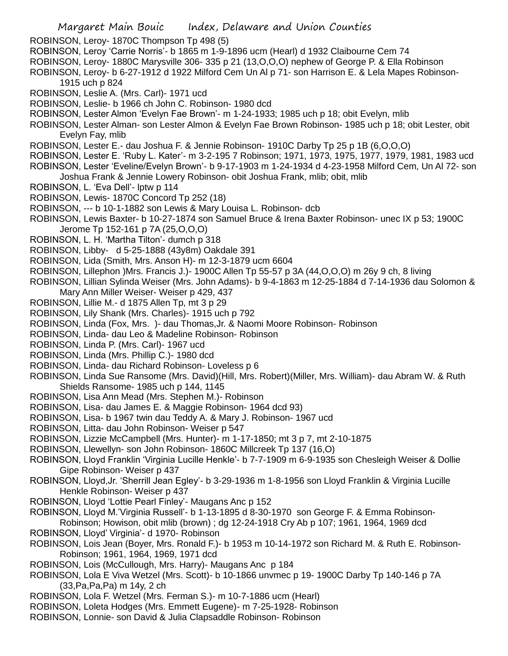ROBINSON, Leroy- 1870C Thompson Tp 498 (5)

- ROBINSON, Leroy 'Carrie Norris'- b 1865 m 1-9-1896 ucm (Hearl) d 1932 Claibourne Cem 74
- ROBINSON, Leroy- 1880C Marysville 306- 335 p 21 (13,O,O,O) nephew of George P. & Ella Robinson
- ROBINSON, Leroy- b 6-27-1912 d 1922 Milford Cem Un Al p 71- son Harrison E. & Lela Mapes Robinson-
	- 1915 uch p 824
- ROBINSON, Leslie A. (Mrs. Carl)- 1971 ucd
- ROBINSON, Leslie- b 1966 ch John C. Robinson- 1980 dcd
- ROBINSON, Lester Almon 'Evelyn Fae Brown'- m 1-24-1933; 1985 uch p 18; obit Evelyn, mlib
- ROBINSON, Lester Alman- son Lester Almon & Evelyn Fae Brown Robinson- 1985 uch p 18; obit Lester, obit Evelyn Fay, mlib
- ROBINSON, Lester E.- dau Joshua F. & Jennie Robinson- 1910C Darby Tp 25 p 1B (6,O,O,O)
- ROBINSON, Lester E. 'Ruby L. Kater'- m 3-2-195 7 Robinson; 1971, 1973, 1975, 1977, 1979, 1981, 1983 ucd ROBINSON, Lester 'Eveline/Evelyn Brown'- b 9-17-1903 m 1-24-1934 d 4-23-1958 Milford Cem, Un Al 72- son
- Joshua Frank & Jennie Lowery Robinson- obit Joshua Frank, mlib; obit, mlib
- ROBINSON, L. 'Eva Dell'- lptw p 114
- ROBINSON, Lewis- 1870C Concord Tp 252 (18)
- ROBINSON, --- b 10-1-1882 son Lewis & Mary Louisa L. Robinson- dcb
- ROBINSON, Lewis Baxter- b 10-27-1874 son Samuel Bruce & Irena Baxter Robinson- unec IX p 53; 1900C Jerome Tp 152-161 p 7A (25,O,O,O)
- ROBINSON, L. H. 'Martha Tilton'- dumch p 318
- ROBINSON, Libby- d 5-25-1888 (43y8m) Oakdale 391
- ROBINSON, Lida (Smith, Mrs. Anson H)- m 12-3-1879 ucm 6604
- ROBINSON, Lillephon )Mrs. Francis J.)- 1900C Allen Tp 55-57 p 3A (44,O,O,O) m 26y 9 ch, 8 living
- ROBINSON, Lillian Sylinda Weiser (Mrs. John Adams)- b 9-4-1863 m 12-25-1884 d 7-14-1936 dau Solomon & Mary Ann Miller Weiser- Weiser p 429, 437
- ROBINSON, Lillie M.- d 1875 Allen Tp, mt 3 p 29
- ROBINSON, Lily Shank (Mrs. Charles)- 1915 uch p 792
- ROBINSON, Linda (Fox, Mrs. )- dau Thomas,Jr. & Naomi Moore Robinson- Robinson
- ROBINSON, Linda- dau Leo & Madeline Robinson- Robinson
- ROBINSON, Linda P. (Mrs. Carl)- 1967 ucd
- ROBINSON, Linda (Mrs. Phillip C.)- 1980 dcd
- ROBINSON, Linda- dau Richard Robinson- Loveless p 6
- ROBINSON, Linda Sue Ransome (Mrs. David)(Hill, Mrs. Robert)(Miller, Mrs. William)- dau Abram W. & Ruth Shields Ransome- 1985 uch p 144, 1145
- ROBINSON, Lisa Ann Mead (Mrs. Stephen M.)- Robinson
- ROBINSON, Lisa- dau James E. & Maggie Robinson- 1964 dcd 93)
- ROBINSON, Lisa- b 1967 twin dau Teddy A. & Mary J. Robinson- 1967 ucd
- ROBINSON, Litta- dau John Robinson- Weiser p 547
- ROBINSON, Lizzie McCampbell (Mrs. Hunter)- m 1-17-1850; mt 3 p 7, mt 2-10-1875
- ROBINSON, Llewellyn- son John Robinson- 1860C Millcreek Tp 137 (16,O)
- ROBINSON, Lloyd Franklin 'Virginia Lucille Henkle'- b 7-7-1909 m 6-9-1935 son Chesleigh Weiser & Dollie Gipe Robinson- Weiser p 437
- ROBINSON, Lloyd,Jr. 'Sherrill Jean Egley'- b 3-29-1936 m 1-8-1956 son Lloyd Franklin & Virginia Lucille Henkle Robinson- Weiser p 437
- ROBINSON, Lloyd 'Lottie Pearl Finley'- Maugans Anc p 152
- ROBINSON, Lloyd M.'Virginia Russell'- b 1-13-1895 d 8-30-1970 son George F. & Emma Robinson-
- Robinson; Howison, obit mlib (brown) ; dg 12-24-1918 Cry Ab p 107; 1961, 1964, 1969 dcd ROBINSON, Lloyd' Virginia'- d 1970- Robinson
- ROBINSON, Lois Jean (Boyer, Mrs. Ronald F.)- b 1953 m 10-14-1972 son Richard M. & Ruth E. Robinson-Robinson; 1961, 1964, 1969, 1971 dcd
- ROBINSON, Lois (McCullough, Mrs. Harry)- Maugans Anc p 184
- ROBINSON, Lola E Viva Wetzel (Mrs. Scott)- b 10-1866 unvmec p 19- 1900C Darby Tp 140-146 p 7A (33,Pa,Pa,Pa) m 14y, 2 ch
- ROBINSON, Lola F. Wetzel (Mrs. Ferman S.)- m 10-7-1886 ucm (Hearl)
- ROBINSON, Loleta Hodges (Mrs. Emmett Eugene)- m 7-25-1928- Robinson
- ROBINSON, Lonnie- son David & Julia Clapsaddle Robinson- Robinson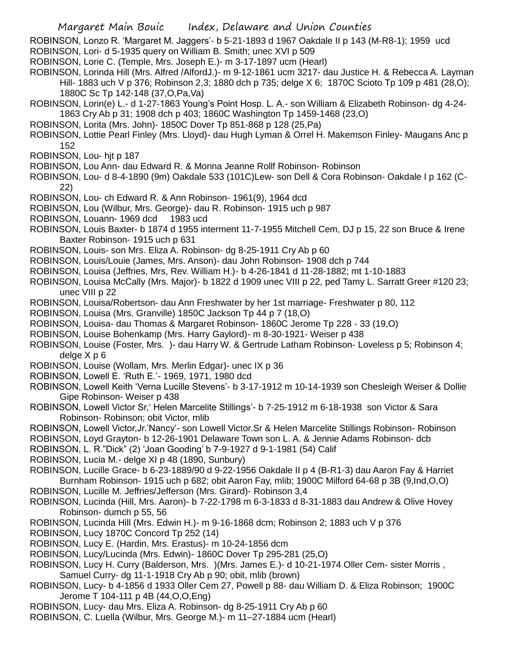ROBINSON, Lonzo R. 'Margaret M. Jaggers'- b 5-21-1893 d 1967 Oakdale II p 143 (M-R8-1); 1959 ucd ROBINSON, Lori- d 5-1935 query on William B. Smith; unec XVI p 509

- ROBINSON, Lorie C. (Temple, Mrs. Joseph E.)- m 3-17-1897 ucm (Hearl)
- ROBINSON, Lorinda Hill (Mrs. Alfred /AlfordJ.)- m 9-12-1861 ucm 3217- dau Justice H. & Rebecca A. Layman Hill- 1883 uch V p 376; Robinson 2,3; 1880 dch p 735; delge X 6; 1870C Scioto Tp 109 p 481 (28,O); 1880C Sc Tp 142-148 (37,O,Pa,Va)
- ROBINSON, Lorin(e) L.- d 1-27-1863 Young's Point Hosp. L. A.- son William & Elizabeth Robinson- dg 4-24- 1863 Cry Ab p 31; 1908 dch p 403; 1860C Washington Tp 1459-1468 (23,O)
- ROBINSON, Lorita (Mrs. John)- 1850C Dover Tp 851-868 p 128 (25,Pa)
- ROBINSON, Lottie Pearl Finley (Mrs. Lloyd)- dau Hugh Lyman & Orrel H. Makemson Finley- Maugans Anc p 152
- ROBINSON, Lou- hjt p 187
- ROBINSON, Lou Ann- dau Edward R. & Monna Jeanne Rollf Robinson- Robinson
- ROBINSON, Lou- d 8-4-1890 (9m) Oakdale 533 (101C)Lew- son Dell & Cora Robinson- Oakdale I p 162 (C-22)
- ROBINSON, Lou- ch Edward R. & Ann Robinson- 1961(9), 1964 dcd
- ROBINSON, Lou (Wilbur, Mrs. George)- dau R. Robinson- 1915 uch p 987
- ROBINSON, Louann- 1969 dcd 1983 ucd
- ROBINSON, Louis Baxter- b 1874 d 1955 interment 11-7-1955 Mitchell Cem, DJ p 15, 22 son Bruce & Irene Baxter Robinson- 1915 uch p 631
- ROBINSON, Louis- son Mrs. Eliza A. Robinson- dg 8-25-1911 Cry Ab p 60
- ROBINSON, Louis/Louie (James, Mrs. Anson)- dau John Robinson- 1908 dch p 744
- ROBINSON, Louisa (Jeffries, Mrs, Rev. William H.)- b 4-26-1841 d 11-28-1882; mt 1-10-1883
- ROBINSON, Louisa McCally (Mrs. Major)- b 1822 d 1909 unec VIII p 22, ped Tamy L. Sarratt Greer #120 23; unec VIII p 22
- ROBINSON, Louisa/Robertson- dau Ann Freshwater by her 1st marriage- Freshwater p 80, 112
- ROBINSON, Louisa (Mrs. Granville) 1850C Jackson Tp 44 p 7 (18,O)
- ROBINSON, Louisa- dau Thomas & Margaret Robinson- 1860C Jerome Tp 228 33 (19,O)
- ROBINSON, Louise Bohenkamp (Mrs. Harry Gaylord)- m 8-30-1921- Weiser p 438
- ROBINSON, Louise (Foster, Mrs. )- dau Harry W. & Gertrude Latham Robinson- Loveless p 5; Robinson 4; delge X p 6
- ROBINSON, Louise (Wollam, Mrs. Merlin Edgar)- unec IX p 36
- ROBINSON, Lowell E. 'Ruth E.'- 1969, 1971, 1980 dcd
- ROBINSON, Lowell Keith 'Verna Lucille Stevens'- b 3-17-1912 m 10-14-1939 son Chesleigh Weiser & Dollie Gipe Robinson- Weiser p 438
- ROBINSON, Lowell Victor Sr,' Helen Marcelite Stillings'- b 7-25-1912 m 6-18-1938 son Victor & Sara Robinson- Robinson; obit Victor, mlib
- ROBINSON, Lowell Victor,Jr.'Nancy'- son Lowell Victor.Sr & Helen Marcelite Stillings Robinson- Robinson
- ROBINSON, Loyd Grayton- b 12-26-1901 Delaware Town son L. A. & Jennie Adams Robinson- dcb
- ROBINSON, L. R."Dick" (2) 'Joan Gooding' b 7-9-1927 d 9-1-1981 (54) Calif
- ROBINSON, Lucia M.- delge XI p 48 (1890, Sunbury)
- ROBINSON, Lucille Grace- b 6-23-1889/90 d 9-22-1956 Oakdale II p 4 (B-R1-3) dau Aaron Fay & Harriet Burnham Robinson- 1915 uch p 682; obit Aaron Fay, mlib; 1900C Milford 64-68 p 3B (9,Ind,O,O)
- ROBINSON, Lucille M. Jeffries/Jefferson (Mrs. Girard)- Robinson 3,4
- ROBINSON, Lucinda (Hill, Mrs. Aaron)- b 7-22-1798 m 6-3-1833 d 8-31-1883 dau Andrew & Olive Hovey Robinson- dumch p 55, 56
- ROBINSON, Lucinda Hill (Mrs. Edwin H.)- m 9-16-1868 dcm; Robinson 2; 1883 uch V p 376
- ROBINSON, Lucy 1870C Concord Tp 252 (14)
- ROBINSON, Lucy E. (Hardin, Mrs. Erastus)- m 10-24-1856 dcm
- ROBINSON, Lucy/Lucinda (Mrs. Edwin)- 1860C Dover Tp 295-281 (25,O)
- ROBINSON, Lucy H. Curry (Balderson, Mrs. )(Mrs. James E.)- d 10-21-1974 Oller Cem- sister Morris , Samuel Curry- dg 11-1-1918 Cry Ab p 90; obit, mlib (brown)
- ROBINSON, Lucy- b 4-1856 d 1933 Oller Cem 27, Powell p 88- dau William D. & Eliza Robinson; 1900C Jerome T 104-111 p 4B (44,O,O,Eng)
- ROBINSON, Lucy- dau Mrs. Eliza A. Robinson- dg 8-25-1911 Cry Ab p 60
- ROBINSON, C. Luella (Wilbur, Mrs. George M.)- m 11–27-1884 ucm (Hearl)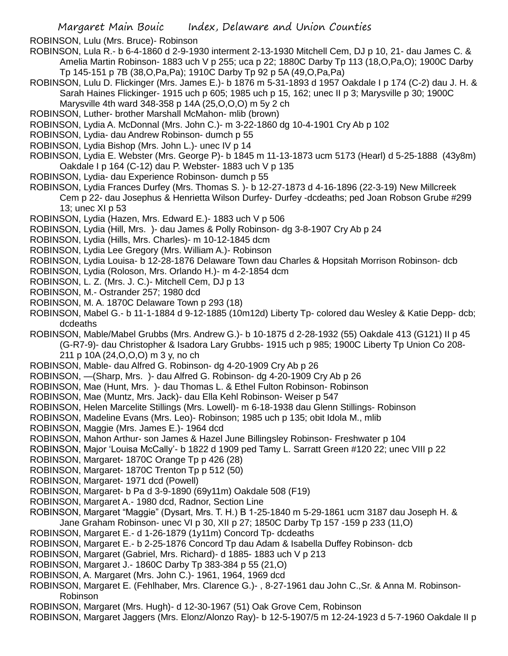ROBINSON, Lulu (Mrs. Bruce)- Robinson

- ROBINSON, Lula R.- b 6-4-1860 d 2-9-1930 interment 2-13-1930 Mitchell Cem, DJ p 10, 21- dau James C. & Amelia Martin Robinson- 1883 uch V p 255; uca p 22; 1880C Darby Tp 113 (18,O,Pa,O); 1900C Darby Tp 145-151 p 7B (38,O,Pa,Pa); 1910C Darby Tp 92 p 5A (49,O,Pa,Pa)
- ROBINSON, Lulu D. Flickinger (Mrs. James E.)- b 1876 m 5-31-1893 d 1957 Oakdale I p 174 (C-2) dau J. H. & Sarah Haines Flickinger- 1915 uch p 605; 1985 uch p 15, 162; unec II p 3; Marysville p 30; 1900C Marysville 4th ward 348-358 p 14A (25,O,O,O) m 5y 2 ch
- ROBINSON, Luther- brother Marshall McMahon- mlib (brown)
- ROBINSON, Lydia A. McDonnal (Mrs. John C.)- m 3-22-1860 dg 10-4-1901 Cry Ab p 102
- ROBINSON, Lydia- dau Andrew Robinson- dumch p 55
- ROBINSON, Lydia Bishop (Mrs. John L.)- unec IV p 14
- ROBINSON, Lydia E. Webster (Mrs. George P)- b 1845 m 11-13-1873 ucm 5173 (Hearl) d 5-25-1888 (43y8m) Oakdale I p 164 (C-12) dau P. Webster- 1883 uch V p 135
- ROBINSON, Lydia- dau Experience Robinson- dumch p 55

ROBINSON, Lydia Frances Durfey (Mrs. Thomas S. )- b 12-27-1873 d 4-16-1896 (22-3-19) New Millcreek Cem p 22- dau Josephus & Henrietta Wilson Durfey- Durfey -dcdeaths; ped Joan Robson Grube #299 13; unec XI p 53

- ROBINSON, Lydia (Hazen, Mrs. Edward E.)- 1883 uch V p 506
- ROBINSON, Lydia (Hill, Mrs. )- dau James & Polly Robinson- dg 3-8-1907 Cry Ab p 24
- ROBINSON, Lydia (Hills, Mrs. Charles)- m 10-12-1845 dcm
- ROBINSON, Lydia Lee Gregory (Mrs. William A.)- Robinson
- ROBINSON, Lydia Louisa- b 12-28-1876 Delaware Town dau Charles & Hopsitah Morrison Robinson- dcb
- ROBINSON, Lydia (Roloson, Mrs. Orlando H.)- m 4-2-1854 dcm
- ROBINSON, L. Z. (Mrs. J. C.)- Mitchell Cem, DJ p 13
- ROBINSON, M.- Ostrander 257; 1980 dcd
- ROBINSON, M. A. 1870C Delaware Town p 293 (18)
- ROBINSON, Mabel G.- b 11-1-1884 d 9-12-1885 (10m12d) Liberty Tp- colored dau Wesley & Katie Depp- dcb; dcdeaths
- ROBINSON, Mable/Mabel Grubbs (Mrs. Andrew G.)- b 10-1875 d 2-28-1932 (55) Oakdale 413 (G121) II p 45 (G-R7-9)- dau Christopher & Isadora Lary Grubbs- 1915 uch p 985; 1900C Liberty Tp Union Co 208- 211 p 10A (24,O,O,O) m 3 y, no ch
- ROBINSON, Mable- dau Alfred G. Robinson- dg 4-20-1909 Cry Ab p 26
- ROBINSON, —(Sharp, Mrs. )- dau Alfred G. Robinson- dg 4-20-1909 Cry Ab p 26
- ROBINSON, Mae (Hunt, Mrs. )- dau Thomas L. & Ethel Fulton Robinson- Robinson
- ROBINSON, Mae (Muntz, Mrs. Jack)- dau Ella Kehl Robinson- Weiser p 547
- ROBINSON, Helen Marcelite Stillings (Mrs. Lowell)- m 6-18-1938 dau Glenn Stillings- Robinson
- ROBINSON, Madeline Evans (Mrs. Leo)- Robinson; 1985 uch p 135; obit Idola M., mlib
- ROBINSON, Maggie (Mrs. James E.)- 1964 dcd
- ROBINSON, Mahon Arthur- son James & Hazel June Billingsley Robinson- Freshwater p 104
- ROBINSON, Major 'Louisa McCally'- b 1822 d 1909 ped Tamy L. Sarratt Green #120 22; unec VIII p 22
- ROBINSON, Margaret- 1870C Orange Tp p 426 (28)
- ROBINSON, Margaret- 1870C Trenton Tp p 512 (50)
- ROBINSON, Margaret- 1971 dcd (Powell)
- ROBINSON, Margaret- b Pa d 3-9-1890 (69y11m) Oakdale 508 (F19)
- ROBINSON, Margaret A.- 1980 dcd, Radnor, Section Line
- ROBINSON, Margaret "Maggie" (Dysart, Mrs. T. H.) B 1-25-1840 m 5-29-1861 ucm 3187 dau Joseph H. & Jane Graham Robinson- unec VI p 30, XII p 27; 1850C Darby Tp 157 -159 p 233 (11,O)
- ROBINSON, Margaret E.- d 1-26-1879 (1y11m) Concord Tp- dcdeaths
- ROBINSON, Margaret E.- b 2-25-1876 Concord Tp dau Adam & Isabella Duffey Robinson- dcb
- ROBINSON, Margaret (Gabriel, Mrs. Richard)- d 1885- 1883 uch V p 213
- ROBINSON, Margaret J.- 1860C Darby Tp 383-384 p 55 (21,O)
- ROBINSON, A. Margaret (Mrs. John C.)- 1961, 1964, 1969 dcd
- ROBINSON, Margaret E. (Fehlhaber, Mrs. Clarence G.)- , 8-27-1961 dau John C.,Sr. & Anna M. Robinson-Robinson
- ROBINSON, Margaret (Mrs. Hugh)- d 12-30-1967 (51) Oak Grove Cem, Robinson
- ROBINSON, Margaret Jaggers (Mrs. Elonz/Alonzo Ray)- b 12-5-1907/5 m 12-24-1923 d 5-7-1960 Oakdale II p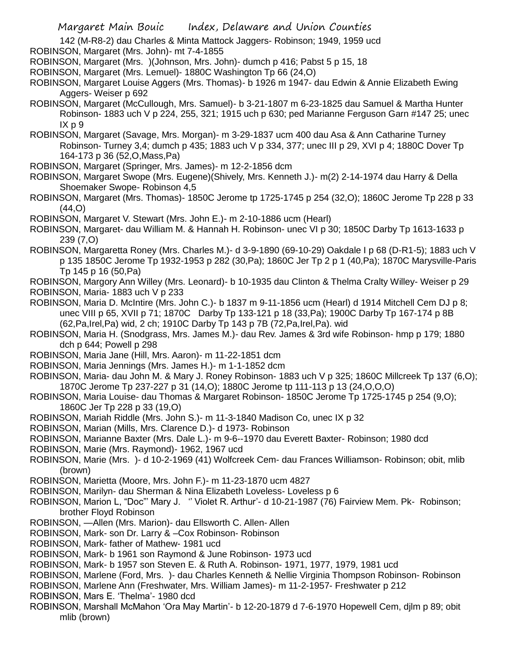142 (M-R8-2) dau Charles & Minta Mattock Jaggers- Robinson; 1949, 1959 ucd ROBINSON, Margaret (Mrs. John)- mt 7-4-1855

ROBINSON, Margaret (Mrs. )(Johnson, Mrs. John)- dumch p 416; Pabst 5 p 15, 18

ROBINSON, Margaret (Mrs. Lemuel)- 1880C Washington Tp 66 (24,O)

- ROBINSON, Margaret Louise Aggers (Mrs. Thomas)- b 1926 m 1947- dau Edwin & Annie Elizabeth Ewing Aggers- Weiser p 692
- ROBINSON, Margaret (McCullough, Mrs. Samuel)- b 3-21-1807 m 6-23-1825 dau Samuel & Martha Hunter Robinson- 1883 uch V p 224, 255, 321; 1915 uch p 630; ped Marianne Ferguson Garn #147 25; unec IX p 9

ROBINSON, Margaret (Savage, Mrs. Morgan)- m 3-29-1837 ucm 400 dau Asa & Ann Catharine Turney Robinson- Turney 3,4; dumch p 435; 1883 uch V p 334, 377; unec III p 29, XVI p 4; 1880C Dover Tp 164-173 p 36 (52,O,Mass,Pa)

ROBINSON, Margaret (Springer, Mrs. James)- m 12-2-1856 dcm

ROBINSON, Margaret Swope (Mrs. Eugene)(Shively, Mrs. Kenneth J.)- m(2) 2-14-1974 dau Harry & Della Shoemaker Swope- Robinson 4,5

ROBINSON, Margaret (Mrs. Thomas)- 1850C Jerome tp 1725-1745 p 254 (32,O); 1860C Jerome Tp 228 p 33 (44,O)

ROBINSON, Margaret V. Stewart (Mrs. John E.)- m 2-10-1886 ucm (Hearl)

ROBINSON, Margaret- dau William M. & Hannah H. Robinson- unec VI p 30; 1850C Darby Tp 1613-1633 p 239 (7,O)

ROBINSON, Margaretta Roney (Mrs. Charles M.)- d 3-9-1890 (69-10-29) Oakdale I p 68 (D-R1-5); 1883 uch V p 135 1850C Jerome Tp 1932-1953 p 282 (30,Pa); 1860C Jer Tp 2 p 1 (40,Pa); 1870C Marysville-Paris Tp 145 p 16 (50,Pa)

ROBINSON, Margory Ann Willey (Mrs. Leonard)- b 10-1935 dau Clinton & Thelma Cralty Willey- Weiser p 29 ROBINSON, Maria- 1883 uch V p 233

- ROBINSON, Maria D. McIntire (Mrs. John C.)- b 1837 m 9-11-1856 ucm (Hearl) d 1914 Mitchell Cem DJ p 8; unec VIII p 65, XVII p 71; 1870C Darby Tp 133-121 p 18 (33,Pa); 1900C Darby Tp 167-174 p 8B (62,Pa,Irel,Pa) wid, 2 ch; 1910C Darby Tp 143 p 7B (72,Pa,Irel,Pa). wid
- ROBINSON, Maria H. (Snodgrass, Mrs. James M.)- dau Rev. James & 3rd wife Robinson- hmp p 179; 1880 dch p 644; Powell p 298
- ROBINSON, Maria Jane (Hill, Mrs. Aaron)- m 11-22-1851 dcm
- ROBINSON, Maria Jennings (Mrs. James H.)- m 1-1-1852 dcm
- ROBINSON, Maria- dau John M. & Mary J. Roney Robinson- 1883 uch V p 325; 1860C Millcreek Tp 137 (6,O); 1870C Jerome Tp 237-227 p 31 (14,O); 1880C Jerome tp 111-113 p 13 (24,O,O,O)

ROBINSON, Maria Louise- dau Thomas & Margaret Robinson- 1850C Jerome Tp 1725-1745 p 254 (9,O); 1860C Jer Tp 228 p 33 (19,O)

ROBINSON, Mariah Riddle (Mrs. John S.)- m 11-3-1840 Madison Co, unec IX p 32

ROBINSON, Marian (Mills, Mrs. Clarence D.)- d 1973- Robinson

ROBINSON, Marianne Baxter (Mrs. Dale L.)- m 9-6--1970 dau Everett Baxter- Robinson; 1980 dcd

- ROBINSON, Marie (Mrs. Raymond)- 1962, 1967 ucd
- ROBINSON, Marie (Mrs. )- d 10-2-1969 (41) Wolfcreek Cem- dau Frances Williamson- Robinson; obit, mlib (brown)

ROBINSON, Marietta (Moore, Mrs. John F.)- m 11-23-1870 ucm 4827

- ROBINSON, Marilyn- dau Sherman & Nina Elizabeth Loveless- Loveless p 6
- ROBINSON, Marion L, "Doc"' Mary J. '' Violet R. Arthur'- d 10-21-1987 (76) Fairview Mem. Pk- Robinson; brother Floyd Robinson
- ROBINSON, —Allen (Mrs. Marion)- dau Ellsworth C. Allen- Allen
- ROBINSON, Mark- son Dr. Larry & –Cox Robinson- Robinson
- ROBINSON, Mark- father of Mathew- 1981 ucd
- ROBINSON, Mark- b 1961 son Raymond & June Robinson- 1973 ucd
- ROBINSON, Mark- b 1957 son Steven E. & Ruth A. Robinson- 1971, 1977, 1979, 1981 ucd
- ROBINSON, Marlene (Ford, Mrs. )- dau Charles Kenneth & Nellie Virginia Thompson Robinson- Robinson

ROBINSON, Marlene Ann (Freshwater, Mrs. William James)- m 11-2-1957- Freshwater p 212

- ROBINSON, Mars E. 'Thelma'- 1980 dcd
- ROBINSON, Marshall McMahon 'Ora May Martin'- b 12-20-1879 d 7-6-1970 Hopewell Cem, djlm p 89; obit mlib (brown)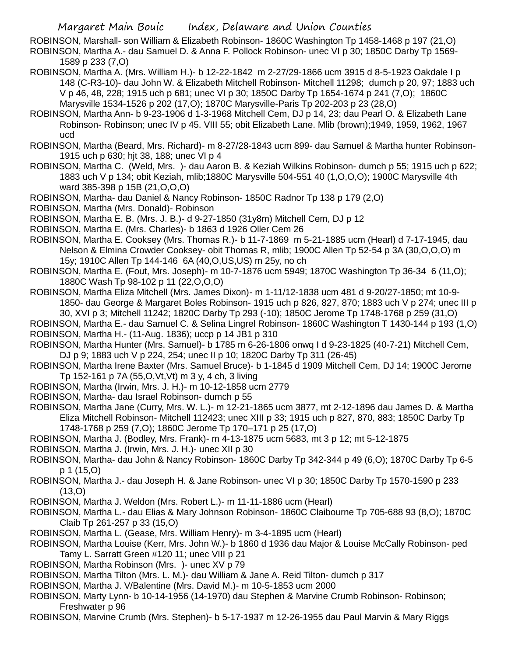ROBINSON, Marshall- son William & Elizabeth Robinson- 1860C Washington Tp 1458-1468 p 197 (21,O)

ROBINSON, Martha A.- dau Samuel D. & Anna F. Pollock Robinson- unec VI p 30; 1850C Darby Tp 1569- 1589 p 233 (7,O)

- ROBINSON, Martha A. (Mrs. William H.)- b 12-22-1842 m 2-27/29-1866 ucm 3915 d 8-5-1923 Oakdale I p 148 (C-R3-10)- dau John W. & Elizabeth Mitchell Robinson- Mitchell 11298; dumch p 20, 97; 1883 uch V p 46, 48, 228; 1915 uch p 681; unec VI p 30; 1850C Darby Tp 1654-1674 p 241 (7,O); 1860C Marysville 1534-1526 p 202 (17,O); 1870C Marysville-Paris Tp 202-203 p 23 (28,O)
- ROBINSON, Martha Ann- b 9-23-1906 d 1-3-1968 Mitchell Cem, DJ p 14, 23; dau Pearl O. & Elizabeth Lane Robinson- Robinson; unec IV p 45. VIII 55; obit Elizabeth Lane. Mlib (brown);1949, 1959, 1962, 1967 ucd
- ROBINSON, Martha (Beard, Mrs. Richard)- m 8-27/28-1843 ucm 899- dau Samuel & Martha hunter Robinson-1915 uch p 630; hjt 38, 188; unec VI p 4
- ROBINSON, Martha C. (Weld, Mrs. )- dau Aaron B. & Keziah Wilkins Robinson- dumch p 55; 1915 uch p 622; 1883 uch V p 134; obit Keziah, mlib;1880C Marysville 504-551 40 (1,O,O,O); 1900C Marysville 4th ward 385-398 p 15B (21,O,O,O)
- ROBINSON, Martha- dau Daniel & Nancy Robinson- 1850C Radnor Tp 138 p 179 (2,O)

ROBINSON, Martha (Mrs. Donald)- Robinson

ROBINSON, Martha E. B. (Mrs. J. B.)- d 9-27-1850 (31y8m) Mitchell Cem, DJ p 12

ROBINSON, Martha E. (Mrs. Charles)- b 1863 d 1926 Oller Cem 26

- ROBINSON, Martha E. Cooksey (Mrs. Thomas R.)- b 11-7-1869 m 5-21-1885 ucm (Hearl) d 7-17-1945, dau Nelson & Elmina Crowder Cooksey- obit Thomas R, mlib; 1900C Allen Tp 52-54 p 3A (30,O,O,O) m 15y; 1910C Allen Tp 144-146 6A (40,O,US,US) m 25y, no ch
- ROBINSON, Martha E. (Fout, Mrs. Joseph)- m 10-7-1876 ucm 5949; 1870C Washington Tp 36-34 6 (11,O); 1880C Wash Tp 98-102 p 11 (22,O,O,O)
- ROBINSON, Martha Eliza Mitchell (Mrs. James Dixon)- m 1-11/12-1838 ucm 481 d 9-20/27-1850; mt 10-9- 1850- dau George & Margaret Boles Robinson- 1915 uch p 826, 827, 870; 1883 uch V p 274; unec III p 30, XVI p 3; Mitchell 11242; 1820C Darby Tp 293 (-10); 1850C Jerome Tp 1748-1768 p 259 (31,O)
- ROBINSON, Martha E.- dau Samuel C. & Selina Lingrel Robinson- 1860C Washington T 1430-144 p 193 (1,O) ROBINSON, Martha H.- (11-Aug. 1836); uccp p 14 JB1 p 310
- ROBINSON, Martha Hunter (Mrs. Samuel)- b 1785 m 6-26-1806 onwq I d 9-23-1825 (40-7-21) Mitchell Cem, DJ p 9; 1883 uch V p 224, 254; unec II p 10; 1820C Darby Tp 311 (26-45)
- ROBINSON, Martha Irene Baxter (Mrs. Samuel Bruce)- b 1-1845 d 1909 Mitchell Cem, DJ 14; 1900C Jerome Tp 152-161 p 7A (55,O,Vt,Vt) m 3 y, 4 ch, 3 living
- ROBINSON, Martha (Irwin, Mrs. J. H.)- m 10-12-1858 ucm 2779
- ROBINSON, Martha- dau Israel Robinson- dumch p 55
- ROBINSON, Martha Jane (Curry, Mrs. W. L.)- m 12-21-1865 ucm 3877, mt 2-12-1896 dau James D. & Martha Eliza Mitchell Robinson- Mitchell 112423; unec XIII p 33; 1915 uch p 827, 870, 883; 1850C Darby Tp 1748-1768 p 259 (7,O); 1860C Jerome Tp 170–171 p 25 (17,O)
- ROBINSON, Martha J. (Bodley, Mrs. Frank)- m 4-13-1875 ucm 5683, mt 3 p 12; mt 5-12-1875
- ROBINSON, Martha J. (Irwin, Mrs. J. H.)- unec XII p 30
- ROBINSON, Martha- dau John & Nancy Robinson- 1860C Darby Tp 342-344 p 49 (6,O); 1870C Darby Tp 6-5 p 1 (15,O)
- ROBINSON, Martha J.- dau Joseph H. & Jane Robinson- unec VI p 30; 1850C Darby Tp 1570-1590 p 233  $(13, 0)$
- ROBINSON, Martha J. Weldon (Mrs. Robert L.)- m 11-11-1886 ucm (Hearl)
- ROBINSON, Martha L.- dau Elias & Mary Johnson Robinson- 1860C Claibourne Tp 705-688 93 (8,O); 1870C Claib Tp 261-257 p 33 (15,O)
- ROBINSON, Martha L. (Gease, Mrs. William Henry)- m 3-4-1895 ucm (Hearl)
- ROBINSON, Martha Louise (Kerr, Mrs. John W.)- b 1860 d 1936 dau Major & Louise McCally Robinson- ped Tamy L. Sarratt Green #120 11; unec VIII p 21
- ROBINSON, Martha Robinson (Mrs. )- unec XV p 79
- ROBINSON, Martha Tilton (Mrs. L. M.)- dau William & Jane A. Reid Tilton- dumch p 317
- ROBINSON, Martha J. V/Balentine (Mrs. David M.)- m 10-5-1853 ucm 2000
- ROBINSON, Marty Lynn- b 10-14-1956 (14-1970) dau Stephen & Marvine Crumb Robinson- Robinson; Freshwater p 96
- ROBINSON, Marvine Crumb (Mrs. Stephen)- b 5-17-1937 m 12-26-1955 dau Paul Marvin & Mary Riggs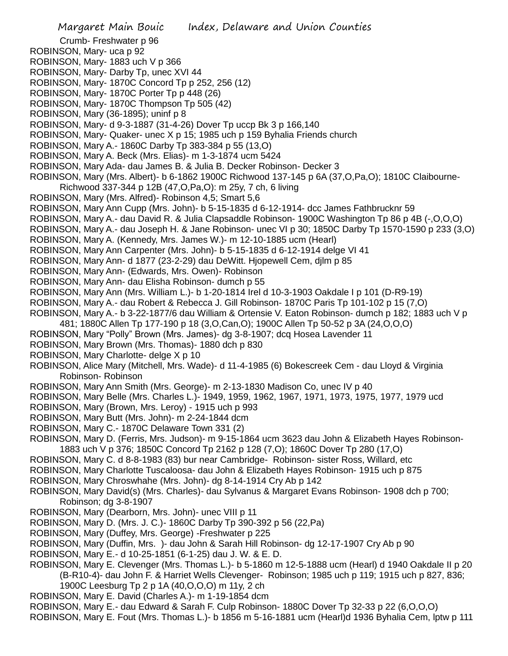- Crumb- Freshwater p 96
- ROBINSON, Mary- uca p 92
- ROBINSON, Mary- 1883 uch V p 366
- ROBINSON, Mary- Darby Tp, unec XVI 44
- ROBINSON, Mary- 1870C Concord Tp p 252, 256 (12)
- ROBINSON, Mary- 1870C Porter Tp p 448 (26)
- ROBINSON, Mary- 1870C Thompson Tp 505 (42)
- ROBINSON, Mary (36-1895); uninf p 8
- ROBINSON, Mary- d 9-3-1887 (31-4-26) Dover Tp uccp Bk 3 p 166,140
- ROBINSON, Mary- Quaker- unec X p 15; 1985 uch p 159 Byhalia Friends church
- ROBINSON, Mary A.- 1860C Darby Tp 383-384 p 55 (13,O)
- ROBINSON, Mary A. Beck (Mrs. Elias)- m 1-3-1874 ucm 5424
- ROBINSON, Mary Ada- dau James B. & Julia B. Decker Robinson- Decker 3
- ROBINSON, Mary (Mrs. Albert)- b 6-1862 1900C Richwood 137-145 p 6A (37,O,Pa,O); 1810C Claibourne-
- Richwood 337-344 p 12B (47,O,Pa,O): m 25y, 7 ch, 6 living
- ROBINSON, Mary (Mrs. Alfred)- Robinson 4,5; Smart 5,6
- ROBINSON, Mary Ann Cupp (Mrs. John)- b 5-15-1835 d 6-12-1914- dcc James Fathbrucknr 59
- ROBINSON, Mary A.- dau David R. & Julia Clapsaddle Robinson- 1900C Washington Tp 86 p 4B (-,O,O,O)
- ROBINSON, Mary A.- dau Joseph H. & Jane Robinson- unec VI p 30; 1850C Darby Tp 1570-1590 p 233 (3,O)
- ROBINSON, Mary A. (Kennedy, Mrs. James W.)- m 12-10-1885 ucm (Hearl)
- ROBINSON, Mary Ann Carpenter (Mrs. John)- b 5-15-1835 d 6-12-1914 delge VI 41
- ROBINSON, Mary Ann- d 1877 (23-2-29) dau DeWitt. Hjopewell Cem, djlm p 85
- ROBINSON, Mary Ann- (Edwards, Mrs. Owen)- Robinson
- ROBINSON, Mary Ann- dau Elisha Robinson- dumch p 55
- ROBINSON, Mary Ann (Mrs. William L.)- b 1-20-1814 Irel d 10-3-1903 Oakdale I p 101 (D-R9-19)
- ROBINSON, Mary A.- dau Robert & Rebecca J. Gill Robinson- 1870C Paris Tp 101-102 p 15 (7,O)
- ROBINSON, Mary A.- b 3-22-1877/6 dau William & Ortensie V. Eaton Robinson- dumch p 182; 1883 uch V p
- 481; 1880C Allen Tp 177-190 p 18 (3,O,Can,O); 1900C Allen Tp 50-52 p 3A (24,O,O,O)
- ROBINSON, Mary "Polly" Brown (Mrs. James)- dg 3-8-1907; dcq Hosea Lavender 11
- ROBINSON, Mary Brown (Mrs. Thomas)- 1880 dch p 830
- ROBINSON, Mary Charlotte- delge X p 10
- ROBINSON, Alice Mary (Mitchell, Mrs. Wade)- d 11-4-1985 (6) Bokescreek Cem dau Lloyd & Virginia Robinson- Robinson
- ROBINSON, Mary Ann Smith (Mrs. George)- m 2-13-1830 Madison Co, unec IV p 40
- ROBINSON, Mary Belle (Mrs. Charles L.)- 1949, 1959, 1962, 1967, 1971, 1973, 1975, 1977, 1979 ucd
- ROBINSON, Mary (Brown, Mrs. Leroy) 1915 uch p 993
- ROBINSON, Mary Butt (Mrs. John)- m 2-24-1844 dcm
- ROBINSON, Mary C.- 1870C Delaware Town 331 (2)
- ROBINSON, Mary D. (Ferris, Mrs. Judson)- m 9-15-1864 ucm 3623 dau John & Elizabeth Hayes Robinson-1883 uch V p 376; 1850C Concord Tp 2162 p 128 (7,O); 1860C Dover Tp 280 (17,O)
- ROBINSON, Mary C. d 8-8-1983 (83) bur near Cambridge- Robinson- sister Ross, Willard, etc
- ROBINSON, Mary Charlotte Tuscaloosa- dau John & Elizabeth Hayes Robinson- 1915 uch p 875
- 
- ROBINSON, Mary Chroswhahe (Mrs. John)- dg 8-14-1914 Cry Ab p 142
- ROBINSON, Mary David(s) (Mrs. Charles)- dau Sylvanus & Margaret Evans Robinson- 1908 dch p 700; Robinson; dg 3-8-1907
- ROBINSON, Mary (Dearborn, Mrs. John)- unec VIII p 11
- ROBINSON, Mary D. (Mrs. J. C.)- 1860C Darby Tp 390-392 p 56 (22,Pa)
- ROBINSON, Mary (Duffey, Mrs. George) -Freshwater p 225
- ROBINSON, Mary (Duffin, Mrs. )- dau John & Sarah Hill Robinson- dg 12-17-1907 Cry Ab p 90
- ROBINSON, Mary E.- d 10-25-1851 (6-1-25) dau J. W. & E. D.
- ROBINSON, Mary E. Clevenger (Mrs. Thomas L.)- b 5-1860 m 12-5-1888 ucm (Hearl) d 1940 Oakdale II p 20 (B-R10-4)- dau John F. & Harriet Wells Clevenger- Robinson; 1985 uch p 119; 1915 uch p 827, 836; 1900C Leesburg Tp 2 p 1A (40,O,O,O) m 11y, 2 ch
- ROBINSON, Mary E. David (Charles A.)- m 1-19-1854 dcm
- ROBINSON, Mary E.- dau Edward & Sarah F. Culp Robinson- 1880C Dover Tp 32-33 p 22 (6,O,O,O)
- ROBINSON, Mary E. Fout (Mrs. Thomas L.)- b 1856 m 5-16-1881 ucm (Hearl)d 1936 Byhalia Cem, lptw p 111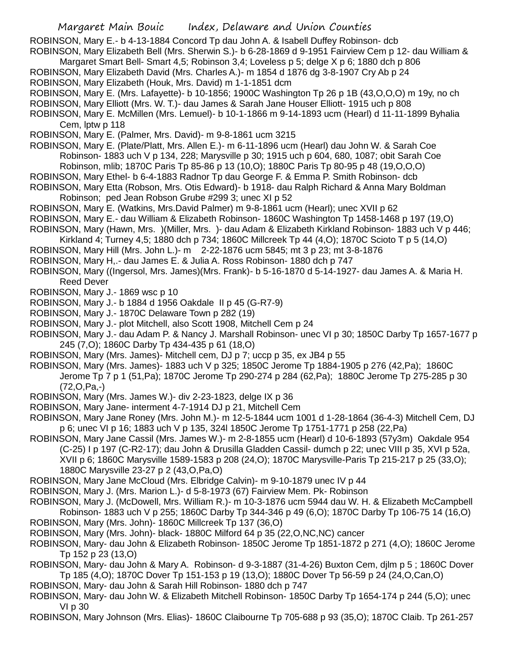ROBINSON, Mary E.- b 4-13-1884 Concord Tp dau John A. & Isabell Duffey Robinson- dcb

- ROBINSON, Mary Elizabeth Bell (Mrs. Sherwin S.)- b 6-28-1869 d 9-1951 Fairview Cem p 12- dau William &
	- Margaret Smart Bell- Smart 4,5; Robinson 3,4; Loveless p 5; delge X p 6; 1880 dch p 806
- ROBINSON, Mary Elizabeth David (Mrs. Charles A.)- m 1854 d 1876 dg 3-8-1907 Cry Ab p 24
- ROBINSON, Mary Elizabeth (Houk, Mrs. David) m 1-1-1851 dcm
- ROBINSON, Mary E. (Mrs. Lafayette)- b 10-1856; 1900C Washington Tp 26 p 1B (43,O,O,O) m 19y, no ch
- ROBINSON, Mary Elliott (Mrs. W. T.)- dau James & Sarah Jane Houser Elliott- 1915 uch p 808
- ROBINSON, Mary E. McMillen (Mrs. Lemuel)- b 10-1-1866 m 9-14-1893 ucm (Hearl) d 11-11-1899 Byhalia Cem, lptw p 118
- ROBINSON, Mary E. (Palmer, Mrs. David)- m 9-8-1861 ucm 3215
- ROBINSON, Mary E. (Plate/Platt, Mrs. Allen E.)- m 6-11-1896 ucm (Hearl) dau John W. & Sarah Coe Robinson- 1883 uch V p 134, 228; Marysville p 30; 1915 uch p 604, 680, 1087; obit Sarah Coe Robinson, mlib; 1870C Paris Tp 85-86 p 13 (10,O); 1880C Paris Tp 80-95 p 48 (19,O,O,O)
- ROBINSON, Mary Ethel- b 6-4-1883 Radnor Tp dau George F. & Emma P. Smith Robinson- dcb
- ROBINSON, Mary Etta (Robson, Mrs. Otis Edward)- b 1918- dau Ralph Richard & Anna Mary Boldman Robinson; ped Jean Robson Grube #299 3; unec XI p 52
- ROBINSON, Mary E. (Watkins, Mrs.David Palmer) m 9-8-1861 ucm (Hearl); unec XVII p 62
- ROBINSON, Mary E.- dau William & Elizabeth Robinson- 1860C Washington Tp 1458-1468 p 197 (19,O)
- ROBINSON, Mary (Hawn, Mrs. )(Miller, Mrs. )- dau Adam & Elizabeth Kirkland Robinson- 1883 uch V p 446; Kirkland 4; Turney 4,5; 1880 dch p 734; 1860C Millcreek Tp 44 (4,O); 1870C Scioto T p 5 (14,O)
- 
- ROBINSON, Mary Hill (Mrs. John L.)- m 2-22-1876 ucm 5845; mt 3 p 23; mt 3-8-1876
- ROBINSON, Mary H,.- dau James E. & Julia A. Ross Robinson- 1880 dch p 747
- ROBINSON, Mary ((Ingersol, Mrs. James)(Mrs. Frank)- b 5-16-1870 d 5-14-1927- dau James A. & Maria H. Reed Dever
- ROBINSON, Mary J.- 1869 wsc p 10
- ROBINSON, Mary J.- b 1884 d 1956 Oakdale II p 45 (G-R7-9)
- ROBINSON, Mary J.- 1870C Delaware Town p 282 (19)
- ROBINSON, Mary J.- plot Mitchell, also Scott 1908, Mitchell Cem p 24
- ROBINSON, Mary J.- dau Adam P. & Nancy J. Marshall Robinson- unec VI p 30; 1850C Darby Tp 1657-1677 p 245 (7,O); 1860C Darby Tp 434-435 p 61 (18,O)
- ROBINSON, Mary (Mrs. James)- Mitchell cem, DJ p 7; uccp p 35, ex JB4 p 55
- ROBINSON, Mary (Mrs. James)- 1883 uch V p 325; 1850C Jerome Tp 1884-1905 p 276 (42,Pa); 1860C Jerome Tp 7 p 1 (51,Pa); 1870C Jerome Tp 290-274 p 284 (62,Pa); 1880C Jerome Tp 275-285 p 30 (72,O,Pa,-)
- ROBINSON, Mary (Mrs. James W.)- div 2-23-1823, delge IX p 36
- ROBINSON, Mary Jane- interment 4-7-1914 DJ p 21, Mitchell Cem
- ROBINSON, Mary Jane Roney (Mrs. John M.)- m 12-5-1844 ucm 1001 d 1-28-1864 (36-4-3) Mitchell Cem, DJ p 6; unec VI p 16; 1883 uch V p 135, 324l 1850C Jerome Tp 1751-1771 p 258 (22,Pa)
- ROBINSON, Mary Jane Cassil (Mrs. James W.)- m 2-8-1855 ucm (Hearl) d 10-6-1893 (57y3m) Oakdale 954 (C-25) I p 197 (C-R2-17); dau John & Drusilla Gladden Cassil- dumch p 22; unec VIII p 35, XVI p 52a, XVII p 6; 1860C Marysville 1589-1583 p 208 (24,O); 1870C Marysville-Paris Tp 215-217 p 25 (33,O); 1880C Marysville 23-27 p 2 (43,O,Pa,O)
- ROBINSON, Mary Jane McCloud (Mrs. Elbridge Calvin)- m 9-10-1879 unec IV p 44
- ROBINSON, Mary J. (Mrs. Marion L.)- d 5-8-1973 (67) Fairview Mem. Pk- Robinson
- ROBINSON, Mary J. (McDowell, Mrs. William R.)- m 10-3-1876 ucm 5944 dau W. H. & Elizabeth McCampbell Robinson- 1883 uch V p 255; 1860C Darby Tp 344-346 p 49 (6,O); 1870C Darby Tp 106-75 14 (16,O) ROBINSON, Mary (Mrs. John)- 1860C Millcreek Tp 137 (36,O)
- ROBINSON, Mary (Mrs. John)- black- 1880C Milford 64 p 35 (22,O,NC,NC) cancer
- ROBINSON, Mary- dau John & Elizabeth Robinson- 1850C Jerome Tp 1851-1872 p 271 (4,O); 1860C Jerome Tp 152 p 23 (13,O)
- ROBINSON, Mary- dau John & Mary A. Robinson- d 9-3-1887 (31-4-26) Buxton Cem, djlm p 5 ; 1860C Dover Tp 185 (4,O); 1870C Dover Tp 151-153 p 19 (13,O); 1880C Dover Tp 56-59 p 24 (24,O,Can,O)
- ROBINSON, Mary- dau John & Sarah Hill Robinson- 1880 dch p 747
- ROBINSON, Mary- dau John W. & Elizabeth Mitchell Robinson- 1850C Darby Tp 1654-174 p 244 (5,O); unec VI p 30
- ROBINSON, Mary Johnson (Mrs. Elias)- 1860C Claibourne Tp 705-688 p 93 (35,O); 1870C Claib. Tp 261-257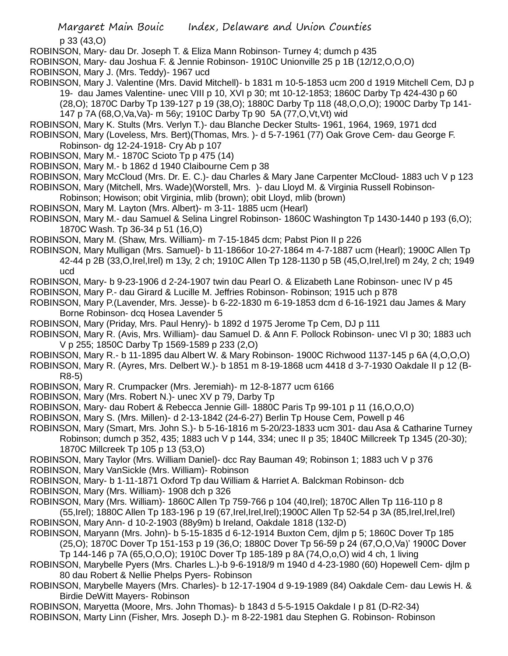p 33 (43,O)

- ROBINSON, Mary- dau Dr. Joseph T. & Eliza Mann Robinson- Turney 4; dumch p 435
- ROBINSON, Mary- dau Joshua F. & Jennie Robinson- 1910C Unionville 25 p 1B (12/12,O,O,O)
- ROBINSON, Mary J. (Mrs. Teddy)- 1967 ucd
- ROBINSON, Mary J. Valentine (Mrs. David Mitchell)- b 1831 m 10-5-1853 ucm 200 d 1919 Mitchell Cem, DJ p 19- dau James Valentine- unec VIII p 10, XVI p 30; mt 10-12-1853; 1860C Darby Tp 424-430 p 60 (28,O); 1870C Darby Tp 139-127 p 19 (38,O); 1880C Darby Tp 118 (48,O,O,O); 1900C Darby Tp 141- 147 p 7A (68,O,Va,Va)- m 56y; 1910C Darby Tp 90 5A (77,O,Vt,Vt) wid
- ROBINSON, Mary K. Stults (Mrs. Verlyn T.)- dau Blanche Decker Stults- 1961, 1964, 1969, 1971 dcd

ROBINSON, Mary (Loveless, Mrs. Bert)(Thomas, Mrs. )- d 5-7-1961 (77) Oak Grove Cem- dau George F. Robinson- dg 12-24-1918- Cry Ab p 107

- ROBINSON, Mary M.- 1870C Scioto Tp p 475 (14)
- ROBINSON, Mary M.- b 1862 d 1940 Claibourne Cem p 38

ROBINSON, Mary McCloud (Mrs. Dr. E. C.)- dau Charles & Mary Jane Carpenter McCloud- 1883 uch V p 123

- ROBINSON, Mary (Mitchell, Mrs. Wade)(Worstell, Mrs. )- dau Lloyd M. & Virginia Russell Robinson-
- Robinson; Howison; obit Virginia, mlib (brown); obit Lloyd, mlib (brown)
- ROBINSON, Mary M. Layton (Mrs. Albert)- m 3-11- 1885 ucm (Hearl)
- ROBINSON, Mary M.- dau Samuel & Selina Lingrel Robinson- 1860C Washington Tp 1430-1440 p 193 (6,O); 1870C Wash. Tp 36-34 p 51 (16,O)

ROBINSON, Mary M. (Shaw, Mrs. William)- m 7-15-1845 dcm; Pabst Pion II p 226

- ROBINSON, Mary Mulligan (Mrs. Samuel)- b 11-1866or 10-27-1864 m 4-7-1887 ucm (Hearl); 1900C Allen Tp 42-44 p 2B (33,O,Irel,Irel) m 13y, 2 ch; 1910C Allen Tp 128-1130 p 5B (45,O,Irel,Irel) m 24y, 2 ch; 1949 ucd
- ROBINSON, Mary- b 9-23-1906 d 2-24-1907 twin dau Pearl O. & Elizabeth Lane Robinson- unec IV p 45 ROBINSON, Mary P.- dau Girard & Lucille M. Jeffries Robinson- Robinson; 1915 uch p 878
- ROBINSON, Mary P.(Lavender, Mrs. Jesse)- b 6-22-1830 m 6-19-1853 dcm d 6-16-1921 dau James & Mary Borne Robinson- dcq Hosea Lavender 5
- ROBINSON, Mary (Priday, Mrs. Paul Henry)- b 1892 d 1975 Jerome Tp Cem, DJ p 111
- ROBINSON, Mary R. (Avis, Mrs. William)- dau Samuel D. & Ann F. Pollock Robinson- unec VI p 30; 1883 uch V p 255; 1850C Darby Tp 1569-1589 p 233 (2,O)
- ROBINSON, Mary R.- b 11-1895 dau Albert W. & Mary Robinson- 1900C Richwood 1137-145 p 6A (4,O,O,O)
- ROBINSON, Mary R. (Ayres, Mrs. Delbert W.)- b 1851 m 8-19-1868 ucm 4418 d 3-7-1930 Oakdale II p 12 (B-R8-5)
- ROBINSON, Mary R. Crumpacker (Mrs. Jeremiah)- m 12-8-1877 ucm 6166
- ROBINSON, Mary (Mrs. Robert N.)- unec XV p 79, Darby Tp
- ROBINSON, Mary- dau Robert & Rebecca Jennie Gill- 1880C Paris Tp 99-101 p 11 (16,O,O,O)
- ROBINSON, Mary S. (Mrs. Millen)- d 2-13-1842 (24-6-27) Berlin Tp House Cem, Powell p 46
- ROBINSON, Mary (Smart, Mrs. John S.)- b 5-16-1816 m 5-20/23-1833 ucm 301- dau Asa & Catharine Turney Robinson; dumch p 352, 435; 1883 uch V p 144, 334; unec II p 35; 1840C Millcreek Tp 1345 (20-30); 1870C Millcreek Tp 105 p 13 (53,O)
- ROBINSON, Mary Taylor (Mrs. William Daniel)- dcc Ray Bauman 49; Robinson 1; 1883 uch V p 376 ROBINSON, Mary VanSickle (Mrs. William)- Robinson
- ROBINSON, Mary- b 1-11-1871 Oxford Tp dau William & Harriet A. Balckman Robinson- dcb
- ROBINSON, Mary (Mrs. William)- 1908 dch p 326
- ROBINSON, Mary (Mrs. William)- 1860C Allen Tp 759-766 p 104 (40,Irel); 1870C Allen Tp 116-110 p 8

(55,Irel); 1880C Allen Tp 183-196 p 19 (67,Irel,Irel,Irel);1900C Allen Tp 52-54 p 3A (85,Irel,Irel,Irel) ROBINSON, Mary Ann- d 10-2-1903 (88y9m) b Ireland, Oakdale 1818 (132-D)

ROBINSON, Maryann (Mrs. John)- b 5-15-1835 d 6-12-1914 Buxton Cem, djlm p 5; 1860C Dover Tp 185 (25,O); 1870C Dover Tp 151-153 p 19 (36,O; 1880C Dover Tp 56-59 p 24 (67,O,O,Va)' 1900C Dover

Tp 144-146 p 7A (65,O,O,O); 1910C Dover Tp 185-189 p 8A (74,O,o,O) wid 4 ch, 1 living

- ROBINSON, Marybelle Pyers (Mrs. Charles L.)-b 9-6-1918/9 m 1940 d 4-23-1980 (60) Hopewell Cem- djlm p 80 dau Robert & Nellie Phelps Pyers- Robinson
- ROBINSON, Marybelle Mayers (Mrs. Charles)- b 12-17-1904 d 9-19-1989 (84) Oakdale Cem- dau Lewis H. & Birdie DeWitt Mayers- Robinson
- ROBINSON, Maryetta (Moore, Mrs. John Thomas)- b 1843 d 5-5-1915 Oakdale I p 81 (D-R2-34) ROBINSON, Marty Linn (Fisher, Mrs. Joseph D.)- m 8-22-1981 dau Stephen G. Robinson- Robinson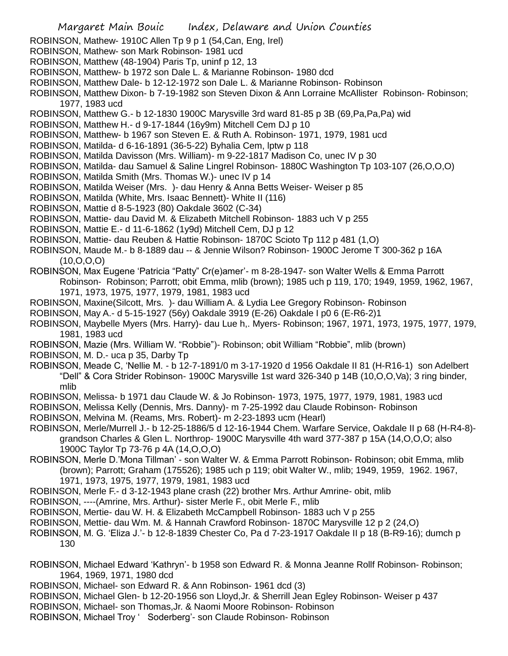- ROBINSON, Mathew- 1910C Allen Tp 9 p 1 (54,Can, Eng, Irel)
- ROBINSON, Mathew- son Mark Robinson- 1981 ucd
- ROBINSON, Matthew (48-1904) Paris Tp, uninf p 12, 13
- ROBINSON, Matthew- b 1972 son Dale L. & Marianne Robinson- 1980 dcd
- ROBINSON, Matthew Dale- b 12-12-1972 son Dale L. & Marianne Robinson- Robinson
- ROBINSON, Matthew Dixon- b 7-19-1982 son Steven Dixon & Ann Lorraine McAllister Robinson- Robinson; 1977, 1983 ucd
- ROBINSON, Matthew G.- b 12-1830 1900C Marysville 3rd ward 81-85 p 3B (69,Pa,Pa,Pa) wid
- ROBINSON, Matthew H.- d 9-17-1844 (16y9m) Mitchell Cem DJ p 10
- ROBINSON, Matthew- b 1967 son Steven E. & Ruth A. Robinson- 1971, 1979, 1981 ucd
- ROBINSON, Matilda- d 6-16-1891 (36-5-22) Byhalia Cem, lptw p 118
- ROBINSON, Matilda Davisson (Mrs. William)- m 9-22-1817 Madison Co, unec IV p 30
- ROBINSON, Matilda- dau Samuel & Saline Lingrel Robinson- 1880C Washington Tp 103-107 (26,O,O,O)
- ROBINSON, Matilda Smith (Mrs. Thomas W.)- unec IV p 14
- ROBINSON, Matilda Weiser (Mrs. )- dau Henry & Anna Betts Weiser- Weiser p 85
- ROBINSON, Matilda (White, Mrs. Isaac Bennett)- White II (116)
- ROBINSON, Mattie d 8-5-1923 (80) Oakdale 3602 (C-34)
- ROBINSON, Mattie- dau David M. & Elizabeth Mitchell Robinson- 1883 uch V p 255
- ROBINSON, Mattie E.- d 11-6-1862 (1y9d) Mitchell Cem, DJ p 12
- ROBINSON, Mattie- dau Reuben & Hattie Robinson- 1870C Scioto Tp 112 p 481 (1,O)
- ROBINSON, Maude M.- b 8-1889 dau -- & Jennie Wilson? Robinson- 1900C Jerome T 300-362 p 16A (10,O,O,O)
- ROBINSON, Max Eugene 'Patricia "Patty" Cr(e)amer'- m 8-28-1947- son Walter Wells & Emma Parrott Robinson- Robinson; Parrott; obit Emma, mlib (brown); 1985 uch p 119, 170; 1949, 1959, 1962, 1967, 1971, 1973, 1975, 1977, 1979, 1981, 1983 ucd
- ROBINSON, Maxine(Silcott, Mrs. )- dau William A. & Lydia Lee Gregory Robinson- Robinson
- ROBINSON, May A.- d 5-15-1927 (56y) Oakdale 3919 (E-26) Oakdale I p0 6 (E-R6-2)1
- ROBINSON, Maybelle Myers (Mrs. Harry)- dau Lue h,. Myers- Robinson; 1967, 1971, 1973, 1975, 1977, 1979, 1981, 1983 ucd
- ROBINSON, Mazie (Mrs. William W. "Robbie")- Robinson; obit William "Robbie", mlib (brown)
- ROBINSON, M. D.- uca p 35, Darby Tp
- ROBINSON, Meade C, 'Nellie M. b 12-7-1891/0 m 3-17-1920 d 1956 Oakdale II 81 (H-R16-1) son Adelbert "Dell" & Cora Strider Robinson- 1900C Marysville 1st ward 326-340 p 14B (10,O,O,Va); 3 ring binder, mlib
- ROBINSON, Melissa- b 1971 dau Claude W. & Jo Robinson- 1973, 1975, 1977, 1979, 1981, 1983 ucd
- ROBINSON, Melissa Kelly (Dennis, Mrs. Danny)- m 7-25-1992 dau Claude Robinson- Robinson
- ROBINSON, Melvina M. (Reams, Mrs. Robert)- m 2-23-1893 ucm (Hearl)
- ROBINSON, Merle/Murrell J.- b 12-25-1886/5 d 12-16-1944 Chem. Warfare Service, Oakdale II p 68 (H-R4-8) grandson Charles & Glen L. Northrop- 1900C Marysville 4th ward 377-387 p 15A (14,O,O,O; also 1900C Taylor Tp 73-76 p 4A (14,O,O,O)
- ROBINSON, Merle D.'Mona Tillman' son Walter W. & Emma Parrott Robinson- Robinson; obit Emma, mlib (brown); Parrott; Graham (175526); 1985 uch p 119; obit Walter W., mlib; 1949, 1959, 1962. 1967, 1971, 1973, 1975, 1977, 1979, 1981, 1983 ucd
- ROBINSON, Merle F.- d 3-12-1943 plane crash (22) brother Mrs. Arthur Amrine- obit, mlib
- ROBINSON, ----(Amrine, Mrs. Arthur)- sister Merle F., obit Merle F., mlib
- ROBINSON, Mertie- dau W. H. & Elizabeth McCampbell Robinson- 1883 uch V p 255
- ROBINSON, Mettie- dau Wm. M. & Hannah Crawford Robinson- 1870C Marysville 12 p 2 (24,O)
- ROBINSON, M. G. 'Eliza J.'- b 12-8-1839 Chester Co, Pa d 7-23-1917 Oakdale II p 18 (B-R9-16); dumch p 130
- ROBINSON, Michael Edward 'Kathryn'- b 1958 son Edward R. & Monna Jeanne Rollf Robinson- Robinson; 1964, 1969, 1971, 1980 dcd
- ROBINSON, Michael- son Edward R. & Ann Robinson- 1961 dcd (3)
- ROBINSON, Michael Glen- b 12-20-1956 son Lloyd,Jr. & Sherrill Jean Egley Robinson- Weiser p 437
- ROBINSON, Michael- son Thomas,Jr. & Naomi Moore Robinson- Robinson
- ROBINSON, Michael Troy ' Soderberg'- son Claude Robinson- Robinson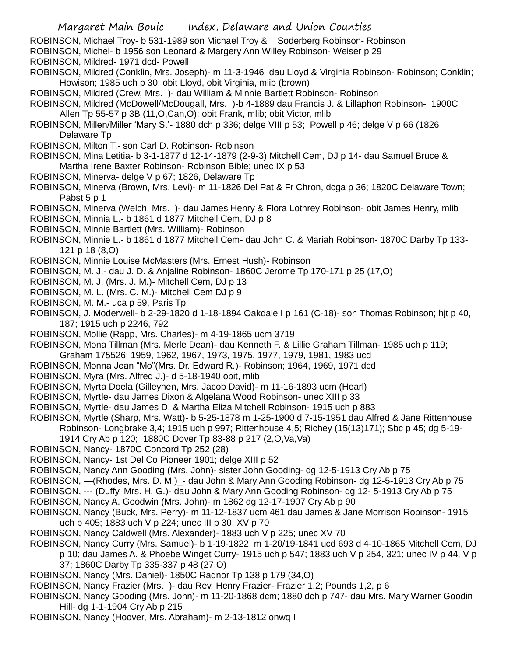ROBINSON, Michael Troy- b 531-1989 son Michael Troy & Soderberg Robinson- Robinson

ROBINSON, Michel- b 1956 son Leonard & Margery Ann Willey Robinson- Weiser p 29

ROBINSON, Mildred- 1971 dcd- Powell

ROBINSON, Mildred (Conklin, Mrs. Joseph)- m 11-3-1946 dau Lloyd & Virginia Robinson- Robinson; Conklin; Howison; 1985 uch p 30; obit Lloyd, obit Virginia, mlib (brown)

ROBINSON, Mildred (Crew, Mrs. )- dau William & Minnie Bartlett Robinson- Robinson

ROBINSON, Mildred (McDowell/McDougall, Mrs. )-b 4-1889 dau Francis J. & Lillaphon Robinson- 1900C Allen Tp 55-57 p 3B (11,O,Can,O); obit Frank, mlib; obit Victor, mlib

- ROBINSON, Millen/Miller 'Mary S.'- 1880 dch p 336; delge VIII p 53; Powell p 46; delge V p 66 (1826 Delaware Tp
- ROBINSON, Milton T.- son Carl D. Robinson- Robinson
- ROBINSON, Mina Letitia- b 3-1-1877 d 12-14-1879 (2-9-3) Mitchell Cem, DJ p 14- dau Samuel Bruce & Martha Irene Baxter Robinson- Robinson Bible; unec IX p 53
- ROBINSON, Minerva- delge V p 67; 1826, Delaware Tp
- ROBINSON, Minerva (Brown, Mrs. Levi)- m 11-1826 Del Pat & Fr Chron, dcga p 36; 1820C Delaware Town; Pabst 5 p 1

ROBINSON, Minerva (Welch, Mrs. )- dau James Henry & Flora Lothrey Robinson- obit James Henry, mlib

- ROBINSON, Minnia L.- b 1861 d 1877 Mitchell Cem, DJ p 8
- ROBINSON, Minnie Bartlett (Mrs. William)- Robinson
- ROBINSON, Minnie L.- b 1861 d 1877 Mitchell Cem- dau John C. & Mariah Robinson- 1870C Darby Tp 133- 121 p 18 (8,O)
- ROBINSON, Minnie Louise McMasters (Mrs. Ernest Hush)- Robinson
- ROBINSON, M. J.- dau J. D. & Anjaline Robinson- 1860C Jerome Tp 170-171 p 25 (17,O)
- ROBINSON, M. J. (Mrs. J. M.)- Mitchell Cem, DJ p 13
- ROBINSON, M. L. (Mrs. C. M.)- Mitchell Cem DJ p 9
- ROBINSON, M. M.- uca p 59, Paris Tp
- ROBINSON, J. Moderwell- b 2-29-1820 d 1-18-1894 Oakdale I p 161 (C-18)- son Thomas Robinson; hjt p 40, 187; 1915 uch p 2246, 792
- ROBINSON, Mollie (Rapp, Mrs. Charles)- m 4-19-1865 ucm 3719
- ROBINSON, Mona Tillman (Mrs. Merle Dean)- dau Kenneth F. & Lillie Graham Tillman- 1985 uch p 119; Graham 175526; 1959, 1962, 1967, 1973, 1975, 1977, 1979, 1981, 1983 ucd
- ROBINSON, Monna Jean "Mo"(Mrs. Dr. Edward R.)- Robinson; 1964, 1969, 1971 dcd
- ROBINSON, Myra (Mrs. Alfred J.)- d 5-18-1940 obit, mlib
- ROBINSON, Myrta Doela (Gilleyhen, Mrs. Jacob David)- m 11-16-1893 ucm (Hearl)
- ROBINSON, Myrtle- dau James Dixon & Algelana Wood Robinson- unec XIII p 33
- ROBINSON, Myrtle- dau James D. & Martha Eliza Mitchell Robinson- 1915 uch p 883
- ROBINSON, Myrtle (Sharp, Mrs. Watt)- b 5-25-1878 m 1-25-1900 d 7-15-1951 dau Alfred & Jane Rittenhouse Robinson- Longbrake 3,4; 1915 uch p 997; Rittenhouse 4,5; Richey (15(13)171); Sbc p 45; dg 5-19-
	- 1914 Cry Ab p 120; 1880C Dover Tp 83-88 p 217 (2,O,Va,Va)
- ROBINSON, Nancy- 1870C Concord Tp 252 (28)
- ROBINSON, Nancy- 1st Del Co Pioneer 1901; delge XIII p 52
- ROBINSON, Nancy Ann Gooding (Mrs. John)- sister John Gooding- dg 12-5-1913 Cry Ab p 75
- ROBINSON, —(Rhodes, Mrs. D. M.)\_- dau John & Mary Ann Gooding Robinson- dg 12-5-1913 Cry Ab p 75
- ROBINSON, --- (Duffy, Mrs. H. G.)- dau John & Mary Ann Gooding Robinson- dg 12- 5-1913 Cry Ab p 75
- ROBINSON, Nancy A. Goodwin (Mrs. John)- m 1862 dg 12-17-1907 Cry Ab p 90
- ROBINSON, Nancy (Buck, Mrs. Perry)- m 11-12-1837 ucm 461 dau James & Jane Morrison Robinson- 1915 uch p 405; 1883 uch V p 224; unec III p 30, XV p 70
- ROBINSON, Nancy Caldwell (Mrs. Alexander)- 1883 uch V p 225; unec XV 70
- ROBINSON, Nancy Curry (Mrs. Samuel)- b 1-19-1822 m 1-20/19-1841 ucd 693 d 4-10-1865 Mitchell Cem, DJ
	- p 10; dau James A. & Phoebe Winget Curry- 1915 uch p 547; 1883 uch V p 254, 321; unec IV p 44, V p 37; 1860C Darby Tp 335-337 p 48 (27,O)
- ROBINSON, Nancy (Mrs. Daniel)- 1850C Radnor Tp 138 p 179 (34,O)
- ROBINSON, Nancy Frazier (Mrs. )- dau Rev. Henry Frazier- Frazier 1,2; Pounds 1,2, p 6
- ROBINSON, Nancy Gooding (Mrs. John)- m 11-20-1868 dcm; 1880 dch p 747- dau Mrs. Mary Warner Goodin Hill- dg 1-1-1904 Cry Ab p 215
- ROBINSON, Nancy (Hoover, Mrs. Abraham)- m 2-13-1812 onwq I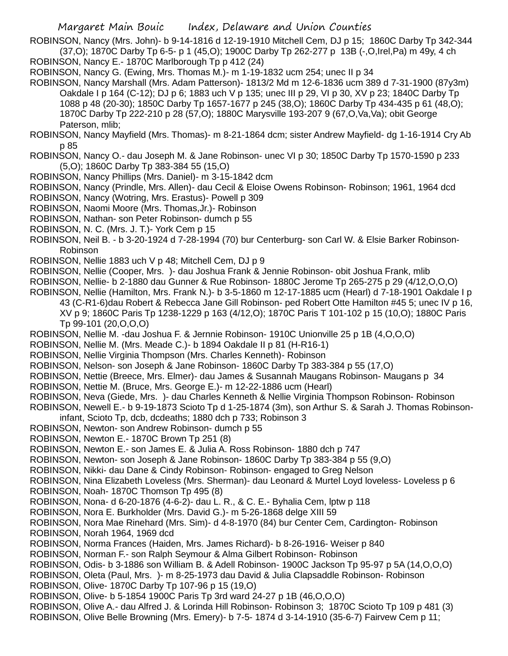ROBINSON, Nancy (Mrs. John)- b 9-14-1816 d 12-19-1910 Mitchell Cem, DJ p 15; 1860C Darby Tp 342-344 (37,O); 1870C Darby Tp 6-5- p 1 (45,O); 1900C Darby Tp 262-277 p 13B (-,O,Irel,Pa) m 49y, 4 ch ROBINSON, Nancy E.- 1870C Marlborough Tp p 412 (24)

ROBINSON, Nancy G. (Ewing, Mrs. Thomas M.)- m 1-19-1832 ucm 254; unec II p 34

ROBINSON, Nancy Marshall (Mrs. Adam Patterson)- 1813/2 Md m 12-6-1836 ucm 389 d 7-31-1900 (87y3m) Oakdale I p 164 (C-12); DJ p 6; 1883 uch V p 135; unec III p 29, VI p 30, XV p 23; 1840C Darby Tp 1088 p 48 (20-30); 1850C Darby Tp 1657-1677 p 245 (38,O); 1860C Darby Tp 434-435 p 61 (48,O); 1870C Darby Tp 222-210 p 28 (57, O); 1880C Marysville 193-207 9 (67, O, Va, Va); obit George Paterson, mlib;

ROBINSON, Nancy Mayfield (Mrs. Thomas)- m 8-21-1864 dcm; sister Andrew Mayfield- dg 1-16-1914 Cry Ab p 85

- ROBINSON, Nancy O.- dau Joseph M. & Jane Robinson- unec VI p 30; 1850C Darby Tp 1570-1590 p 233 (5,O); 1860C Darby Tp 383-384 55 (15,O)
- ROBINSON, Nancy Phillips (Mrs. Daniel)- m 3-15-1842 dcm
- ROBINSON, Nancy (Prindle, Mrs. Allen)- dau Cecil & Eloise Owens Robinson- Robinson; 1961, 1964 dcd
- ROBINSON, Nancy (Wotring, Mrs. Erastus)- Powell p 309
- ROBINSON, Naomi Moore (Mrs. Thomas,Jr.)- Robinson
- ROBINSON, Nathan- son Peter Robinson- dumch p 55
- ROBINSON, N. C. (Mrs. J. T.)- York Cem p 15
- ROBINSON, Neil B. b 3-20-1924 d 7-28-1994 (70) bur Centerburg- son Carl W. & Elsie Barker Robinson-Robinson
- ROBINSON, Nellie 1883 uch V p 48; Mitchell Cem, DJ p 9
- ROBINSON, Nellie (Cooper, Mrs. )- dau Joshua Frank & Jennie Robinson- obit Joshua Frank, mlib
- ROBINSON, Nellie- b 2-1880 dau Gunner & Rue Robinson- 1880C Jerome Tp 265-275 p 29 (4/12,O,O,O)
- ROBINSON, Nellie (Hamilton, Mrs. Frank N.)- b 3-5-1860 m 12-17-1885 ucm (Hearl) d 7-18-1901 Oakdale I p 43 (C-R1-6)dau Robert & Rebecca Jane Gill Robinson- ped Robert Otte Hamilton #45 5; unec IV p 16, XV p 9; 1860C Paris Tp 1238-1229 p 163 (4/12,O); 1870C Paris T 101-102 p 15 (10,O); 1880C Paris Tp 99-101 (20,O,O,O)
- ROBINSON, Nellie M. -dau Joshua F. & Jernnie Robinson- 1910C Unionville 25 p 1B (4,O,O,O)
- ROBINSON, Nellie M. (Mrs. Meade C.)- b 1894 Oakdale II p 81 (H-R16-1)
- ROBINSON, Nellie Virginia Thompson (Mrs. Charles Kenneth)- Robinson
- ROBINSON, Nelson- son Joseph & Jane Robinson- 1860C Darby Tp 383-384 p 55 (17,O)
- ROBINSON, Nettie (Breece, Mrs. Elmer)- dau James & Susannah Maugans Robinson- Maugans p 34
- ROBINSON, Nettie M. (Bruce, Mrs. George E.)- m 12-22-1886 ucm (Hearl)
- ROBINSON, Neva (Giede, Mrs. )- dau Charles Kenneth & Nellie Virginia Thompson Robinson- Robinson

ROBINSON, Newell E.- b 9-19-1873 Scioto Tp d 1-25-1874 (3m), son Arthur S. & Sarah J. Thomas Robinsoninfant, Scioto Tp, dcb, dcdeaths; 1880 dch p 733; Robinson 3

- ROBINSON, Newton- son Andrew Robinson- dumch p 55
- ROBINSON, Newton E.- 1870C Brown Tp 251 (8)
- ROBINSON, Newton E.- son James E. & Julia A. Ross Robinson- 1880 dch p 747
- ROBINSON, Newton- son Joseph & Jane Robinson- 1860C Darby Tp 383-384 p 55 (9,O)
- ROBINSON, Nikki- dau Dane & Cindy Robinson- Robinson- engaged to Greg Nelson
- ROBINSON, Nina Elizabeth Loveless (Mrs. Sherman)- dau Leonard & Murtel Loyd loveless- Loveless p 6 ROBINSON, Noah- 1870C Thomson Tp 495 (8)
- ROBINSON, Nona- d 6-20-1876 (4-6-2)- dau L. R., & C. E.- Byhalia Cem, lptw p 118
- ROBINSON, Nora E. Burkholder (Mrs. David G.)- m 5-26-1868 delge XIII 59
- ROBINSON, Nora Mae Rinehard (Mrs. Sim)- d 4-8-1970 (84) bur Center Cem, Cardington- Robinson ROBINSON, Norah 1964, 1969 dcd
- ROBINSON, Norma Frances (Haiden, Mrs. James Richard)- b 8-26-1916- Weiser p 840
- ROBINSON, Norman F.- son Ralph Seymour & Alma Gilbert Robinson- Robinson
- ROBINSON, Odis- b 3-1886 son William B. & Adell Robinson- 1900C Jackson Tp 95-97 p 5A (14,O,O,O)
- ROBINSON, Oleta (Paul, Mrs. )- m 8-25-1973 dau David & Julia Clapsaddle Robinson- Robinson ROBINSON, Olive- 1870C Darby Tp 107-96 p 15 (19,O)
- ROBINSON, Olive- b 5-1854 1900C Paris Tp 3rd ward 24-27 p 1B (46,O,O,O)
- ROBINSON, Olive A.- dau Alfred J. & Lorinda Hill Robinson- Robinson 3; 1870C Scioto Tp 109 p 481 (3)
- ROBINSON, Olive Belle Browning (Mrs. Emery)- b 7-5- 1874 d 3-14-1910 (35-6-7) Fairvew Cem p 11;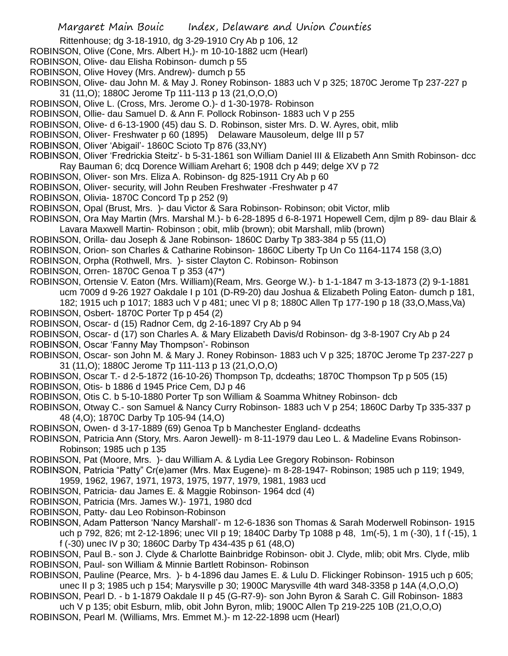- Rittenhouse; dg 3-18-1910, dg 3-29-1910 Cry Ab p 106, 12
- ROBINSON, Olive (Cone, Mrs. Albert H,)- m 10-10-1882 ucm (Hearl)
- ROBINSON, Olive- dau Elisha Robinson- dumch p 55
- ROBINSON, Olive Hovey (Mrs. Andrew)- dumch p 55
- ROBINSON, Olive- dau John M. & May J. Roney Robinson- 1883 uch V p 325; 1870C Jerome Tp 237-227 p 31 (11,O); 1880C Jerome Tp 111-113 p 13 (21,O,O,O)
- ROBINSON, Olive L. (Cross, Mrs. Jerome O.)- d 1-30-1978- Robinson
- ROBINSON, Ollie- dau Samuel D. & Ann F. Pollock Robinson- 1883 uch V p 255
- ROBINSON, Olive- d 6-13-1900 (45) dau S. D. Robinson, sister Mrs. D. W. Ayres, obit, mlib
- ROBINSON, Oliver- Freshwater p 60 (1895) Delaware Mausoleum, delge III p 57
- ROBINSON, Oliver 'Abigail'- 1860C Scioto Tp 876 (33,NY)
- ROBINSON, Oliver 'Fredrickia Steitz'- b 5-31-1861 son William Daniel III & Elizabeth Ann Smith Robinson- dcc Ray Bauman 6; dcq Dorence William Arehart 6; 1908 dch p 449; delge XV p 72
- ROBINSON, Oliver- son Mrs. Eliza A. Robinson- dg 825-1911 Cry Ab p 60
- ROBINSON, Oliver- security, will John Reuben Freshwater -Freshwater p 47
- ROBINSON, Olivia- 1870C Concord Tp p 252 (9)
- ROBINSON, Opal (Brust, Mrs. )- dau Victor & Sara Robinson- Robinson; obit Victor, mlib
- ROBINSON, Ora May Martin (Mrs. Marshal M.)- b 6-28-1895 d 6-8-1971 Hopewell Cem, djlm p 89- dau Blair & Lavara Maxwell Martin- Robinson ; obit, mlib (brown); obit Marshall, mlib (brown)
- ROBINSON, Orilla- dau Joseph & Jane Robinson- 1860C Darby Tp 383-384 p 55 (11,O)
- ROBINSON, Orion- son Charles & Catharine Robinson- 1860C Liberty Tp Un Co 1164-1174 158 (3,O)
- ROBINSON, Orpha (Rothwell, Mrs. )- sister Clayton C. Robinson- Robinson
- ROBINSON, Orren- 1870C Genoa T p 353 (47\*)
- ROBINSON, Ortensie V. Eaton (Mrs. William)(Ream, Mrs. George W.)- b 1-1-1847 m 3-13-1873 (2) 9-1-1881 ucm 7009 d 9-26 1927 Oakdale I p 101 (D-R9-20) dau Joshua & Elizabeth Poling Eaton- dumch p 181, 182; 1915 uch p 1017; 1883 uch V p 481; unec VI p 8; 1880C Allen Tp 177-190 p 18 (33,O,Mass,Va)
- ROBINSON, Osbert- 1870C Porter Tp p 454 (2)
- ROBINSON, Oscar- d (15) Radnor Cem, dg 2-16-1897 Cry Ab p 94
- ROBINSON, Oscar- d (17) son Charles A. & Mary Elizabeth Davis/d Robinson- dg 3-8-1907 Cry Ab p 24
- ROBINSON, Oscar 'Fanny May Thompson'- Robinson
- ROBINSON, Oscar- son John M. & Mary J. Roney Robinson- 1883 uch V p 325; 1870C Jerome Tp 237-227 p 31 (11,O); 1880C Jerome Tp 111-113 p 13 (21,O,O,O)
- ROBINSON, Oscar T.- d 2-5-1872 (16-10-26) Thompson Tp, dcdeaths; 1870C Thompson Tp p 505 (15)
- ROBINSON, Otis- b 1886 d 1945 Price Cem, DJ p 46
- ROBINSON, Otis C. b 5-10-1880 Porter Tp son William & Soamma Whitney Robinson- dcb
- ROBINSON, Otway C.- son Samuel & Nancy Curry Robinson- 1883 uch V p 254; 1860C Darby Tp 335-337 p 48 (4,O); 1870C Darby Tp 105-94 (14,O)
- ROBINSON, Owen- d 3-17-1889 (69) Genoa Tp b Manchester England- dcdeaths
- ROBINSON, Patricia Ann (Story, Mrs. Aaron Jewell)- m 8-11-1979 dau Leo L. & Madeline Evans Robinson-Robinson; 1985 uch p 135
- ROBINSON, Pat (Moore, Mrs. )- dau William A. & Lydia Lee Gregory Robinson- Robinson
- ROBINSON, Patricia "Patty" Cr(e)amer (Mrs. Max Eugene)- m 8-28-1947- Robinson; 1985 uch p 119; 1949, 1959, 1962, 1967, 1971, 1973, 1975, 1977, 1979, 1981, 1983 ucd
- ROBINSON, Patricia- dau James E. & Maggie Robinson- 1964 dcd (4)
- ROBINSON, Patricia (Mrs. James W.)- 1971, 1980 dcd
- ROBINSON, Patty- dau Leo Robinson-Robinson
- ROBINSON, Adam Patterson 'Nancy Marshall'- m 12-6-1836 son Thomas & Sarah Moderwell Robinson- 1915 uch p 792, 826; mt 2-12-1896; unec VII p 19; 1840C Darby Tp 1088 p 48, 1m(-5), 1 m (-30), 1 f (-15), 1 f (-30) unec IV p 30; 1860C Darby Tp 434-435 p 61 (48,O)
- ROBINSON, Paul B.- son J. Clyde & Charlotte Bainbridge Robinson- obit J. Clyde, mlib; obit Mrs. Clyde, mlib ROBINSON, Paul- son William & Minnie Bartlett Robinson- Robinson
- ROBINSON, Pauline (Pearce, Mrs. )- b 4-1896 dau James E. & Lulu D. Flickinger Robinson- 1915 uch p 605; unec II p 3; 1985 uch p 154; Marysville p 30; 1900C Marysville 4th ward 348-3358 p 14A (4,O,O,O)
- ROBINSON, Pearl D. b 1-1879 Oakdale II p 45 (G-R7-9)- son John Byron & Sarah C. Gill Robinson- 1883
- uch V p 135; obit Esburn, mlib, obit John Byron, mlib; 1900C Allen Tp 219-225 10B (21,O,O,O)
- ROBINSON, Pearl M. (Williams, Mrs. Emmet M.)- m 12-22-1898 ucm (Hearl)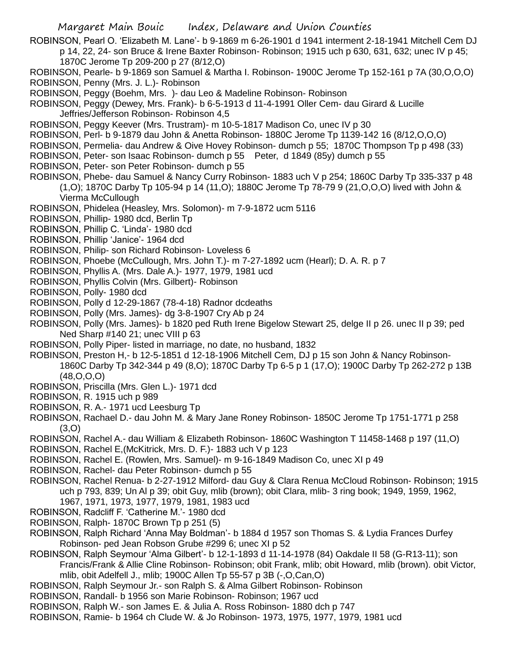ROBINSON, Pearl O. 'Elizabeth M. Lane'- b 9-1869 m 6-26-1901 d 1941 interment 2-18-1941 Mitchell Cem DJ p 14, 22, 24- son Bruce & Irene Baxter Robinson- Robinson; 1915 uch p 630, 631, 632; unec IV p 45;

- 1870C Jerome Tp 209-200 p 27 (8/12,O)
- ROBINSON, Pearle- b 9-1869 son Samuel & Martha I. Robinson- 1900C Jerome Tp 152-161 p 7A (30,O,O,O) ROBINSON, Penny (Mrs. J. L.)- Robinson
- ROBINSON, Peggy (Boehm, Mrs. )- dau Leo & Madeline Robinson- Robinson

ROBINSON, Peggy (Dewey, Mrs. Frank)- b 6-5-1913 d 11-4-1991 Oller Cem- dau Girard & Lucille Jeffries/Jefferson Robinson- Robinson 4,5

- ROBINSON, Peggy Keever (Mrs. Trustram)- m 10-5-1817 Madison Co, unec IV p 30
- ROBINSON, Perl- b 9-1879 dau John & Anetta Robinson- 1880C Jerome Tp 1139-142 16 (8/12,O,O,O)
- ROBINSON, Permelia- dau Andrew & Oive Hovey Robinson- dumch p 55; 1870C Thompson Tp p 498 (33)
- ROBINSON, Peter- son Isaac Robinson- dumch p 55 Peter, d 1849 (85y) dumch p 55
- ROBINSON, Peter- son Peter Robinson- dumch p 55
- ROBINSON, Phebe- dau Samuel & Nancy Curry Robinson- 1883 uch V p 254; 1860C Darby Tp 335-337 p 48 (1,O); 1870C Darby Tp 105-94 p 14 (11,O); 1880C Jerome Tp 78-79 9 (21,O,O,O) lived with John & Vierma McCullough
- ROBINSON, Phidelea (Heasley, Mrs. Solomon)- m 7-9-1872 ucm 5116
- ROBINSON, Phillip- 1980 dcd, Berlin Tp
- ROBINSON, Phillip C. 'Linda'- 1980 dcd
- ROBINSON, Phillip 'Janice'- 1964 dcd
- ROBINSON, Philip- son Richard Robinson- Loveless 6
- ROBINSON, Phoebe (McCullough, Mrs. John T.)- m 7-27-1892 ucm (Hearl); D. A. R. p 7
- ROBINSON, Phyllis A. (Mrs. Dale A.)- 1977, 1979, 1981 ucd
- ROBINSON, Phyllis Colvin (Mrs. Gilbert)- Robinson
- ROBINSON, Polly- 1980 dcd
- ROBINSON, Polly d 12-29-1867 (78-4-18) Radnor dcdeaths
- ROBINSON, Polly (Mrs. James)- dg 3-8-1907 Cry Ab p 24
- ROBINSON, Polly (Mrs. James)- b 1820 ped Ruth Irene Bigelow Stewart 25, delge II p 26. unec II p 39; ped Ned Sharp #140 21; unec VIII p 63
- ROBINSON, Polly Piper- listed in marriage, no date, no husband, 1832
- ROBINSON, Preston H,- b 12-5-1851 d 12-18-1906 Mitchell Cem, DJ p 15 son John & Nancy Robinson-1860C Darby Tp 342-344 p 49 (8,O); 1870C Darby Tp 6-5 p 1 (17,O); 1900C Darby Tp 262-272 p 13B (48,O,O,O)
- ROBINSON, Priscilla (Mrs. Glen L.)- 1971 dcd
- ROBINSON, R. 1915 uch p 989
- ROBINSON, R. A.- 1971 ucd Leesburg Tp
- ROBINSON, Rachael D.- dau John M. & Mary Jane Roney Robinson- 1850C Jerome Tp 1751-1771 p 258 (3,O)
- ROBINSON, Rachel A.- dau William & Elizabeth Robinson- 1860C Washington T 11458-1468 p 197 (11,O)
- ROBINSON, Rachel E,(McKitrick, Mrs. D. F.)- 1883 uch V p 123
- ROBINSON, Rachel E. (Rowlen, Mrs. Samuel)- m 9-16-1849 Madison Co, unec XI p 49
- ROBINSON, Rachel- dau Peter Robinson- dumch p 55
- ROBINSON, Rachel Renua- b 2-27-1912 Milford- dau Guy & Clara Renua McCloud Robinson- Robinson; 1915 uch p 793, 839; Un Al p 39; obit Guy, mlib (brown); obit Clara, mlib- 3 ring book; 1949, 1959, 1962, 1967, 1971, 1973, 1977, 1979, 1981, 1983 ucd
	-
- ROBINSON, Radcliff F. 'Catherine M.'- 1980 dcd
- ROBINSON, Ralph- 1870C Brown Tp p 251 (5)
- ROBINSON, Ralph Richard 'Anna May Boldman'- b 1884 d 1957 son Thomas S. & Lydia Frances Durfey Robinson- ped Jean Robson Grube #299 6; unec XI p 52
- ROBINSON, Ralph Seymour 'Alma Gilbert'- b 12-1-1893 d 11-14-1978 (84) Oakdale II 58 (G-R13-11); son Francis/Frank & Allie Cline Robinson- Robinson; obit Frank, mlib; obit Howard, mlib (brown). obit Victor, mlib, obit Adelfell J., mlib; 1900C Allen Tp 55-57 p 3B (-,O,Can,O)
- ROBINSON, Ralph Seymour Jr.- son Ralph S. & Alma Gilbert Robinson- Robinson
- ROBINSON, Randall- b 1956 son Marie Robinson- Robinson; 1967 ucd
- ROBINSON, Ralph W.- son James E. & Julia A. Ross Robinson- 1880 dch p 747
- ROBINSON, Ramie- b 1964 ch Clude W. & Jo Robinson- 1973, 1975, 1977, 1979, 1981 ucd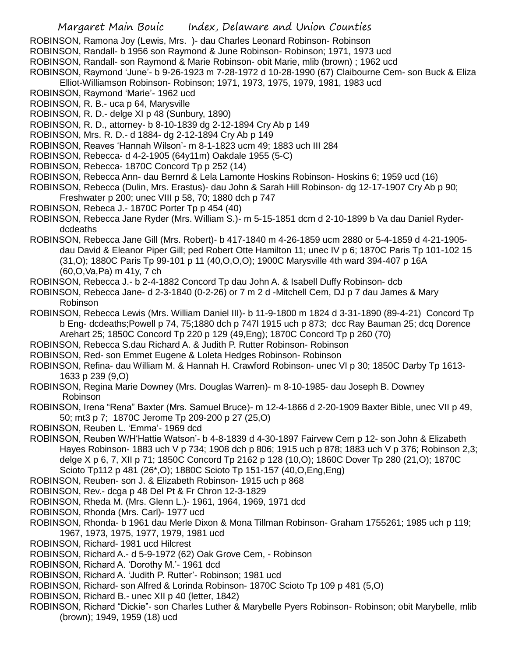- ROBINSON, Ramona Joy (Lewis, Mrs. )- dau Charles Leonard Robinson- Robinson
- ROBINSON, Randall- b 1956 son Raymond & June Robinson- Robinson; 1971, 1973 ucd
- ROBINSON, Randall- son Raymond & Marie Robinson- obit Marie, mlib (brown) ; 1962 ucd
- ROBINSON, Raymond 'June'- b 9-26-1923 m 7-28-1972 d 10-28-1990 (67) Claibourne Cem- son Buck & Eliza

Elliot-Williamson Robinson- Robinson; 1971, 1973, 1975, 1979, 1981, 1983 ucd

- ROBINSON, Raymond 'Marie'- 1962 ucd
- ROBINSON, R. B.- uca p 64, Marysville
- ROBINSON, R. D.- delge XI p 48 (Sunbury, 1890)
- ROBINSON, R. D., attorney- b 8-10-1839 dg 2-12-1894 Cry Ab p 149
- ROBINSON, Mrs. R. D.- d 1884- dg 2-12-1894 Cry Ab p 149
- ROBINSON, Reaves 'Hannah Wilson'- m 8-1-1823 ucm 49; 1883 uch III 284
- ROBINSON, Rebecca- d 4-2-1905 (64y11m) Oakdale 1955 (5-C)
- ROBINSON, Rebecca- 1870C Concord Tp p 252 (14)
- ROBINSON, Rebecca Ann- dau Bernrd & Lela Lamonte Hoskins Robinson- Hoskins 6; 1959 ucd (16)

ROBINSON, Rebecca (Dulin, Mrs. Erastus)- dau John & Sarah Hill Robinson- dg 12-17-1907 Cry Ab p 90; Freshwater p 200; unec VIII p 58, 70; 1880 dch p 747

- ROBINSON, Rebeca J.- 1870C Porter Tp p 454 (40)
- ROBINSON, Rebecca Jane Ryder (Mrs. William S.)- m 5-15-1851 dcm d 2-10-1899 b Va dau Daniel Ryderdcdeaths
- ROBINSON, Rebecca Jane Gill (Mrs. Robert)- b 417-1840 m 4-26-1859 ucm 2880 or 5-4-1859 d 4-21-1905 dau David & Eleanor Piper Gill; ped Robert Otte Hamilton 11; unec IV p 6; 1870C Paris Tp 101-102 15 (31,O); 1880C Paris Tp 99-101 p 11 (40,O,O,O); 1900C Marysville 4th ward 394-407 p 16A (60,O,Va,Pa) m 41y, 7 ch
- ROBINSON, Rebecca J.- b 2-4-1882 Concord Tp dau John A. & Isabell Duffy Robinson- dcb
- ROBINSON, Rebecca Jane- d 2-3-1840 (0-2-26) or 7 m 2 d -Mitchell Cem, DJ p 7 dau James & Mary Robinson
- ROBINSON, Rebecca Lewis (Mrs. William Daniel III)- b 11-9-1800 m 1824 d 3-31-1890 (89-4-21) Concord Tp b Eng- dcdeaths;Powell p 74, 75;1880 dch p 747l 1915 uch p 873; dcc Ray Bauman 25; dcq Dorence Arehart 25; 1850C Concord Tp 220 p 129 (49,Eng); 1870C Concord Tp p 260 (70)
- ROBINSON, Rebecca S.dau Richard A. & Judith P. Rutter Robinson- Robinson
- ROBINSON, Red- son Emmet Eugene & Loleta Hedges Robinson- Robinson
- ROBINSON, Refina- dau William M. & Hannah H. Crawford Robinson- unec VI p 30; 1850C Darby Tp 1613- 1633 p 239 (9,O)
- ROBINSON, Regina Marie Downey (Mrs. Douglas Warren)- m 8-10-1985- dau Joseph B. Downey Robinson
- ROBINSON, Irena "Rena" Baxter (Mrs. Samuel Bruce)- m 12-4-1866 d 2-20-1909 Baxter Bible, unec VII p 49, 50; mt3 p 7; 1870C Jerome Tp 209-200 p 27 (25,O)
- ROBINSON, Reuben L. 'Emma'- 1969 dcd
- ROBINSON, Reuben W/H'Hattie Watson'- b 4-8-1839 d 4-30-1897 Fairvew Cem p 12- son John & Elizabeth Hayes Robinson- 1883 uch V p 734; 1908 dch p 806; 1915 uch p 878; 1883 uch V p 376; Robinson 2,3; delge X p 6, 7, XII p 71; 1850C Concord Tp 2162 p 128 (10,O); 1860C Dover Tp 280 (21,O); 1870C Scioto Tp112 p 481 (26\*,O); 1880C Scioto Tp 151-157 (40,O,Eng,Eng)
- ROBINSON, Reuben- son J. & Elizabeth Robinson- 1915 uch p 868
- ROBINSON, Rev.- dcga p 48 Del Pt & Fr Chron 12-3-1829
- ROBINSON, Rheda M. (Mrs. Glenn L.)- 1961, 1964, 1969, 1971 dcd
- ROBINSON, Rhonda (Mrs. Carl)- 1977 ucd
- ROBINSON, Rhonda- b 1961 dau Merle Dixon & Mona Tillman Robinson- Graham 1755261; 1985 uch p 119; 1967, 1973, 1975, 1977, 1979, 1981 ucd
- ROBINSON, Richard- 1981 ucd Hilcrest
- ROBINSON, Richard A.- d 5-9-1972 (62) Oak Grove Cem, Robinson
- ROBINSON, Richard A. 'Dorothy M.'- 1961 dcd
- ROBINSON, Richard A. 'Judith P. Rutter'- Robinson; 1981 ucd
- ROBINSON, Richard- son Alfred & Lorinda Robinson- 1870C Scioto Tp 109 p 481 (5,O)
- ROBINSON, Richard B.- unec XII p 40 (letter, 1842)
- ROBINSON, Richard "Dickie"- son Charles Luther & Marybelle Pyers Robinson- Robinson; obit Marybelle, mlib (brown); 1949, 1959 (18) ucd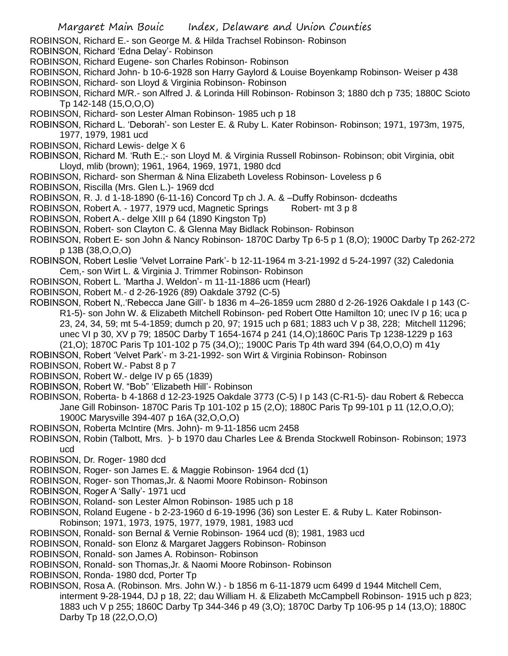- ROBINSON, Richard E.- son George M. & Hilda Trachsel Robinson- Robinson
- ROBINSON, Richard 'Edna Delay'- Robinson
- ROBINSON, Richard Eugene- son Charles Robinson- Robinson
- ROBINSON, Richard John- b 10-6-1928 son Harry Gaylord & Louise Boyenkamp Robinson- Weiser p 438 ROBINSON, Richard- son Lloyd & Virginia Robinson- Robinson
- ROBINSON, Richard M/R.- son Alfred J. & Lorinda Hill Robinson- Robinson 3; 1880 dch p 735; 1880C Scioto Tp 142-148 (15,O,O,O)
- ROBINSON, Richard- son Lester Alman Robinson- 1985 uch p 18
- ROBINSON, Richard L. 'Deborah'- son Lester E. & Ruby L. Kater Robinson- Robinson; 1971, 1973m, 1975, 1977, 1979, 1981 ucd
- ROBINSON, Richard Lewis- delge X 6
- ROBINSON, Richard M. 'Ruth E.;- son Lloyd M. & Virginia Russell Robinson- Robinson; obit Virginia, obit Lloyd, mlib (brown); 1961, 1964, 1969, 1971, 1980 dcd
- ROBINSON, Richard- son Sherman & Nina Elizabeth Loveless Robinson- Loveless p 6
- ROBINSON, Riscilla (Mrs. Glen L.)- 1969 dcd
- ROBINSON, R. J. d 1-18-1890 (6-11-16) Concord Tp ch J. A. & –Duffy Robinson- dcdeaths
- ROBINSON, Robert A. 1977, 1979 ucd, Magnetic Springs Robert- mt 3 p 8
- ROBINSON, Robert A.- delge XIII p 64 (1890 Kingston Tp)
- ROBINSON, Robert- son Clayton C. & Glenna May Bidlack Robinson- Robinson
- ROBINSON, Robert E- son John & Nancy Robinson- 1870C Darby Tp 6-5 p 1 (8,O); 1900C Darby Tp 262-272 p 13B (38,O,O,O)
- ROBINSON, Robert Leslie 'Velvet Lorraine Park'- b 12-11-1964 m 3-21-1992 d 5-24-1997 (32) Caledonia Cem,- son Wirt L. & Virginia J. Trimmer Robinson- Robinson
- ROBINSON, Robert L. 'Martha J. Weldon'- m 11-11-1886 ucm (Hearl)
- ROBINSON, Robert M.- d 2-26-1926 (89) Oakdale 3792 (C-5)
- ROBINSON, Robert N,.'Rebecca Jane Gill'- b 1836 m 4–26-1859 ucm 2880 d 2-26-1926 Oakdale I p 143 (C-R1-5)- son John W. & Elizabeth Mitchell Robinson- ped Robert Otte Hamilton 10; unec IV p 16; uca p 23, 24, 34, 59; mt 5-4-1859; dumch p 20, 97; 1915 uch p 681; 1883 uch V p 38, 228; Mitchell 11296; unec VI p 30, XV p 79; 1850C Darby T 1654-1674 p 241 (14,O);1860C Paris Tp 1238-1229 p 163 (21,O); 1870C Paris Tp 101-102 p 75 (34,O);; 1900C Paris Tp 4th ward 394 (64,O,O,O) m 41y
- ROBINSON, Robert 'Velvet Park'- m 3-21-1992- son Wirt & Virginia Robinson- Robinson
- ROBINSON, Robert W.- Pabst 8 p 7
- ROBINSON, Robert W.- delge IV p 65 (1839)
- ROBINSON, Robert W. "Bob" 'Elizabeth Hill'- Robinson
- ROBINSON, Roberta- b 4-1868 d 12-23-1925 Oakdale 3773 (C-5) I p 143 (C-R1-5)- dau Robert & Rebecca Jane Gill Robinson- 1870C Paris Tp 101-102 p 15 (2,O); 1880C Paris Tp 99-101 p 11 (12,O,O,O); 1900C Marysville 394-407 p 16A (32,O,O,O)
- ROBINSON, Roberta McIntire (Mrs. John)- m 9-11-1856 ucm 2458
- ROBINSON, Robin (Talbott, Mrs. )- b 1970 dau Charles Lee & Brenda Stockwell Robinson- Robinson; 1973 ucd
- ROBINSON, Dr. Roger- 1980 dcd
- ROBINSON, Roger- son James E. & Maggie Robinson- 1964 dcd (1)
- ROBINSON, Roger- son Thomas,Jr. & Naomi Moore Robinson- Robinson
- ROBINSON, Roger A 'Sally'- 1971 ucd
- ROBINSON, Roland- son Lester Almon Robinson- 1985 uch p 18
- ROBINSON, Roland Eugene b 2-23-1960 d 6-19-1996 (36) son Lester E. & Ruby L. Kater Robinson-Robinson; 1971, 1973, 1975, 1977, 1979, 1981, 1983 ucd
- ROBINSON, Ronald- son Bernal & Vernie Robinson- 1964 ucd (8); 1981, 1983 ucd
- ROBINSON, Ronald- son Elonz & Margaret Jaggers Robinson- Robinson
- ROBINSON, Ronald- son James A. Robinson- Robinson
- ROBINSON, Ronald- son Thomas,Jr. & Naomi Moore Robinson- Robinson
- ROBINSON, Ronda- 1980 dcd, Porter Tp
- ROBINSON, Rosa A. (Robinson. Mrs. John W.) b 1856 m 6-11-1879 ucm 6499 d 1944 Mitchell Cem, interment 9-28-1944, DJ p 18, 22; dau William H. & Elizabeth McCampbell Robinson- 1915 uch p 823; 1883 uch V p 255; 1860C Darby Tp 344-346 p 49 (3,O); 1870C Darby Tp 106-95 p 14 (13,O); 1880C Darby Tp 18 (22,O,O,O)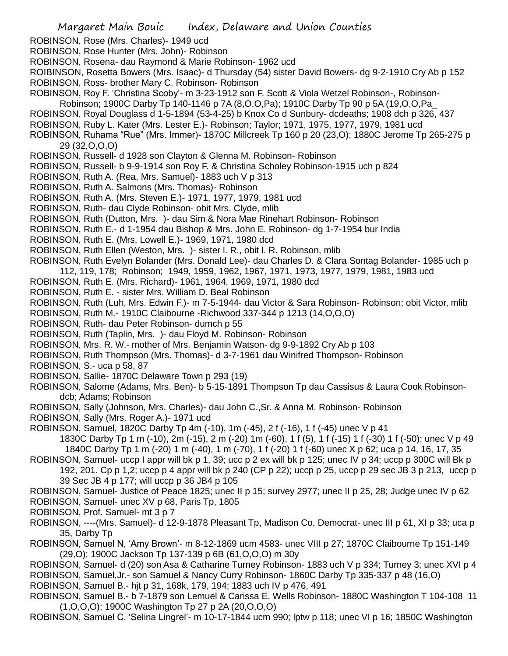- ROBINSON, Rose (Mrs. Charles)- 1949 ucd
- ROBINSON, Rose Hunter (Mrs. John)- Robinson
- ROBINSON, Rosena- dau Raymond & Marie Robinson- 1962 ucd

ROIBINSON, Rosetta Bowers (Mrs. Isaac)- d Thursday (54) sister David Bowers- dg 9-2-1910 Cry Ab p 152 ROBINSON, Ross- brother Mary C. Robinson- Robinson

ROBINSON, Roy F. 'Christina Scoby'- m 3-23-1912 son F. Scott & Viola Wetzel Robinson-, Robinson-

Robinson; 1900C Darby Tp 140-1146 p 7A (8,O,O,Pa); 1910C Darby Tp 90 p 5A (19,O,O,Pa\_

- ROBINSON, Royal Douglass d 1-5-1894 (53-4-25) b Knox Co d Sunbury- dcdeaths; 1908 dch p 326, 437
- ROBINSON, Ruby L. Kater (Mrs. Lester E.)- Robinson; Taylor; 1971, 1975, 1977, 1979, 1981 ucd
- ROBINSON, Ruhama "Rue" (Mrs. Immer)- 1870C Millcreek Tp 160 p 20 (23,O); 1880C Jerome Tp 265-275 p 29 (32,O,O,O)
- ROBINSON, Russell- d 1928 son Clayton & Glenna M. Robinson- Robinson
- ROBINSON, Russell- b 9-9-1914 son Roy F. & Christina Scholey Robinson-1915 uch p 824
- ROBINSON, Ruth A. (Rea, Mrs. Samuel)- 1883 uch V p 313
- ROBINSON, Ruth A. Salmons (Mrs. Thomas)- Robinson
- ROBINSON, Ruth A. (Mrs. Steven E.)- 1971, 1977, 1979, 1981 ucd
- ROBINSON, Ruth- dau Clyde Robinson- obit Mrs. Clyde, mlib
- ROBINSON, Ruth (Dutton, Mrs. )- dau Sim & Nora Mae Rinehart Robinson- Robinson
- ROBINSON, Ruth E.- d 1-1954 dau Bishop & Mrs. John E. Robinson- dg 1-7-1954 bur India
- ROBINSON, Ruth E. (Mrs. Lowell E.)- 1969, 1971, 1980 dcd
- ROBINSON, Ruth Ellen (Weston, Mrs. )- sister l. R., obit l. R. Robinson, mlib
- ROBINSON, Ruth Evelyn Bolander (Mrs. Donald Lee)- dau Charles D. & Clara Sontag Bolander- 1985 uch p 112, 119, 178; Robinson; 1949, 1959, 1962, 1967, 1971, 1973, 1977, 1979, 1981, 1983 ucd
- ROBINSON, Ruth E. (Mrs. Richard)- 1961, 1964, 1969, 1971, 1980 dcd
- ROBINSON, Ruth E. sister Mrs. William D. Beal Robinson
- ROBINSON, Ruth (Luh, Mrs. Edwin F.)- m 7-5-1944- dau Victor & Sara Robinson- Robinson; obit Victor, mlib
- ROBINSON, Ruth M.- 1910C Claibourne -Richwood 337-344 p 1213 (14,O,O,O)
- ROBINSON, Ruth- dau Peter Robinson- dumch p 55
- ROBINSON, Ruth (Taplin, Mrs. )- dau Floyd M. Robinson- Robinson
- ROBINSON, Mrs. R. W.- mother of Mrs. Benjamin Watson- dg 9-9-1892 Cry Ab p 103
- ROBINSON, Ruth Thompson (Mrs. Thomas)- d 3-7-1961 dau Winifred Thompson- Robinson
- ROBINSON, S.- uca p 58, 87
- ROBINSON, Sallie- 1870C Delaware Town p 293 (19)
- ROBINSON, Salome (Adams, Mrs. Ben)- b 5-15-1891 Thompson Tp dau Cassisus & Laura Cook Robinsondcb; Adams; Robinson
- ROBINSON, Sally (Johnson, Mrs. Charles)- dau John C.,Sr. & Anna M. Robinson- Robinson
- ROBINSON, Sally (Mrs. Roger A.)- 1971 ucd
- ROBINSON, Samuel, 1820C Darby Tp 4m (-10), 1m (-45), 2 f (-16), 1 f (-45) unec V p 41
	- 1830C Darby Tp 1 m (-10), 2m (-15), 2 m (-20) 1m (-60), 1 f (5), 1 f (-15) 1 f (-30) 1 f (-50); unec V p 49 1840C Darby Tp 1 m (-20) 1 m (-40), 1 m (-70), 1 f (-20) 1 f (-60) unec X p 62; uca p 14, 16, 17, 35
- ROBINSON, Samuel- uccp I appr will bk p 1, 39; ucc p 2 ex will bk p 125; unec IV p 34; uccp p 300C will Bk p 192, 201. Cp p 1,2; uccp p 4 appr will bk p 240 (CP p 22); uccp p 25, uccp p 29 sec JB 3 p 213, uccp p 39 Sec JB 4 p 177; will uccp p 36 JB4 p 105
- ROBINSON, Samuel- Justice of Peace 1825; unec II p 15; survey 2977; unec II p 25, 28; Judge unec IV p 62 ROBINSON, Samuel- unec XV p 68, Paris Tp, 1805
- ROBINSON, Prof. Samuel- mt 3 p 7
- ROBINSON, ----(Mrs. Samuel)- d 12-9-1878 Pleasant Tp, Madison Co, Democrat- unec III p 61, XI p 33; uca p 35, Darby Tp
- ROBINSON, Samuel N, 'Amy Brown'- m 8-12-1869 ucm 4583- unec VIII p 27; 1870C Claibourne Tp 151-149 (29,O); 1900C Jackson Tp 137-139 p 6B (61,O,O,O) m 30y
- ROBINSON, Samuel- d (20) son Asa & Catharine Turney Robinson- 1883 uch V p 334; Turney 3; unec XVI p 4 ROBINSON, Samuel,Jr.- son Samuel & Nancy Curry Robinson- 1860C Darby Tp 335-337 p 48 (16,O) ROBINSON, Samuel B.- hjt p 31, 168k, 179, 194; 1883 uch IV p 476, 491
- ROBINSON, Samuel B.- b 7-1879 son Lemuel & Carissa E. Wells Robinson- 1880C Washington T 104-108 11 (1,O,O,O); 1900C Washington Tp 27 p 2A (20,O,O,O)
- ROBINSON, Samuel C. 'Selina Lingrel'- m 10-17-1844 ucm 990; lptw p 118; unec VI p 16; 1850C Washington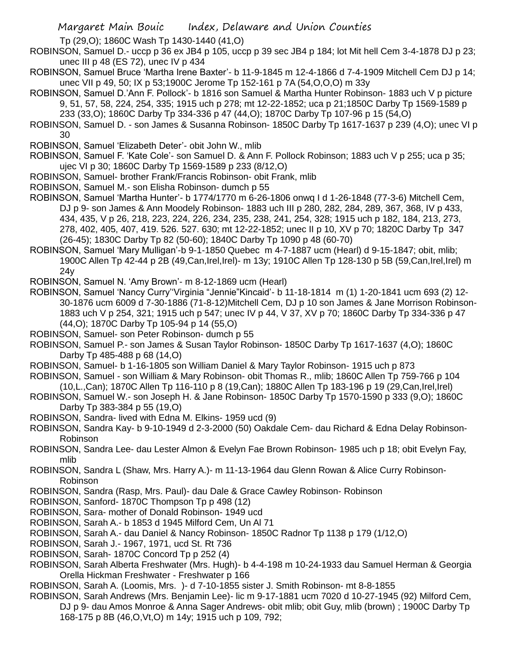Tp (29,O); 1860C Wash Tp 1430-1440 (41,O)

- ROBINSON, Samuel D.- uccp p 36 ex JB4 p 105, uccp p 39 sec JB4 p 184; lot Mit hell Cem 3-4-1878 DJ p 23; unec III p 48 (ES 72), unec IV p 434
- ROBINSON, Samuel Bruce 'Martha Irene Baxter'- b 11-9-1845 m 12-4-1866 d 7-4-1909 Mitchell Cem DJ p 14; unec VII p 49, 50; IX p 53;1900C Jerome Tp 152-161 p 7A (54,O,O,O) m 33y
- ROBINSON, Samuel D.'Ann F. Pollock'- b 1816 son Samuel & Martha Hunter Robinson- 1883 uch V p picture 9, 51, 57, 58, 224, 254, 335; 1915 uch p 278; mt 12-22-1852; uca p 21;1850C Darby Tp 1569-1589 p 233 (33,O); 1860C Darby Tp 334-336 p 47 (44,O); 1870C Darby Tp 107-96 p 15 (54,O)
- ROBINSON, Samuel D. son James & Susanna Robinson- 1850C Darby Tp 1617-1637 p 239 (4,O); unec VI p 30
- ROBINSON, Samuel 'Elizabeth Deter'- obit John W., mlib
- ROBINSON, Samuel F. 'Kate Cole'- son Samuel D. & Ann F. Pollock Robinson; 1883 uch V p 255; uca p 35; ujec VI p 30; 1860C Darby Tp 1569-1589 p 233 (8/12,O)
- ROBINSON, Samuel- brother Frank/Francis Robinson- obit Frank, mlib
- ROBINSON, Samuel M.- son Elisha Robinson- dumch p 55
- ROBINSON, Samuel 'Martha Hunter'- b 1774/1770 m 6-26-1806 onwq I d 1-26-1848 (77-3-6) Mitchell Cem, DJ p 9- son James & Ann Moodely Robinson- 1883 uch III p 280, 282, 284, 289, 367, 368, IV p 433, 434, 435, V p 26, 218, 223, 224, 226, 234, 235, 238, 241, 254, 328; 1915 uch p 182, 184, 213, 273, 278, 402, 405, 407, 419. 526. 527. 630; mt 12-22-1852; unec II p 10, XV p 70; 1820C Darby Tp 347 (26-45); 1830C Darby Tp 82 (50-60); 1840C Darby Tp 1090 p 48 (60-70)
- ROBINSON, Samuel 'Mary Mulligan'-b 9-1-1850 Quebec m 4-7-1887 ucm (Hearl) d 9-15-1847; obit, mlib; 1900C Allen Tp 42-44 p 2B (49,Can,Irel,Irel)- m 13y; 1910C Allen Tp 128-130 p 5B (59,Can,Irel,Irel) m 24y
- ROBINSON, Samuel N. 'Amy Brown'- m 8-12-1869 ucm (Hearl)
- ROBINSON, Samuel 'Nancy Curry''Virginia "Jennie"Kincaid'- b 11-18-1814 m (1) 1-20-1841 ucm 693 (2) 12- 30-1876 ucm 6009 d 7-30-1886 (71-8-12)Mitchell Cem, DJ p 10 son James & Jane Morrison Robinson-1883 uch V p 254, 321; 1915 uch p 547; unec IV p 44, V 37, XV p 70; 1860C Darby Tp 334-336 p 47 (44,O); 1870C Darby Tp 105-94 p 14 (55,O)
- ROBINSON, Samuel- son Peter Robinson- dumch p 55
- ROBINSON, Samuel P.- son James & Susan Taylor Robinson- 1850C Darby Tp 1617-1637 (4,O); 1860C Darby Tp 485-488 p 68 (14,O)
- ROBINSON, Samuel- b 1-16-1805 son William Daniel & Mary Taylor Robinson- 1915 uch p 873
- ROBINSON, Samuel son William & Mary Robinson- obit Thomas R., mlib; 1860C Allen Tp 759-766 p 104 (10,L.,Can); 1870C Allen Tp 116-110 p 8 (19,Can); 1880C Allen Tp 183-196 p 19 (29,Can,Irel,Irel)
- ROBINSON, Samuel W.- son Joseph H. & Jane Robinson- 1850C Darby Tp 1570-1590 p 333 (9,O); 1860C Darby Tp 383-384 p 55 (19,O)
- ROBINSON, Sandra- lived with Edna M. Elkins- 1959 ucd (9)
- ROBINSON, Sandra Kay- b 9-10-1949 d 2-3-2000 (50) Oakdale Cem- dau Richard & Edna Delay Robinson-Robinson
- ROBINSON, Sandra Lee- dau Lester Almon & Evelyn Fae Brown Robinson- 1985 uch p 18; obit Evelyn Fay, mlib
- ROBINSON, Sandra L (Shaw, Mrs. Harry A.)- m 11-13-1964 dau Glenn Rowan & Alice Curry Robinson-Robinson
- ROBINSON, Sandra (Rasp, Mrs. Paul)- dau Dale & Grace Cawley Robinson- Robinson
- ROBINSON, Sanford- 1870C Thompson Tp p 498 (12)
- ROBINSON, Sara- mother of Donald Robinson- 1949 ucd
- ROBINSON, Sarah A.- b 1853 d 1945 Milford Cem, Un Al 71
- ROBINSON, Sarah A.- dau Daniel & Nancy Robinson- 1850C Radnor Tp 1138 p 179 (1/12,O)
- ROBINSON, Sarah J.- 1967, 1971, ucd St. Rt 736
- ROBINSON, Sarah- 1870C Concord Tp p 252 (4)
- ROBINSON, Sarah Alberta Freshwater (Mrs. Hugh)- b 4-4-198 m 10-24-1933 dau Samuel Herman & Georgia Orella Hickman Freshwater - Freshwater p 166
- ROBINSON, Sarah A. (Loomis, Mrs. )- d 7-10-1855 sister J. Smith Robinson- mt 8-8-1855
- ROBINSON, Sarah Andrews (Mrs. Benjamin Lee)- lic m 9-17-1881 ucm 7020 d 10-27-1945 (92) Milford Cem, DJ p 9- dau Amos Monroe & Anna Sager Andrews- obit mlib; obit Guy, mlib (brown) ; 1900C Darby Tp 168-175 p 8B (46,O,Vt,O) m 14y; 1915 uch p 109, 792;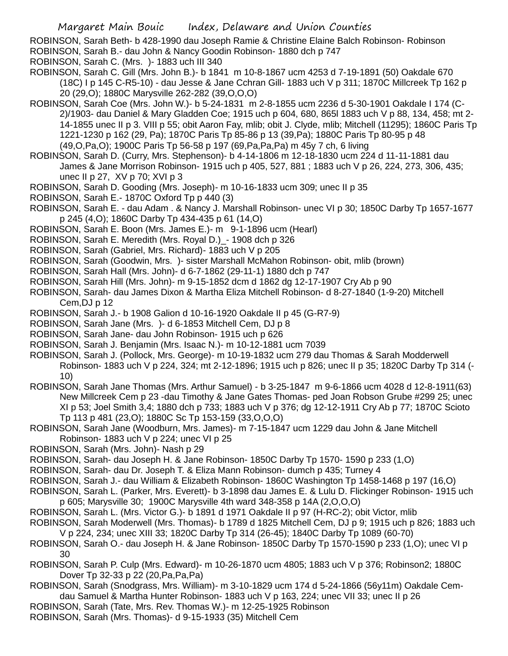ROBINSON, Sarah Beth- b 428-1990 dau Joseph Ramie & Christine Elaine Balch Robinson- Robinson ROBINSON, Sarah B.- dau John & Nancy Goodin Robinson- 1880 dch p 747

- ROBINSON, Sarah C. (Mrs. )- 1883 uch III 340
- ROBINSON, Sarah C. Gill (Mrs. John B.)- b 1841 m 10-8-1867 ucm 4253 d 7-19-1891 (50) Oakdale 670 (18C) I p 145 C-R5-10) - dau Jesse & Jane Cchran Gill- 1883 uch V p 311; 1870C Millcreek Tp 162 p 20 (29,O); 1880C Marysville 262-282 (39,O,O,O)
- ROBINSON, Sarah Coe (Mrs. John W.)- b 5-24-1831 m 2-8-1855 ucm 2236 d 5-30-1901 Oakdale I 174 (C-2)/1903- dau Daniel & Mary Gladden Coe; 1915 uch p 604, 680, 865l 1883 uch V p 88, 134, 458; mt 2- 14-1855 unec II p 3. VIII p 55; obit Aaron Fay, mlib; obit J. Clyde, mlib; Mitchell (11295); 1860C Paris Tp 1221-1230 p 162 (29, Pa); 1870C Paris Tp 85-86 p 13 (39,Pa); 1880C Paris Tp 80-95 p 48 (49,O,Pa,O); 1900C Paris Tp 56-58 p 197 (69,Pa,Pa,Pa) m 45y 7 ch, 6 living
- ROBINSON, Sarah D. (Curry, Mrs. Stephenson)- b 4-14-1806 m 12-18-1830 ucm 224 d 11-11-1881 dau James & Jane Morrison Robinson- 1915 uch p 405, 527, 881 ; 1883 uch V p 26, 224, 273, 306, 435; unec II p 27, XV p 70; XVI p 3
- ROBINSON, Sarah D. Gooding (Mrs. Joseph)- m 10-16-1833 ucm 309; unec II p 35
- ROBINSON, Sarah E.- 1870C Oxford Tp p 440 (3)
- ROBINSON, Sarah E. dau Adam . & Nancy J. Marshall Robinson- unec VI p 30; 1850C Darby Tp 1657-1677 p 245 (4,O); 1860C Darby Tp 434-435 p 61 (14,O)
- ROBINSON, Sarah E. Boon (Mrs. James E.)- m 9-1-1896 ucm (Hearl)
- ROBINSON, Sarah E. Meredith (Mrs. Royal D.)\_- 1908 dch p 326
- ROBINSON, Sarah (Gabriel, Mrs. Richard)- 1883 uch V p 205
- ROBINSON, Sarah (Goodwin, Mrs. )- sister Marshall McMahon Robinson- obit, mlib (brown)
- ROBINSON, Sarah Hall (Mrs. John)- d 6-7-1862 (29-11-1) 1880 dch p 747
- ROBINSON, Sarah Hill (Mrs. John)- m 9-15-1852 dcm d 1862 dg 12-17-1907 Cry Ab p 90
- ROBINSON, Sarah- dau James Dixon & Martha Eliza Mitchell Robinson- d 8-27-1840 (1-9-20) Mitchell Cem,DJ p 12
- ROBINSON, Sarah J.- b 1908 Galion d 10-16-1920 Oakdale II p 45 (G-R7-9)
- ROBINSON, Sarah Jane (Mrs. )- d 6-1853 Mitchell Cem, DJ p 8
- ROBINSON, Sarah Jane- dau John Robinson- 1915 uch p 626
- ROBINSON, Sarah J. Benjamin (Mrs. Isaac N.)- m 10-12-1881 ucm 7039
- ROBINSON, Sarah J. (Pollock, Mrs. George)- m 10-19-1832 ucm 279 dau Thomas & Sarah Modderwell Robinson- 1883 uch V p 224, 324; mt 2-12-1896; 1915 uch p 826; unec II p 35; 1820C Darby Tp 314 (- 10)
- ROBINSON, Sarah Jane Thomas (Mrs. Arthur Samuel) b 3-25-1847 m 9-6-1866 ucm 4028 d 12-8-1911(63) New Millcreek Cem p 23 -dau Timothy & Jane Gates Thomas- ped Joan Robson Grube #299 25; unec XI p 53; Joel Smith 3,4; 1880 dch p 733; 1883 uch V p 376; dg 12-12-1911 Cry Ab p 77; 1870C Scioto Tp 113 p 481 (23,O); 1880C Sc Tp 153-159 (33,O,O,O)
- ROBINSON, Sarah Jane (Woodburn, Mrs. James)- m 7-15-1847 ucm 1229 dau John & Jane Mitchell Robinson- 1883 uch V p 224; unec VI p 25
- ROBINSON, Sarah (Mrs. John)- Nash p 29
- ROBINSON, Sarah- dau Joseph H. & Jane Robinson- 1850C Darby Tp 1570- 1590 p 233 (1,O)
- ROBINSON, Sarah- dau Dr. Joseph T. & Eliza Mann Robinson- dumch p 435; Turney 4
- ROBINSON, Sarah J.- dau William & Elizabeth Robinson- 1860C Washington Tp 1458-1468 p 197 (16,O)
- ROBINSON, Sarah L. (Parker, Mrs. Everett)- b 3-1898 dau James E. & Lulu D. Flickinger Robinson- 1915 uch p 605; Marysville 30; 1900C Marysville 4th ward 348-358 p 14A (2,O,O,O)
- ROBINSON, Sarah L. (Mrs. Victor G.)- b 1891 d 1971 Oakdale II p 97 (H-RC-2); obit Victor, mlib
- ROBINSON, Sarah Moderwell (Mrs. Thomas)- b 1789 d 1825 Mitchell Cem, DJ p 9; 1915 uch p 826; 1883 uch V p 224, 234; unec XIII 33; 1820C Darby Tp 314 (26-45); 1840C Darby Tp 1089 (60-70)
- ROBINSON, Sarah O.- dau Joseph H. & Jane Robinson- 1850C Darby Tp 1570-1590 p 233 (1,O); unec VI p 30
- ROBINSON, Sarah P. Culp (Mrs. Edward)- m 10-26-1870 ucm 4805; 1883 uch V p 376; Robinson2; 1880C Dover Tp 32-33 p 22 (20,Pa,Pa,Pa)
- ROBINSON, Sarah (Snodgrass, Mrs. William)- m 3-10-1829 ucm 174 d 5-24-1866 (56y11m) Oakdale Cemdau Samuel & Martha Hunter Robinson- 1883 uch V p 163, 224; unec VII 33; unec II p 26
- ROBINSON, Sarah (Tate, Mrs. Rev. Thomas W.)- m 12-25-1925 Robinson
- ROBINSON, Sarah (Mrs. Thomas)- d 9-15-1933 (35) Mitchell Cem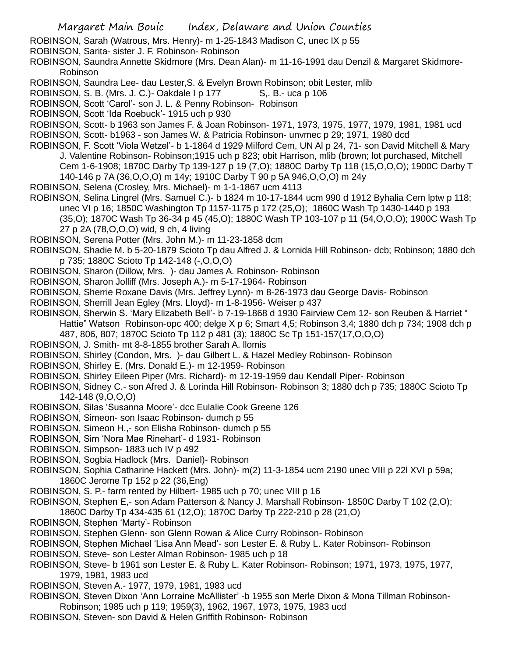ROBINSON, Sarah (Watrous, Mrs. Henry)- m 1-25-1843 Madison C, unec IX p 55

ROBINSON, Sarita- sister J. F. Robinson- Robinson

- ROBINSON, Saundra Annette Skidmore (Mrs. Dean Alan)- m 11-16-1991 dau Denzil & Margaret Skidmore-Robinson
- ROBINSON, Saundra Lee- dau Lester,S. & Evelyn Brown Robinson; obit Lester, mlib
- ROBINSON, S. B. (Mrs. J. C.)- Oakdale I p 177 S., B.- uca p 106
- ROBINSON, Scott 'Carol'- son J. L. & Penny Robinson- Robinson
- ROBINSON, Scott 'Ida Roebuck'- 1915 uch p 930
- ROBINSON, Scott- b 1963 son James F. & Joan Robinson- 1971, 1973, 1975, 1977, 1979, 1981, 1981 ucd ROBINSON, Scott- b1963 - son James W. & Patricia Robinson- unvmec p 29; 1971, 1980 dcd
- ROBINSON, F. Scott 'Viola Wetzel'- b 1-1864 d 1929 Milford Cem, UN Al p 24, 71- son David Mitchell & Mary J. Valentine Robinson- Robinson;1915 uch p 823; obit Harrison, mlib (brown; lot purchased, Mitchell
	- Cem 1-6-1908; 1870C Darby Tp 139-127 p 19 (7,O); 1880C Darby Tp 118 (15,O,O,O); 1900C Darby T 140-146 p 7A (36,O,O,O) m 14y; 1910C Darby T 90 p 5A 946,O,O,O) m 24y
- ROBINSON, Selena (Crosley, Mrs. Michael)- m 1-1-1867 ucm 4113
- ROBINSON, Selina Lingrel (Mrs. Samuel C.)- b 1824 m 10-17-1844 ucm 990 d 1912 Byhalia Cem lptw p 118; unec VI p 16; 1850C Washington Tp 1157-1175 p 172 (25,O); 1860C Wash Tp 1430-1440 p 193 (35,O); 1870C Wash Tp 36-34 p 45 (45,O); 1880C Wash TP 103-107 p 11 (54,O,O,O); 1900C Wash Tp 27 p 2A (78,O,O,O) wid, 9 ch, 4 living
- ROBINSON, Serena Potter (Mrs. John M.)- m 11-23-1858 dcm
- ROBINSON, Shadie M. b 5-20-1879 Scioto Tp dau Alfred J. & Lornida Hill Robinson- dcb; Robinson; 1880 dch p 735; 1880C Scioto Tp 142-148 (-,O,O,O)
- ROBINSON, Sharon (Dillow, Mrs. )- dau James A. Robinson- Robinson
- ROBINSON, Sharon Jolliff (Mrs. Joseph A.)- m 5-17-1964- Robinson
- ROBINSON, Sherrie Roxane Davis (Mrs. Jeffrey Lynn)- m 8-26-1973 dau George Davis- Robinson
- ROBINSON, Sherrill Jean Egley (Mrs. Lloyd)- m 1-8-1956- Weiser p 437
- ROBINSON, Sherwin S. 'Mary Elizabeth Bell'- b 7-19-1868 d 1930 Fairview Cem 12- son Reuben & Harriet " Hattie" Watson Robinson-opc 400; delge X p 6; Smart 4,5; Robinson 3,4; 1880 dch p 734; 1908 dch p
	- 487, 806, 807; 1870C Scioto Tp 112 p 481 (3); 1880C Sc Tp 151-157(17,O,O,O)
- ROBINSON, J. Smith- mt 8-8-1855 brother Sarah A. llomis
- ROBINSON, Shirley (Condon, Mrs. )- dau Gilbert L. & Hazel Medley Robinson- Robinson
- ROBINSON, Shirley E. (Mrs. Donald E.)- m 12-1959- Robinson
- ROBINSON, Shirley Eileen Piper (Mrs. Richard)- m 12-19-1959 dau Kendall Piper- Robinson
- ROBINSON, Sidney C.- son Afred J. & Lorinda Hill Robinson- Robinson 3; 1880 dch p 735; 1880C Scioto Tp 142-148 (9,O,O,O)
- ROBINSON, Silas 'Susanna Moore'- dcc Eulalie Cook Greene 126
- ROBINSON, Simeon- son Isaac Robinson- dumch p 55
- ROBINSON, Simeon H.,- son Elisha Robinson- dumch p 55
- ROBINSON, Sim 'Nora Mae Rinehart'- d 1931- Robinson
- ROBINSON, Simpson- 1883 uch IV p 492
- ROBINSON, Sogbia Hadlock (Mrs. Daniel)- Robinson
- ROBINSON, Sophia Catharine Hackett (Mrs. John)- m(2) 11-3-1854 ucm 2190 unec VIII p 22l XVI p 59a; 1860C Jerome Tp 152 p 22 (36,Eng)
- ROBINSON, S. P.- farm rented by Hilbert- 1985 uch p 70; unec VIII p 16
- ROBINSON, Stephen E,- son Adam Patterson & Nancy J. Marshall Robinson- 1850C Darby T 102 (2,O); 1860C Darby Tp 434-435 61 (12,O); 1870C Darby Tp 222-210 p 28 (21,O)
- ROBINSON, Stephen 'Marty'- Robinson
- ROBINSON, Stephen Glenn- son Glenn Rowan & Alice Curry Robinson- Robinson
- ROBINSON, Stephen Michael 'Lisa Ann Mead'- son Lester E. & Ruby L. Kater Robinson- Robinson
- ROBINSON, Steve- son Lester Alman Robinson- 1985 uch p 18
- ROBINSON, Steve- b 1961 son Lester E. & Ruby L. Kater Robinson- Robinson; 1971, 1973, 1975, 1977, 1979, 1981, 1983 ucd
- ROBINSON, Steven A.- 1977, 1979, 1981, 1983 ucd
- ROBINSON, Steven Dixon 'Ann Lorraine McAllister' -b 1955 son Merle Dixon & Mona Tillman Robinson-Robinson; 1985 uch p 119; 1959(3), 1962, 1967, 1973, 1975, 1983 ucd
- ROBINSON, Steven- son David & Helen Griffith Robinson- Robinson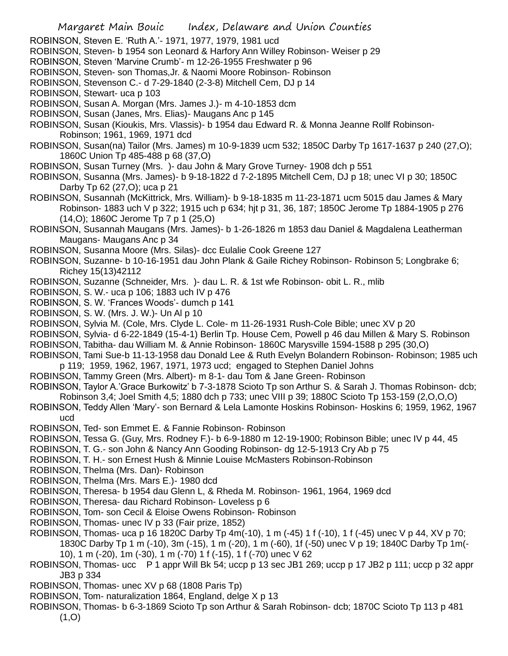- ROBINSON, Steven E. 'Ruth A.'- 1971, 1977, 1979, 1981 ucd
- ROBINSON, Steven- b 1954 son Leonard & Harfory Ann Willey Robinson- Weiser p 29
- ROBINSON, Steven 'Marvine Crumb'- m 12-26-1955 Freshwater p 96
- ROBINSON, Steven- son Thomas,Jr. & Naomi Moore Robinson- Robinson
- ROBINSON, Stevenson C.- d 7-29-1840 (2-3-8) Mitchell Cem, DJ p 14
- ROBINSON, Stewart- uca p 103
- ROBINSON, Susan A. Morgan (Mrs. James J.)- m 4-10-1853 dcm
- ROBINSON, Susan (Janes, Mrs. Elias)- Maugans Anc p 145
- ROBINSON, Susan (Kioukis, Mrs. Vlassis)- b 1954 dau Edward R. & Monna Jeanne Rollf Robinson-Robinson; 1961, 1969, 1971 dcd
- ROBINSON, Susan(na) Tailor (Mrs. James) m 10-9-1839 ucm 532; 1850C Darby Tp 1617-1637 p 240 (27,O); 1860C Union Tp 485-488 p 68 (37,O)
- ROBINSON, Susan Turney (Mrs. )- dau John & Mary Grove Turney- 1908 dch p 551

ROBINSON, Susanna (Mrs. James)- b 9-18-1822 d 7-2-1895 Mitchell Cem, DJ p 18; unec VI p 30; 1850C Darby Tp 62 (27,O); uca p 21

- ROBINSON, Susannah (McKittrick, Mrs. William)- b 9-18-1835 m 11-23-1871 ucm 5015 dau James & Mary Robinson- 1883 uch V p 322; 1915 uch p 634; hjt p 31, 36, 187; 1850C Jerome Tp 1884-1905 p 276 (14,O); 1860C Jerome Tp 7 p 1 (25,O)
- ROBINSON, Susannah Maugans (Mrs. James)- b 1-26-1826 m 1853 dau Daniel & Magdalena Leatherman Maugans- Maugans Anc p 34
- ROBINSON, Susanna Moore (Mrs. Silas)- dcc Eulalie Cook Greene 127
- ROBINSON, Suzanne- b 10-16-1951 dau John Plank & Gaile Richey Robinson- Robinson 5; Longbrake 6; Richey 15(13)42112
- ROBINSON, Suzanne (Schneider, Mrs. )- dau L. R. & 1st wfe Robinson- obit L. R., mlib
- ROBINSON, S. W.- uca p 106; 1883 uch IV p 476
- ROBINSON, S. W. 'Frances Woods'- dumch p 141
- ROBINSON, S. W. (Mrs. J. W.)- Un Al p 10
- ROBINSON, Sylvia M. (Cole, Mrs. Clyde L. Cole- m 11-26-1931 Rush-Cole Bible; unec XV p 20
- ROBINSON, Sylvia- d 6-22-1849 (15-4-1) Berlin Tp. House Cem, Powell p 46 dau Millen & Mary S. Robinson
- ROBINSON, Tabitha- dau William M. & Annie Robinson- 1860C Marysville 1594-1588 p 295 (30,O)
- ROBINSON, Tami Sue-b 11-13-1958 dau Donald Lee & Ruth Evelyn Bolandern Robinson- Robinson; 1985 uch p 119; 1959, 1962, 1967, 1971, 1973 ucd; engaged to Stephen Daniel Johns
- ROBINSON, Tammy Green (Mrs. Albert)- m 8-1- dau Tom & Jane Green- Robinson
- ROBINSON, Taylor A.'Grace Burkowitz' b 7-3-1878 Scioto Tp son Arthur S. & Sarah J. Thomas Robinson- dcb; Robinson 3,4; Joel Smith 4,5; 1880 dch p 733; unec VIII p 39; 1880C Scioto Tp 153-159 (2,O,O,O)
- ROBINSON, Teddy Allen 'Mary'- son Bernard & Lela Lamonte Hoskins Robinson- Hoskins 6; 1959, 1962, 1967 ucd
- ROBINSON, Ted- son Emmet E. & Fannie Robinson- Robinson
- ROBINSON, Tessa G. (Guy, Mrs. Rodney F.)- b 6-9-1880 m 12-19-1900; Robinson Bible; unec IV p 44, 45
- ROBINSON, T. G.- son John & Nancy Ann Gooding Robinson- dg 12-5-1913 Cry Ab p 75
- ROBINSON, T. H.- son Ernest Hush & Minnie Louise McMasters Robinson-Robinson
- ROBINSON, Thelma (Mrs. Dan)- Robinson
- ROBINSON, Thelma (Mrs. Mars E.)- 1980 dcd
- ROBINSON, Theresa- b 1954 dau Glenn L, & Rheda M. Robinson- 1961, 1964, 1969 dcd
- ROBINSON, Theresa- dau Richard Robinson- Loveless p 6
- ROBINSON, Tom- son Cecil & Eloise Owens Robinson- Robinson
- ROBINSON, Thomas- unec IV p 33 (Fair prize, 1852)
- ROBINSON, Thomas- uca p 16 1820C Darby Tp 4m(-10), 1 m (-45) 1 f (-10), 1 f (-45) unec V p 44, XV p 70; 1830C Darby Tp 1 m (-10), 3m (-15), 1 m (-20), 1 m (-60), 1f (-50) unec V p 19; 1840C Darby Tp 1m(-
	- 10), 1 m (-20), 1m (-30), 1 m (-70) 1 f (-15), 1 f (-70) unec V 62
- ROBINSON, Thomas- ucc P 1 appr Will Bk 54; uccp p 13 sec JB1 269; uccp p 17 JB2 p 111; uccp p 32 appr JB3 p 334
- ROBINSON, Thomas- unec XV p 68 (1808 Paris Tp)
- ROBINSON, Tom- naturalization 1864, England, delge X p 13
- ROBINSON, Thomas- b 6-3-1869 Scioto Tp son Arthur & Sarah Robinson- dcb; 1870C Scioto Tp 113 p 481  $(1, 0)$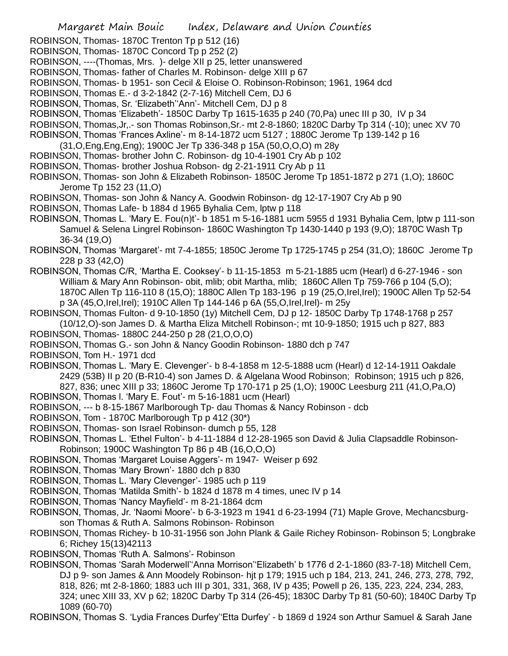ROBINSON, Thomas- 1870C Trenton Tp p 512 (16)

- ROBINSON, Thomas- 1870C Concord Tp p 252 (2)
- ROBINSON, ----(Thomas, Mrs. )- delge XII p 25, letter unanswered
- ROBINSON, Thomas- father of Charles M. Robinson- delge XIII p 67
- ROBINSON, Thomas- b 1951- son Cecil & Eloise O. Robinson-Robinson; 1961, 1964 dcd
- ROBINSON, Thomas E.- d 3-2-1842 (2-7-16) Mitchell Cem, DJ 6
- ROBINSON, Thomas, Sr. 'Elizabeth''Ann'- Mitchell Cem, DJ p 8
- ROBINSON, Thomas 'Elizabeth'- 1850C Darby Tp 1615-1635 p 240 (70,Pa) unec III p 30, IV p 34
- ROBINSON, Thomas,Jr,.- son Thomas Robinson,Sr.- mt 2-8-1860; 1820C Darby Tp 314 (-10); unec XV 70
- ROBINSON, Thomas 'Frances Axline'- m 8-14-1872 ucm 5127 ; 1880C Jerome Tp 139-142 p 16
- (31,O,Eng,Eng,Eng); 1900C Jer Tp 336-348 p 15A (50,O,O,O) m 28y
- ROBINSON, Thomas- brother John C. Robinson- dg 10-4-1901 Cry Ab p 102
- ROBINSON, Thomas- brother Joshua Robson- dg 2-21-1911 Cry Ab p 11
- ROBINSON, Thomas- son John & Elizabeth Robinson- 1850C Jerome Tp 1851-1872 p 271 (1,O); 1860C Jerome Tp 152 23 (11,O)
- ROBINSON, Thomas- son John & Nancy A. Goodwin Robinson- dg 12-17-1907 Cry Ab p 90
- ROBINSON, Thomas Lafe- b 1884 d 1965 Byhalia Cem, lptw p 118
- ROBINSON, Thomas L. 'Mary E. Fou(n)t'- b 1851 m 5-16-1881 ucm 5955 d 1931 Byhalia Cem, lptw p 111-son Samuel & Selena Lingrel Robinson- 1860C Washington Tp 1430-1440 p 193 (9,O); 1870C Wash Tp 36-34 (19,O)
- ROBINSON, Thomas 'Margaret'- mt 7-4-1855; 1850C Jerome Tp 1725-1745 p 254 (31,O); 1860C Jerome Tp 228 p 33 (42,O)
- ROBINSON, Thomas C/R, 'Martha E. Cooksey'- b 11-15-1853 m 5-21-1885 ucm (Hearl) d 6-27-1946 son William & Mary Ann Robinson- obit, mlib; obit Martha, mlib; 1860C Allen Tp 759-766 p 104 (5,0); 1870C Allen Tp 116-110 8 (15,O); 1880C Allen Tp 183-196 p 19 (25,O,Irel,Irel); 1900C Allen Tp 52-54 p 3A (45,O,Irel,Irel); 1910C Allen Tp 144-146 p 6A (55,O,Irel,Irel)- m 25y
- ROBINSON, Thomas Fulton- d 9-10-1850 (1y) Mitchell Cem, DJ p 12- 1850C Darby Tp 1748-1768 p 257 (10/12,O)-son James D. & Martha Eliza Mitchell Robinson-; mt 10-9-1850; 1915 uch p 827, 883
- ROBINSON, Thomas- 1880C 244-250 p 28 (21,O,O,O)
- ROBINSON, Thomas G.- son John & Nancy Goodin Robinson- 1880 dch p 747

ROBINSON, Tom H.- 1971 dcd

- ROBINSON, Thomas L. 'Mary E. Clevenger'- b 8-4-1858 m 12-5-1888 ucm (Hearl) d 12-14-1911 Oakdale 2429 (53B) II p 20 (B-R10-4) son James D. & Algelana Wood Robinson; Robinson; 1915 uch p 826, 827, 836; unec XIII p 33; 1860C Jerome Tp 170-171 p 25 (1,O); 1900C Leesburg 211 (41,O,Pa,O)
- ROBINSON, Thomas l. 'Mary E. Fout'- m 5-16-1881 ucm (Hearl)
- ROBINSON, --- b 8-15-1867 Marlborough Tp- dau Thomas & Nancy Robinson dcb
- ROBINSON, Tom 1870C Marlborough Tp p 412 (30\*)
- ROBINSON, Thomas- son Israel Robinson- dumch p 55, 128
- ROBINSON, Thomas L. 'Ethel Fulton'- b 4-11-1884 d 12-28-1965 son David & Julia Clapsaddle Robinson-Robinson; 1900C Washington Tp 86 p 4B (16,O,O,O)
- ROBINSON, Thomas 'Margaret Louise Aggers'- m 1947- Weiser p 692
- ROBINSON, Thomas 'Mary Brown'- 1880 dch p 830
- ROBINSON, Thomas L. 'Mary Clevenger'- 1985 uch p 119
- ROBINSON, Thomas 'Matilda Smith'- b 1824 d 1878 m 4 times, unec IV p 14
- ROBINSON, Thomas 'Nancy Mayfield'- m 8-21-1864 dcm
- ROBINSON, Thomas, Jr. 'Naomi Moore'- b 6-3-1923 m 1941 d 6-23-1994 (71) Maple Grove, Mechancsburgson Thomas & Ruth A. Salmons Robinson- Robinson
- ROBINSON, Thomas Richey- b 10-31-1956 son John Plank & Gaile Richey Robinson- Robinson 5; Longbrake 6; Richey 15(13)42113

ROBINSON, Thomas 'Ruth A. Salmons'- Robinson

- ROBINSON, Thomas 'Sarah Moderwell''Anna Morrison''Elizabeth' b 1776 d 2-1-1860 (83-7-18) Mitchell Cem, DJ p 9- son James & Ann Moodely Robinson- hjt p 179; 1915 uch p 184, 213, 241, 246, 273, 278, 792, 818, 826; mt 2-8-1860; 1883 uch III p 301, 331, 368, IV p 435; Powell p 26, 135, 223, 224, 234, 283, 324; unec XIII 33, XV p 62; 1820C Darby Tp 314 (26-45); 1830C Darby Tp 81 (50-60); 1840C Darby Tp 1089 (60-70)
- ROBINSON, Thomas S. 'Lydia Frances Durfey''Etta Durfey' b 1869 d 1924 son Arthur Samuel & Sarah Jane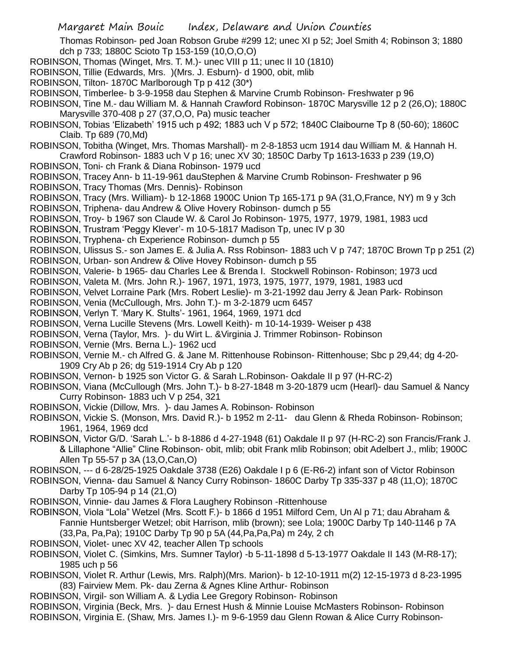Thomas Robinson- ped Joan Robson Grube #299 12; unec XI p 52; Joel Smith 4; Robinson 3; 1880 dch p 733; 1880C Scioto Tp 153-159 (10,O,O,O)

- ROBINSON, Thomas (Winget, Mrs. T. M.)- unec VIII p 11; unec II 10 (1810)
- ROBINSON, Tillie (Edwards, Mrs. )(Mrs. J. Esburn)- d 1900, obit, mlib
- ROBINSON, Tilton- 1870C Marlborough Tp p 412 (30\*)
- ROBINSON, Timberlee- b 3-9-1958 dau Stephen & Marvine Crumb Robinson- Freshwater p 96
- ROBINSON, Tine M.- dau William M. & Hannah Crawford Robinson- 1870C Marysville 12 p 2 (26,O); 1880C Marysville 370-408 p 27 (37,O,O, Pa) music teacher
- ROBINSON, Tobias 'Elizabeth' 1915 uch p 492; 1883 uch V p 572; 1840C Claibourne Tp 8 (50-60); 1860C Claib. Tp 689 (70,Md)

ROBINSON, Tobitha (Winget, Mrs. Thomas Marshall)- m 2-8-1853 ucm 1914 dau William M. & Hannah H. Crawford Robinson- 1883 uch V p 16; unec XV 30; 1850C Darby Tp 1613-1633 p 239 (19,O)

- ROBINSON, Toni- ch Frank & Diana Robinson- 1979 ucd
- ROBINSON, Tracey Ann- b 11-19-961 dauStephen & Marvine Crumb Robinson- Freshwater p 96
- ROBINSON, Tracy Thomas (Mrs. Dennis)- Robinson
- ROBINSON, Tracy (Mrs. William)- b 12-1868 1900C Union Tp 165-171 p 9A (31,O,France, NY) m 9 y 3ch
- ROBINSON, Triphena- dau Andrew & Olive Hovery Robinson- dumch p 55
- ROBINSON, Troy- b 1967 son Claude W. & Carol Jo Robinson- 1975, 1977, 1979, 1981, 1983 ucd
- ROBINSON, Trustram 'Peggy Klever'- m 10-5-1817 Madison Tp, unec IV p 30
- ROBINSON, Tryphena- ch Experience Robinson- dumch p 55
- ROBINSON, Ulissus S.- son James E. & Julia A. Rss Robinson- 1883 uch V p 747; 1870C Brown Tp p 251 (2)
- ROBINSON, Urban- son Andrew & Olive Hovey Robinson- dumch p 55
- ROBINSON, Valerie- b 1965- dau Charles Lee & Brenda I. Stockwell Robinson- Robinson; 1973 ucd
- ROBINSON, Valeta M. (Mrs. John R.)- 1967, 1971, 1973, 1975, 1977, 1979, 1981, 1983 ucd
- ROBINSON, Velvet Lorraine Park (Mrs. Robert Leslie)- m 3-21-1992 dau Jerry & Jean Park- Robinson
- ROBINSON, Venia (McCullough, Mrs. John T.)- m 3-2-1879 ucm 6457
- ROBINSON, Verlyn T. 'Mary K. Stults'- 1961, 1964, 1969, 1971 dcd
- ROBINSON, Verna Lucille Stevens (Mrs. Lowell Keith)- m 10-14-1939- Weiser p 438
- ROBINSON, Verna (Taylor, Mrs. )- du Wirt L. &Virginia J. Trimmer Robinson- Robinson
- ROBINSON, Vernie (Mrs. Berna L.)- 1962 ucd
- ROBINSON, Vernie M.- ch Alfred G. & Jane M. Rittenhouse Robinson- Rittenhouse; Sbc p 29,44; dg 4-20- 1909 Cry Ab p 26; dg 519-1914 Cry Ab p 120
- ROBINSON, Vernon- b 1925 son Victor G. & Sarah L.Robinson- Oakdale II p 97 (H-RC-2)
- ROBINSON, Viana (McCullough (Mrs. John T.)- b 8-27-1848 m 3-20-1879 ucm (Hearl)- dau Samuel & Nancy Curry Robinson- 1883 uch V p 254, 321
- ROBINSON, Vickie (Dillow, Mrs. )- dau James A. Robinson- Robinson
- ROBINSON, Vickie S. (Monson, Mrs. David R.)- b 1952 m 2-11- dau Glenn & Rheda Robinson- Robinson; 1961, 1964, 1969 dcd
- ROBINSON, Victor G/D. 'Sarah L.'- b 8-1886 d 4-27-1948 (61) Oakdale II p 97 (H-RC-2) son Francis/Frank J. & Lillaphone "Allie" Cline Robinson- obit, mlib; obit Frank mlib Robinson; obit Adelbert J., mlib; 1900C Allen Tp 55-57 p 3A (13,O,Can,O)
- ROBINSON, --- d 6-28/25-1925 Oakdale 3738 (E26) Oakdale I p 6 (E-R6-2) infant son of Victor Robinson
- ROBINSON, Vienna- dau Samuel & Nancy Curry Robinson- 1860C Darby Tp 335-337 p 48 (11,O); 1870C Darby Tp 105-94 p 14 (21,O)
- ROBINSON, Vinnie- dau James & Flora Laughery Robinson -Rittenhouse
- ROBINSON, Viola "Lola" Wetzel (Mrs. Scott F.)- b 1866 d 1951 Milford Cem, Un Al p 71; dau Abraham & Fannie Huntsberger Wetzel; obit Harrison, mlib (brown); see Lola; 1900C Darby Tp 140-1146 p 7A (33,Pa, Pa,Pa); 1910C Darby Tp 90 p 5A (44,Pa,Pa,Pa) m 24y, 2 ch
- ROBINSON, Violet- unec XV 42, teacher Allen Tp schools
- ROBINSON, Violet C. (Simkins, Mrs. Sumner Taylor) -b 5-11-1898 d 5-13-1977 Oakdale II 143 (M-R8-17); 1985 uch p 56
- ROBINSON, Violet R. Arthur (Lewis, Mrs. Ralph)(Mrs. Marion)- b 12-10-1911 m(2) 12-15-1973 d 8-23-1995 (83) Fairview Mem. Pk- dau Zerna & Agnes Kline Arthur- Robinson
- ROBINSON, Virgil- son William A. & Lydia Lee Gregory Robinson- Robinson
- ROBINSON, Virginia (Beck, Mrs. )- dau Ernest Hush & Minnie Louise McMasters Robinson- Robinson ROBINSON, Virginia E. (Shaw, Mrs. James I.)- m 9-6-1959 dau Glenn Rowan & Alice Curry Robinson-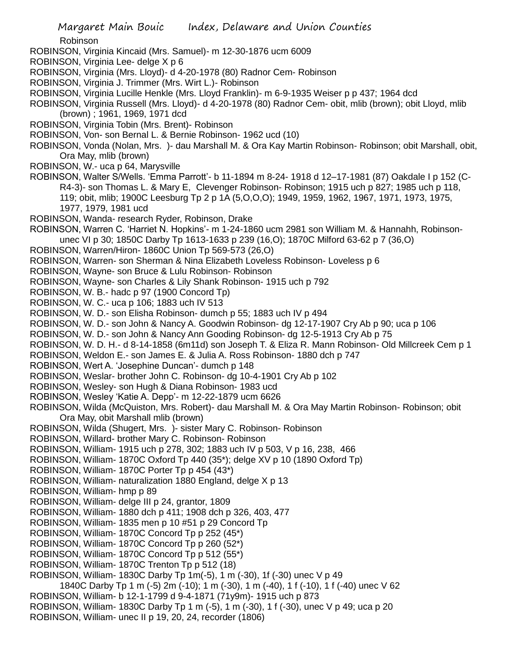Robinson

- ROBINSON, Virginia Kincaid (Mrs. Samuel)- m 12-30-1876 ucm 6009
- ROBINSON, Virginia Lee- delge X p 6
- ROBINSON, Virginia (Mrs. Lloyd)- d 4-20-1978 (80) Radnor Cem- Robinson
- ROBINSON, Virginia J. Trimmer (Mrs. Wirt L.)- Robinson
- ROBINSON, Virginia Lucille Henkle (Mrs. Lloyd Franklin)- m 6-9-1935 Weiser p p 437; 1964 dcd

ROBINSON, Virginia Russell (Mrs. Lloyd)- d 4-20-1978 (80) Radnor Cem- obit, mlib (brown); obit Lloyd, mlib (brown) ; 1961, 1969, 1971 dcd

- ROBINSON, Virginia Tobin (Mrs. Brent)- Robinson
- ROBINSON, Von- son Bernal L. & Bernie Robinson- 1962 ucd (10)
- ROBINSON, Vonda (Nolan, Mrs. )- dau Marshall M. & Ora Kay Martin Robinson- Robinson; obit Marshall, obit, Ora May, mlib (brown)
- ROBINSON, W.- uca p 64, Marysville
- ROBINSON, Walter S/Wells. 'Emma Parrott'- b 11-1894 m 8-24- 1918 d 12–17-1981 (87) Oakdale I p 152 (C-R4-3)- son Thomas L. & Mary E, Clevenger Robinson- Robinson; 1915 uch p 827; 1985 uch p 118, 119; obit, mlib; 1900C Leesburg Tp 2 p 1A (5,O,O,O); 1949, 1959, 1962, 1967, 1971, 1973, 1975, 1977, 1979, 1981 ucd
- ROBINSON, Wanda- research Ryder, Robinson, Drake
- ROBINSON, Warren C. 'Harriet N. Hopkins'- m 1-24-1860 ucm 2981 son William M. & Hannahh, Robinson
	- unec VI p 30; 1850C Darby Tp 1613-1633 p 239 (16,O); 1870C Milford 63-62 p 7 (36,O)
- ROBINSON, Warren/Hiron- 1860C Union Tp 569-573 (26,O)
- ROBINSON, Warren- son Sherman & Nina Elizabeth Loveless Robinson- Loveless p 6
- ROBINSON, Wayne- son Bruce & Lulu Robinson- Robinson
- ROBINSON, Wayne- son Charles & Lily Shank Robinson- 1915 uch p 792
- ROBINSON, W. B.- hadc p 97 (1900 Concord Tp)
- ROBINSON, W. C.- uca p 106; 1883 uch IV 513
- ROBINSON, W. D.- son Elisha Robinson- dumch p 55; 1883 uch IV p 494
- ROBINSON, W. D.- son John & Nancy A. Goodwin Robinson- dg 12-17-1907 Cry Ab p 90; uca p 106
- ROBINSON, W. D.- son John & Nancy Ann Gooding Robinson- dg 12-5-1913 Cry Ab p 75
- ROBINSON, W. D. H.- d 8-14-1858 (6m11d) son Joseph T. & Eliza R. Mann Robinson- Old Millcreek Cem p 1
- ROBINSON, Weldon E.- son James E. & Julia A. Ross Robinson- 1880 dch p 747
- ROBINSON, Wert A. 'Josephine Duncan'- dumch p 148
- ROBINSON, Weslar- brother John C. Robinson- dg 10-4-1901 Cry Ab p 102
- ROBINSON, Wesley- son Hugh & Diana Robinson- 1983 ucd
- ROBINSON, Wesley 'Katie A. Depp'- m 12-22-1879 ucm 6626
- ROBINSON, Wilda (McQuiston, Mrs. Robert)- dau Marshall M. & Ora May Martin Robinson- Robinson; obit Ora May, obit Marshall mlib (brown)
- ROBINSON, Wilda (Shugert, Mrs. )- sister Mary C. Robinson- Robinson
- ROBINSON, Willard- brother Mary C. Robinson- Robinson
- ROBINSON, William- 1915 uch p 278, 302; 1883 uch IV p 503, V p 16, 238, 466
- ROBINSON, William- 1870C Oxford Tp 440 (35\*); delge XV p 10 (1890 Oxford Tp)
- ROBINSON, William- 1870C Porter Tp p 454 (43\*)
- ROBINSON, William- naturalization 1880 England, delge X p 13
- ROBINSON, William- hmp p 89
- ROBINSON, William- delge III p 24, grantor, 1809
- ROBINSON, William- 1880 dch p 411; 1908 dch p 326, 403, 477
- ROBINSON, William- 1835 men p 10 #51 p 29 Concord Tp
- ROBINSON, William- 1870C Concord Tp p 252 (45\*)
- ROBINSON, William- 1870C Concord Tp p 260 (52\*)
- ROBINSON, William- 1870C Concord Tp p 512 (55\*)
- ROBINSON, William- 1870C Trenton Tp p 512 (18)
- ROBINSON, William- 1830C Darby Tp 1m(-5), 1 m (-30), 1f (-30) unec V p 49
- 1840C Darby Tp 1 m (-5) 2m (-10); 1 m (-30), 1 m (-40), 1 f (-10), 1 f (-40) unec V 62
- ROBINSON, William- b 12-1-1799 d 9-4-1871 (71y9m)- 1915 uch p 873
- ROBINSON, William- 1830C Darby Tp 1 m (-5), 1 m (-30), 1 f (-30), unec V p 49; uca p 20
- ROBINSON, William- unec II p 19, 20, 24, recorder (1806)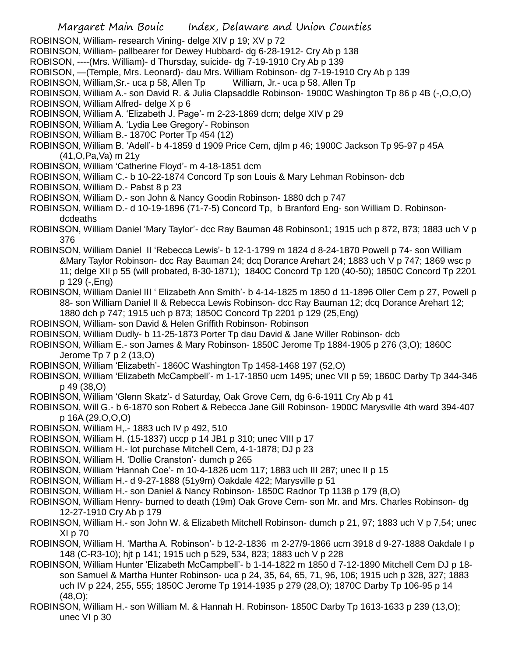ROBINSON, William- research Vining- delge XIV p 19; XV p 72

ROBINSON, William- pallbearer for Dewey Hubbard- dg 6-28-1912- Cry Ab p 138

- ROBISON, ----(Mrs. William)- d Thursday, suicide- dg 7-19-1910 Cry Ab p 139
- ROBISON, —(Temple, Mrs. Leonard)- dau Mrs. William Robinson- dg 7-19-1910 Cry Ab p 139

ROBINSON, William,Sr.- uca p 58, Allen Tp William, Jr.- uca p 58, Allen Tp

ROBINSON, William A.- son David R. & Julia Clapsaddle Robinson- 1900C Washington Tp 86 p 4B (-,O,O,O)

- ROBINSON, William Alfred- delge X p 6
- ROBINSON, William A. 'Elizabeth J. Page'- m 2-23-1869 dcm; delge XIV p 29
- ROBINSON, William A. 'Lydia Lee Gregory'- Robinson
- ROBINSON, William B.- 1870C Porter Tp 454 (12)
- ROBINSON, William B. 'Adell'- b 4-1859 d 1909 Price Cem, djlm p 46; 1900C Jackson Tp 95-97 p 45A (41,O,Pa,Va) m 21y
- ROBINSON, William 'Catherine Floyd'- m 4-18-1851 dcm
- ROBINSON, William C.- b 10-22-1874 Concord Tp son Louis & Mary Lehman Robinson- dcb
- ROBINSON, William D.- Pabst 8 p 23
- ROBINSON, William D.- son John & Nancy Goodin Robinson- 1880 dch p 747
- ROBINSON, William D.- d 10-19-1896 (71-7-5) Concord Tp, b Branford Eng- son William D. Robinsondcdeaths
- ROBINSON, William Daniel 'Mary Taylor'- dcc Ray Bauman 48 Robinson1; 1915 uch p 872, 873; 1883 uch V p 376
- ROBINSON, William Daniel II 'Rebecca Lewis'- b 12-1-1799 m 1824 d 8-24-1870 Powell p 74- son William &Mary Taylor Robinson- dcc Ray Bauman 24; dcq Dorance Arehart 24; 1883 uch V p 747; 1869 wsc p 11; delge XII p 55 (will probated, 8-30-1871); 1840C Concord Tp 120 (40-50); 1850C Concord Tp 2201 p 129 (-,Eng)
- ROBINSON, William Daniel III ' Elizabeth Ann Smith'- b 4-14-1825 m 1850 d 11-1896 Oller Cem p 27, Powell p 88- son William Daniel II & Rebecca Lewis Robinson- dcc Ray Bauman 12; dcq Dorance Arehart 12; 1880 dch p 747; 1915 uch p 873; 1850C Concord Tp 2201 p 129 (25,Eng)
- ROBINSON, William- son David & Helen Griffith Robinson- Robinson
- ROBINSON, William Dudly- b 11-25-1873 Porter Tp dau David & Jane Willer Robinson- dcb
- ROBINSON, William E.- son James & Mary Robinson- 1850C Jerome Tp 1884-1905 p 276 (3,O); 1860C Jerome Tp 7 p 2 (13,O)
- ROBINSON, William 'Elizabeth'- 1860C Washington Tp 1458-1468 197 (52,O)
- ROBINSON, William 'Elizabeth McCampbell'- m 1-17-1850 ucm 1495; unec VII p 59; 1860C Darby Tp 344-346 p 49 (38,O)
- ROBINSON, William 'Glenn Skatz'- d Saturday, Oak Grove Cem, dg 6-6-1911 Cry Ab p 41
- ROBINSON, Will G.- b 6-1870 son Robert & Rebecca Jane Gill Robinson- 1900C Marysville 4th ward 394-407 p 16A (29,O,O,O)
- ROBINSON, William H,.- 1883 uch IV p 492, 510
- ROBINSON, William H. (15-1837) uccp p 14 JB1 p 310; unec VIII p 17
- ROBINSON, William H.- lot purchase Mitchell Cem, 4-1-1878; DJ p 23
- ROBINSON, William H. 'Dollie Cranston'- dumch p 265
- ROBINSON, William 'Hannah Coe'- m 10-4-1826 ucm 117; 1883 uch III 287; unec II p 15
- ROBINSON, William H.- d 9-27-1888 (51y9m) Oakdale 422; Marysville p 51
- ROBINSON, William H.- son Daniel & Nancy Robinson- 1850C Radnor Tp 1138 p 179 (8,O)
- ROBINSON, William Henry- burned to death (19m) Oak Grove Cem- son Mr. and Mrs. Charles Robinson- dg 12-27-1910 Cry Ab p 179
- ROBINSON, William H.- son John W. & Elizabeth Mitchell Robinson- dumch p 21, 97; 1883 uch V p 7,54; unec XI p 70
- ROBINSON, William H. 'Martha A. Robinson'- b 12-2-1836 m 2-27/9-1866 ucm 3918 d 9-27-1888 Oakdale I p 148 (C-R3-10); hjt p 141; 1915 uch p 529, 534, 823; 1883 uch V p 228
- ROBINSON, William Hunter 'Elizabeth McCampbell'- b 1-14-1822 m 1850 d 7-12-1890 Mitchell Cem DJ p 18 son Samuel & Martha Hunter Robinson- uca p 24, 35, 64, 65, 71, 96, 106; 1915 uch p 328, 327; 1883 uch IV p 224, 255, 555; 1850C Jerome Tp 1914-1935 p 279 (28,O); 1870C Darby Tp 106-95 p 14 (48,O);
- ROBINSON, William H.- son William M. & Hannah H. Robinson- 1850C Darby Tp 1613-1633 p 239 (13,O); unec VI p 30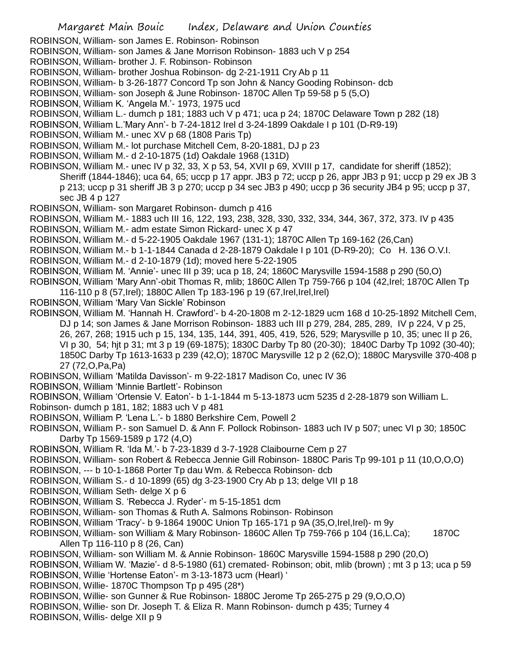ROBINSON, William- son James E. Robinson- Robinson

ROBINSON, William- son James & Jane Morrison Robinson- 1883 uch V p 254

ROBINSON, William- brother J. F. Robinson- Robinson

ROBINSON, William- brother Joshua Robinson- dg 2-21-1911 Cry Ab p 11

ROBINSON, William- b 3-26-1877 Concord Tp son John & Nancy Gooding Robinson- dcb

ROBINSON, William- son Joseph & June Robinson- 1870C Allen Tp 59-58 p 5 (5,O)

ROBINSON, William K. 'Angela M.'- 1973, 1975 ucd

ROBINSON, William L.- dumch p 181; 1883 uch V p 471; uca p 24; 1870C Delaware Town p 282 (18)

ROBINSON, William L.'Mary Ann'- b 7-24-1812 Irel d 3-24-1899 Oakdale I p 101 (D-R9-19)

ROBINSON, William M.- unec XV p 68 (1808 Paris Tp)

ROBINSON, William M.- lot purchase Mitchell Cem, 8-20-1881, DJ p 23

ROBINSON, William M.- d 2-10-1875 (1d) Oakdale 1968 (131D)

ROBINSON, William M.- unec IV p 32, 33, X p 53, 54, XVII p 69, XVIII p 17, candidate for sheriff (1852); Sheriff (1844-1846); uca 64, 65; uccp p 17 appr. JB3 p 72; uccp p 26, appr JB3 p 91; uccp p 29 ex JB 3 p 213; uccp p 31 sheriff JB 3 p 270; uccp p 34 sec JB3 p 490; uccp p 36 security JB4 p 95; uccp p 37, sec JB 4 p 127

ROBINSON, William- son Margaret Robinson- dumch p 416

ROBINSON, William M.- 1883 uch III 16, 122, 193, 238, 328, 330, 332, 334, 344, 367, 372, 373. IV p 435

ROBINSON, William M.- adm estate Simon Rickard- unec X p 47

ROBINSON, William M.- d 5-22-1905 Oakdale 1967 (131-1); 1870C Allen Tp 169-162 (26,Can)

ROBINSON, William M.- b 1-1-1844 Canada d 2-28-1879 Oakdale I p 101 (D-R9-20); Co H. 136 O.V.I.

ROBINSON, William M.- d 2-10-1879 (1d); moved here 5-22-1905

ROBINSON, William M. 'Annie'- unec III p 39; uca p 18, 24; 1860C Marysville 1594-1588 p 290 (50,O)

ROBINSON, William 'Mary Ann'-obit Thomas R, mlib; 1860C Allen Tp 759-766 p 104 (42,Irel; 1870C Allen Tp 116-110 p 8 (57,Irel); 1880C Allen Tp 183-196 p 19 (67,Irel,Irel,Irel)

ROBINSON, William 'Mary Van Sickle' Robinson

ROBINSON, William M. 'Hannah H. Crawford'- b 4-20-1808 m 2-12-1829 ucm 168 d 10-25-1892 Mitchell Cem, DJ p 14; son James & Jane Morrison Robinson- 1883 uch III p 279, 284, 285, 289, IV p 224, V p 25, 26, 267, 268; 1915 uch p 15, 134, 135, 144, 391, 405, 419, 526, 529; Marysville p 10, 35; unec II p 26, VI p 30, 54; hjt p 31; mt 3 p 19 (69-1875); 1830C Darby Tp 80 (20-30); 1840C Darby Tp 1092 (30-40); 1850C Darby Tp 1613-1633 p 239 (42,O); 1870C Marysville 12 p 2 (62,O); 1880C Marysville 370-408 p 27 (72,O,Pa,Pa)

ROBINSON, William 'Matilda Davisson'- m 9-22-1817 Madison Co, unec IV 36

ROBINSON, William 'Minnie Bartlett'- Robinson

ROBINSON, William 'Ortensie V. Eaton'- b 1-1-1844 m 5-13-1873 ucm 5235 d 2-28-1879 son William L.

- Robinson- dumch p 181, 182; 1883 uch V p 481
- ROBINSON, William P. 'Lena L.'- b 1880 Berkshire Cem, Powell 2
- ROBINSON, William P.- son Samuel D. & Ann F. Pollock Robinson- 1883 uch IV p 507; unec VI p 30; 1850C Darby Tp 1569-1589 p 172 (4,O)

ROBINSON, William R. 'Ida M.'- b 7-23-1839 d 3-7-1928 Claibourne Cem p 27

ROBINSON, William- son Robert & Rebecca Jennie Gill Robinson- 1880C Paris Tp 99-101 p 11 (10,O,O,O)

ROBINSON, --- b 10-1-1868 Porter Tp dau Wm. & Rebecca Robinson- dcb

ROBINSON, William S.- d 10-1899 (65) dg 3-23-1900 Cry Ab p 13; delge VII p 18

- ROBINSON, William Seth- delge X p 6
- ROBINSON, William S. 'Rebecca J. Ryder'- m 5-15-1851 dcm
- ROBINSON, William- son Thomas & Ruth A. Salmons Robinson- Robinson
- ROBINSON, William 'Tracy'- b 9-1864 1900C Union Tp 165-171 p 9A (35,O,Irel,Irel)- m 9y

ROBINSON, William- son William & Mary Robinson- 1860C Allen Tp 759-766 p 104 (16, L.Ca); 1870C Allen Tp 116-110 p 8 (26, Can)

ROBINSON, William- son William M. & Annie Robinson- 1860C Marysville 1594-1588 p 290 (20,O)

ROBINSON, William W. 'Mazie'- d 8-5-1980 (61) cremated- Robinson; obit, mlib (brown) ; mt 3 p 13; uca p 59 ROBINSON, Willie 'Hortense Eaton'- m 3-13-1873 ucm (Hearl) '

ROBINSON, Willie- 1870C Thompson Tp p 495 (28\*)

ROBINSON, Willie- son Gunner & Rue Robinson- 1880C Jerome Tp 265-275 p 29 (9,O,O,O)

ROBINSON, Willie- son Dr. Joseph T. & Eliza R. Mann Robinson- dumch p 435; Turney 4

ROBINSON, Willis- delge XII p 9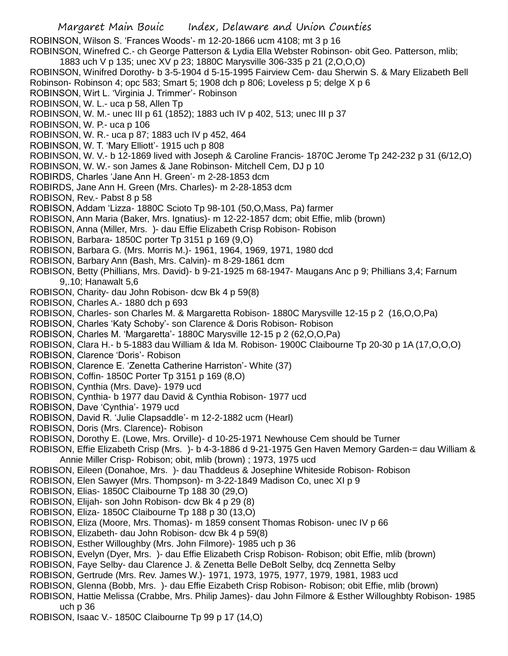ROBINSON, Wilson S. 'Frances Woods'- m 12-20-1866 ucm 4108; mt 3 p 16 ROBINSON, Winefred C.- ch George Patterson & Lydia Ella Webster Robinson- obit Geo. Patterson, mlib; 1883 uch V p 135; unec XV p 23; 1880C Marysville 306-335 p 21 (2,O,O,O) ROBINSON, Winifred Dorothy- b 3-5-1904 d 5-15-1995 Fairview Cem- dau Sherwin S. & Mary Elizabeth Bell Robinson- Robinson 4; opc 583; Smart 5; 1908 dch p 806; Loveless p 5; delge X p 6 ROBINSON, Wirt L. 'Virginia J. Trimmer'- Robinson ROBINSON, W. L.- uca p 58, Allen Tp ROBINSON, W. M.- unec III p 61 (1852); 1883 uch IV p 402, 513; unec III p 37 ROBINSON, W. P.- uca p 106 ROBINSON, W. R.- uca p 87; 1883 uch IV p 452, 464 ROBINSON, W. T. 'Mary Elliott'- 1915 uch p 808 ROBINSON, W. V.- b 12-1869 lived with Joseph & Caroline Francis- 1870C Jerome Tp 242-232 p 31 (6/12,O) ROBINSON, W. W.- son James & Jane Robinson- Mitchell Cem, DJ p 10 ROBIRDS, Charles 'Jane Ann H. Green'- m 2-28-1853 dcm ROBIRDS, Jane Ann H. Green (Mrs. Charles)- m 2-28-1853 dcm ROBISON, Rev.- Pabst 8 p 58 ROBISON, Addam 'Lizza- 1880C Scioto Tp 98-101 (50,O,Mass, Pa) farmer ROBISON, Ann Maria (Baker, Mrs. Ignatius)- m 12-22-1857 dcm; obit Effie, mlib (brown) ROBISON, Anna (Miller, Mrs. )- dau Effie Elizabeth Crisp Robison- Robison ROBISON, Barbara- 1850C porter Tp 3151 p 169 (9,O) ROBISON, Barbara G. (Mrs. Morris M.)- 1961, 1964, 1969, 1971, 1980 dcd ROBISON, Barbary Ann (Bash, Mrs. Calvin)- m 8-29-1861 dcm ROBISON, Betty (Phillians, Mrs. David)- b 9-21-1925 m 68-1947- Maugans Anc p 9; Phillians 3,4; Farnum 9,.10; Hanawalt 5,6 ROBISON, Charity- dau John Robison- dcw Bk 4 p 59(8) ROBISON, Charles A.- 1880 dch p 693

- ROBISON, Charles- son Charles M. & Margaretta Robison- 1880C Marysville 12-15 p 2 (16,O,O,Pa)
- ROBISON, Charles 'Katy Schoby'- son Clarence & Doris Robison- Robison
- ROBISON, Charles M. 'Margaretta'- 1880C Marysville 12-15 p 2 (62,O,O,Pa)
- ROBISON, Clara H.- b 5-1883 dau William & Ida M. Robison- 1900C Claibourne Tp 20-30 p 1A (17,O,O,O)
- ROBISON, Clarence 'Doris'- Robison
- ROBISON, Clarence E. 'Zenetta Catherine Harriston'- White (37)
- ROBISON, Coffin- 1850C Porter Tp 3151 p 169 (8,O)
- ROBISON, Cynthia (Mrs. Dave)- 1979 ucd
- ROBISON, Cynthia- b 1977 dau David & Cynthia Robison- 1977 ucd
- ROBISON, Dave 'Cynthia'- 1979 ucd
- ROBISON, David R. 'Julie Clapsaddle'- m 12-2-1882 ucm (Hearl)
- ROBISON, Doris (Mrs. Clarence)- Robison
- ROBISON, Dorothy E. (Lowe, Mrs. Orville)- d 10-25-1971 Newhouse Cem should be Turner
- ROBISON, Effie Elizabeth Crisp (Mrs. )- b 4-3-1886 d 9-21-1975 Gen Haven Memory Garden-= dau William & Annie Miller Crisp- Robison; obit, mlib (brown) ; 1973, 1975 ucd
- ROBISON, Eileen (Donahoe, Mrs. )- dau Thaddeus & Josephine Whiteside Robison- Robison
- ROBISON, Elen Sawyer (Mrs. Thompson)- m 3-22-1849 Madison Co, unec XI p 9
- ROBISON, Elias- 1850C Claibourne Tp 188 30 (29,O)
- ROBISON, Elijah- son John Robison- dcw Bk 4 p 29 (8)
- ROBISON, Eliza- 1850C Claibourne Tp 188 p 30 (13,O)
- ROBISON, Eliza (Moore, Mrs. Thomas)- m 1859 consent Thomas Robison- unec IV p 66
- ROBISON, Elizabeth- dau John Robison- dcw Bk 4 p 59(8)
- ROBISON, Esther Willoughby (Mrs. John Filmore)- 1985 uch p 36
- ROBISON, Evelyn (Dyer, Mrs. )- dau Effie Elizabeth Crisp Robison- Robison; obit Effie, mlib (brown)
- ROBISON, Faye Selby- dau Clarence J. & Zenetta Belle DeBolt Selby, dcq Zennetta Selby
- ROBISON, Gertrude (Mrs. Rev. James W.)- 1971, 1973, 1975, 1977, 1979, 1981, 1983 ucd
- ROBISON, Glenna (Bobb, Mrs. )- dau Effie Eizabeth Crisp Robison- Robison; obit Effie, mlib (brown)
- ROBISON, Hattie Melissa (Crabbe, Mrs. Philip James)- dau John Filmore & Esther Willoughbty Robison- 1985 uch p 36
- ROBISON, Isaac V.- 1850C Claibourne Tp 99 p 17 (14,O)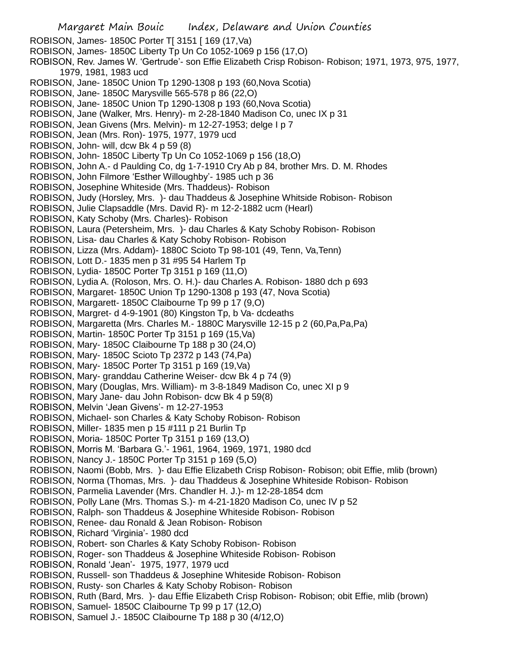Margaret Main Bouic Index, Delaware and Union Counties ROBISON, James- 1850C Porter T[ 3151 [ 169 (17,Va) ROBISON, James- 1850C Liberty Tp Un Co 1052-1069 p 156 (17,O) ROBISON, Rev. James W. 'Gertrude'- son Effie Elizabeth Crisp Robison- Robison; 1971, 1973, 975, 1977, 1979, 1981, 1983 ucd ROBISON, Jane- 1850C Union Tp 1290-1308 p 193 (60,Nova Scotia) ROBISON, Jane- 1850C Marysville 565-578 p 86 (22,O) ROBISON, Jane- 1850C Union Tp 1290-1308 p 193 (60,Nova Scotia) ROBISON, Jane (Walker, Mrs. Henry)- m 2-28-1840 Madison Co, unec IX p 31 ROBISON, Jean Givens (Mrs. Melvin)- m 12-27-1953; delge I p 7 ROBISON, Jean (Mrs. Ron)- 1975, 1977, 1979 ucd ROBISON, John- will, dcw Bk 4 p 59 (8) ROBISON, John- 1850C Liberty Tp Un Co 1052-1069 p 156 (18,O) ROBISON, John A.- d Paulding Co, dg 1-7-1910 Cry Ab p 84, brother Mrs. D. M. Rhodes ROBISON, John Filmore 'Esther Willoughby'- 1985 uch p 36 ROBISON, Josephine Whiteside (Mrs. Thaddeus)- Robison ROBISON, Judy (Horsley, Mrs. )- dau Thaddeus & Josephine Whitside Robison- Robison ROBISON, Julie Clapsaddle (Mrs. David R)- m 12-2-1882 ucm (Hearl) ROBISON, Katy Schoby (Mrs. Charles)- Robison ROBISON, Laura (Petersheim, Mrs. )- dau Charles & Katy Schoby Robison- Robison ROBISON, Lisa- dau Charles & Katy Schoby Robison- Robison ROBISON, Lizza (Mrs. Addam)- 1880C Scioto Tp 98-101 (49, Tenn, Va,Tenn) ROBISON, Lott D.- 1835 men p 31 #95 54 Harlem Tp ROBISON, Lydia- 1850C Porter Tp 3151 p 169 (11,O) ROBISON, Lydia A. (Roloson, Mrs. O. H.)- dau Charles A. Robison- 1880 dch p 693 ROBISON, Margaret- 1850C Union Tp 1290-1308 p 193 (47, Nova Scotia) ROBISON, Margarett- 1850C Claibourne Tp 99 p 17 (9,O) ROBISON, Margret- d 4-9-1901 (80) Kingston Tp, b Va- dcdeaths ROBISON, Margaretta (Mrs. Charles M.- 1880C Marysville 12-15 p 2 (60,Pa,Pa,Pa) ROBISON, Martin- 1850C Porter Tp 3151 p 169 (15,Va) ROBISON, Mary- 1850C Claibourne Tp 188 p 30 (24,O) ROBISON, Mary- 1850C Scioto Tp 2372 p 143 (74,Pa) ROBISON, Mary- 1850C Porter Tp 3151 p 169 (19,Va) ROBISON, Mary- granddau Catherine Weiser- dcw Bk 4 p 74 (9) ROBISON, Mary (Douglas, Mrs. William)- m 3-8-1849 Madison Co, unec XI p 9 ROBISON, Mary Jane- dau John Robison- dcw Bk 4 p 59(8) ROBISON, Melvin 'Jean Givens'- m 12-27-1953 ROBISON, Michael- son Charles & Katy Schoby Robison- Robison ROBISON, Miller- 1835 men p 15 #111 p 21 Burlin Tp ROBISON, Moria- 1850C Porter Tp 3151 p 169 (13,O) ROBISON, Morris M. 'Barbara G.'- 1961, 1964, 1969, 1971, 1980 dcd ROBISON, Nancy J.- 1850C Porter Tp 3151 p 169 (5,O) ROBISON, Naomi (Bobb, Mrs. )- dau Effie Elizabeth Crisp Robison- Robison; obit Effie, mlib (brown) ROBISON, Norma (Thomas, Mrs. )- dau Thaddeus & Josephine Whiteside Robison- Robison ROBISON, Parmelia Lavender (Mrs. Chandler H. J.)- m 12-28-1854 dcm ROBISON, Polly Lane (Mrs. Thomas S.)- m 4-21-1820 Madison Co, unec IV p 52 ROBISON, Ralph- son Thaddeus & Josephine Whiteside Robison- Robison ROBISON, Renee- dau Ronald & Jean Robison- Robison ROBISON, Richard 'Virginia'- 1980 dcd ROBISON, Robert- son Charles & Katy Schoby Robison- Robison ROBISON, Roger- son Thaddeus & Josephine Whiteside Robison- Robison ROBISON, Ronald 'Jean'- 1975, 1977, 1979 ucd ROBISON, Russell- son Thaddeus & Josephine Whiteside Robison- Robison ROBISON, Rusty- son Charles & Katy Schoby Robison- Robison ROBISON, Ruth (Bard, Mrs. )- dau Effie Elizabeth Crisp Robison- Robison; obit Effie, mlib (brown) ROBISON, Samuel- 1850C Claibourne Tp 99 p 17 (12,O) ROBISON, Samuel J.- 1850C Claibourne Tp 188 p 30 (4/12,O)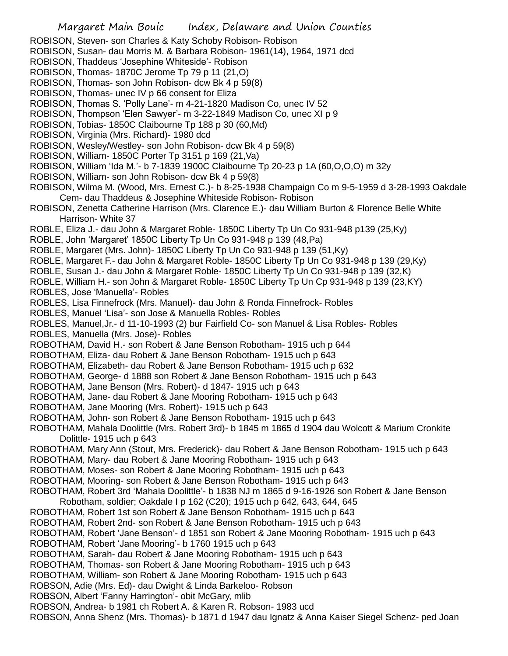- ROBISON, Steven- son Charles & Katy Schoby Robison- Robison
- ROBISON, Susan- dau Morris M. & Barbara Robison- 1961(14), 1964, 1971 dcd
- ROBISON, Thaddeus 'Josephine Whiteside'- Robison
- ROBISON, Thomas- 1870C Jerome Tp 79 p 11 (21,O)
- ROBISON, Thomas- son John Robison- dcw Bk 4 p 59(8)
- ROBISON, Thomas- unec IV p 66 consent for Eliza
- ROBISON, Thomas S. 'Polly Lane'- m 4-21-1820 Madison Co, unec IV 52
- ROBISON, Thompson 'Elen Sawyer'- m 3-22-1849 Madison Co, unec XI p 9
- ROBISON, Tobias- 1850C Claibourne Tp 188 p 30 (60,Md)
- ROBISON, Virginia (Mrs. Richard)- 1980 dcd
- ROBISON, Wesley/Westley- son John Robison- dcw Bk 4 p 59(8)
- ROBISON, William- 1850C Porter Tp 3151 p 169 (21,Va)
- ROBISON, William 'Ida M.'- b 7-1839 1900C Claibourne Tp 20-23 p 1A (60,O,O,O) m 32y
- ROBISON, William- son John Robison- dcw Bk 4 p 59(8)
- ROBISON, Wilma M. (Wood, Mrs. Ernest C.)- b 8-25-1938 Champaign Co m 9-5-1959 d 3-28-1993 Oakdale Cem- dau Thaddeus & Josephine Whiteside Robison- Robison
- ROBISON, Zenetta Catherine Harrison (Mrs. Clarence E.)- dau William Burton & Florence Belle White Harrison- White 37
- ROBLE, Eliza J.- dau John & Margaret Roble- 1850C Liberty Tp Un Co 931-948 p139 (25,Ky)
- ROBLE, John 'Margaret' 1850C Liberty Tp Un Co 931-948 p 139 (48,Pa)
- ROBLE, Margaret (Mrs. John)- 1850C Liberty Tp Un Co 931-948 p 139 (51,Ky)
- ROBLE, Margaret F.- dau John & Margaret Roble- 1850C Liberty Tp Un Co 931-948 p 139 (29,Ky)
- ROBLE, Susan J.- dau John & Margaret Roble- 1850C Liberty Tp Un Co 931-948 p 139 (32,K)
- ROBLE, William H.- son John & Margaret Roble- 1850C Liberty Tp Un Cp 931-948 p 139 (23,KY)
- ROBLES, Jose 'Manuella'- Robles
- ROBLES, Lisa Finnefrock (Mrs. Manuel)- dau John & Ronda Finnefrock- Robles
- ROBLES, Manuel 'Lisa'- son Jose & Manuella Robles- Robles
- ROBLES, Manuel,Jr.- d 11-10-1993 (2) bur Fairfield Co- son Manuel & Lisa Robles- Robles
- ROBLES, Manuella (Mrs. Jose)- Robles
- ROBOTHAM, David H.- son Robert & Jane Benson Robotham- 1915 uch p 644
- ROBOTHAM, Eliza- dau Robert & Jane Benson Robotham- 1915 uch p 643
- ROBOTHAM, Elizabeth- dau Robert & Jane Benson Robotham- 1915 uch p 632
- ROBOTHAM, George- d 1888 son Robert & Jane Benson Robotham- 1915 uch p 643
- ROBOTHAM, Jane Benson (Mrs. Robert)- d 1847- 1915 uch p 643
- ROBOTHAM, Jane- dau Robert & Jane Mooring Robotham- 1915 uch p 643
- ROBOTHAM, Jane Mooring (Mrs. Robert)- 1915 uch p 643
- ROBOTHAM, John- son Robert & Jane Benson Robotham- 1915 uch p 643
- ROBOTHAM, Mahala Doolittle (Mrs. Robert 3rd)- b 1845 m 1865 d 1904 dau Wolcott & Marium Cronkite Dolittle- 1915 uch p 643
- ROBOTHAM, Mary Ann (Stout, Mrs. Frederick)- dau Robert & Jane Benson Robotham- 1915 uch p 643 ROBOTHAM, Mary- dau Robert & Jane Mooring Robotham- 1915 uch p 643
- 
- ROBOTHAM, Moses- son Robert & Jane Mooring Robotham- 1915 uch p 643
- ROBOTHAM, Mooring- son Robert & Jane Benson Robotham- 1915 uch p 643
- ROBOTHAM, Robert 3rd 'Mahala Doolittle'- b 1838 NJ m 1865 d 9-16-1926 son Robert & Jane Benson Robotham, soldier; Oakdale I p 162 (C20); 1915 uch p 642, 643, 644, 645
- ROBOTHAM, Robert 1st son Robert & Jane Benson Robotham- 1915 uch p 643
- ROBOTHAM, Robert 2nd- son Robert & Jane Benson Robotham- 1915 uch p 643
- ROBOTHAM, Robert 'Jane Benson'- d 1851 son Robert & Jane Mooring Robotham- 1915 uch p 643
- ROBOTHAM, Robert 'Jane Mooring'- b 1760 1915 uch p 643
- ROBOTHAM, Sarah- dau Robert & Jane Mooring Robotham- 1915 uch p 643
- ROBOTHAM, Thomas- son Robert & Jane Mooring Robotham- 1915 uch p 643
- ROBOTHAM, William- son Robert & Jane Mooring Robotham- 1915 uch p 643
- ROBSON, Adie (Mrs. Ed)- dau Dwight & Linda Barkeloo- Robson
- ROBSON, Albert 'Fanny Harrington'- obit McGary, mlib
- ROBSON, Andrea- b 1981 ch Robert A. & Karen R. Robson- 1983 ucd
- ROBSON, Anna Shenz (Mrs. Thomas)- b 1871 d 1947 dau Ignatz & Anna Kaiser Siegel Schenz- ped Joan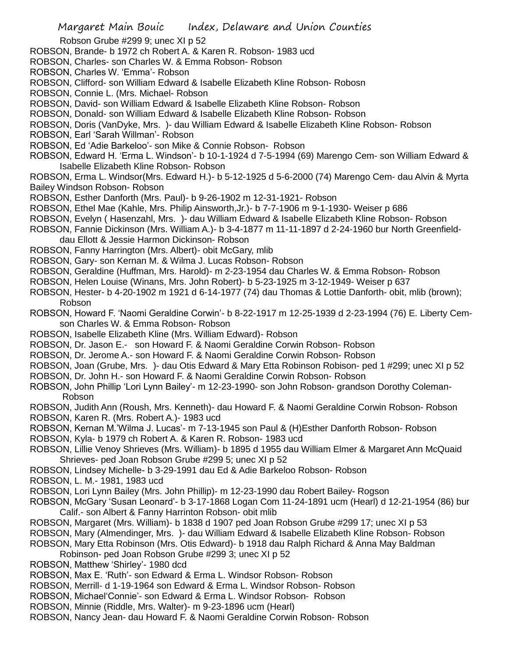Robson Grube #299 9; unec XI p 52

- ROBSON, Brande- b 1972 ch Robert A. & Karen R. Robson- 1983 ucd
- ROBSON, Charles- son Charles W. & Emma Robson- Robson
- ROBSON, Charles W. 'Emma'- Robson
- ROBSON, Clifford- son William Edward & Isabelle Elizabeth Kline Robson- Robosn
- ROBSON, Connie L. (Mrs. Michael- Robson
- ROBSON, David- son William Edward & Isabelle Elizabeth Kline Robson- Robson
- ROBSON, Donald- son William Edward & Isabelle Elizabeth Kline Robson- Robson
- ROBSON, Doris (VanDyke, Mrs. )- dau William Edward & Isabelle Elizabeth Kline Robson- Robson
- ROBSON, Earl 'Sarah Willman'- Robson
- ROBSON, Ed 'Adie Barkeloo'- son Mike & Connie Robson- Robson
- ROBSON, Edward H. 'Erma L. Windson'- b 10-1-1924 d 7-5-1994 (69) Marengo Cem- son William Edward & Isabelle Elizabeth Kline Robson- Robson
- ROBSON, Erma L. Windsor(Mrs. Edward H.)- b 5-12-1925 d 5-6-2000 (74) Marengo Cem- dau Alvin & Myrta Bailey Windson Robson- Robson
- ROBSON, Esther Danforth (Mrs. Paul)- b 9-26-1902 m 12-31-1921- Robson
- ROBSON, Ethel Mae (Kahle, Mrs. Philip Ainsworth,Jr.)- b 7-7-1906 m 9-1-1930- Weiser p 686
- ROBSON, Evelyn ( Hasenzahl, Mrs. )- dau William Edward & Isabelle Elizabeth Kline Robson- Robson
- ROBSON, Fannie Dickinson (Mrs. William A.)- b 3-4-1877 m 11-11-1897 d 2-24-1960 bur North Greenfielddau Ellott & Jessie Harmon Dickinson- Robson
- 
- ROBSON, Fanny Harrington (Mrs. Albert)- obit McGary, mlib
- ROBSON, Gary- son Kernan M. & Wilma J. Lucas Robson- Robson
- ROBSON, Geraldine (Huffman, Mrs. Harold)- m 2-23-1954 dau Charles W. & Emma Robson- Robson
- ROBSON, Helen Louise (Winans, Mrs. John Robert)- b 5-23-1925 m 3-12-1949- Weiser p 637
- ROBSON, Hester- b 4-20-1902 m 1921 d 6-14-1977 (74) dau Thomas & Lottie Danforth- obit, mlib (brown); Robson
- ROBSON, Howard F. 'Naomi Geraldine Corwin'- b 8-22-1917 m 12-25-1939 d 2-23-1994 (76) E. Liberty Cemson Charles W. & Emma Robson- Robson
- ROBSON, Isabelle Elizabeth Kline (Mrs. William Edward)- Robson
- ROBSON, Dr. Jason E.- son Howard F. & Naomi Geraldine Corwin Robson- Robson
- ROBSON, Dr. Jerome A.- son Howard F. & Naomi Geraldine Corwin Robson- Robson
- ROBSON, Joan (Grube, Mrs. )- dau Otis Edward & Mary Etta Robinson Robison- ped 1 #299; unec XI p 52
- ROBSON, Dr. John H.- son Howard F. & Naomi Geraldine Corwin Robson- Robson
- ROBSON, John Phillip 'Lori Lynn Bailey'- m 12-23-1990- son John Robson- grandson Dorothy Coleman-Robson
- ROBSON, Judith Ann (Roush, Mrs. Kenneth)- dau Howard F. & Naomi Geraldine Corwin Robson- Robson
- ROBSON, Karen R. (Mrs. Robert A.)- 1983 ucd
- ROBSON, Kernan M.'Wilma J. Lucas'- m 7-13-1945 son Paul & (H)Esther Danforth Robson- Robson
- ROBSON, Kyla- b 1979 ch Robert A. & Karen R. Robson- 1983 ucd
- ROBSON, Lillie Venoy Shrieves (Mrs. William)- b 1895 d 1955 dau William Elmer & Margaret Ann McQuaid Shrieves- ped Joan Robson Grube #299 5; unec XI p 52
- ROBSON, Lindsey Michelle- b 3-29-1991 dau Ed & Adie Barkeloo Robson- Robson
- ROBSON, L. M.- 1981, 1983 ucd
- ROBSON, Lori Lynn Bailey (Mrs. John Phillip)- m 12-23-1990 dau Robert Bailey- Rogson
- ROBSON, McGary 'Susan Leonard'- b 3-17-1868 Logan Com 11-24-1891 ucm (Hearl) d 12-21-1954 (86) bur Calif.- son Albert & Fanny Harrinton Robson- obit mlib
- ROBSON, Margaret (Mrs. William)- b 1838 d 1907 ped Joan Robson Grube #299 17; unec XI p 53
- ROBSON, Mary (Almendinger, Mrs. )- dau William Edward & Isabelle Elizabeth Kline Robson- Robson
- ROBSON, Mary Etta Robinson (Mrs. Otis Edward)- b 1918 dau Ralph Richard & Anna May Baldman
- Robinson- ped Joan Robson Grube #299 3; unec XI p 52
- ROBSON, Matthew 'Shirley'- 1980 dcd
- ROBSON, Max E. 'Ruth'- son Edward & Erma L. Windsor Robson- Robson
- ROBSON, Merrill- d 1-19-1964 son Edward & Erma L. Windsor Robson- Robson
- ROBSON, Michael'Connie'- son Edward & Erma L. Windsor Robson- Robson
- ROBSON, Minnie (Riddle, Mrs. Walter)- m 9-23-1896 ucm (Hearl)
- ROBSON, Nancy Jean- dau Howard F. & Naomi Geraldine Corwin Robson- Robson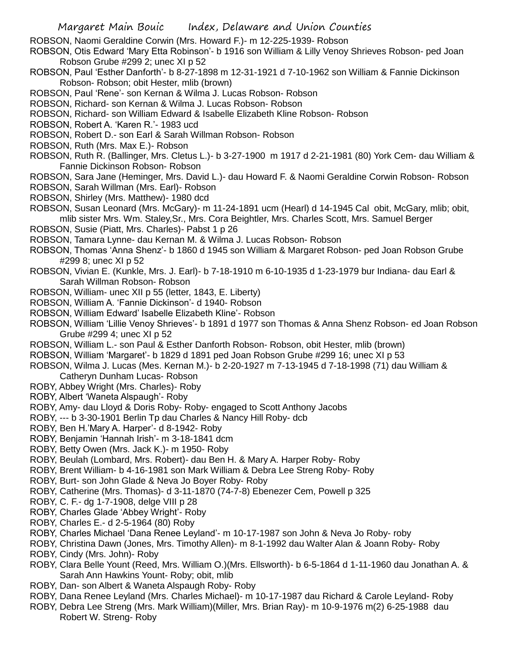ROBSON, Naomi Geraldine Corwin (Mrs. Howard F.)- m 12-225-1939- Robson

- ROBSON, Otis Edward 'Mary Etta Robinson'- b 1916 son William & Lilly Venoy Shrieves Robson- ped Joan Robson Grube #299 2; unec XI p 52
- ROBSON, Paul 'Esther Danforth'- b 8-27-1898 m 12-31-1921 d 7-10-1962 son William & Fannie Dickinson Robson- Robson; obit Hester, mlib (brown)
- ROBSON, Paul 'Rene'- son Kernan & Wilma J. Lucas Robson- Robson
- ROBSON, Richard- son Kernan & Wilma J. Lucas Robson- Robson
- ROBSON, Richard- son William Edward & Isabelle Elizabeth Kline Robson- Robson
- ROBSON, Robert A. 'Karen R.'- 1983 ucd
- ROBSON, Robert D.- son Earl & Sarah Willman Robson- Robson
- ROBSON, Ruth (Mrs. Max E.)- Robson
- ROBSON, Ruth R. (Ballinger, Mrs. Cletus L.)- b 3-27-1900 m 1917 d 2-21-1981 (80) York Cem- dau William & Fannie Dickinson Robson- Robson
- ROBSON, Sara Jane (Heminger, Mrs. David L.)- dau Howard F. & Naomi Geraldine Corwin Robson- Robson
- ROBSON, Sarah Willman (Mrs. Earl)- Robson
- ROBSON, Shirley (Mrs. Matthew)- 1980 dcd
- ROBSON, Susan Leonard (Mrs. McGary)- m 11-24-1891 ucm (Hearl) d 14-1945 Cal obit, McGary, mlib; obit, mlib sister Mrs. Wm. Staley,Sr., Mrs. Cora Beightler, Mrs. Charles Scott, Mrs. Samuel Berger
- ROBSON, Susie (Piatt, Mrs. Charles)- Pabst 1 p 26
- ROBSON, Tamara Lynne- dau Kernan M. & Wilma J. Lucas Robson- Robson
- ROBSON, Thomas 'Anna Shenz'- b 1860 d 1945 son William & Margaret Robson- ped Joan Robson Grube #299 8; unec XI p 52
- ROBSON, Vivian E. (Kunkle, Mrs. J. Earl)- b 7-18-1910 m 6-10-1935 d 1-23-1979 bur Indiana- dau Earl & Sarah Willman Robson- Robson
- ROBSON, William- unec XII p 55 (letter, 1843, E. Liberty)
- ROBSON, William A. 'Fannie Dickinson'- d 1940- Robson
- ROBSON, William Edward' Isabelle Elizabeth Kline'- Robson
- ROBSON, William 'Lillie Venoy Shrieves'- b 1891 d 1977 son Thomas & Anna Shenz Robson- ed Joan Robson Grube #299 4; unec XI p 52
- ROBSON, William L.- son Paul & Esther Danforth Robson- Robson, obit Hester, mlib (brown)
- ROBSON, William 'Margaret'- b 1829 d 1891 ped Joan Robson Grube #299 16; unec XI p 53
- ROBSON, Wilma J. Lucas (Mes. Kernan M.)- b 2-20-1927 m 7-13-1945 d 7-18-1998 (71) dau William & Catheryn Dunham Lucas- Robson
- ROBY, Abbey Wright (Mrs. Charles)- Roby
- ROBY, Albert 'Waneta Alspaugh'- Roby
- ROBY, Amy- dau Lloyd & Doris Roby- Roby- engaged to Scott Anthony Jacobs
- ROBY, --- b 3-30-1901 Berlin Tp dau Charles & Nancy Hill Roby- dcb
- ROBY, Ben H.'Mary A. Harper'- d 8-1942- Roby
- ROBY, Benjamin 'Hannah Irish'- m 3-18-1841 dcm
- ROBY, Betty Owen (Mrs. Jack K.)- m 1950- Roby
- ROBY, Beulah (Lombard, Mrs. Robert)- dau Ben H. & Mary A. Harper Roby- Roby
- ROBY, Brent William- b 4-16-1981 son Mark William & Debra Lee Streng Roby- Roby
- ROBY, Burt- son John Glade & Neva Jo Boyer Roby- Roby
- ROBY, Catherine (Mrs. Thomas)- d 3-11-1870 (74-7-8) Ebenezer Cem, Powell p 325
- ROBY, C. F.- dg 1-7-1908, delge VIII p 28
- ROBY, Charles Glade 'Abbey Wright'- Roby
- ROBY, Charles E.- d 2-5-1964 (80) Roby
- ROBY, Charles Michael 'Dana Renee Leyland'- m 10-17-1987 son John & Neva Jo Roby- roby
- ROBY, Christina Dawn (Jones, Mrs. Timothy Allen)- m 8-1-1992 dau Walter Alan & Joann Roby- Roby
- ROBY, Cindy (Mrs. John)- Roby
- ROBY, Clara Belle Yount (Reed, Mrs. William O.)(Mrs. Ellsworth)- b 6-5-1864 d 1-11-1960 dau Jonathan A. & Sarah Ann Hawkins Yount- Roby; obit, mlib
- ROBY, Dan- son Albert & Waneta Alspaugh Roby- Roby
- ROBY, Dana Renee Leyland (Mrs. Charles Michael)- m 10-17-1987 dau Richard & Carole Leyland- Roby
- ROBY, Debra Lee Streng (Mrs. Mark William)(Miller, Mrs. Brian Ray)- m 10-9-1976 m(2) 6-25-1988 dau Robert W. Streng- Roby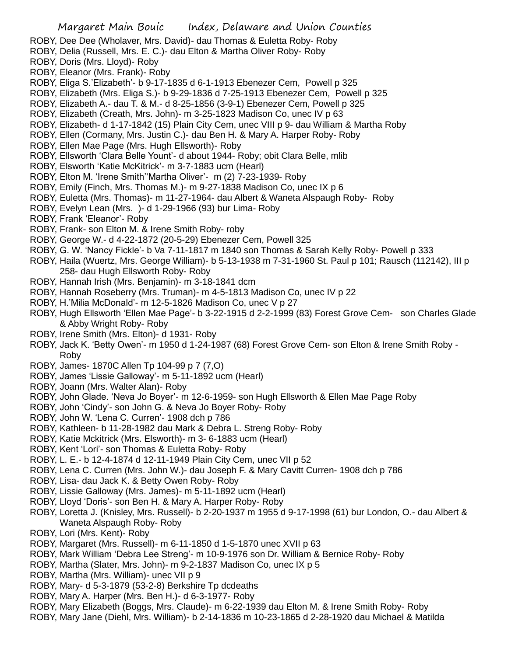- ROBY, Dee Dee (Wholaver, Mrs. David)- dau Thomas & Euletta Roby- Roby
- ROBY, Delia (Russell, Mrs. E. C.)- dau Elton & Martha Oliver Roby- Roby
- ROBY, Doris (Mrs. Lloyd)- Roby
- ROBY, Eleanor (Mrs. Frank)- Roby
- ROBY, Eliga S.'Elizabeth'- b 9-17-1835 d 6-1-1913 Ebenezer Cem, Powell p 325
- ROBY, Elizabeth (Mrs. Eliga S.)- b 9-29-1836 d 7-25-1913 Ebenezer Cem, Powell p 325
- ROBY, Elizabeth A.- dau T. & M.- d 8-25-1856 (3-9-1) Ebenezer Cem, Powell p 325
- ROBY, Elizabeth (Creath, Mrs. John)- m 3-25-1823 Madison Co, unec IV p 63
- ROBY, Elizabeth- d 1-17-1842 (15) Plain City Cem, unec VIII p 9- dau William & Martha Roby
- ROBY, Ellen (Cormany, Mrs. Justin C.)- dau Ben H. & Mary A. Harper Roby- Roby
- ROBY, Ellen Mae Page (Mrs. Hugh Ellsworth)- Roby
- ROBY, Ellsworth 'Clara Belle Yount'- d about 1944- Roby; obit Clara Belle, mlib
- ROBY, Elsworth 'Katie McKitrick'- m 3-7-1883 ucm (Hearl)
- ROBY, Elton M. 'Irene Smith''Martha Oliver'- m (2) 7-23-1939- Roby
- ROBY, Emily (Finch, Mrs. Thomas M.)- m 9-27-1838 Madison Co, unec IX p 6
- ROBY, Euletta (Mrs. Thomas)- m 11-27-1964- dau Albert & Waneta Alspaugh Roby- Roby
- ROBY, Evelyn Lean (Mrs. )- d 1-29-1966 (93) bur Lima- Roby
- ROBY, Frank 'Eleanor'- Roby
- ROBY, Frank- son Elton M. & Irene Smith Roby- roby
- ROBY, George W.- d 4-22-1872 (20-5-29) Ebenezer Cem, Powell 325
- ROBY, G. W. 'Nancy Fickle'- b Va 7-11-1817 m 1840 son Thomas & Sarah Kelly Roby- Powell p 333
- ROBY, Haila (Wuertz, Mrs. George William)- b 5-13-1938 m 7-31-1960 St. Paul p 101; Rausch (112142), III p 258- dau Hugh Ellsworth Roby- Roby
- ROBY, Hannah Irish (Mrs. Benjamin)- m 3-18-1841 dcm
- ROBY, Hannah Roseberry (Mrs. Truman)- m 4-5-1813 Madison Co, unec IV p 22
- ROBY, H.'Milia McDonald'- m 12-5-1826 Madison Co, unec V p 27
- ROBY, Hugh Ellsworth 'Ellen Mae Page'- b 3-22-1915 d 2-2-1999 (83) Forest Grove Cem- son Charles Glade & Abby Wright Roby- Roby
- ROBY, Irene Smith (Mrs. Elton)- d 1931- Roby
- ROBY, Jack K. 'Betty Owen'- m 1950 d 1-24-1987 (68) Forest Grove Cem- son Elton & Irene Smith Roby Roby
- ROBY, James- 1870C Allen Tp 104-99 p 7 (7,O)
- ROBY, James 'Lissie Galloway'- m 5-11-1892 ucm (Hearl)
- ROBY, Joann (Mrs. Walter Alan)- Roby
- ROBY, John Glade. 'Neva Jo Boyer'- m 12-6-1959- son Hugh Ellsworth & Ellen Mae Page Roby
- ROBY, John 'Cindy'- son John G. & Neva Jo Boyer Roby- Roby
- ROBY, John W. 'Lena C. Curren'- 1908 dch p 786
- ROBY, Kathleen- b 11-28-1982 dau Mark & Debra L. Streng Roby- Roby
- ROBY, Katie Mckitrick (Mrs. Elsworth)- m 3- 6-1883 ucm (Hearl)
- ROBY, Kent 'Lori'- son Thomas & Euletta Roby- Roby
- ROBY, L. E.- b 12-4-1874 d 12-11-1949 Plain City Cem, unec VII p 52
- ROBY, Lena C. Curren (Mrs. John W.)- dau Joseph F. & Mary Cavitt Curren- 1908 dch p 786
- ROBY, Lisa- dau Jack K. & Betty Owen Roby- Roby
- ROBY, Lissie Galloway (Mrs. James)- m 5-11-1892 ucm (Hearl)
- ROBY, Lloyd 'Doris'- son Ben H. & Mary A. Harper Roby- Roby
- ROBY, Loretta J. (Knisley, Mrs. Russell)- b 2-20-1937 m 1955 d 9-17-1998 (61) bur London, O.- dau Albert & Waneta Alspaugh Roby- Roby
- ROBY, Lori (Mrs. Kent)- Roby
- ROBY, Margaret (Mrs. Russell)- m 6-11-1850 d 1-5-1870 unec XVII p 63
- ROBY, Mark William 'Debra Lee Streng'- m 10-9-1976 son Dr. William & Bernice Roby- Roby
- ROBY, Martha (Slater, Mrs. John)- m 9-2-1837 Madison Co, unec IX p 5
- ROBY, Martha (Mrs. William)- unec VII p 9
- ROBY, Mary- d 5-3-1879 (53-2-8) Berkshire Tp dcdeaths
- ROBY, Mary A. Harper (Mrs. Ben H.)- d 6-3-1977- Roby
- ROBY, Mary Elizabeth (Boggs, Mrs. Claude)- m 6-22-1939 dau Elton M. & Irene Smith Roby- Roby
- ROBY, Mary Jane (Diehl, Mrs. William)- b 2-14-1836 m 10-23-1865 d 2-28-1920 dau Michael & Matilda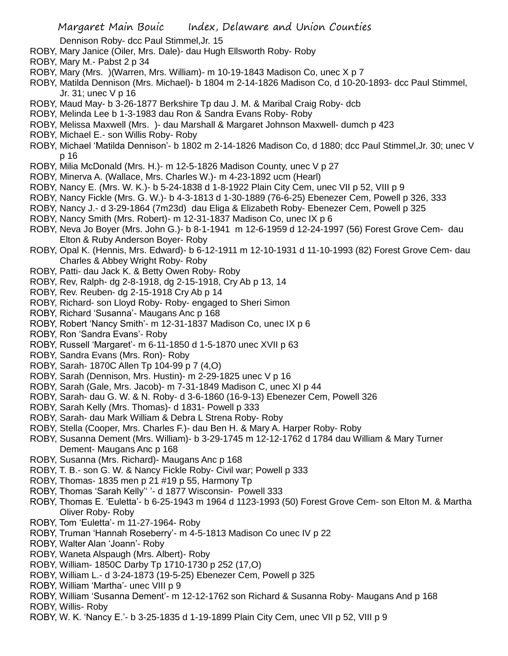Dennison Roby- dcc Paul Stimmel,Jr. 15

- ROBY, Mary Janice (Oiler, Mrs. Dale)- dau Hugh Ellsworth Roby- Roby
- ROBY, Mary M.- Pabst 2 p 34
- ROBY, Mary (Mrs. )(Warren, Mrs. William)- m 10-19-1843 Madison Co, unec X p 7
- ROBY, Matilda Dennison (Mrs. Michael)- b 1804 m 2-14-1826 Madison Co, d 10-20-1893- dcc Paul Stimmel, Jr. 31; unec V p 16
- ROBY, Maud May- b 3-26-1877 Berkshire Tp dau J. M. & Maribal Craig Roby- dcb
- ROBY, Melinda Lee b 1-3-1983 dau Ron & Sandra Evans Roby- Roby
- ROBY, Melissa Maxwell (Mrs. )- dau Marshall & Margaret Johnson Maxwell- dumch p 423
- ROBY, Michael E.- son Willis Roby- Roby
- ROBY, Michael 'Matilda Dennison'- b 1802 m 2-14-1826 Madison Co, d 1880; dcc Paul Stimmel,Jr. 30; unec V p 16
- ROBY, Milia McDonald (Mrs. H.)- m 12-5-1826 Madison County, unec V p 27
- ROBY, Minerva A. (Wallace, Mrs. Charles W.)- m 4-23-1892 ucm (Hearl)
- ROBY, Nancy E. (Mrs. W. K.)- b 5-24-1838 d 1-8-1922 Plain City Cem, unec VII p 52, VIII p 9
- ROBY, Nancy Fickle (Mrs. G. W.)- b 4-3-1813 d 1-30-1889 (76-6-25) Ebenezer Cem, Powell p 326, 333
- ROBY, Nancy J.- d 3-29-1864 (7m23d) dau Eliga & Elizabeth Roby- Ebenezer Cem, Powell p 325
- ROBY, Nancy Smith (Mrs. Robert)- m 12-31-1837 Madison Co, unec IX p 6
- ROBY, Neva Jo Boyer (Mrs. John G.)- b 8-1-1941 m 12-6-1959 d 12-24-1997 (56) Forest Grove Cem- dau Elton & Ruby Anderson Boyer- Roby
- ROBY, Opal K. (Hennis, Mrs. Edward)- b 6-12-1911 m 12-10-1931 d 11-10-1993 (82) Forest Grove Cem- dau Charles & Abbey Wright Roby- Roby
- ROBY, Patti- dau Jack K. & Betty Owen Roby- Roby
- ROBY, Rev, Ralph- dg 2-8-1918, dg 2-15-1918, Cry Ab p 13, 14
- ROBY, Rev. Reuben- dg 2-15-1918 Cry Ab p 14
- ROBY, Richard- son Lloyd Roby- Roby- engaged to Sheri Simon
- ROBY, Richard 'Susanna'- Maugans Anc p 168
- ROBY, Robert 'Nancy Smith'- m 12-31-1837 Madison Co, unec IX p 6
- ROBY, Ron 'Sandra Evans'- Roby
- ROBY, Russell 'Margaret'- m 6-11-1850 d 1-5-1870 unec XVII p 63
- ROBY, Sandra Evans (Mrs. Ron)- Roby
- ROBY, Sarah- 1870C Allen Tp 104-99 p 7 (4,O)
- ROBY, Sarah (Dennison, Mrs. Hustin)- m 2-29-1825 unec V p 16
- ROBY, Sarah (Gale, Mrs. Jacob)- m 7-31-1849 Madison C, unec XI p 44
- ROBY, Sarah- dau G. W. & N. Roby- d 3-6-1860 (16-9-13) Ebenezer Cem, Powell 326
- ROBY, Sarah Kelly (Mrs. Thomas)- d 1831- Powell p 333
- ROBY, Sarah- dau Mark William & Debra L Strena Roby- Roby
- ROBY, Stella (Cooper, Mrs. Charles F.)- dau Ben H. & Mary A. Harper Roby- Roby
- ROBY, Susanna Dement (Mrs. William)- b 3-29-1745 m 12-12-1762 d 1784 dau William & Mary Turner Dement- Maugans Anc p 168
- ROBY, Susanna (Mrs. Richard)- Maugans Anc p 168
- ROBY, T. B.- son G. W. & Nancy Fickle Roby- Civil war; Powell p 333
- ROBY, Thomas- 1835 men p 21 #19 p 55, Harmony Tp
- ROBY, Thomas 'Sarah Kelly'' '- d 1877 Wisconsin- Powell 333
- ROBY, Thomas E. 'Euletta'- b 6-25-1943 m 1964 d 1123-1993 (50) Forest Grove Cem- son Elton M. & Martha Oliver Roby- Roby
- ROBY, Tom 'Euletta'- m 11-27-1964- Roby
- ROBY, Truman 'Hannah Roseberry'- m 4-5-1813 Madison Co unec IV p 22
- ROBY, Walter Alan 'Joann'- Roby
- ROBY, Waneta Alspaugh (Mrs. Albert)- Roby
- ROBY, William- 1850C Darby Tp 1710-1730 p 252 (17,O)
- ROBY, William L.- d 3-24-1873 (19-5-25) Ebenezer Cem, Powell p 325
- ROBY, William 'Martha'- unec VIII p 9
- ROBY, William 'Susanna Dement'- m 12-12-1762 son Richard & Susanna Roby- Maugans And p 168 ROBY, Willis- Roby
- ROBY, W. K. 'Nancy E.'- b 3-25-1835 d 1-19-1899 Plain City Cem, unec VII p 52, VIII p 9